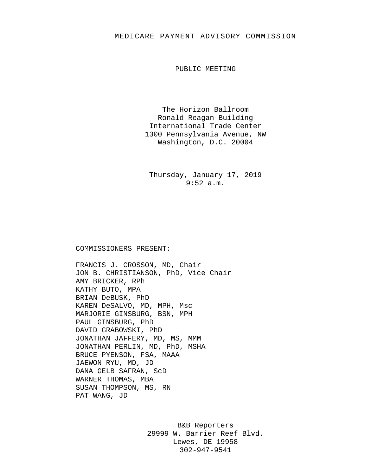## MEDICARE PAYMENT ADVISORY COMMISSION

PUBLIC MEETING

The Horizon Ballroom Ronald Reagan Building International Trade Center 1300 Pennsylvania Avenue, NW Washington, D.C. 20004

Thursday, January 17, 2019 9:52 a.m.

## COMMISSIONERS PRESENT:

FRANCIS J. CROSSON, MD, Chair JON B. CHRISTIANSON, PhD, Vice Chair AMY BRICKER, RPh KATHY BUTO, MPA BRIAN DeBUSK, PhD KAREN DeSALVO, MD, MPH, Msc MARJORIE GINSBURG, BSN, MPH PAUL GINSBURG, PhD DAVID GRABOWSKI, PhD JONATHAN JAFFERY, MD, MS, MMM JONATHAN PERLIN, MD, PhD, MSHA BRUCE PYENSON, FSA, MAAA JAEWON RYU, MD, JD DANA GELB SAFRAN, ScD WARNER THOMAS, MBA SUSAN THOMPSON, MS, RN PAT WANG, JD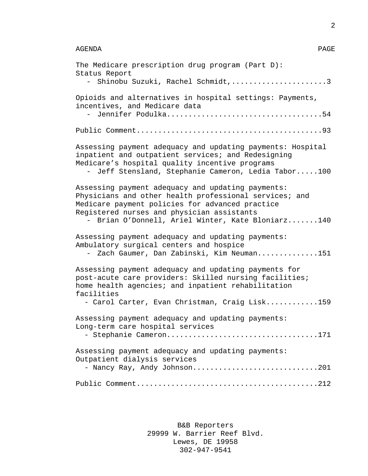| The Medicare prescription drug program (Part D):<br>Status Report<br>- Shinobu Suzuki, Rachel Schmidt,3                                                                                                                                                           |
|-------------------------------------------------------------------------------------------------------------------------------------------------------------------------------------------------------------------------------------------------------------------|
| Opioids and alternatives in hospital settings: Payments,<br>incentives, and Medicare data<br>Jennifer Podulka54<br>$-$                                                                                                                                            |
|                                                                                                                                                                                                                                                                   |
| Assessing payment adequacy and updating payments: Hospital<br>inpatient and outpatient services; and Redesigning<br>Medicare's hospital quality incentive programs<br>Jeff Stensland, Stephanie Cameron, Ledia Tabor100                                           |
| Assessing payment adequacy and updating payments:<br>Physicians and other health professional services; and<br>Medicare payment policies for advanced practice<br>Registered nurses and physician assistants<br>- Brian O'Donnell, Ariel Winter, Kate Bloniarz140 |
| Assessing payment adequacy and updating payments:<br>Ambulatory surgical centers and hospice<br>Zach Gaumer, Dan Zabinski, Kim Neuman151<br>$-$                                                                                                                   |
| Assessing payment adequacy and updating payments for<br>post-acute care providers: Skilled nursing facilities;<br>home health agencies; and inpatient rehabilitation<br>facilities<br>- Carol Carter, Evan Christman, Craig Lisk159                               |
| Assessing payment adequacy and updating payments:<br>Long-term care hospital services<br>- Stephanie Cameron171                                                                                                                                                   |
| Assessing payment adequacy and updating payments:<br>Outpatient dialysis services<br>- Nancy Ray, Andy Johnson201                                                                                                                                                 |
|                                                                                                                                                                                                                                                                   |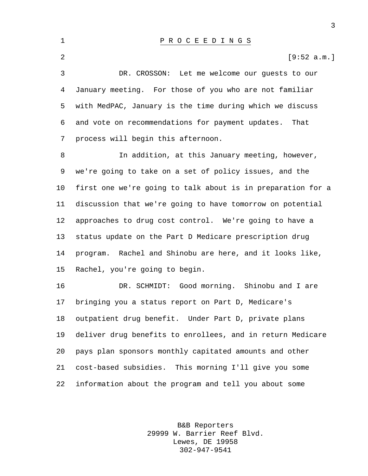P R O C E E D I N G S  $[9:52 \text{ a.m.}]$  DR. CROSSON: Let me welcome our guests to our January meeting. For those of you who are not familiar with MedPAC, January is the time during which we discuss and vote on recommendations for payment updates. That process will begin this afternoon. In addition, at this January meeting, however, we're going to take on a set of policy issues, and the first one we're going to talk about is in preparation for a discussion that we're going to have tomorrow on potential approaches to drug cost control. We're going to have a status update on the Part D Medicare prescription drug program. Rachel and Shinobu are here, and it looks like, Rachel, you're going to begin. DR. SCHMIDT: Good morning. Shinobu and I are bringing you a status report on Part D, Medicare's outpatient drug benefit. Under Part D, private plans deliver drug benefits to enrollees, and in return Medicare pays plan sponsors monthly capitated amounts and other

 cost-based subsidies. This morning I'll give you some information about the program and tell you about some

> B&B Reporters 29999 W. Barrier Reef Blvd. Lewes, DE 19958 302-947-9541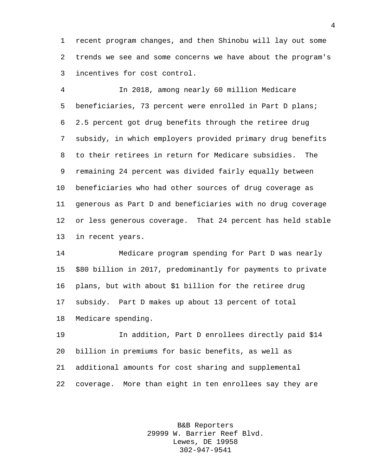recent program changes, and then Shinobu will lay out some trends we see and some concerns we have about the program's incentives for cost control.

 In 2018, among nearly 60 million Medicare beneficiaries, 73 percent were enrolled in Part D plans; 2.5 percent got drug benefits through the retiree drug subsidy, in which employers provided primary drug benefits to their retirees in return for Medicare subsidies. The remaining 24 percent was divided fairly equally between beneficiaries who had other sources of drug coverage as generous as Part D and beneficiaries with no drug coverage or less generous coverage. That 24 percent has held stable in recent years.

 Medicare program spending for Part D was nearly \$80 billion in 2017, predominantly for payments to private plans, but with about \$1 billion for the retiree drug subsidy. Part D makes up about 13 percent of total Medicare spending.

 In addition, Part D enrollees directly paid \$14 billion in premiums for basic benefits, as well as additional amounts for cost sharing and supplemental coverage. More than eight in ten enrollees say they are

> B&B Reporters 29999 W. Barrier Reef Blvd. Lewes, DE 19958 302-947-9541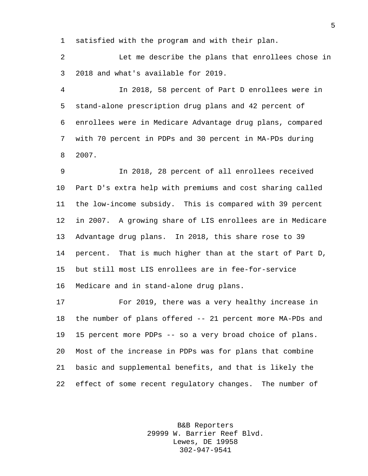satisfied with the program and with their plan.

 Let me describe the plans that enrollees chose in 2018 and what's available for 2019.

 In 2018, 58 percent of Part D enrollees were in stand-alone prescription drug plans and 42 percent of enrollees were in Medicare Advantage drug plans, compared with 70 percent in PDPs and 30 percent in MA-PDs during 2007.

 In 2018, 28 percent of all enrollees received Part D's extra help with premiums and cost sharing called the low-income subsidy. This is compared with 39 percent in 2007. A growing share of LIS enrollees are in Medicare Advantage drug plans. In 2018, this share rose to 39 percent. That is much higher than at the start of Part D, but still most LIS enrollees are in fee-for-service Medicare and in stand-alone drug plans.

 For 2019, there was a very healthy increase in the number of plans offered -- 21 percent more MA-PDs and 15 percent more PDPs -- so a very broad choice of plans. Most of the increase in PDPs was for plans that combine basic and supplemental benefits, and that is likely the effect of some recent regulatory changes. The number of

> B&B Reporters 29999 W. Barrier Reef Blvd. Lewes, DE 19958 302-947-9541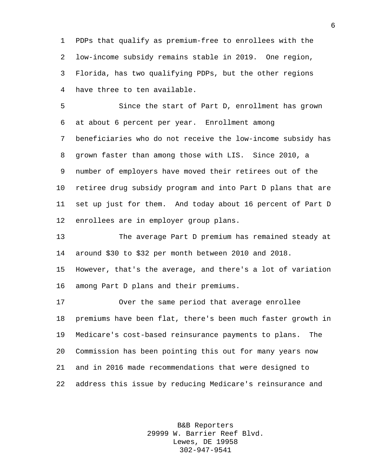PDPs that qualify as premium-free to enrollees with the low-income subsidy remains stable in 2019. One region, Florida, has two qualifying PDPs, but the other regions have three to ten available.

 Since the start of Part D, enrollment has grown at about 6 percent per year. Enrollment among beneficiaries who do not receive the low-income subsidy has grown faster than among those with LIS. Since 2010, a number of employers have moved their retirees out of the retiree drug subsidy program and into Part D plans that are set up just for them. And today about 16 percent of Part D enrollees are in employer group plans.

 The average Part D premium has remained steady at around \$30 to \$32 per month between 2010 and 2018.

 However, that's the average, and there's a lot of variation among Part D plans and their premiums.

 Over the same period that average enrollee premiums have been flat, there's been much faster growth in Medicare's cost-based reinsurance payments to plans. The Commission has been pointing this out for many years now and in 2016 made recommendations that were designed to address this issue by reducing Medicare's reinsurance and

> B&B Reporters 29999 W. Barrier Reef Blvd. Lewes, DE 19958 302-947-9541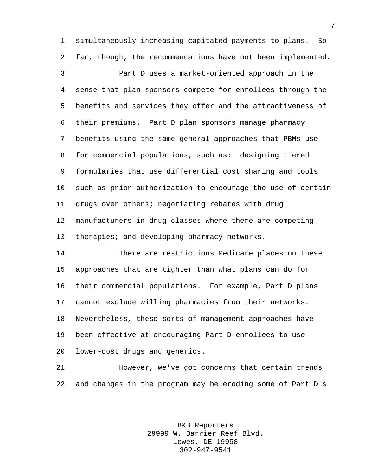simultaneously increasing capitated payments to plans. So far, though, the recommendations have not been implemented. Part D uses a market-oriented approach in the sense that plan sponsors compete for enrollees through the benefits and services they offer and the attractiveness of their premiums. Part D plan sponsors manage pharmacy benefits using the same general approaches that PBMs use 8 for commercial populations, such as: designing tiered formularies that use differential cost sharing and tools such as prior authorization to encourage the use of certain drugs over others; negotiating rebates with drug manufacturers in drug classes where there are competing therapies; and developing pharmacy networks.

 There are restrictions Medicare places on these approaches that are tighter than what plans can do for their commercial populations. For example, Part D plans cannot exclude willing pharmacies from their networks. Nevertheless, these sorts of management approaches have been effective at encouraging Part D enrollees to use lower-cost drugs and generics.

 However, we've got concerns that certain trends and changes in the program may be eroding some of Part D's

> B&B Reporters 29999 W. Barrier Reef Blvd. Lewes, DE 19958 302-947-9541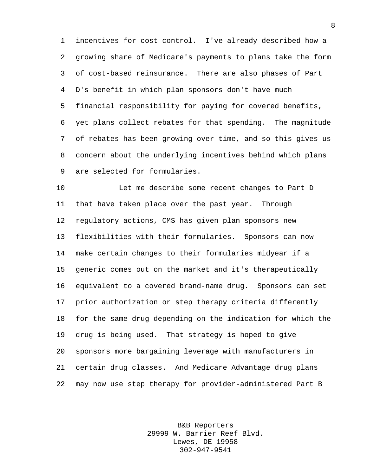incentives for cost control. I've already described how a growing share of Medicare's payments to plans take the form of cost-based reinsurance. There are also phases of Part D's benefit in which plan sponsors don't have much financial responsibility for paying for covered benefits, yet plans collect rebates for that spending. The magnitude of rebates has been growing over time, and so this gives us concern about the underlying incentives behind which plans are selected for formularies.

 Let me describe some recent changes to Part D that have taken place over the past year. Through regulatory actions, CMS has given plan sponsors new flexibilities with their formularies. Sponsors can now make certain changes to their formularies midyear if a generic comes out on the market and it's therapeutically equivalent to a covered brand-name drug. Sponsors can set prior authorization or step therapy criteria differently for the same drug depending on the indication for which the drug is being used. That strategy is hoped to give sponsors more bargaining leverage with manufacturers in certain drug classes. And Medicare Advantage drug plans may now use step therapy for provider-administered Part B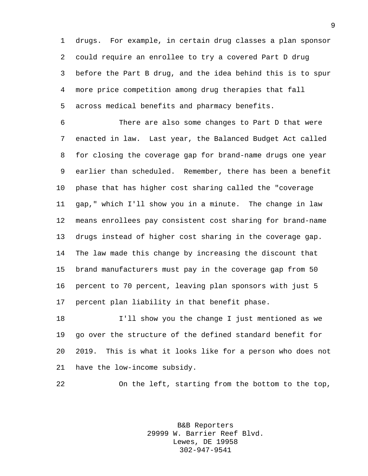drugs. For example, in certain drug classes a plan sponsor could require an enrollee to try a covered Part D drug before the Part B drug, and the idea behind this is to spur more price competition among drug therapies that fall across medical benefits and pharmacy benefits.

 There are also some changes to Part D that were enacted in law. Last year, the Balanced Budget Act called for closing the coverage gap for brand-name drugs one year earlier than scheduled. Remember, there has been a benefit phase that has higher cost sharing called the "coverage gap," which I'll show you in a minute. The change in law means enrollees pay consistent cost sharing for brand-name drugs instead of higher cost sharing in the coverage gap. The law made this change by increasing the discount that brand manufacturers must pay in the coverage gap from 50 percent to 70 percent, leaving plan sponsors with just 5 percent plan liability in that benefit phase.

 I'll show you the change I just mentioned as we go over the structure of the defined standard benefit for 2019. This is what it looks like for a person who does not have the low-income subsidy.

On the left, starting from the bottom to the top,

B&B Reporters 29999 W. Barrier Reef Blvd. Lewes, DE 19958 302-947-9541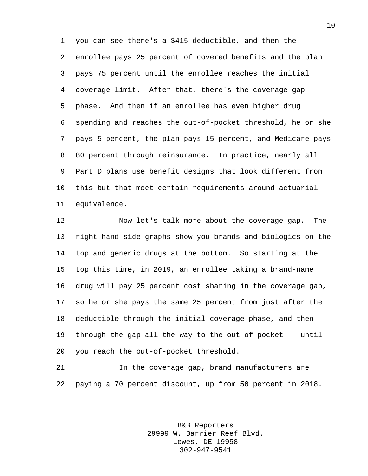you can see there's a \$415 deductible, and then the enrollee pays 25 percent of covered benefits and the plan pays 75 percent until the enrollee reaches the initial coverage limit. After that, there's the coverage gap phase. And then if an enrollee has even higher drug spending and reaches the out-of-pocket threshold, he or she pays 5 percent, the plan pays 15 percent, and Medicare pays 80 percent through reinsurance. In practice, nearly all Part D plans use benefit designs that look different from this but that meet certain requirements around actuarial equivalence.

 Now let's talk more about the coverage gap. The right-hand side graphs show you brands and biologics on the top and generic drugs at the bottom. So starting at the top this time, in 2019, an enrollee taking a brand-name drug will pay 25 percent cost sharing in the coverage gap, so he or she pays the same 25 percent from just after the deductible through the initial coverage phase, and then through the gap all the way to the out-of-pocket -- until you reach the out-of-pocket threshold.

 In the coverage gap, brand manufacturers are paying a 70 percent discount, up from 50 percent in 2018.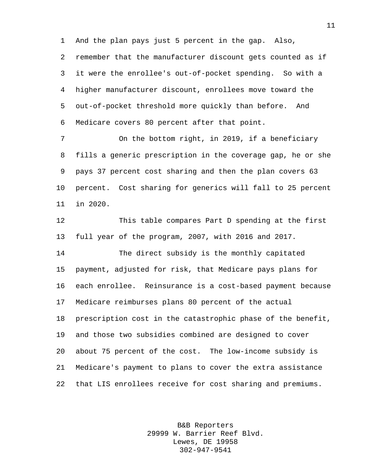And the plan pays just 5 percent in the gap. Also,

 remember that the manufacturer discount gets counted as if it were the enrollee's out-of-pocket spending. So with a higher manufacturer discount, enrollees move toward the out-of-pocket threshold more quickly than before. And Medicare covers 80 percent after that point.

 On the bottom right, in 2019, if a beneficiary fills a generic prescription in the coverage gap, he or she pays 37 percent cost sharing and then the plan covers 63 percent. Cost sharing for generics will fall to 25 percent in 2020.

 This table compares Part D spending at the first full year of the program, 2007, with 2016 and 2017.

 The direct subsidy is the monthly capitated payment, adjusted for risk, that Medicare pays plans for each enrollee. Reinsurance is a cost-based payment because Medicare reimburses plans 80 percent of the actual prescription cost in the catastrophic phase of the benefit, and those two subsidies combined are designed to cover about 75 percent of the cost. The low-income subsidy is Medicare's payment to plans to cover the extra assistance that LIS enrollees receive for cost sharing and premiums.

> B&B Reporters 29999 W. Barrier Reef Blvd. Lewes, DE 19958 302-947-9541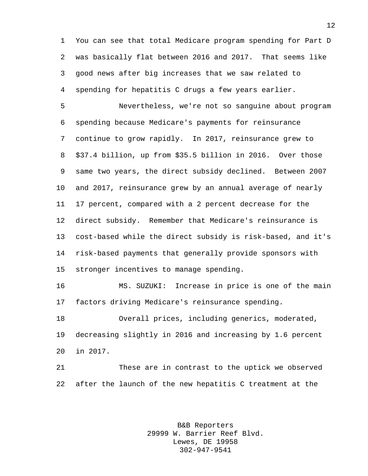You can see that total Medicare program spending for Part D was basically flat between 2016 and 2017. That seems like good news after big increases that we saw related to spending for hepatitis C drugs a few years earlier.

 Nevertheless, we're not so sanguine about program spending because Medicare's payments for reinsurance continue to grow rapidly. In 2017, reinsurance grew to \$37.4 billion, up from \$35.5 billion in 2016. Over those same two years, the direct subsidy declined. Between 2007 and 2017, reinsurance grew by an annual average of nearly 17 percent, compared with a 2 percent decrease for the direct subsidy. Remember that Medicare's reinsurance is cost-based while the direct subsidy is risk-based, and it's risk-based payments that generally provide sponsors with stronger incentives to manage spending.

 MS. SUZUKI: Increase in price is one of the main factors driving Medicare's reinsurance spending.

 Overall prices, including generics, moderated, decreasing slightly in 2016 and increasing by 1.6 percent in 2017.

 These are in contrast to the uptick we observed after the launch of the new hepatitis C treatment at the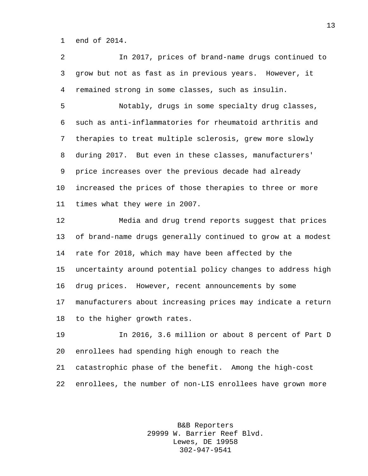end of 2014.

 In 2017, prices of brand-name drugs continued to grow but not as fast as in previous years. However, it remained strong in some classes, such as insulin.

 Notably, drugs in some specialty drug classes, such as anti-inflammatories for rheumatoid arthritis and therapies to treat multiple sclerosis, grew more slowly during 2017. But even in these classes, manufacturers' price increases over the previous decade had already increased the prices of those therapies to three or more times what they were in 2007.

 Media and drug trend reports suggest that prices of brand-name drugs generally continued to grow at a modest rate for 2018, which may have been affected by the uncertainty around potential policy changes to address high drug prices. However, recent announcements by some manufacturers about increasing prices may indicate a return to the higher growth rates.

 In 2016, 3.6 million or about 8 percent of Part D enrollees had spending high enough to reach the catastrophic phase of the benefit. Among the high-cost enrollees, the number of non-LIS enrollees have grown more

> B&B Reporters 29999 W. Barrier Reef Blvd. Lewes, DE 19958 302-947-9541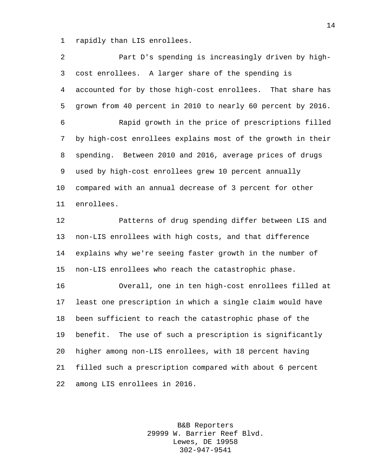rapidly than LIS enrollees.

 Part D's spending is increasingly driven by high- cost enrollees. A larger share of the spending is accounted for by those high-cost enrollees. That share has grown from 40 percent in 2010 to nearly 60 percent by 2016. Rapid growth in the price of prescriptions filled by high-cost enrollees explains most of the growth in their spending. Between 2010 and 2016, average prices of drugs used by high-cost enrollees grew 10 percent annually compared with an annual decrease of 3 percent for other enrollees. Patterns of drug spending differ between LIS and non-LIS enrollees with high costs, and that difference explains why we're seeing faster growth in the number of non-LIS enrollees who reach the catastrophic phase. Overall, one in ten high-cost enrollees filled at least one prescription in which a single claim would have been sufficient to reach the catastrophic phase of the benefit. The use of such a prescription is significantly

 higher among non-LIS enrollees, with 18 percent having filled such a prescription compared with about 6 percent among LIS enrollees in 2016.

> B&B Reporters 29999 W. Barrier Reef Blvd. Lewes, DE 19958 302-947-9541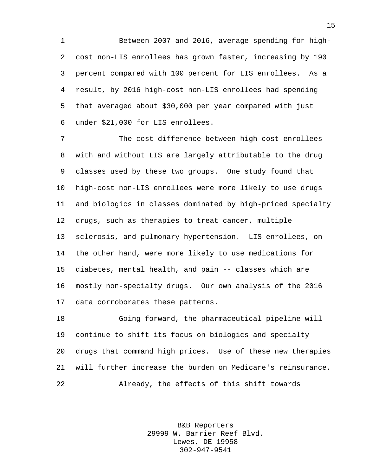Between 2007 and 2016, average spending for high- cost non-LIS enrollees has grown faster, increasing by 190 percent compared with 100 percent for LIS enrollees. As a result, by 2016 high-cost non-LIS enrollees had spending that averaged about \$30,000 per year compared with just under \$21,000 for LIS enrollees.

 The cost difference between high-cost enrollees with and without LIS are largely attributable to the drug classes used by these two groups. One study found that high-cost non-LIS enrollees were more likely to use drugs and biologics in classes dominated by high-priced specialty drugs, such as therapies to treat cancer, multiple sclerosis, and pulmonary hypertension. LIS enrollees, on the other hand, were more likely to use medications for diabetes, mental health, and pain -- classes which are mostly non-specialty drugs. Our own analysis of the 2016 data corroborates these patterns.

 Going forward, the pharmaceutical pipeline will continue to shift its focus on biologics and specialty drugs that command high prices. Use of these new therapies will further increase the burden on Medicare's reinsurance. Already, the effects of this shift towards

> B&B Reporters 29999 W. Barrier Reef Blvd. Lewes, DE 19958 302-947-9541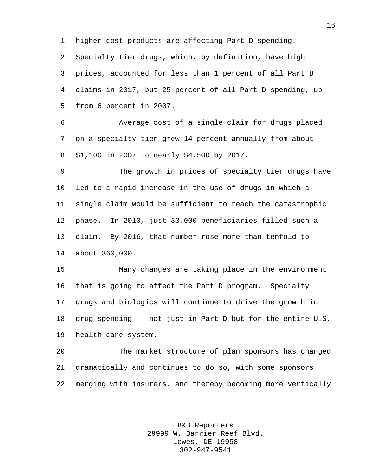higher-cost products are affecting Part D spending.

 Specialty tier drugs, which, by definition, have high prices, accounted for less than 1 percent of all Part D

 claims in 2017, but 25 percent of all Part D spending, up from 6 percent in 2007.

 Average cost of a single claim for drugs placed on a specialty tier grew 14 percent annually from about \$1,100 in 2007 to nearly \$4,500 by 2017.

 The growth in prices of specialty tier drugs have led to a rapid increase in the use of drugs in which a single claim would be sufficient to reach the catastrophic phase. In 2010, just 33,000 beneficiaries filled such a claim. By 2016, that number rose more than tenfold to about 360,000.

 Many changes are taking place in the environment that is going to affect the Part D program. Specialty drugs and biologics will continue to drive the growth in drug spending -- not just in Part D but for the entire U.S. health care system.

 The market structure of plan sponsors has changed dramatically and continues to do so, with some sponsors merging with insurers, and thereby becoming more vertically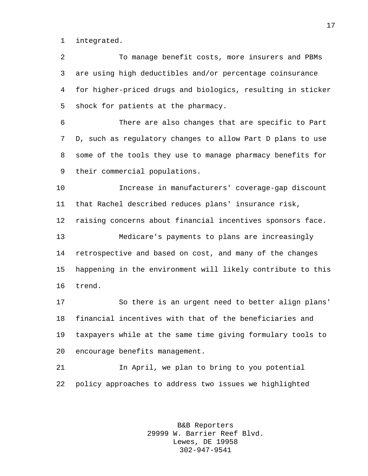integrated.

 To manage benefit costs, more insurers and PBMs are using high deductibles and/or percentage coinsurance for higher-priced drugs and biologics, resulting in sticker shock for patients at the pharmacy.

 There are also changes that are specific to Part D, such as regulatory changes to allow Part D plans to use some of the tools they use to manage pharmacy benefits for their commercial populations.

 Increase in manufacturers' coverage-gap discount that Rachel described reduces plans' insurance risk,

raising concerns about financial incentives sponsors face.

 Medicare's payments to plans are increasingly retrospective and based on cost, and many of the changes happening in the environment will likely contribute to this trend.

 So there is an urgent need to better align plans' financial incentives with that of the beneficiaries and taxpayers while at the same time giving formulary tools to encourage benefits management.

 In April, we plan to bring to you potential policy approaches to address two issues we highlighted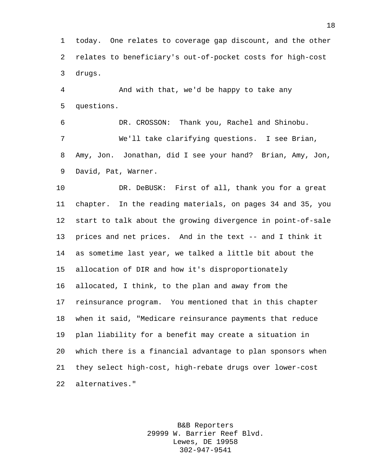today. One relates to coverage gap discount, and the other relates to beneficiary's out-of-pocket costs for high-cost drugs.

 And with that, we'd be happy to take any questions.

 DR. CROSSON: Thank you, Rachel and Shinobu. We'll take clarifying questions. I see Brian, Amy, Jon. Jonathan, did I see your hand? Brian, Amy, Jon, David, Pat, Warner.

 DR. DeBUSK: First of all, thank you for a great chapter. In the reading materials, on pages 34 and 35, you start to talk about the growing divergence in point-of-sale prices and net prices. And in the text -- and I think it as sometime last year, we talked a little bit about the allocation of DIR and how it's disproportionately allocated, I think, to the plan and away from the reinsurance program. You mentioned that in this chapter when it said, "Medicare reinsurance payments that reduce plan liability for a benefit may create a situation in which there is a financial advantage to plan sponsors when they select high-cost, high-rebate drugs over lower-cost alternatives."

> B&B Reporters 29999 W. Barrier Reef Blvd. Lewes, DE 19958 302-947-9541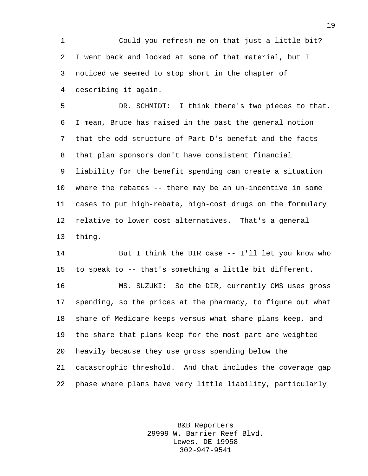Could you refresh me on that just a little bit? I went back and looked at some of that material, but I noticed we seemed to stop short in the chapter of describing it again.

 DR. SCHMIDT: I think there's two pieces to that. I mean, Bruce has raised in the past the general notion that the odd structure of Part D's benefit and the facts that plan sponsors don't have consistent financial liability for the benefit spending can create a situation where the rebates -- there may be an un-incentive in some cases to put high-rebate, high-cost drugs on the formulary relative to lower cost alternatives. That's a general thing.

 But I think the DIR case -- I'll let you know who to speak to -- that's something a little bit different.

 MS. SUZUKI: So the DIR, currently CMS uses gross spending, so the prices at the pharmacy, to figure out what share of Medicare keeps versus what share plans keep, and the share that plans keep for the most part are weighted heavily because they use gross spending below the catastrophic threshold. And that includes the coverage gap phase where plans have very little liability, particularly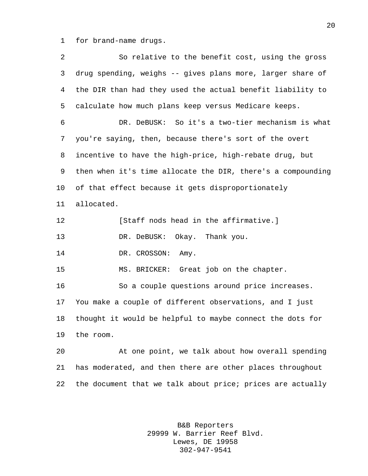for brand-name drugs.

 So relative to the benefit cost, using the gross drug spending, weighs -- gives plans more, larger share of the DIR than had they used the actual benefit liability to calculate how much plans keep versus Medicare keeps. DR. DeBUSK: So it's a two-tier mechanism is what you're saying, then, because there's sort of the overt incentive to have the high-price, high-rebate drug, but then when it's time allocate the DIR, there's a compounding of that effect because it gets disproportionately allocated. **Increase is a set of the set of the affirmative.**] DR. DeBUSK: Okay. Thank you. 14 DR. CROSSON: Amy. MS. BRICKER: Great job on the chapter. So a couple questions around price increases. You make a couple of different observations, and I just thought it would be helpful to maybe connect the dots for the room. At one point, we talk about how overall spending has moderated, and then there are other places throughout the document that we talk about price; prices are actually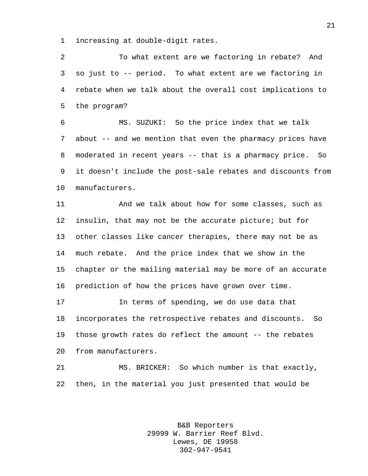increasing at double-digit rates.

 To what extent are we factoring in rebate? And so just to -- period. To what extent are we factoring in rebate when we talk about the overall cost implications to the program?

 MS. SUZUKI: So the price index that we talk about -- and we mention that even the pharmacy prices have moderated in recent years -- that is a pharmacy price. So it doesn't include the post-sale rebates and discounts from manufacturers.

 And we talk about how for some classes, such as insulin, that may not be the accurate picture; but for other classes like cancer therapies, there may not be as much rebate. And the price index that we show in the chapter or the mailing material may be more of an accurate prediction of how the prices have grown over time.

 In terms of spending, we do use data that incorporates the retrospective rebates and discounts. So those growth rates do reflect the amount -- the rebates from manufacturers.

 MS. BRICKER: So which number is that exactly, then, in the material you just presented that would be

> B&B Reporters 29999 W. Barrier Reef Blvd. Lewes, DE 19958 302-947-9541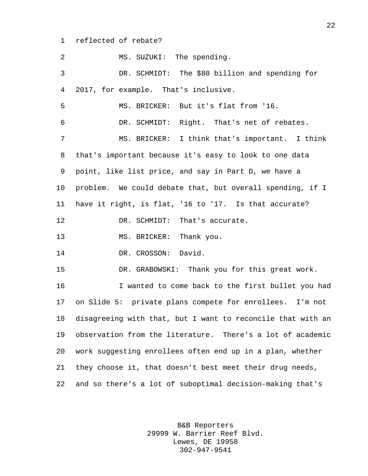reflected of rebate?

| $\overline{a}$ | MS. SUZUKI: The spending.                                   |
|----------------|-------------------------------------------------------------|
| 3              | DR. SCHMIDT: The \$80 billion and spending for              |
| $\overline{4}$ | 2017, for example. That's inclusive.                        |
| 5              | MS. BRICKER: But it's flat from '16.                        |
| 6              | DR. SCHMIDT: Right. That's net of rebates.                  |
| 7              | MS. BRICKER: I think that's important. I think              |
| 8              | that's important because it's easy to look to one data      |
| 9              | point, like list price, and say in Part D, we have a        |
| 10             | problem. We could debate that, but overall spending, if I   |
| 11             | have it right, is flat, '16 to '17. Is that accurate?       |
| 12             | DR. SCHMIDT: That's accurate.                               |
| 13             | MS. BRICKER: Thank you.                                     |
| 14             | DR. CROSSON: David.                                         |
| 15             | DR. GRABOWSKI: Thank you for this great work.               |
| 16             | I wanted to come back to the first bullet you had           |
| 17             | on Slide 5: private plans compete for enrollees. I'm not    |
| 18             | disagreeing with that, but I want to reconcile that with an |
| 19             | observation from the literature. There's a lot of academic  |
| 20             | work suggesting enrollees often end up in a plan, whether   |
| 21             | they choose it, that doesn't best meet their drug needs,    |
| 22             | and so there's a lot of suboptimal decision-making that's   |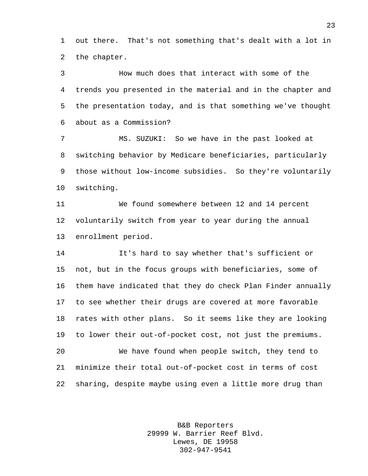out there. That's not something that's dealt with a lot in the chapter.

 How much does that interact with some of the trends you presented in the material and in the chapter and the presentation today, and is that something we've thought about as a Commission?

 MS. SUZUKI: So we have in the past looked at switching behavior by Medicare beneficiaries, particularly those without low-income subsidies. So they're voluntarily switching.

 We found somewhere between 12 and 14 percent voluntarily switch from year to year during the annual enrollment period.

 It's hard to say whether that's sufficient or not, but in the focus groups with beneficiaries, some of them have indicated that they do check Plan Finder annually to see whether their drugs are covered at more favorable rates with other plans. So it seems like they are looking to lower their out-of-pocket cost, not just the premiums. We have found when people switch, they tend to minimize their total out-of-pocket cost in terms of cost sharing, despite maybe using even a little more drug than

> B&B Reporters 29999 W. Barrier Reef Blvd. Lewes, DE 19958 302-947-9541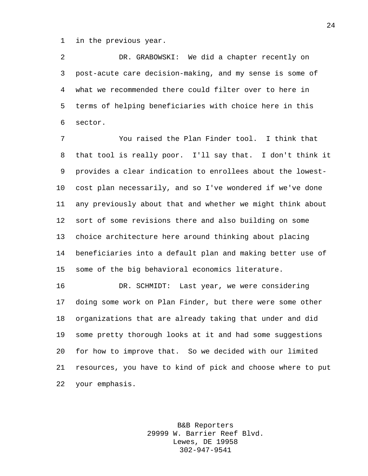in the previous year.

 DR. GRABOWSKI: We did a chapter recently on post-acute care decision-making, and my sense is some of what we recommended there could filter over to here in terms of helping beneficiaries with choice here in this sector.

 You raised the Plan Finder tool. I think that that tool is really poor. I'll say that. I don't think it provides a clear indication to enrollees about the lowest- cost plan necessarily, and so I've wondered if we've done any previously about that and whether we might think about sort of some revisions there and also building on some choice architecture here around thinking about placing beneficiaries into a default plan and making better use of some of the big behavioral economics literature.

 DR. SCHMIDT: Last year, we were considering doing some work on Plan Finder, but there were some other organizations that are already taking that under and did some pretty thorough looks at it and had some suggestions for how to improve that. So we decided with our limited resources, you have to kind of pick and choose where to put your emphasis.

> B&B Reporters 29999 W. Barrier Reef Blvd. Lewes, DE 19958 302-947-9541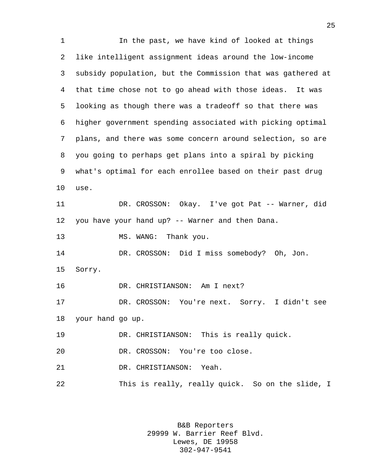In the past, we have kind of looked at things like intelligent assignment ideas around the low-income subsidy population, but the Commission that was gathered at that time chose not to go ahead with those ideas. It was looking as though there was a tradeoff so that there was higher government spending associated with picking optimal plans, and there was some concern around selection, so are you going to perhaps get plans into a spiral by picking what's optimal for each enrollee based on their past drug use. DR. CROSSON: Okay. I've got Pat -- Warner, did you have your hand up? -- Warner and then Dana. 13 MS. WANG: Thank you. DR. CROSSON: Did I miss somebody? Oh, Jon. Sorry. DR. CHRISTIANSON: Am I next? DR. CROSSON: You're next. Sorry. I didn't see your hand go up. DR. CHRISTIANSON: This is really quick. DR. CROSSON: You're too close. DR. CHRISTIANSON: Yeah. This is really, really quick. So on the slide, I

> B&B Reporters 29999 W. Barrier Reef Blvd. Lewes, DE 19958 302-947-9541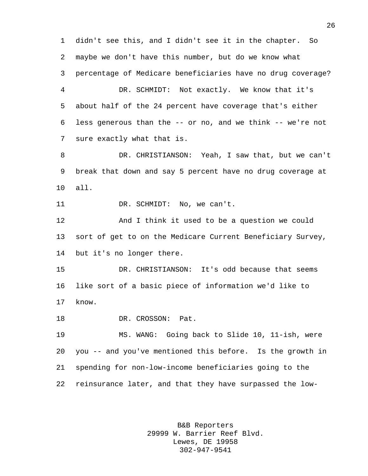didn't see this, and I didn't see it in the chapter. So maybe we don't have this number, but do we know what percentage of Medicare beneficiaries have no drug coverage? DR. SCHMIDT: Not exactly. We know that it's about half of the 24 percent have coverage that's either less generous than the -- or no, and we think -- we're not sure exactly what that is. DR. CHRISTIANSON: Yeah, I saw that, but we can't break that down and say 5 percent have no drug coverage at all. 11 DR. SCHMIDT: No, we can't. And I think it used to be a question we could sort of get to on the Medicare Current Beneficiary Survey, but it's no longer there. DR. CHRISTIANSON: It's odd because that seems like sort of a basic piece of information we'd like to know. 18 DR. CROSSON: Pat. MS. WANG: Going back to Slide 10, 11-ish, were you -- and you've mentioned this before. Is the growth in spending for non-low-income beneficiaries going to the reinsurance later, and that they have surpassed the low-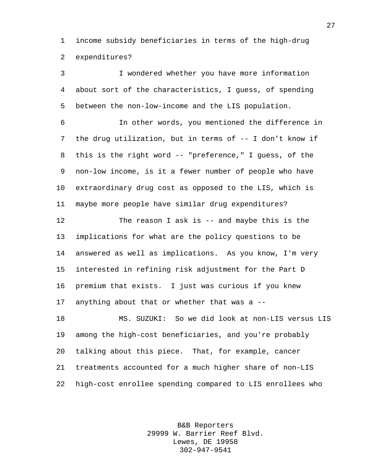income subsidy beneficiaries in terms of the high-drug expenditures?

 I wondered whether you have more information about sort of the characteristics, I guess, of spending between the non-low-income and the LIS population. In other words, you mentioned the difference in the drug utilization, but in terms of -- I don't know if this is the right word -- "preference," I guess, of the non-low income, is it a fewer number of people who have extraordinary drug cost as opposed to the LIS, which is maybe more people have similar drug expenditures? The reason I ask is -- and maybe this is the implications for what are the policy questions to be answered as well as implications. As you know, I'm very interested in refining risk adjustment for the Part D premium that exists. I just was curious if you knew anything about that or whether that was a -- MS. SUZUKI: So we did look at non-LIS versus LIS among the high-cost beneficiaries, and you're probably talking about this piece. That, for example, cancer treatments accounted for a much higher share of non-LIS high-cost enrollee spending compared to LIS enrollees who

> B&B Reporters 29999 W. Barrier Reef Blvd. Lewes, DE 19958 302-947-9541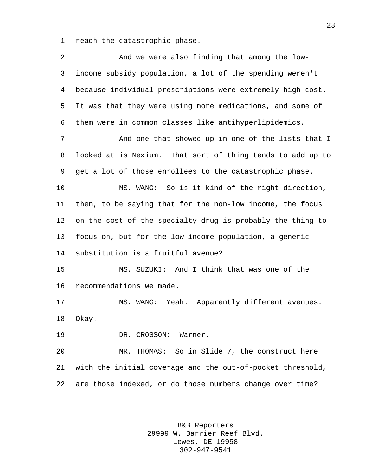reach the catastrophic phase.

 And we were also finding that among the low- income subsidy population, a lot of the spending weren't because individual prescriptions were extremely high cost. It was that they were using more medications, and some of them were in common classes like antihyperlipidemics. And one that showed up in one of the lists that I looked at is Nexium. That sort of thing tends to add up to get a lot of those enrollees to the catastrophic phase. MS. WANG: So is it kind of the right direction, then, to be saying that for the non-low income, the focus on the cost of the specialty drug is probably the thing to focus on, but for the low-income population, a generic substitution is a fruitful avenue? MS. SUZUKI: And I think that was one of the recommendations we made. MS. WANG: Yeah. Apparently different avenues. Okay. DR. CROSSON: Warner. MR. THOMAS: So in Slide 7, the construct here with the initial coverage and the out-of-pocket threshold, are those indexed, or do those numbers change over time?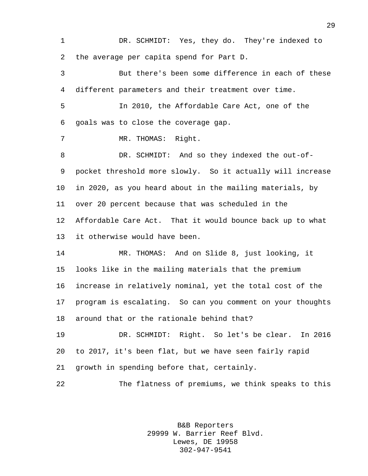DR. SCHMIDT: Yes, they do. They're indexed to the average per capita spend for Part D. But there's been some difference in each of these different parameters and their treatment over time. In 2010, the Affordable Care Act, one of the goals was to close the coverage gap. MR. THOMAS: Right. 8 DR. SCHMIDT: And so they indexed the out-of- pocket threshold more slowly. So it actually will increase in 2020, as you heard about in the mailing materials, by over 20 percent because that was scheduled in the Affordable Care Act. That it would bounce back up to what it otherwise would have been. MR. THOMAS: And on Slide 8, just looking, it looks like in the mailing materials that the premium increase in relatively nominal, yet the total cost of the program is escalating. So can you comment on your thoughts around that or the rationale behind that? DR. SCHMIDT: Right. So let's be clear. In 2016 to 2017, it's been flat, but we have seen fairly rapid growth in spending before that, certainly. The flatness of premiums, we think speaks to this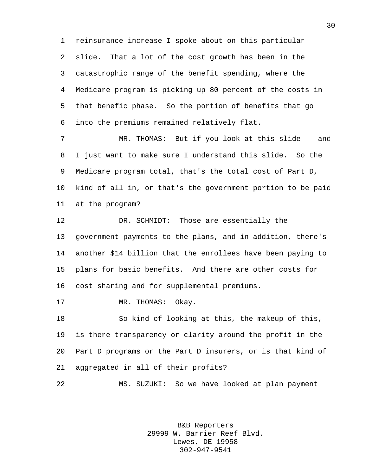reinsurance increase I spoke about on this particular slide. That a lot of the cost growth has been in the catastrophic range of the benefit spending, where the Medicare program is picking up 80 percent of the costs in that benefic phase. So the portion of benefits that go into the premiums remained relatively flat.

7 MR. THOMAS: But if you look at this slide -- and I just want to make sure I understand this slide. So the Medicare program total, that's the total cost of Part D, kind of all in, or that's the government portion to be paid at the program?

 DR. SCHMIDT: Those are essentially the government payments to the plans, and in addition, there's another \$14 billion that the enrollees have been paying to plans for basic benefits. And there are other costs for cost sharing and for supplemental premiums.

17 MR. THOMAS: Okay.

 So kind of looking at this, the makeup of this, is there transparency or clarity around the profit in the Part D programs or the Part D insurers, or is that kind of aggregated in all of their profits?

MS. SUZUKI: So we have looked at plan payment

B&B Reporters 29999 W. Barrier Reef Blvd. Lewes, DE 19958 302-947-9541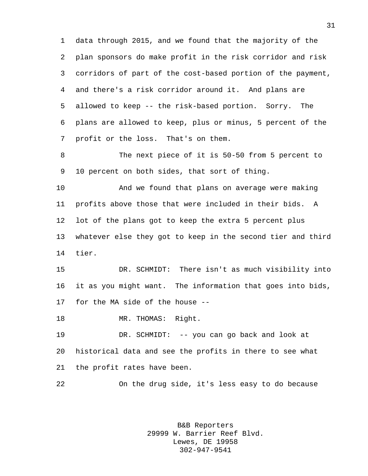data through 2015, and we found that the majority of the plan sponsors do make profit in the risk corridor and risk corridors of part of the cost-based portion of the payment, and there's a risk corridor around it. And plans are allowed to keep -- the risk-based portion. Sorry. The plans are allowed to keep, plus or minus, 5 percent of the profit or the loss. That's on them.

 The next piece of it is 50-50 from 5 percent to 10 percent on both sides, that sort of thing.

 And we found that plans on average were making profits above those that were included in their bids. A lot of the plans got to keep the extra 5 percent plus whatever else they got to keep in the second tier and third tier.

 DR. SCHMIDT: There isn't as much visibility into it as you might want. The information that goes into bids, for the MA side of the house --

18 MR. THOMAS: Right.

 DR. SCHMIDT: -- you can go back and look at historical data and see the profits in there to see what the profit rates have been.

On the drug side, it's less easy to do because

B&B Reporters 29999 W. Barrier Reef Blvd. Lewes, DE 19958 302-947-9541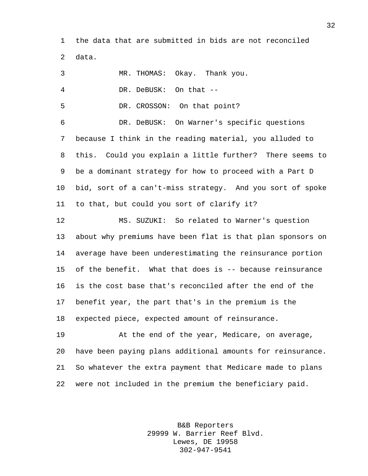the data that are submitted in bids are not reconciled data.

| 3              | MR. THOMAS: Okay. Thank you.                               |
|----------------|------------------------------------------------------------|
| $\overline{4}$ | DR. DeBUSK: On that --                                     |
| 5              | DR. CROSSON: On that point?                                |
| 6              | DR. DeBUSK: On Warner's specific questions                 |
| 7              | because I think in the reading material, you alluded to    |
| 8              | this. Could you explain a little further? There seems to   |
| 9              | be a dominant strategy for how to proceed with a Part D    |
| $10 \,$        | bid, sort of a can't-miss strategy. And you sort of spoke  |
| 11             | to that, but could you sort of clarify it?                 |
| 12             | MS. SUZUKI: So related to Warner's question                |
| 13             | about why premiums have been flat is that plan sponsors on |
| 14             | average have been underestimating the reinsurance portion  |
| 15             | of the benefit. What that does is -- because reinsurance   |
| 16             | is the cost base that's reconciled after the end of the    |
| 17             | benefit year, the part that's in the premium is the        |
| 18             | expected piece, expected amount of reinsurance.            |
| 19             | At the end of the year, Medicare, on average,              |
| 20             | have been paying plans additional amounts for reinsurance. |
| 21             | So whatever the extra payment that Medicare made to plans  |
| 22             | were not included in the premium the beneficiary paid.     |

B&B Reporters 29999 W. Barrier Reef Blvd. Lewes, DE 19958 302-947-9541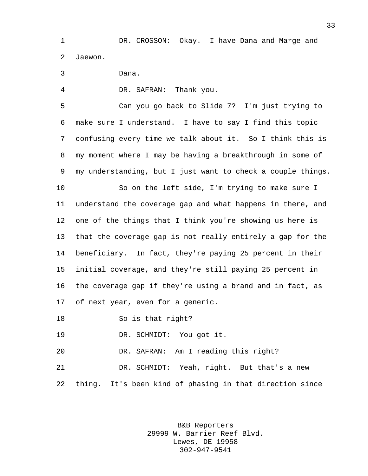DR. CROSSON: Okay. I have Dana and Marge and Jaewon.

Dana.

DR. SAFRAN: Thank you.

 Can you go back to Slide 7? I'm just trying to make sure I understand. I have to say I find this topic confusing every time we talk about it. So I think this is my moment where I may be having a breakthrough in some of my understanding, but I just want to check a couple things.

 So on the left side, I'm trying to make sure I understand the coverage gap and what happens in there, and one of the things that I think you're showing us here is that the coverage gap is not really entirely a gap for the beneficiary. In fact, they're paying 25 percent in their initial coverage, and they're still paying 25 percent in the coverage gap if they're using a brand and in fact, as of next year, even for a generic.

So is that right?

DR. SCHMIDT: You got it.

DR. SAFRAN: Am I reading this right?

 DR. SCHMIDT: Yeah, right. But that's a new thing. It's been kind of phasing in that direction since

> B&B Reporters 29999 W. Barrier Reef Blvd. Lewes, DE 19958 302-947-9541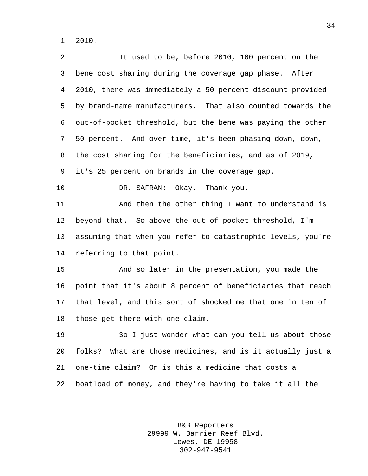2010.

 It used to be, before 2010, 100 percent on the bene cost sharing during the coverage gap phase. After 2010, there was immediately a 50 percent discount provided by brand-name manufacturers. That also counted towards the out-of-pocket threshold, but the bene was paying the other 50 percent. And over time, it's been phasing down, down, the cost sharing for the beneficiaries, and as of 2019, it's 25 percent on brands in the coverage gap. DR. SAFRAN: Okay. Thank you. And then the other thing I want to understand is beyond that. So above the out-of-pocket threshold, I'm assuming that when you refer to catastrophic levels, you're referring to that point. And so later in the presentation, you made the point that it's about 8 percent of beneficiaries that reach that level, and this sort of shocked me that one in ten of those get there with one claim. So I just wonder what can you tell us about those folks? What are those medicines, and is it actually just a one-time claim? Or is this a medicine that costs a boatload of money, and they're having to take it all the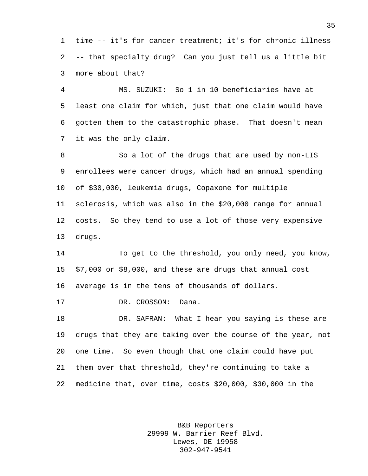time -- it's for cancer treatment; it's for chronic illness -- that specialty drug? Can you just tell us a little bit more about that?

 MS. SUZUKI: So 1 in 10 beneficiaries have at least one claim for which, just that one claim would have gotten them to the catastrophic phase. That doesn't mean it was the only claim.

 So a lot of the drugs that are used by non-LIS enrollees were cancer drugs, which had an annual spending of \$30,000, leukemia drugs, Copaxone for multiple sclerosis, which was also in the \$20,000 range for annual costs. So they tend to use a lot of those very expensive drugs.

 To get to the threshold, you only need, you know, \$7,000 or \$8,000, and these are drugs that annual cost average is in the tens of thousands of dollars.

17 DR. CROSSON: Dana.

 DR. SAFRAN: What I hear you saying is these are drugs that they are taking over the course of the year, not one time. So even though that one claim could have put them over that threshold, they're continuing to take a medicine that, over time, costs \$20,000, \$30,000 in the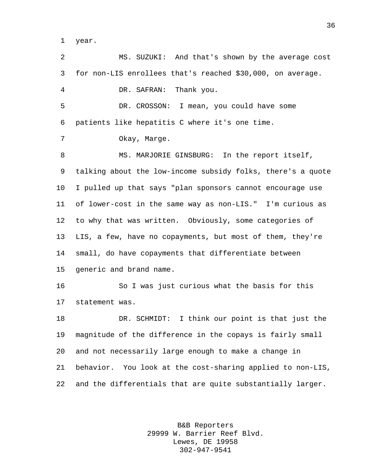year.

 MS. SUZUKI: And that's shown by the average cost for non-LIS enrollees that's reached \$30,000, on average. DR. SAFRAN: Thank you. DR. CROSSON: I mean, you could have some patients like hepatitis C where it's one time. Okay, Marge. 8 MS. MARJORIE GINSBURG: In the report itself, talking about the low-income subsidy folks, there's a quote I pulled up that says "plan sponsors cannot encourage use of lower-cost in the same way as non-LIS." I'm curious as to why that was written. Obviously, some categories of LIS, a few, have no copayments, but most of them, they're small, do have copayments that differentiate between generic and brand name. So I was just curious what the basis for this statement was. DR. SCHMIDT: I think our point is that just the magnitude of the difference in the copays is fairly small and not necessarily large enough to make a change in behavior. You look at the cost-sharing applied to non-LIS, and the differentials that are quite substantially larger.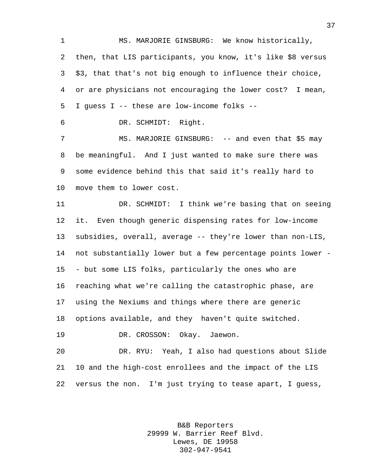MS. MARJORIE GINSBURG: We know historically, then, that LIS participants, you know, it's like \$8 versus \$3, that that's not big enough to influence their choice, or are physicians not encouraging the lower cost? I mean, I guess I -- these are low-income folks --

DR. SCHMIDT: Right.

7 MS. MARJORIE GINSBURG: -- and even that \$5 may be meaningful. And I just wanted to make sure there was some evidence behind this that said it's really hard to move them to lower cost.

 DR. SCHMIDT: I think we're basing that on seeing it. Even though generic dispensing rates for low-income subsidies, overall, average -- they're lower than non-LIS, not substantially lower but a few percentage points lower - - but some LIS folks, particularly the ones who are reaching what we're calling the catastrophic phase, are using the Nexiums and things where there are generic options available, and they haven't quite switched. DR. CROSSON: Okay. Jaewon.

 DR. RYU: Yeah, I also had questions about Slide 10 and the high-cost enrollees and the impact of the LIS versus the non. I'm just trying to tease apart, I guess,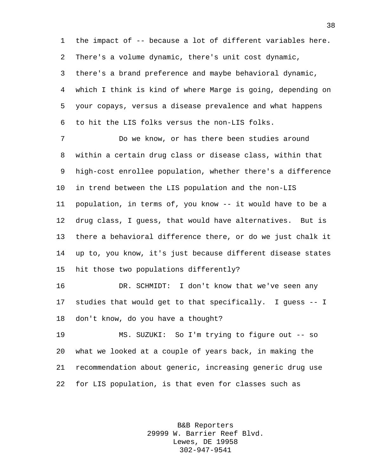the impact of -- because a lot of different variables here. There's a volume dynamic, there's unit cost dynamic, there's a brand preference and maybe behavioral dynamic, which I think is kind of where Marge is going, depending on your copays, versus a disease prevalence and what happens to hit the LIS folks versus the non-LIS folks.

 Do we know, or has there been studies around within a certain drug class or disease class, within that high-cost enrollee population, whether there's a difference in trend between the LIS population and the non-LIS population, in terms of, you know -- it would have to be a drug class, I guess, that would have alternatives. But is there a behavioral difference there, or do we just chalk it up to, you know, it's just because different disease states hit those two populations differently?

 DR. SCHMIDT: I don't know that we've seen any studies that would get to that specifically. I guess -- I don't know, do you have a thought?

 MS. SUZUKI: So I'm trying to figure out -- so what we looked at a couple of years back, in making the recommendation about generic, increasing generic drug use for LIS population, is that even for classes such as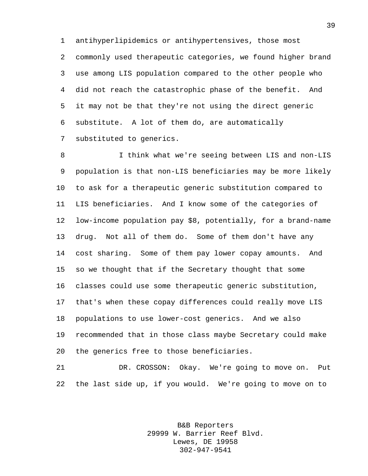antihyperlipidemics or antihypertensives, those most commonly used therapeutic categories, we found higher brand use among LIS population compared to the other people who did not reach the catastrophic phase of the benefit. And it may not be that they're not using the direct generic substitute. A lot of them do, are automatically substituted to generics.

 I think what we're seeing between LIS and non-LIS population is that non-LIS beneficiaries may be more likely to ask for a therapeutic generic substitution compared to LIS beneficiaries. And I know some of the categories of low-income population pay \$8, potentially, for a brand-name drug. Not all of them do. Some of them don't have any cost sharing. Some of them pay lower copay amounts. And so we thought that if the Secretary thought that some classes could use some therapeutic generic substitution, that's when these copay differences could really move LIS populations to use lower-cost generics. And we also recommended that in those class maybe Secretary could make the generics free to those beneficiaries.

 DR. CROSSON: Okay. We're going to move on. Put the last side up, if you would. We're going to move on to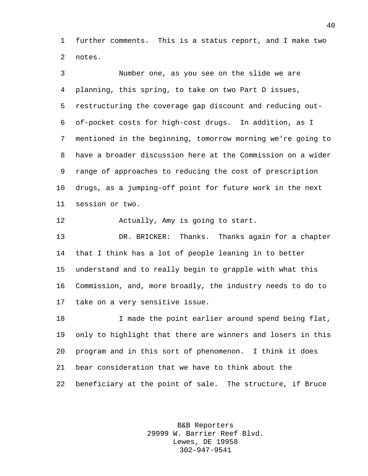further comments. This is a status report, and I make two notes.

 Number one, as you see on the slide we are planning, this spring, to take on two Part D issues, restructuring the coverage gap discount and reducing out- of-pocket costs for high-cost drugs. In addition, as I mentioned in the beginning, tomorrow morning we're going to have a broader discussion here at the Commission on a wider range of approaches to reducing the cost of prescription drugs, as a jumping-off point for future work in the next session or two.

12 Actually, Amy is going to start.

 DR. BRICKER: Thanks. Thanks again for a chapter that I think has a lot of people leaning in to better understand and to really begin to grapple with what this Commission, and, more broadly, the industry needs to do to take on a very sensitive issue.

 I made the point earlier around spend being flat, only to highlight that there are winners and losers in this program and in this sort of phenomenon. I think it does bear consideration that we have to think about the beneficiary at the point of sale. The structure, if Bruce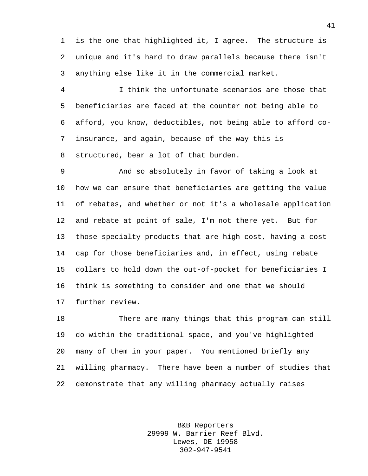is the one that highlighted it, I agree. The structure is unique and it's hard to draw parallels because there isn't anything else like it in the commercial market.

 I think the unfortunate scenarios are those that beneficiaries are faced at the counter not being able to afford, you know, deductibles, not being able to afford co- insurance, and again, because of the way this is structured, bear a lot of that burden.

 And so absolutely in favor of taking a look at how we can ensure that beneficiaries are getting the value of rebates, and whether or not it's a wholesale application and rebate at point of sale, I'm not there yet. But for those specialty products that are high cost, having a cost cap for those beneficiaries and, in effect, using rebate dollars to hold down the out-of-pocket for beneficiaries I think is something to consider and one that we should further review.

 There are many things that this program can still do within the traditional space, and you've highlighted many of them in your paper. You mentioned briefly any willing pharmacy. There have been a number of studies that demonstrate that any willing pharmacy actually raises

> B&B Reporters 29999 W. Barrier Reef Blvd. Lewes, DE 19958 302-947-9541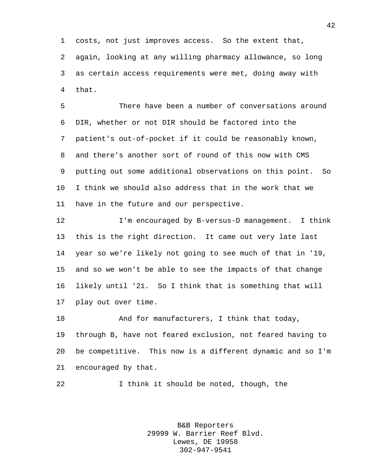costs, not just improves access. So the extent that, again, looking at any willing pharmacy allowance, so long as certain access requirements were met, doing away with that.

 There have been a number of conversations around DIR, whether or not DIR should be factored into the patient's out-of-pocket if it could be reasonably known, and there's another sort of round of this now with CMS putting out some additional observations on this point. So I think we should also address that in the work that we have in the future and our perspective.

 I'm encouraged by B-versus-D management. I think this is the right direction. It came out very late last year so we're likely not going to see much of that in '19, and so we won't be able to see the impacts of that change likely until '21. So I think that is something that will play out over time.

 And for manufacturers, I think that today, through B, have not feared exclusion, not feared having to be competitive. This now is a different dynamic and so I'm encouraged by that.

I think it should be noted, though, the

B&B Reporters 29999 W. Barrier Reef Blvd. Lewes, DE 19958 302-947-9541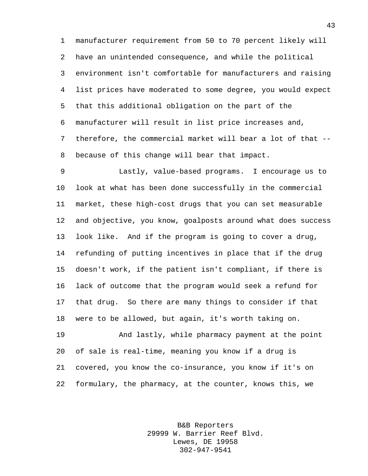manufacturer requirement from 50 to 70 percent likely will have an unintended consequence, and while the political environment isn't comfortable for manufacturers and raising list prices have moderated to some degree, you would expect that this additional obligation on the part of the manufacturer will result in list price increases and, therefore, the commercial market will bear a lot of that -- because of this change will bear that impact.

 Lastly, value-based programs. I encourage us to look at what has been done successfully in the commercial market, these high-cost drugs that you can set measurable and objective, you know, goalposts around what does success look like. And if the program is going to cover a drug, refunding of putting incentives in place that if the drug doesn't work, if the patient isn't compliant, if there is lack of outcome that the program would seek a refund for that drug. So there are many things to consider if that were to be allowed, but again, it's worth taking on.

 And lastly, while pharmacy payment at the point of sale is real-time, meaning you know if a drug is covered, you know the co-insurance, you know if it's on formulary, the pharmacy, at the counter, knows this, we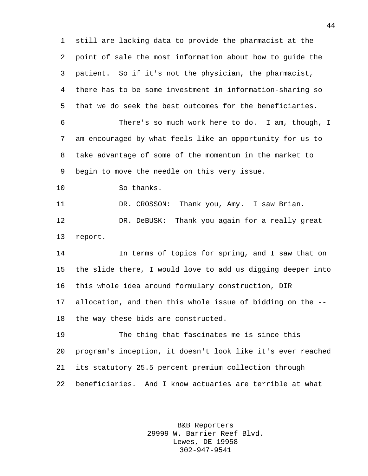still are lacking data to provide the pharmacist at the point of sale the most information about how to guide the patient. So if it's not the physician, the pharmacist, there has to be some investment in information-sharing so that we do seek the best outcomes for the beneficiaries. There's so much work here to do. I am, though, I am encouraged by what feels like an opportunity for us to take advantage of some of the momentum in the market to begin to move the needle on this very issue. So thanks. DR. CROSSON: Thank you, Amy. I saw Brian. DR. DeBUSK: Thank you again for a really great report. In terms of topics for spring, and I saw that on the slide there, I would love to add us digging deeper into

this whole idea around formulary construction, DIR

 allocation, and then this whole issue of bidding on the -- the way these bids are constructed.

 The thing that fascinates me is since this program's inception, it doesn't look like it's ever reached its statutory 25.5 percent premium collection through beneficiaries. And I know actuaries are terrible at what

> B&B Reporters 29999 W. Barrier Reef Blvd. Lewes, DE 19958 302-947-9541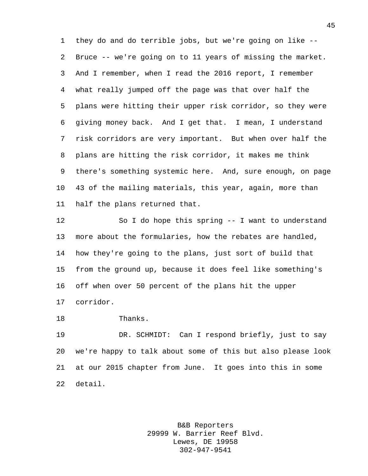they do and do terrible jobs, but we're going on like -- Bruce -- we're going on to 11 years of missing the market. And I remember, when I read the 2016 report, I remember what really jumped off the page was that over half the plans were hitting their upper risk corridor, so they were giving money back. And I get that. I mean, I understand risk corridors are very important. But when over half the plans are hitting the risk corridor, it makes me think there's something systemic here. And, sure enough, on page 43 of the mailing materials, this year, again, more than half the plans returned that.

 So I do hope this spring -- I want to understand more about the formularies, how the rebates are handled, how they're going to the plans, just sort of build that from the ground up, because it does feel like something's off when over 50 percent of the plans hit the upper corridor.

Thanks.

 DR. SCHMIDT: Can I respond briefly, just to say we're happy to talk about some of this but also please look at our 2015 chapter from June. It goes into this in some detail.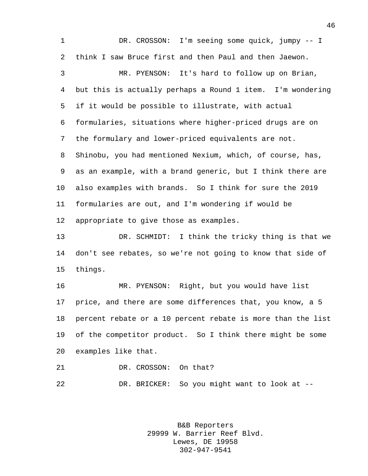DR. CROSSON: I'm seeing some quick, jumpy -- I think I saw Bruce first and then Paul and then Jaewon. MR. PYENSON: It's hard to follow up on Brian, but this is actually perhaps a Round 1 item. I'm wondering if it would be possible to illustrate, with actual formularies, situations where higher-priced drugs are on the formulary and lower-priced equivalents are not. Shinobu, you had mentioned Nexium, which, of course, has, as an example, with a brand generic, but I think there are also examples with brands. So I think for sure the 2019 formularies are out, and I'm wondering if would be appropriate to give those as examples. DR. SCHMIDT: I think the tricky thing is that we don't see rebates, so we're not going to know that side of things. MR. PYENSON: Right, but you would have list price, and there are some differences that, you know, a 5 percent rebate or a 10 percent rebate is more than the list of the competitor product. So I think there might be some examples like that. 21 DR. CROSSON: On that?

> B&B Reporters 29999 W. Barrier Reef Blvd. Lewes, DE 19958 302-947-9541

DR. BRICKER: So you might want to look at --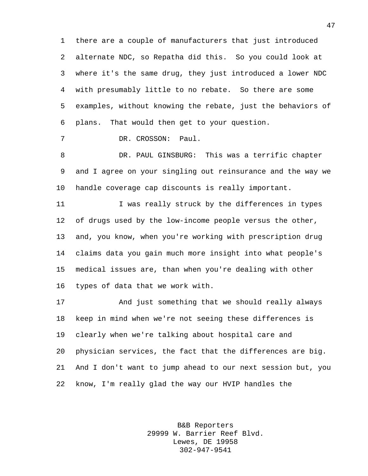there are a couple of manufacturers that just introduced alternate NDC, so Repatha did this. So you could look at where it's the same drug, they just introduced a lower NDC with presumably little to no rebate. So there are some examples, without knowing the rebate, just the behaviors of plans. That would then get to your question.

DR. CROSSON: Paul.

 DR. PAUL GINSBURG: This was a terrific chapter and I agree on your singling out reinsurance and the way we handle coverage cap discounts is really important.

11 I was really struck by the differences in types of drugs used by the low-income people versus the other, and, you know, when you're working with prescription drug claims data you gain much more insight into what people's medical issues are, than when you're dealing with other types of data that we work with.

 And just something that we should really always keep in mind when we're not seeing these differences is clearly when we're talking about hospital care and physician services, the fact that the differences are big. And I don't want to jump ahead to our next session but, you know, I'm really glad the way our HVIP handles the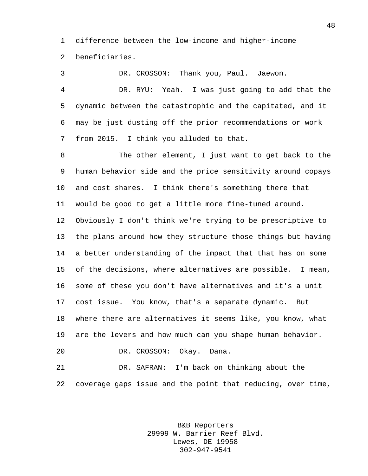difference between the low-income and higher-income beneficiaries.

 DR. CROSSON: Thank you, Paul. Jaewon. DR. RYU: Yeah. I was just going to add that the dynamic between the catastrophic and the capitated, and it may be just dusting off the prior recommendations or work from 2015. I think you alluded to that.

 The other element, I just want to get back to the human behavior side and the price sensitivity around copays and cost shares. I think there's something there that would be good to get a little more fine-tuned around. Obviously I don't think we're trying to be prescriptive to the plans around how they structure those things but having a better understanding of the impact that that has on some of the decisions, where alternatives are possible. I mean, some of these you don't have alternatives and it's a unit cost issue. You know, that's a separate dynamic. But where there are alternatives it seems like, you know, what are the levers and how much can you shape human behavior. DR. CROSSON: Okay. Dana.

 DR. SAFRAN: I'm back on thinking about the coverage gaps issue and the point that reducing, over time,

> B&B Reporters 29999 W. Barrier Reef Blvd. Lewes, DE 19958 302-947-9541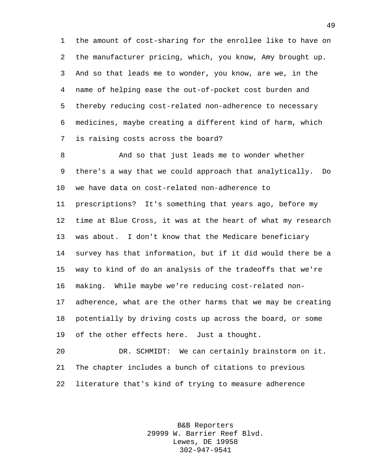the amount of cost-sharing for the enrollee like to have on the manufacturer pricing, which, you know, Amy brought up. And so that leads me to wonder, you know, are we, in the name of helping ease the out-of-pocket cost burden and thereby reducing cost-related non-adherence to necessary medicines, maybe creating a different kind of harm, which is raising costs across the board?

 And so that just leads me to wonder whether there's a way that we could approach that analytically. Do we have data on cost-related non-adherence to prescriptions? It's something that years ago, before my time at Blue Cross, it was at the heart of what my research was about. I don't know that the Medicare beneficiary survey has that information, but if it did would there be a way to kind of do an analysis of the tradeoffs that we're making. While maybe we're reducing cost-related non- adherence, what are the other harms that we may be creating potentially by driving costs up across the board, or some of the other effects here. Just a thought.

 DR. SCHMIDT: We can certainly brainstorm on it. The chapter includes a bunch of citations to previous literature that's kind of trying to measure adherence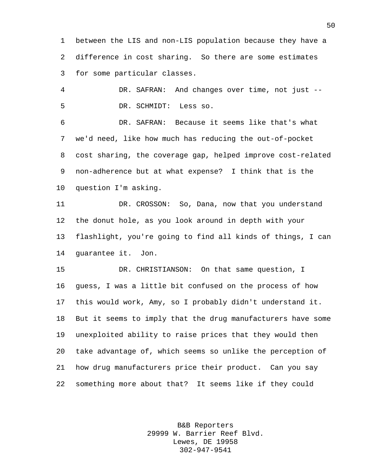between the LIS and non-LIS population because they have a difference in cost sharing. So there are some estimates for some particular classes.

 DR. SAFRAN: And changes over time, not just -- DR. SCHMIDT: Less so.

 DR. SAFRAN: Because it seems like that's what we'd need, like how much has reducing the out-of-pocket cost sharing, the coverage gap, helped improve cost-related non-adherence but at what expense? I think that is the question I'm asking.

 DR. CROSSON: So, Dana, now that you understand the donut hole, as you look around in depth with your flashlight, you're going to find all kinds of things, I can guarantee it. Jon.

 DR. CHRISTIANSON: On that same question, I guess, I was a little bit confused on the process of how this would work, Amy, so I probably didn't understand it. But it seems to imply that the drug manufacturers have some unexploited ability to raise prices that they would then take advantage of, which seems so unlike the perception of how drug manufacturers price their product. Can you say something more about that? It seems like if they could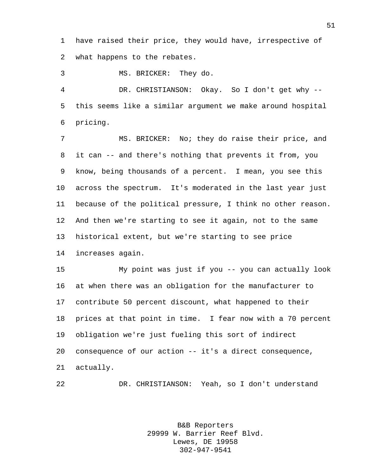have raised their price, they would have, irrespective of what happens to the rebates.

MS. BRICKER: They do.

 DR. CHRISTIANSON: Okay. So I don't get why -- this seems like a similar argument we make around hospital pricing.

 MS. BRICKER: No; they do raise their price, and it can -- and there's nothing that prevents it from, you know, being thousands of a percent. I mean, you see this across the spectrum. It's moderated in the last year just because of the political pressure, I think no other reason. And then we're starting to see it again, not to the same historical extent, but we're starting to see price increases again.

 My point was just if you -- you can actually look at when there was an obligation for the manufacturer to contribute 50 percent discount, what happened to their prices at that point in time. I fear now with a 70 percent obligation we're just fueling this sort of indirect consequence of our action -- it's a direct consequence, actually.

DR. CHRISTIANSON: Yeah, so I don't understand

B&B Reporters 29999 W. Barrier Reef Blvd. Lewes, DE 19958 302-947-9541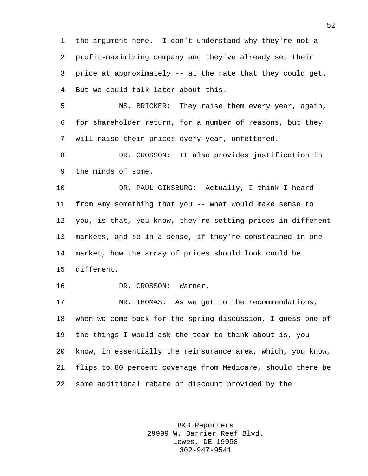the argument here. I don't understand why they're not a profit-maximizing company and they've already set their price at approximately -- at the rate that they could get. But we could talk later about this.

 MS. BRICKER: They raise them every year, again, for shareholder return, for a number of reasons, but they will raise their prices every year, unfettered.

 DR. CROSSON: It also provides justification in the minds of some.

 DR. PAUL GINSBURG: Actually, I think I heard from Amy something that you -- what would make sense to you, is that, you know, they're setting prices in different markets, and so in a sense, if they're constrained in one market, how the array of prices should look could be different.

DR. CROSSON: Warner.

 MR. THOMAS: As we get to the recommendations, when we come back for the spring discussion, I guess one of the things I would ask the team to think about is, you know, in essentially the reinsurance area, which, you know, flips to 80 percent coverage from Medicare, should there be some additional rebate or discount provided by the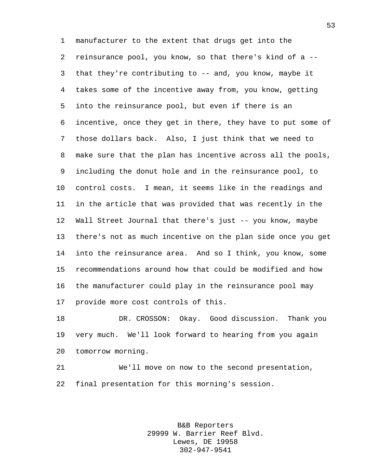manufacturer to the extent that drugs get into the reinsurance pool, you know, so that there's kind of a -- that they're contributing to -- and, you know, maybe it takes some of the incentive away from, you know, getting into the reinsurance pool, but even if there is an incentive, once they get in there, they have to put some of those dollars back. Also, I just think that we need to make sure that the plan has incentive across all the pools, including the donut hole and in the reinsurance pool, to control costs. I mean, it seems like in the readings and in the article that was provided that was recently in the Wall Street Journal that there's just -- you know, maybe there's not as much incentive on the plan side once you get into the reinsurance area. And so I think, you know, some recommendations around how that could be modified and how the manufacturer could play in the reinsurance pool may provide more cost controls of this.

 DR. CROSSON: Okay. Good discussion. Thank you very much. We'll look forward to hearing from you again tomorrow morning.

 We'll move on now to the second presentation, final presentation for this morning's session.

> B&B Reporters 29999 W. Barrier Reef Blvd. Lewes, DE 19958 302-947-9541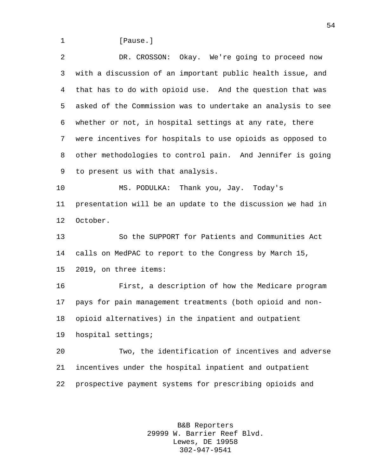1 [Pause.]

 DR. CROSSON: Okay. We're going to proceed now with a discussion of an important public health issue, and that has to do with opioid use. And the question that was asked of the Commission was to undertake an analysis to see whether or not, in hospital settings at any rate, there were incentives for hospitals to use opioids as opposed to other methodologies to control pain. And Jennifer is going to present us with that analysis.

 MS. PODULKA: Thank you, Jay. Today's presentation will be an update to the discussion we had in October.

 So the SUPPORT for Patients and Communities Act calls on MedPAC to report to the Congress by March 15, 2019, on three items:

 First, a description of how the Medicare program pays for pain management treatments (both opioid and non- opioid alternatives) in the inpatient and outpatient hospital settings;

 Two, the identification of incentives and adverse incentives under the hospital inpatient and outpatient prospective payment systems for prescribing opioids and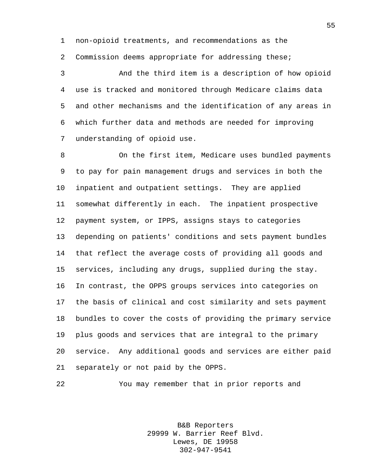non-opioid treatments, and recommendations as the

Commission deems appropriate for addressing these;

 And the third item is a description of how opioid use is tracked and monitored through Medicare claims data and other mechanisms and the identification of any areas in which further data and methods are needed for improving understanding of opioid use.

 On the first item, Medicare uses bundled payments to pay for pain management drugs and services in both the inpatient and outpatient settings. They are applied somewhat differently in each. The inpatient prospective payment system, or IPPS, assigns stays to categories depending on patients' conditions and sets payment bundles that reflect the average costs of providing all goods and services, including any drugs, supplied during the stay. In contrast, the OPPS groups services into categories on the basis of clinical and cost similarity and sets payment bundles to cover the costs of providing the primary service plus goods and services that are integral to the primary service. Any additional goods and services are either paid separately or not paid by the OPPS.

You may remember that in prior reports and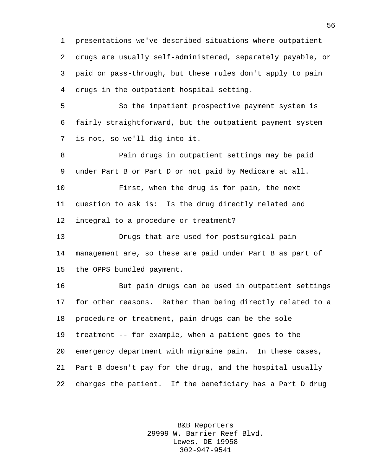presentations we've described situations where outpatient drugs are usually self-administered, separately payable, or paid on pass-through, but these rules don't apply to pain drugs in the outpatient hospital setting.

 So the inpatient prospective payment system is fairly straightforward, but the outpatient payment system is not, so we'll dig into it.

 Pain drugs in outpatient settings may be paid under Part B or Part D or not paid by Medicare at all. First, when the drug is for pain, the next

 question to ask is: Is the drug directly related and integral to a procedure or treatment?

 Drugs that are used for postsurgical pain management are, so these are paid under Part B as part of the OPPS bundled payment.

 But pain drugs can be used in outpatient settings for other reasons. Rather than being directly related to a procedure or treatment, pain drugs can be the sole treatment -- for example, when a patient goes to the emergency department with migraine pain. In these cases, Part B doesn't pay for the drug, and the hospital usually charges the patient. If the beneficiary has a Part D drug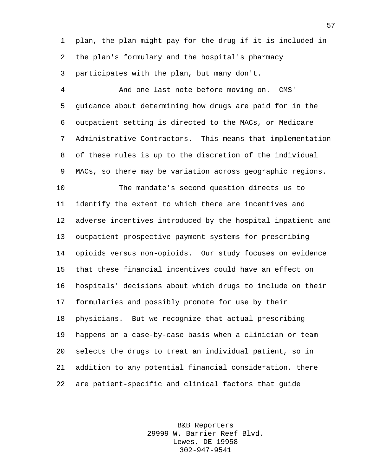plan, the plan might pay for the drug if it is included in the plan's formulary and the hospital's pharmacy participates with the plan, but many don't.

 And one last note before moving on. CMS' guidance about determining how drugs are paid for in the outpatient setting is directed to the MACs, or Medicare Administrative Contractors. This means that implementation of these rules is up to the discretion of the individual MACs, so there may be variation across geographic regions.

 The mandate's second question directs us to identify the extent to which there are incentives and adverse incentives introduced by the hospital inpatient and outpatient prospective payment systems for prescribing opioids versus non-opioids. Our study focuses on evidence that these financial incentives could have an effect on hospitals' decisions about which drugs to include on their formularies and possibly promote for use by their physicians. But we recognize that actual prescribing happens on a case-by-case basis when a clinician or team selects the drugs to treat an individual patient, so in addition to any potential financial consideration, there are patient-specific and clinical factors that guide

> B&B Reporters 29999 W. Barrier Reef Blvd. Lewes, DE 19958 302-947-9541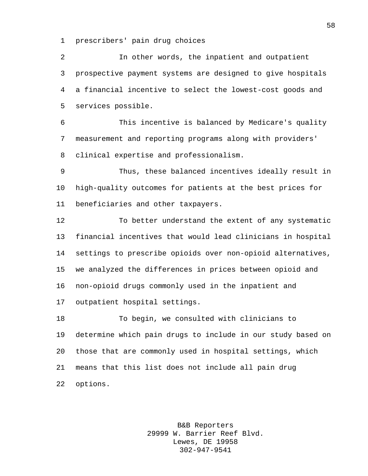prescribers' pain drug choices

 In other words, the inpatient and outpatient prospective payment systems are designed to give hospitals a financial incentive to select the lowest-cost goods and services possible.

 This incentive is balanced by Medicare's quality measurement and reporting programs along with providers' clinical expertise and professionalism.

 Thus, these balanced incentives ideally result in high-quality outcomes for patients at the best prices for beneficiaries and other taxpayers.

 To better understand the extent of any systematic financial incentives that would lead clinicians in hospital settings to prescribe opioids over non-opioid alternatives, we analyzed the differences in prices between opioid and non-opioid drugs commonly used in the inpatient and outpatient hospital settings.

 To begin, we consulted with clinicians to determine which pain drugs to include in our study based on those that are commonly used in hospital settings, which means that this list does not include all pain drug options.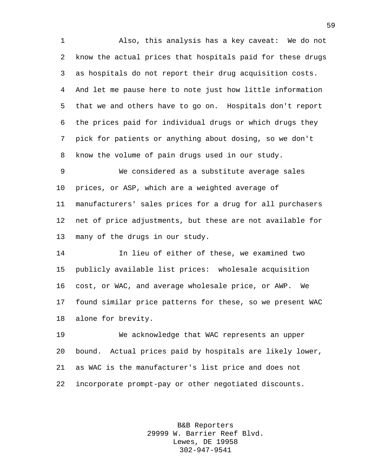Also, this analysis has a key caveat: We do not know the actual prices that hospitals paid for these drugs as hospitals do not report their drug acquisition costs. And let me pause here to note just how little information that we and others have to go on. Hospitals don't report the prices paid for individual drugs or which drugs they pick for patients or anything about dosing, so we don't know the volume of pain drugs used in our study.

 We considered as a substitute average sales prices, or ASP, which are a weighted average of manufacturers' sales prices for a drug for all purchasers net of price adjustments, but these are not available for many of the drugs in our study.

 In lieu of either of these, we examined two publicly available list prices: wholesale acquisition cost, or WAC, and average wholesale price, or AWP. We found similar price patterns for these, so we present WAC alone for brevity.

 We acknowledge that WAC represents an upper bound. Actual prices paid by hospitals are likely lower, as WAC is the manufacturer's list price and does not incorporate prompt-pay or other negotiated discounts.

> B&B Reporters 29999 W. Barrier Reef Blvd. Lewes, DE 19958 302-947-9541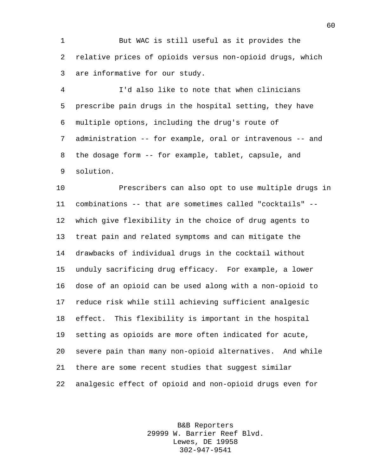But WAC is still useful as it provides the relative prices of opioids versus non-opioid drugs, which are informative for our study.

 I'd also like to note that when clinicians prescribe pain drugs in the hospital setting, they have multiple options, including the drug's route of administration -- for example, oral or intravenous -- and the dosage form -- for example, tablet, capsule, and solution.

 Prescribers can also opt to use multiple drugs in combinations -- that are sometimes called "cocktails" -- which give flexibility in the choice of drug agents to treat pain and related symptoms and can mitigate the drawbacks of individual drugs in the cocktail without unduly sacrificing drug efficacy. For example, a lower dose of an opioid can be used along with a non-opioid to reduce risk while still achieving sufficient analgesic effect. This flexibility is important in the hospital setting as opioids are more often indicated for acute, severe pain than many non-opioid alternatives. And while there are some recent studies that suggest similar analgesic effect of opioid and non-opioid drugs even for

> B&B Reporters 29999 W. Barrier Reef Blvd. Lewes, DE 19958 302-947-9541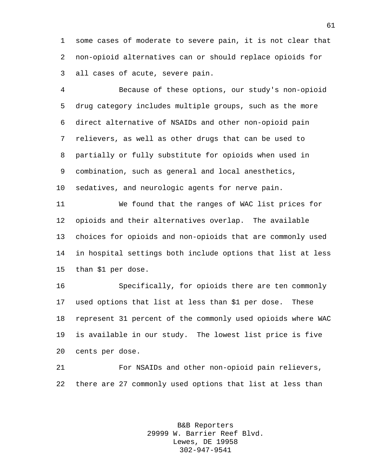some cases of moderate to severe pain, it is not clear that non-opioid alternatives can or should replace opioids for all cases of acute, severe pain.

 Because of these options, our study's non-opioid drug category includes multiple groups, such as the more direct alternative of NSAIDs and other non-opioid pain relievers, as well as other drugs that can be used to partially or fully substitute for opioids when used in combination, such as general and local anesthetics, sedatives, and neurologic agents for nerve pain.

 We found that the ranges of WAC list prices for opioids and their alternatives overlap. The available choices for opioids and non-opioids that are commonly used in hospital settings both include options that list at less than \$1 per dose.

 Specifically, for opioids there are ten commonly used options that list at less than \$1 per dose. These represent 31 percent of the commonly used opioids where WAC is available in our study. The lowest list price is five cents per dose.

 For NSAIDs and other non-opioid pain relievers, there are 27 commonly used options that list at less than

> B&B Reporters 29999 W. Barrier Reef Blvd. Lewes, DE 19958 302-947-9541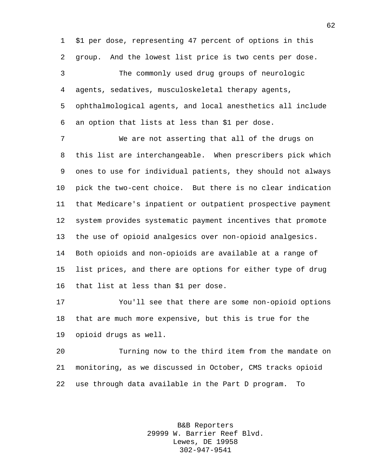\$1 per dose, representing 47 percent of options in this group. And the lowest list price is two cents per dose.

 The commonly used drug groups of neurologic agents, sedatives, musculoskeletal therapy agents, ophthalmological agents, and local anesthetics all include an option that lists at less than \$1 per dose.

 We are not asserting that all of the drugs on this list are interchangeable. When prescribers pick which ones to use for individual patients, they should not always pick the two-cent choice. But there is no clear indication that Medicare's inpatient or outpatient prospective payment system provides systematic payment incentives that promote the use of opioid analgesics over non-opioid analgesics. Both opioids and non-opioids are available at a range of list prices, and there are options for either type of drug that list at less than \$1 per dose.

 You'll see that there are some non-opioid options that are much more expensive, but this is true for the opioid drugs as well.

 Turning now to the third item from the mandate on monitoring, as we discussed in October, CMS tracks opioid use through data available in the Part D program. To

> B&B Reporters 29999 W. Barrier Reef Blvd. Lewes, DE 19958 302-947-9541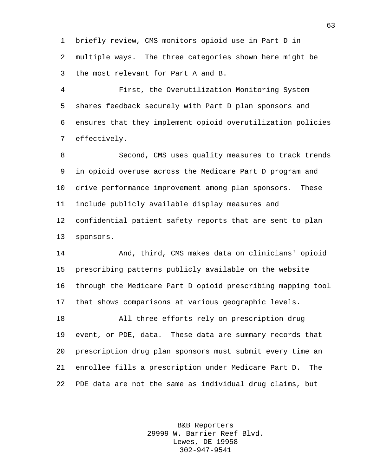briefly review, CMS monitors opioid use in Part D in multiple ways. The three categories shown here might be the most relevant for Part A and B.

 First, the Overutilization Monitoring System shares feedback securely with Part D plan sponsors and ensures that they implement opioid overutilization policies effectively.

 Second, CMS uses quality measures to track trends in opioid overuse across the Medicare Part D program and drive performance improvement among plan sponsors. These include publicly available display measures and confidential patient safety reports that are sent to plan sponsors.

 And, third, CMS makes data on clinicians' opioid prescribing patterns publicly available on the website through the Medicare Part D opioid prescribing mapping tool that shows comparisons at various geographic levels.

 All three efforts rely on prescription drug event, or PDE, data. These data are summary records that prescription drug plan sponsors must submit every time an enrollee fills a prescription under Medicare Part D. The PDE data are not the same as individual drug claims, but

> B&B Reporters 29999 W. Barrier Reef Blvd. Lewes, DE 19958 302-947-9541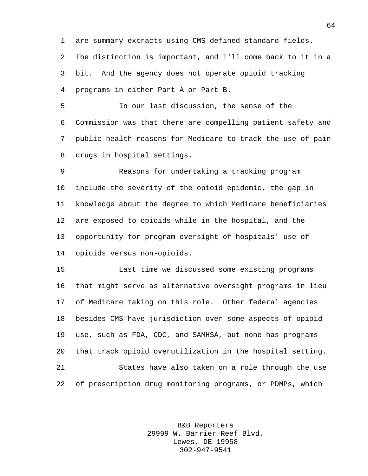are summary extracts using CMS-defined standard fields. The distinction is important, and I'll come back to it in a bit. And the agency does not operate opioid tracking programs in either Part A or Part B.

 In our last discussion, the sense of the Commission was that there are compelling patient safety and public health reasons for Medicare to track the use of pain drugs in hospital settings.

 Reasons for undertaking a tracking program include the severity of the opioid epidemic, the gap in knowledge about the degree to which Medicare beneficiaries are exposed to opioids while in the hospital, and the opportunity for program oversight of hospitals' use of opioids versus non-opioids.

 Last time we discussed some existing programs that might serve as alternative oversight programs in lieu of Medicare taking on this role. Other federal agencies besides CMS have jurisdiction over some aspects of opioid use, such as FDA, CDC, and SAMHSA, but none has programs that track opioid overutilization in the hospital setting. States have also taken on a role through the use of prescription drug monitoring programs, or PDMPs, which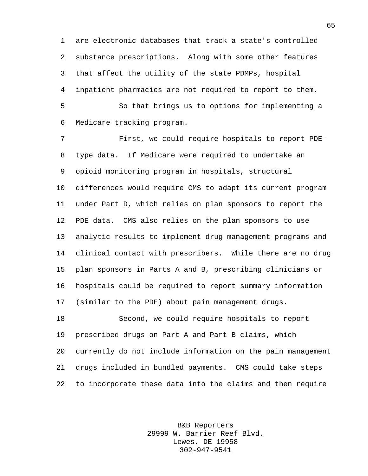are electronic databases that track a state's controlled substance prescriptions. Along with some other features that affect the utility of the state PDMPs, hospital inpatient pharmacies are not required to report to them.

 So that brings us to options for implementing a Medicare tracking program.

 First, we could require hospitals to report PDE- type data. If Medicare were required to undertake an opioid monitoring program in hospitals, structural differences would require CMS to adapt its current program under Part D, which relies on plan sponsors to report the PDE data. CMS also relies on the plan sponsors to use analytic results to implement drug management programs and clinical contact with prescribers. While there are no drug plan sponsors in Parts A and B, prescribing clinicians or hospitals could be required to report summary information (similar to the PDE) about pain management drugs. Second, we could require hospitals to report prescribed drugs on Part A and Part B claims, which

 currently do not include information on the pain management drugs included in bundled payments. CMS could take steps to incorporate these data into the claims and then require

> B&B Reporters 29999 W. Barrier Reef Blvd. Lewes, DE 19958 302-947-9541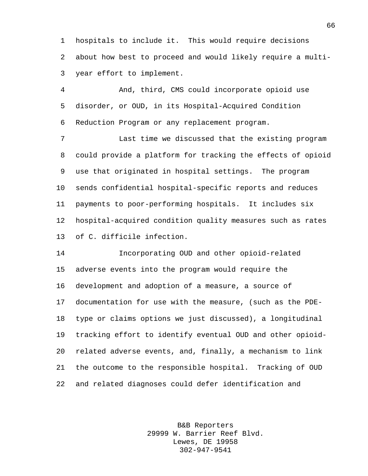hospitals to include it. This would require decisions about how best to proceed and would likely require a multi-year effort to implement.

 And, third, CMS could incorporate opioid use disorder, or OUD, in its Hospital-Acquired Condition Reduction Program or any replacement program.

 Last time we discussed that the existing program could provide a platform for tracking the effects of opioid use that originated in hospital settings. The program sends confidential hospital-specific reports and reduces payments to poor-performing hospitals. It includes six hospital-acquired condition quality measures such as rates of C. difficile infection.

 Incorporating OUD and other opioid-related adverse events into the program would require the development and adoption of a measure, a source of documentation for use with the measure, (such as the PDE- type or claims options we just discussed), a longitudinal tracking effort to identify eventual OUD and other opioid- related adverse events, and, finally, a mechanism to link the outcome to the responsible hospital. Tracking of OUD and related diagnoses could defer identification and

> B&B Reporters 29999 W. Barrier Reef Blvd. Lewes, DE 19958 302-947-9541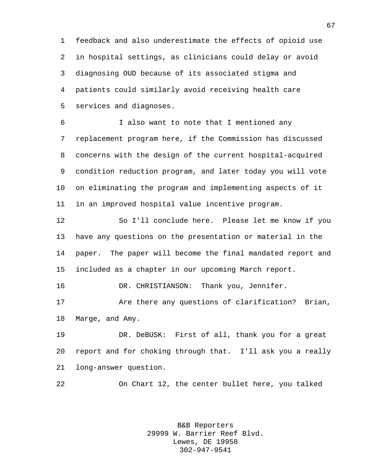feedback and also underestimate the effects of opioid use in hospital settings, as clinicians could delay or avoid diagnosing OUD because of its associated stigma and patients could similarly avoid receiving health care services and diagnoses.

 I also want to note that I mentioned any replacement program here, if the Commission has discussed concerns with the design of the current hospital-acquired condition reduction program, and later today you will vote on eliminating the program and implementing aspects of it in an improved hospital value incentive program.

 So I'll conclude here. Please let me know if you have any questions on the presentation or material in the paper. The paper will become the final mandated report and included as a chapter in our upcoming March report.

DR. CHRISTIANSON: Thank you, Jennifer.

 Are there any questions of clarification? Brian, Marge, and Amy.

 DR. DeBUSK: First of all, thank you for a great report and for choking through that. I'll ask you a really long-answer question.

On Chart 12, the center bullet here, you talked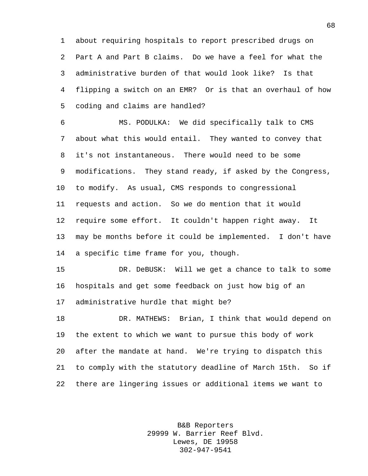about requiring hospitals to report prescribed drugs on Part A and Part B claims. Do we have a feel for what the administrative burden of that would look like? Is that flipping a switch on an EMR? Or is that an overhaul of how coding and claims are handled?

 MS. PODULKA: We did specifically talk to CMS about what this would entail. They wanted to convey that it's not instantaneous. There would need to be some modifications. They stand ready, if asked by the Congress, to modify. As usual, CMS responds to congressional requests and action. So we do mention that it would require some effort. It couldn't happen right away. It may be months before it could be implemented. I don't have a specific time frame for you, though.

 DR. DeBUSK: Will we get a chance to talk to some hospitals and get some feedback on just how big of an administrative hurdle that might be?

 DR. MATHEWS: Brian, I think that would depend on the extent to which we want to pursue this body of work after the mandate at hand. We're trying to dispatch this to comply with the statutory deadline of March 15th. So if there are lingering issues or additional items we want to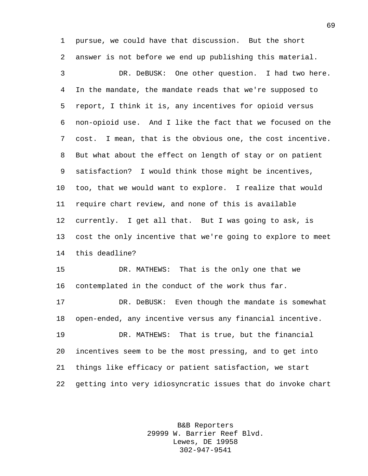pursue, we could have that discussion. But the short answer is not before we end up publishing this material.

 DR. DeBUSK: One other question. I had two here. In the mandate, the mandate reads that we're supposed to report, I think it is, any incentives for opioid versus non-opioid use. And I like the fact that we focused on the cost. I mean, that is the obvious one, the cost incentive. But what about the effect on length of stay or on patient satisfaction? I would think those might be incentives, too, that we would want to explore. I realize that would require chart review, and none of this is available currently. I get all that. But I was going to ask, is cost the only incentive that we're going to explore to meet this deadline?

 DR. MATHEWS: That is the only one that we contemplated in the conduct of the work thus far.

 DR. DeBUSK: Even though the mandate is somewhat open-ended, any incentive versus any financial incentive.

 DR. MATHEWS: That is true, but the financial incentives seem to be the most pressing, and to get into things like efficacy or patient satisfaction, we start getting into very idiosyncratic issues that do invoke chart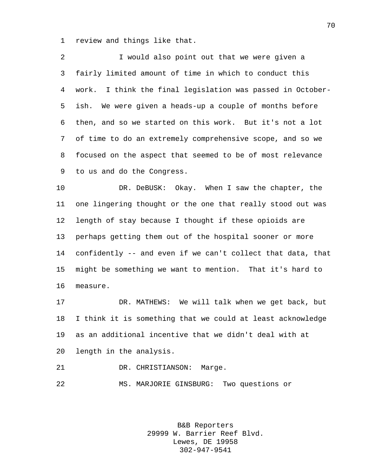review and things like that.

 I would also point out that we were given a fairly limited amount of time in which to conduct this work. I think the final legislation was passed in October- ish. We were given a heads-up a couple of months before then, and so we started on this work. But it's not a lot of time to do an extremely comprehensive scope, and so we focused on the aspect that seemed to be of most relevance to us and do the Congress.

 DR. DeBUSK: Okay. When I saw the chapter, the one lingering thought or the one that really stood out was length of stay because I thought if these opioids are perhaps getting them out of the hospital sooner or more confidently -- and even if we can't collect that data, that might be something we want to mention. That it's hard to measure.

 DR. MATHEWS: We will talk when we get back, but I think it is something that we could at least acknowledge as an additional incentive that we didn't deal with at length in the analysis.

DR. CHRISTIANSON: Marge.

MS. MARJORIE GINSBURG: Two questions or

B&B Reporters 29999 W. Barrier Reef Blvd. Lewes, DE 19958 302-947-9541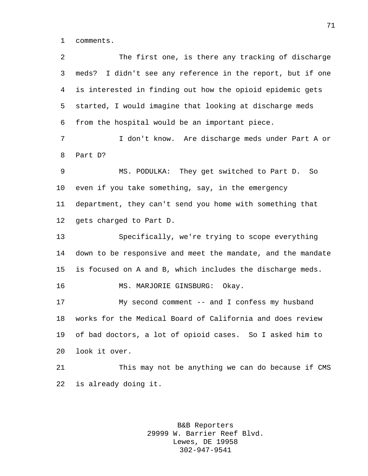comments.

 The first one, is there any tracking of discharge meds? I didn't see any reference in the report, but if one is interested in finding out how the opioid epidemic gets started, I would imagine that looking at discharge meds from the hospital would be an important piece. I don't know. Are discharge meds under Part A or Part D? MS. PODULKA: They get switched to Part D. So even if you take something, say, in the emergency department, they can't send you home with something that gets charged to Part D. Specifically, we're trying to scope everything down to be responsive and meet the mandate, and the mandate is focused on A and B, which includes the discharge meds. MS. MARJORIE GINSBURG: Okay. My second comment -- and I confess my husband works for the Medical Board of California and does review of bad doctors, a lot of opioid cases. So I asked him to look it over. This may not be anything we can do because if CMS is already doing it.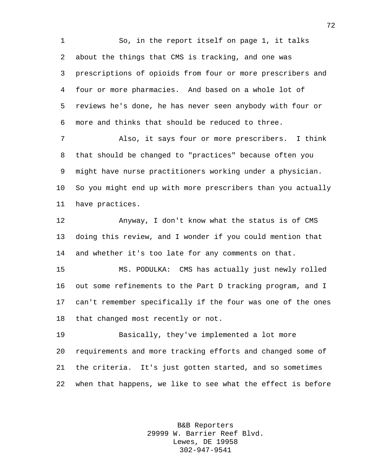So, in the report itself on page 1, it talks about the things that CMS is tracking, and one was prescriptions of opioids from four or more prescribers and four or more pharmacies. And based on a whole lot of reviews he's done, he has never seen anybody with four or more and thinks that should be reduced to three.

 Also, it says four or more prescribers. I think that should be changed to "practices" because often you might have nurse practitioners working under a physician. So you might end up with more prescribers than you actually have practices.

 Anyway, I don't know what the status is of CMS doing this review, and I wonder if you could mention that and whether it's too late for any comments on that.

 MS. PODULKA: CMS has actually just newly rolled out some refinements to the Part D tracking program, and I can't remember specifically if the four was one of the ones that changed most recently or not.

 Basically, they've implemented a lot more requirements and more tracking efforts and changed some of the criteria. It's just gotten started, and so sometimes when that happens, we like to see what the effect is before

> B&B Reporters 29999 W. Barrier Reef Blvd. Lewes, DE 19958 302-947-9541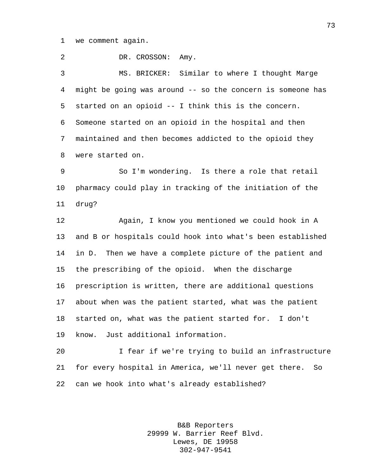we comment again.

2 DR. CROSSON: Amy. MS. BRICKER: Similar to where I thought Marge might be going was around -- so the concern is someone has started on an opioid -- I think this is the concern. Someone started on an opioid in the hospital and then maintained and then becomes addicted to the opioid they were started on.

 So I'm wondering. Is there a role that retail pharmacy could play in tracking of the initiation of the drug?

 Again, I know you mentioned we could hook in A and B or hospitals could hook into what's been established in D. Then we have a complete picture of the patient and the prescribing of the opioid. When the discharge prescription is written, there are additional questions about when was the patient started, what was the patient started on, what was the patient started for. I don't know. Just additional information.

 I fear if we're trying to build an infrastructure for every hospital in America, we'll never get there. So can we hook into what's already established?

> B&B Reporters 29999 W. Barrier Reef Blvd. Lewes, DE 19958 302-947-9541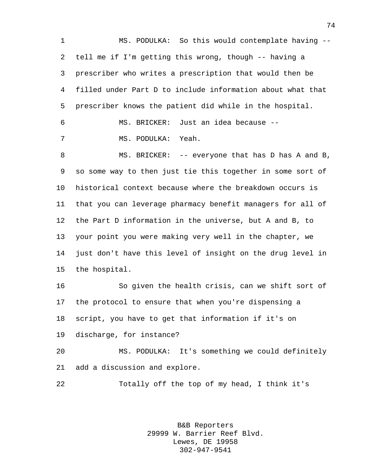MS. PODULKA: So this would contemplate having -- tell me if I'm getting this wrong, though -- having a prescriber who writes a prescription that would then be filled under Part D to include information about what that prescriber knows the patient did while in the hospital. MS. BRICKER: Just an idea because -- MS. PODULKA: Yeah. MS. BRICKER: -- everyone that has D has A and B, so some way to then just tie this together in some sort of historical context because where the breakdown occurs is that you can leverage pharmacy benefit managers for all of the Part D information in the universe, but A and B, to your point you were making very well in the chapter, we just don't have this level of insight on the drug level in the hospital. So given the health crisis, can we shift sort of the protocol to ensure that when you're dispensing a script, you have to get that information if it's on discharge, for instance? MS. PODULKA: It's something we could definitely add a discussion and explore. Totally off the top of my head, I think it's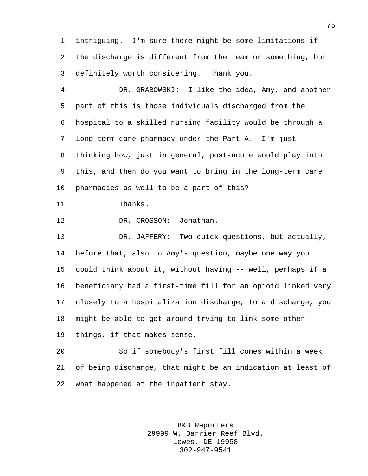intriguing. I'm sure there might be some limitations if the discharge is different from the team or something, but definitely worth considering. Thank you.

 DR. GRABOWSKI: I like the idea, Amy, and another part of this is those individuals discharged from the hospital to a skilled nursing facility would be through a long-term care pharmacy under the Part A. I'm just thinking how, just in general, post-acute would play into this, and then do you want to bring in the long-term care pharmacies as well to be a part of this?

Thanks.

DR. CROSSON: Jonathan.

 DR. JAFFERY: Two quick questions, but actually, before that, also to Amy's question, maybe one way you could think about it, without having -- well, perhaps if a beneficiary had a first-time fill for an opioid linked very closely to a hospitalization discharge, to a discharge, you might be able to get around trying to link some other things, if that makes sense.

 So if somebody's first fill comes within a week of being discharge, that might be an indication at least of what happened at the inpatient stay.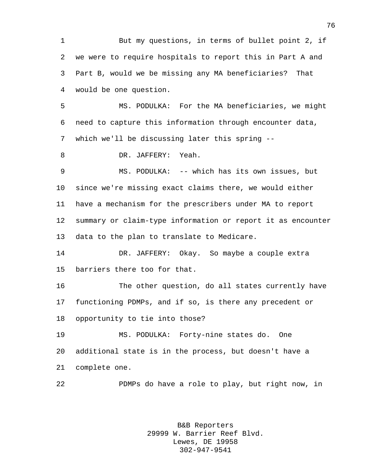But my questions, in terms of bullet point 2, if we were to require hospitals to report this in Part A and Part B, would we be missing any MA beneficiaries? That would be one question.

 MS. PODULKA: For the MA beneficiaries, we might need to capture this information through encounter data, which we'll be discussing later this spring --

DR. JAFFERY: Yeah.

 MS. PODULKA: -- which has its own issues, but since we're missing exact claims there, we would either have a mechanism for the prescribers under MA to report summary or claim-type information or report it as encounter data to the plan to translate to Medicare.

 DR. JAFFERY: Okay. So maybe a couple extra barriers there too for that.

 The other question, do all states currently have functioning PDMPs, and if so, is there any precedent or opportunity to tie into those?

 MS. PODULKA: Forty-nine states do. One additional state is in the process, but doesn't have a complete one.

PDMPs do have a role to play, but right now, in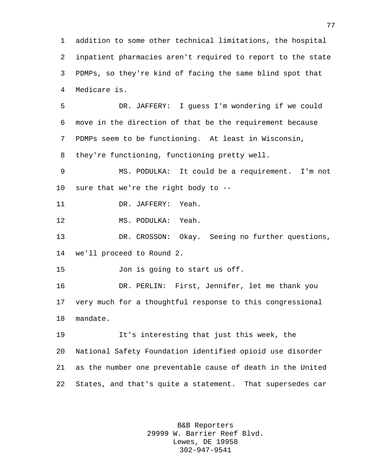addition to some other technical limitations, the hospital inpatient pharmacies aren't required to report to the state PDMPs, so they're kind of facing the same blind spot that Medicare is.

 DR. JAFFERY: I guess I'm wondering if we could move in the direction of that be the requirement because PDMPs seem to be functioning. At least in Wisconsin, they're functioning, functioning pretty well.

 MS. PODULKA: It could be a requirement. I'm not sure that we're the right body to --

DR. JAFFERY: Yeah.

MS. PODULKA: Yeah.

 DR. CROSSON: Okay. Seeing no further questions, we'll proceed to Round 2.

Jon is going to start us off.

 DR. PERLIN: First, Jennifer, let me thank you very much for a thoughtful response to this congressional mandate.

 It's interesting that just this week, the National Safety Foundation identified opioid use disorder as the number one preventable cause of death in the United States, and that's quite a statement. That supersedes car

> B&B Reporters 29999 W. Barrier Reef Blvd. Lewes, DE 19958 302-947-9541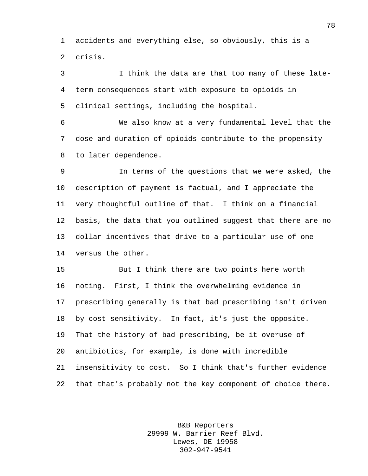accidents and everything else, so obviously, this is a crisis.

 I think the data are that too many of these late- term consequences start with exposure to opioids in clinical settings, including the hospital.

 We also know at a very fundamental level that the dose and duration of opioids contribute to the propensity to later dependence.

 In terms of the questions that we were asked, the description of payment is factual, and I appreciate the very thoughtful outline of that. I think on a financial basis, the data that you outlined suggest that there are no dollar incentives that drive to a particular use of one versus the other.

 But I think there are two points here worth noting. First, I think the overwhelming evidence in prescribing generally is that bad prescribing isn't driven by cost sensitivity. In fact, it's just the opposite. That the history of bad prescribing, be it overuse of antibiotics, for example, is done with incredible insensitivity to cost. So I think that's further evidence that that's probably not the key component of choice there.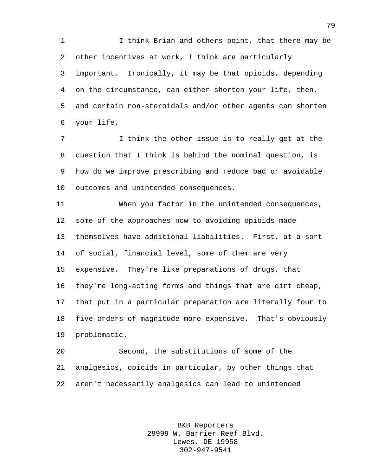I think Brian and others point, that there may be other incentives at work, I think are particularly important. Ironically, it may be that opioids, depending on the circumstance, can either shorten your life, then, and certain non-steroidals and/or other agents can shorten your life.

 I think the other issue is to really get at the question that I think is behind the nominal question, is how do we improve prescribing and reduce bad or avoidable outcomes and unintended consequences.

 When you factor in the unintended consequences, some of the approaches now to avoiding opioids made themselves have additional liabilities. First, at a sort of social, financial level, some of them are very expensive. They're like preparations of drugs, that they're long-acting forms and things that are dirt cheap, that put in a particular preparation are literally four to five orders of magnitude more expensive. That's obviously problematic.

 Second, the substitutions of some of the analgesics, opioids in particular, by other things that aren't necessarily analgesics can lead to unintended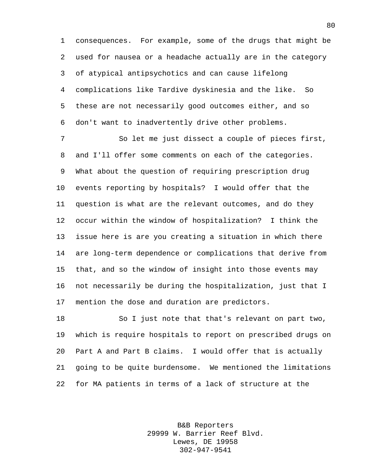consequences. For example, some of the drugs that might be used for nausea or a headache actually are in the category of atypical antipsychotics and can cause lifelong complications like Tardive dyskinesia and the like. So these are not necessarily good outcomes either, and so don't want to inadvertently drive other problems.

 So let me just dissect a couple of pieces first, and I'll offer some comments on each of the categories. What about the question of requiring prescription drug events reporting by hospitals? I would offer that the question is what are the relevant outcomes, and do they occur within the window of hospitalization? I think the issue here is are you creating a situation in which there are long-term dependence or complications that derive from that, and so the window of insight into those events may not necessarily be during the hospitalization, just that I mention the dose and duration are predictors.

 So I just note that that's relevant on part two, which is require hospitals to report on prescribed drugs on Part A and Part B claims. I would offer that is actually going to be quite burdensome. We mentioned the limitations for MA patients in terms of a lack of structure at the

> B&B Reporters 29999 W. Barrier Reef Blvd. Lewes, DE 19958 302-947-9541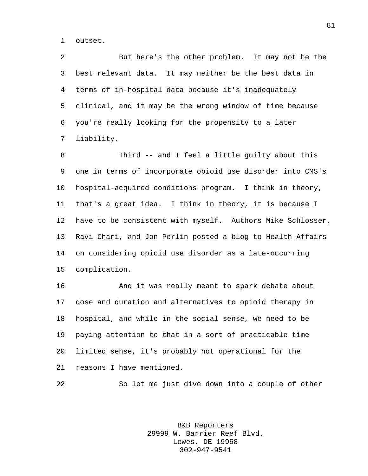outset.

 But here's the other problem. It may not be the best relevant data. It may neither be the best data in terms of in-hospital data because it's inadequately clinical, and it may be the wrong window of time because you're really looking for the propensity to a later liability.

 Third -- and I feel a little guilty about this one in terms of incorporate opioid use disorder into CMS's hospital-acquired conditions program. I think in theory, that's a great idea. I think in theory, it is because I have to be consistent with myself. Authors Mike Schlosser, Ravi Chari, and Jon Perlin posted a blog to Health Affairs on considering opioid use disorder as a late-occurring complication.

 And it was really meant to spark debate about dose and duration and alternatives to opioid therapy in hospital, and while in the social sense, we need to be paying attention to that in a sort of practicable time limited sense, it's probably not operational for the reasons I have mentioned.

So let me just dive down into a couple of other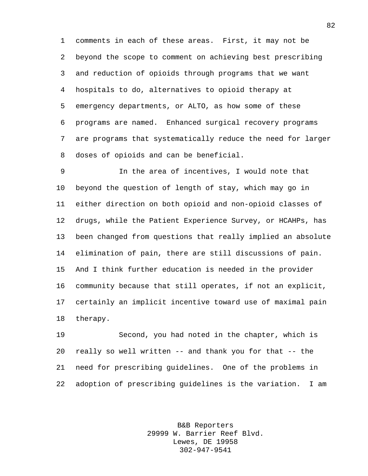comments in each of these areas. First, it may not be beyond the scope to comment on achieving best prescribing and reduction of opioids through programs that we want hospitals to do, alternatives to opioid therapy at emergency departments, or ALTO, as how some of these programs are named. Enhanced surgical recovery programs are programs that systematically reduce the need for larger doses of opioids and can be beneficial.

 In the area of incentives, I would note that beyond the question of length of stay, which may go in either direction on both opioid and non-opioid classes of drugs, while the Patient Experience Survey, or HCAHPs, has been changed from questions that really implied an absolute elimination of pain, there are still discussions of pain. And I think further education is needed in the provider community because that still operates, if not an explicit, certainly an implicit incentive toward use of maximal pain therapy.

 Second, you had noted in the chapter, which is really so well written -- and thank you for that -- the need for prescribing guidelines. One of the problems in adoption of prescribing guidelines is the variation. I am

> B&B Reporters 29999 W. Barrier Reef Blvd. Lewes, DE 19958 302-947-9541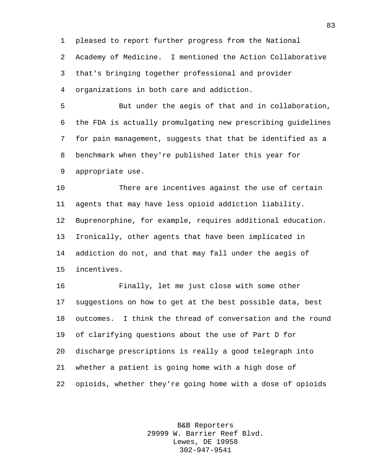pleased to report further progress from the National Academy of Medicine. I mentioned the Action Collaborative that's bringing together professional and provider

organizations in both care and addiction.

 But under the aegis of that and in collaboration, the FDA is actually promulgating new prescribing guidelines for pain management, suggests that that be identified as a benchmark when they're published later this year for appropriate use.

 There are incentives against the use of certain agents that may have less opioid addiction liability. Buprenorphine, for example, requires additional education. Ironically, other agents that have been implicated in addiction do not, and that may fall under the aegis of incentives.

 Finally, let me just close with some other suggestions on how to get at the best possible data, best outcomes. I think the thread of conversation and the round of clarifying questions about the use of Part D for discharge prescriptions is really a good telegraph into whether a patient is going home with a high dose of opioids, whether they're going home with a dose of opioids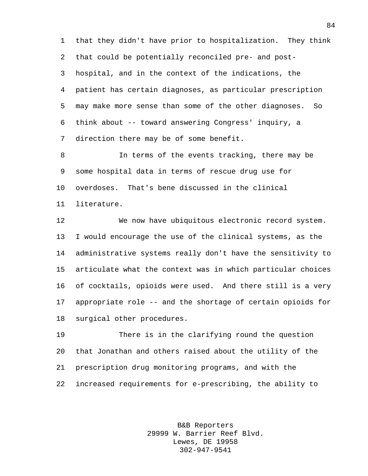that they didn't have prior to hospitalization. They think that could be potentially reconciled pre- and post- hospital, and in the context of the indications, the patient has certain diagnoses, as particular prescription may make more sense than some of the other diagnoses. So think about -- toward answering Congress' inquiry, a direction there may be of some benefit.

 In terms of the events tracking, there may be some hospital data in terms of rescue drug use for overdoses. That's bene discussed in the clinical literature.

 We now have ubiquitous electronic record system. I would encourage the use of the clinical systems, as the administrative systems really don't have the sensitivity to articulate what the context was in which particular choices of cocktails, opioids were used. And there still is a very appropriate role -- and the shortage of certain opioids for surgical other procedures.

 There is in the clarifying round the question that Jonathan and others raised about the utility of the prescription drug monitoring programs, and with the increased requirements for e-prescribing, the ability to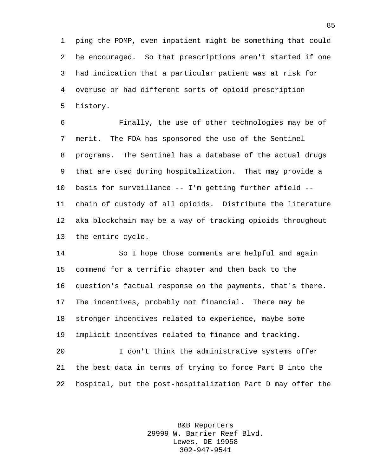ping the PDMP, even inpatient might be something that could be encouraged. So that prescriptions aren't started if one had indication that a particular patient was at risk for overuse or had different sorts of opioid prescription history.

 Finally, the use of other technologies may be of merit. The FDA has sponsored the use of the Sentinel programs. The Sentinel has a database of the actual drugs that are used during hospitalization. That may provide a basis for surveillance -- I'm getting further afield -- chain of custody of all opioids. Distribute the literature aka blockchain may be a way of tracking opioids throughout the entire cycle.

 So I hope those comments are helpful and again commend for a terrific chapter and then back to the question's factual response on the payments, that's there. The incentives, probably not financial. There may be stronger incentives related to experience, maybe some implicit incentives related to finance and tracking. I don't think the administrative systems offer

 the best data in terms of trying to force Part B into the hospital, but the post-hospitalization Part D may offer the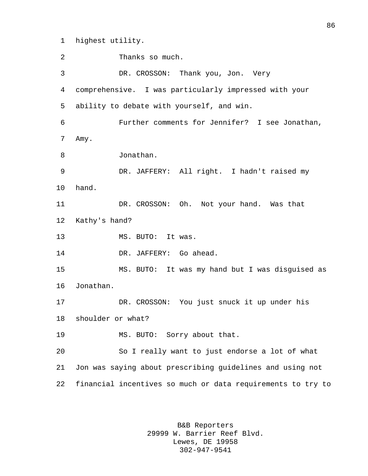highest utility.

2 Thanks so much. DR. CROSSON: Thank you, Jon. Very comprehensive. I was particularly impressed with your ability to debate with yourself, and win. Further comments for Jennifer? I see Jonathan, Amy. Jonathan. DR. JAFFERY: All right. I hadn't raised my hand. DR. CROSSON: Oh. Not your hand. Was that Kathy's hand? 13 MS. BUTO: It was. 14 DR. JAFFERY: Go ahead. MS. BUTO: It was my hand but I was disguised as Jonathan. DR. CROSSON: You just snuck it up under his shoulder or what? MS. BUTO: Sorry about that. So I really want to just endorse a lot of what Jon was saying about prescribing guidelines and using not financial incentives so much or data requirements to try to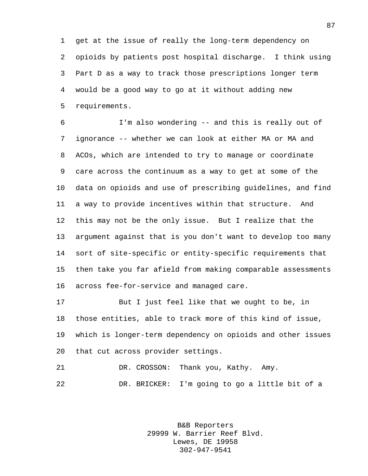get at the issue of really the long-term dependency on opioids by patients post hospital discharge. I think using Part D as a way to track those prescriptions longer term would be a good way to go at it without adding new requirements.

 I'm also wondering -- and this is really out of ignorance -- whether we can look at either MA or MA and ACOs, which are intended to try to manage or coordinate care across the continuum as a way to get at some of the data on opioids and use of prescribing guidelines, and find a way to provide incentives within that structure. And this may not be the only issue. But I realize that the argument against that is you don't want to develop too many sort of site-specific or entity-specific requirements that then take you far afield from making comparable assessments across fee-for-service and managed care.

 But I just feel like that we ought to be, in those entities, able to track more of this kind of issue, which is longer-term dependency on opioids and other issues that cut across provider settings.

21 DR. CROSSON: Thank you, Kathy. Amy. DR. BRICKER: I'm going to go a little bit of a

> B&B Reporters 29999 W. Barrier Reef Blvd. Lewes, DE 19958 302-947-9541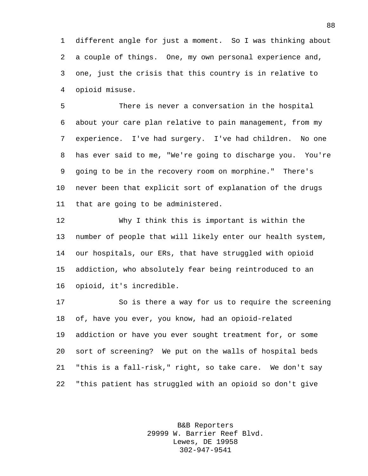different angle for just a moment. So I was thinking about a couple of things. One, my own personal experience and, one, just the crisis that this country is in relative to opioid misuse.

 There is never a conversation in the hospital about your care plan relative to pain management, from my experience. I've had surgery. I've had children. No one has ever said to me, "We're going to discharge you. You're going to be in the recovery room on morphine." There's never been that explicit sort of explanation of the drugs that are going to be administered.

 Why I think this is important is within the number of people that will likely enter our health system, our hospitals, our ERs, that have struggled with opioid addiction, who absolutely fear being reintroduced to an opioid, it's incredible.

 So is there a way for us to require the screening of, have you ever, you know, had an opioid-related addiction or have you ever sought treatment for, or some sort of screening? We put on the walls of hospital beds "this is a fall-risk," right, so take care. We don't say "this patient has struggled with an opioid so don't give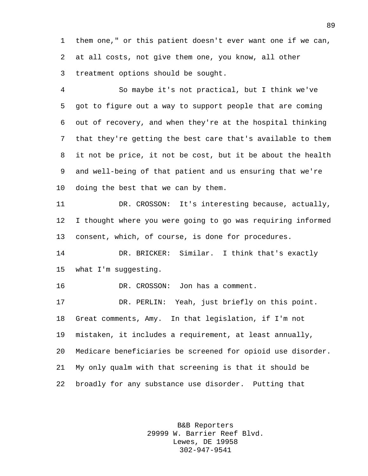them one," or this patient doesn't ever want one if we can, at all costs, not give them one, you know, all other treatment options should be sought.

 So maybe it's not practical, but I think we've got to figure out a way to support people that are coming out of recovery, and when they're at the hospital thinking that they're getting the best care that's available to them it not be price, it not be cost, but it be about the health and well-being of that patient and us ensuring that we're doing the best that we can by them.

 DR. CROSSON: It's interesting because, actually, I thought where you were going to go was requiring informed consent, which, of course, is done for procedures.

 DR. BRICKER: Similar. I think that's exactly what I'm suggesting.

DR. CROSSON: Jon has a comment.

 DR. PERLIN: Yeah, just briefly on this point. Great comments, Amy. In that legislation, if I'm not mistaken, it includes a requirement, at least annually, Medicare beneficiaries be screened for opioid use disorder. My only qualm with that screening is that it should be broadly for any substance use disorder. Putting that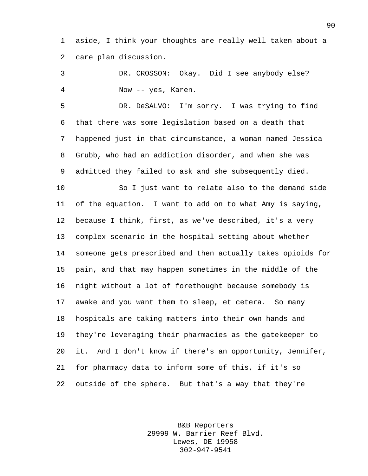aside, I think your thoughts are really well taken about a care plan discussion.

 DR. CROSSON: Okay. Did I see anybody else? Now -- yes, Karen.

 DR. DeSALVO: I'm sorry. I was trying to find that there was some legislation based on a death that happened just in that circumstance, a woman named Jessica Grubb, who had an addiction disorder, and when she was admitted they failed to ask and she subsequently died.

 So I just want to relate also to the demand side of the equation. I want to add on to what Amy is saying, because I think, first, as we've described, it's a very complex scenario in the hospital setting about whether someone gets prescribed and then actually takes opioids for pain, and that may happen sometimes in the middle of the night without a lot of forethought because somebody is awake and you want them to sleep, et cetera. So many hospitals are taking matters into their own hands and they're leveraging their pharmacies as the gatekeeper to it. And I don't know if there's an opportunity, Jennifer, for pharmacy data to inform some of this, if it's so outside of the sphere. But that's a way that they're

> B&B Reporters 29999 W. Barrier Reef Blvd. Lewes, DE 19958 302-947-9541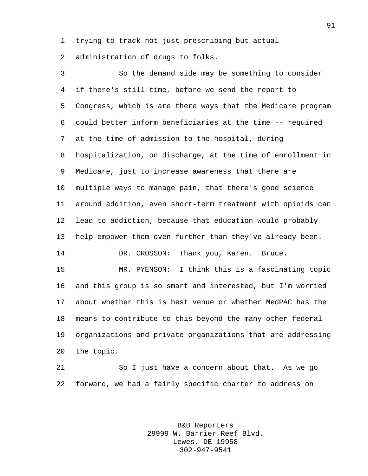trying to track not just prescribing but actual

administration of drugs to folks.

 So the demand side may be something to consider if there's still time, before we send the report to Congress, which is are there ways that the Medicare program could better inform beneficiaries at the time -- required at the time of admission to the hospital, during hospitalization, on discharge, at the time of enrollment in Medicare, just to increase awareness that there are multiple ways to manage pain, that there's good science around addition, even short-term treatment with opioids can lead to addiction, because that education would probably help empower them even further than they've already been. DR. CROSSON: Thank you, Karen. Bruce. MR. PYENSON: I think this is a fascinating topic and this group is so smart and interested, but I'm worried

 about whether this is best venue or whether MedPAC has the means to contribute to this beyond the many other federal organizations and private organizations that are addressing the topic.

 So I just have a concern about that. As we go forward, we had a fairly specific charter to address on

> B&B Reporters 29999 W. Barrier Reef Blvd. Lewes, DE 19958 302-947-9541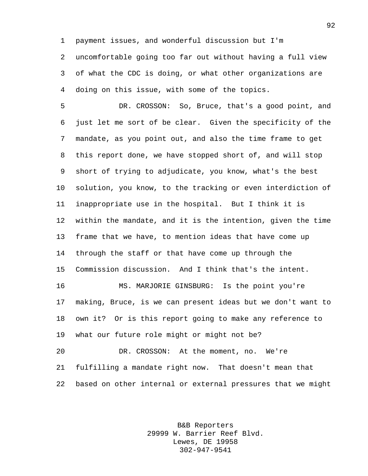payment issues, and wonderful discussion but I'm uncomfortable going too far out without having a full view of what the CDC is doing, or what other organizations are doing on this issue, with some of the topics.

 DR. CROSSON: So, Bruce, that's a good point, and just let me sort of be clear. Given the specificity of the mandate, as you point out, and also the time frame to get this report done, we have stopped short of, and will stop short of trying to adjudicate, you know, what's the best solution, you know, to the tracking or even interdiction of inappropriate use in the hospital. But I think it is within the mandate, and it is the intention, given the time frame that we have, to mention ideas that have come up through the staff or that have come up through the Commission discussion. And I think that's the intent. MS. MARJORIE GINSBURG: Is the point you're

 making, Bruce, is we can present ideas but we don't want to own it? Or is this report going to make any reference to what our future role might or might not be?

 DR. CROSSON: At the moment, no. We're fulfilling a mandate right now. That doesn't mean that based on other internal or external pressures that we might

> B&B Reporters 29999 W. Barrier Reef Blvd. Lewes, DE 19958 302-947-9541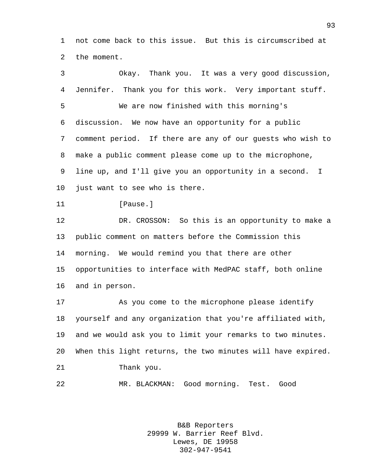not come back to this issue. But this is circumscribed at the moment.

 Okay. Thank you. It was a very good discussion, Jennifer. Thank you for this work. Very important stuff. We are now finished with this morning's discussion. We now have an opportunity for a public comment period. If there are any of our guests who wish to make a public comment please come up to the microphone, line up, and I'll give you an opportunity in a second. I just want to see who is there. 11 [Pause.] DR. CROSSON: So this is an opportunity to make a public comment on matters before the Commission this morning. We would remind you that there are other opportunities to interface with MedPAC staff, both online and in person. As you come to the microphone please identify yourself and any organization that you're affiliated with, and we would ask you to limit your remarks to two minutes. When this light returns, the two minutes will have expired. Thank you.

MR. BLACKMAN: Good morning. Test. Good

B&B Reporters 29999 W. Barrier Reef Blvd. Lewes, DE 19958 302-947-9541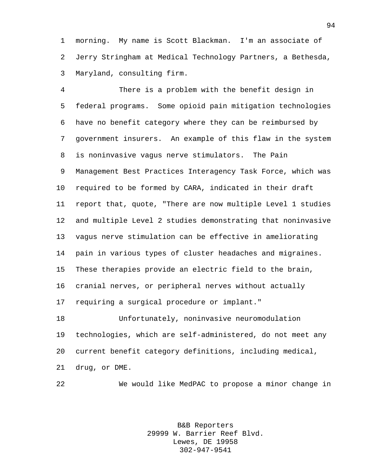morning. My name is Scott Blackman. I'm an associate of Jerry Stringham at Medical Technology Partners, a Bethesda, Maryland, consulting firm.

 There is a problem with the benefit design in federal programs. Some opioid pain mitigation technologies have no benefit category where they can be reimbursed by government insurers. An example of this flaw in the system is noninvasive vagus nerve stimulators. The Pain Management Best Practices Interagency Task Force, which was required to be formed by CARA, indicated in their draft report that, quote, "There are now multiple Level 1 studies and multiple Level 2 studies demonstrating that noninvasive vagus nerve stimulation can be effective in ameliorating pain in various types of cluster headaches and migraines. These therapies provide an electric field to the brain, cranial nerves, or peripheral nerves without actually requiring a surgical procedure or implant."

 Unfortunately, noninvasive neuromodulation technologies, which are self-administered, do not meet any current benefit category definitions, including medical, drug, or DME.

We would like MedPAC to propose a minor change in

B&B Reporters 29999 W. Barrier Reef Blvd. Lewes, DE 19958 302-947-9541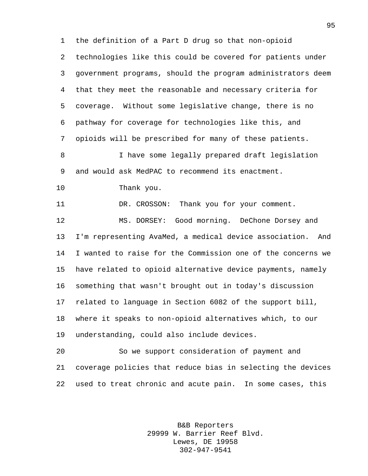the definition of a Part D drug so that non-opioid technologies like this could be covered for patients under government programs, should the program administrators deem that they meet the reasonable and necessary criteria for coverage. Without some legislative change, there is no pathway for coverage for technologies like this, and opioids will be prescribed for many of these patients. I have some legally prepared draft legislation and would ask MedPAC to recommend its enactment. Thank you. 11 DR. CROSSON: Thank you for your comment. MS. DORSEY: Good morning. DeChone Dorsey and I'm representing AvaMed, a medical device association. And I wanted to raise for the Commission one of the concerns we have related to opioid alternative device payments, namely something that wasn't brought out in today's discussion related to language in Section 6082 of the support bill, where it speaks to non-opioid alternatives which, to our understanding, could also include devices. So we support consideration of payment and coverage policies that reduce bias in selecting the devices

> B&B Reporters 29999 W. Barrier Reef Blvd. Lewes, DE 19958 302-947-9541

used to treat chronic and acute pain. In some cases, this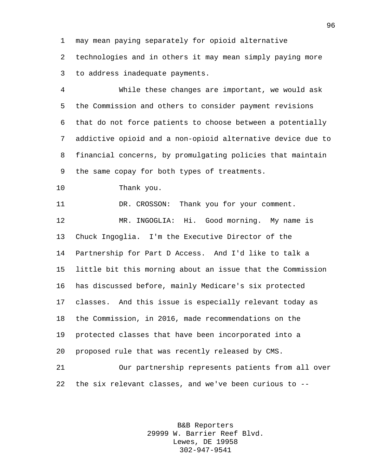may mean paying separately for opioid alternative

 technologies and in others it may mean simply paying more to address inadequate payments.

 While these changes are important, we would ask the Commission and others to consider payment revisions that do not force patients to choose between a potentially addictive opioid and a non-opioid alternative device due to financial concerns, by promulgating policies that maintain the same copay for both types of treatments.

Thank you.

11 DR. CROSSON: Thank you for your comment.

 MR. INGOGLIA: Hi. Good morning. My name is Chuck Ingoglia. I'm the Executive Director of the Partnership for Part D Access. And I'd like to talk a little bit this morning about an issue that the Commission has discussed before, mainly Medicare's six protected classes. And this issue is especially relevant today as the Commission, in 2016, made recommendations on the protected classes that have been incorporated into a proposed rule that was recently released by CMS.

 Our partnership represents patients from all over the six relevant classes, and we've been curious to --

> B&B Reporters 29999 W. Barrier Reef Blvd. Lewes, DE 19958 302-947-9541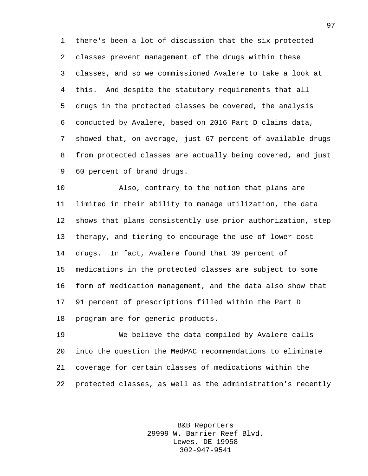there's been a lot of discussion that the six protected classes prevent management of the drugs within these classes, and so we commissioned Avalere to take a look at this. And despite the statutory requirements that all drugs in the protected classes be covered, the analysis conducted by Avalere, based on 2016 Part D claims data, showed that, on average, just 67 percent of available drugs from protected classes are actually being covered, and just 60 percent of brand drugs.

 Also, contrary to the notion that plans are limited in their ability to manage utilization, the data shows that plans consistently use prior authorization, step therapy, and tiering to encourage the use of lower-cost drugs. In fact, Avalere found that 39 percent of medications in the protected classes are subject to some form of medication management, and the data also show that 91 percent of prescriptions filled within the Part D program are for generic products.

 We believe the data compiled by Avalere calls into the question the MedPAC recommendations to eliminate coverage for certain classes of medications within the protected classes, as well as the administration's recently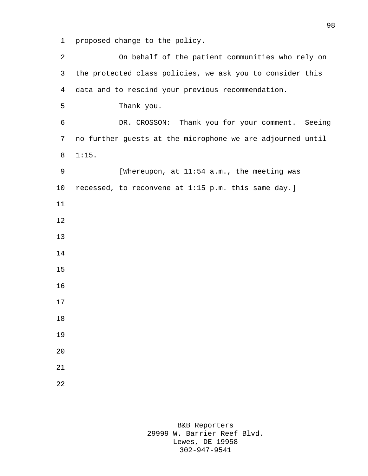proposed change to the policy.

 On behalf of the patient communities who rely on the protected class policies, we ask you to consider this data and to rescind your previous recommendation. Thank you. DR. CROSSON: Thank you for your comment. Seeing no further guests at the microphone we are adjourned until 1:15. 9 [Whereupon, at 11:54 a.m., the meeting was recessed, to reconvene at 1:15 p.m. this same day.]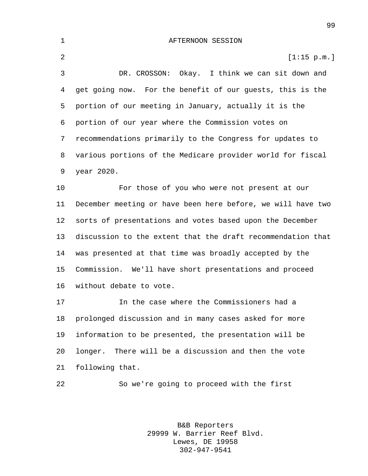AFTERNOON SESSION 2 [1:15 p.m.] DR. CROSSON: Okay. I think we can sit down and get going now. For the benefit of our guests, this is the portion of our meeting in January, actually it is the portion of our year where the Commission votes on recommendations primarily to the Congress for updates to various portions of the Medicare provider world for fiscal year 2020. For those of you who were not present at our December meeting or have been here before, we will have two sorts of presentations and votes based upon the December discussion to the extent that the draft recommendation that was presented at that time was broadly accepted by the Commission. We'll have short presentations and proceed without debate to vote. In the case where the Commissioners had a prolonged discussion and in many cases asked for more information to be presented, the presentation will be longer. There will be a discussion and then the vote

following that.

So we're going to proceed with the first

B&B Reporters 29999 W. Barrier Reef Blvd. Lewes, DE 19958 302-947-9541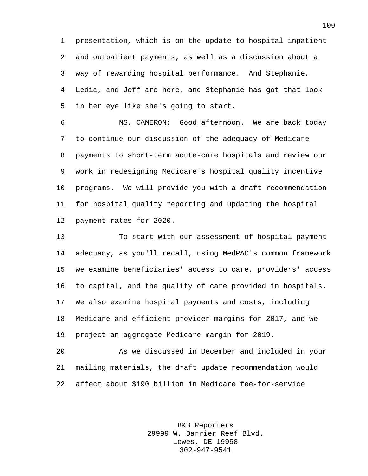presentation, which is on the update to hospital inpatient and outpatient payments, as well as a discussion about a way of rewarding hospital performance. And Stephanie, Ledia, and Jeff are here, and Stephanie has got that look in her eye like she's going to start.

 MS. CAMERON: Good afternoon. We are back today to continue our discussion of the adequacy of Medicare payments to short-term acute-care hospitals and review our work in redesigning Medicare's hospital quality incentive programs. We will provide you with a draft recommendation for hospital quality reporting and updating the hospital payment rates for 2020.

 To start with our assessment of hospital payment adequacy, as you'll recall, using MedPAC's common framework we examine beneficiaries' access to care, providers' access to capital, and the quality of care provided in hospitals. We also examine hospital payments and costs, including Medicare and efficient provider margins for 2017, and we project an aggregate Medicare margin for 2019.

 As we discussed in December and included in your mailing materials, the draft update recommendation would affect about \$190 billion in Medicare fee-for-service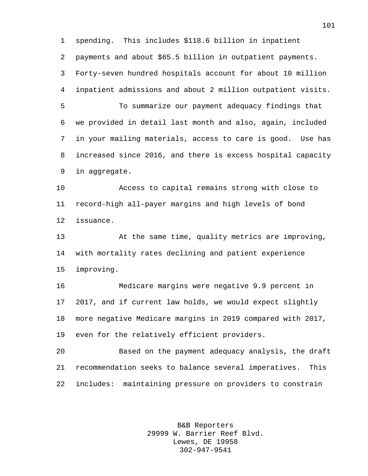spending. This includes \$118.6 billion in inpatient payments and about \$65.5 billion in outpatient payments. Forty-seven hundred hospitals account for about 10 million inpatient admissions and about 2 million outpatient visits. To summarize our payment adequacy findings that we provided in detail last month and also, again, included in your mailing materials, access to care is good. Use has increased since 2016, and there is excess hospital capacity in aggregate. Access to capital remains strong with close to record-high all-payer margins and high levels of bond issuance. At the same time, quality metrics are improving, with mortality rates declining and patient experience improving. Medicare margins were negative 9.9 percent in 2017, and if current law holds, we would expect slightly more negative Medicare margins in 2019 compared with 2017, even for the relatively efficient providers. Based on the payment adequacy analysis, the draft recommendation seeks to balance several imperatives. This includes: maintaining pressure on providers to constrain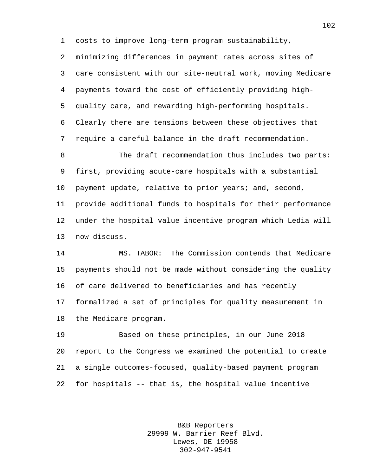costs to improve long-term program sustainability,

 minimizing differences in payment rates across sites of care consistent with our site-neutral work, moving Medicare payments toward the cost of efficiently providing high- quality care, and rewarding high-performing hospitals. Clearly there are tensions between these objectives that require a careful balance in the draft recommendation.

 The draft recommendation thus includes two parts: first, providing acute-care hospitals with a substantial 10 payment update, relative to prior years; and, second, provide additional funds to hospitals for their performance under the hospital value incentive program which Ledia will now discuss.

 MS. TABOR: The Commission contends that Medicare payments should not be made without considering the quality of care delivered to beneficiaries and has recently formalized a set of principles for quality measurement in the Medicare program.

 Based on these principles, in our June 2018 report to the Congress we examined the potential to create a single outcomes-focused, quality-based payment program for hospitals -- that is, the hospital value incentive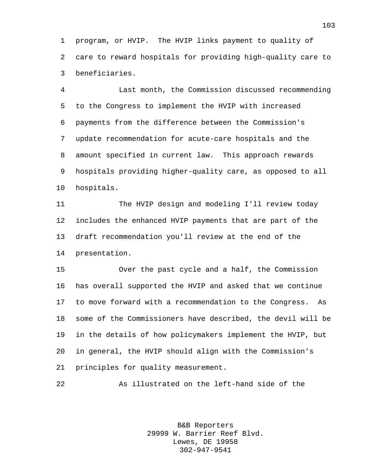program, or HVIP. The HVIP links payment to quality of care to reward hospitals for providing high-quality care to beneficiaries.

 Last month, the Commission discussed recommending to the Congress to implement the HVIP with increased payments from the difference between the Commission's update recommendation for acute-care hospitals and the amount specified in current law. This approach rewards hospitals providing higher-quality care, as opposed to all hospitals.

 The HVIP design and modeling I'll review today includes the enhanced HVIP payments that are part of the draft recommendation you'll review at the end of the presentation.

 Over the past cycle and a half, the Commission has overall supported the HVIP and asked that we continue to move forward with a recommendation to the Congress. As some of the Commissioners have described, the devil will be in the details of how policymakers implement the HVIP, but in general, the HVIP should align with the Commission's principles for quality measurement.

As illustrated on the left-hand side of the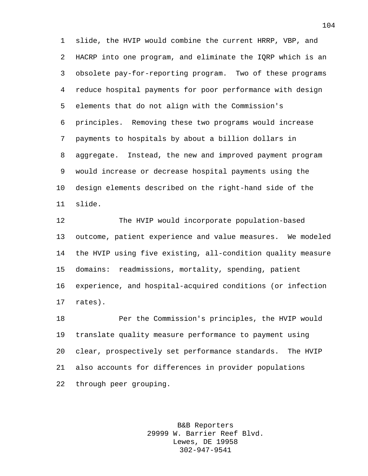slide, the HVIP would combine the current HRRP, VBP, and HACRP into one program, and eliminate the IQRP which is an obsolete pay-for-reporting program. Two of these programs reduce hospital payments for poor performance with design elements that do not align with the Commission's principles. Removing these two programs would increase payments to hospitals by about a billion dollars in aggregate. Instead, the new and improved payment program would increase or decrease hospital payments using the design elements described on the right-hand side of the slide.

 The HVIP would incorporate population-based outcome, patient experience and value measures. We modeled the HVIP using five existing, all-condition quality measure domains: readmissions, mortality, spending, patient experience, and hospital-acquired conditions (or infection rates).

 Per the Commission's principles, the HVIP would translate quality measure performance to payment using clear, prospectively set performance standards. The HVIP also accounts for differences in provider populations through peer grouping.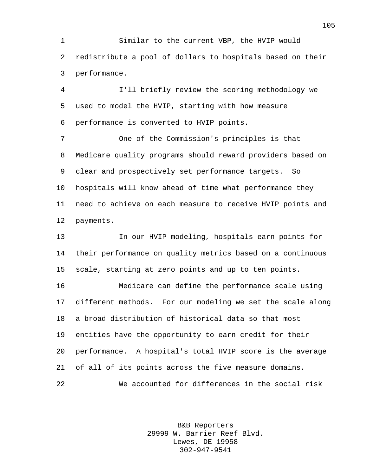Similar to the current VBP, the HVIP would redistribute a pool of dollars to hospitals based on their performance.

 I'll briefly review the scoring methodology we used to model the HVIP, starting with how measure performance is converted to HVIP points.

 One of the Commission's principles is that Medicare quality programs should reward providers based on clear and prospectively set performance targets. So hospitals will know ahead of time what performance they need to achieve on each measure to receive HVIP points and payments.

 In our HVIP modeling, hospitals earn points for their performance on quality metrics based on a continuous scale, starting at zero points and up to ten points.

 Medicare can define the performance scale using different methods. For our modeling we set the scale along a broad distribution of historical data so that most entities have the opportunity to earn credit for their performance. A hospital's total HVIP score is the average of all of its points across the five measure domains. We accounted for differences in the social risk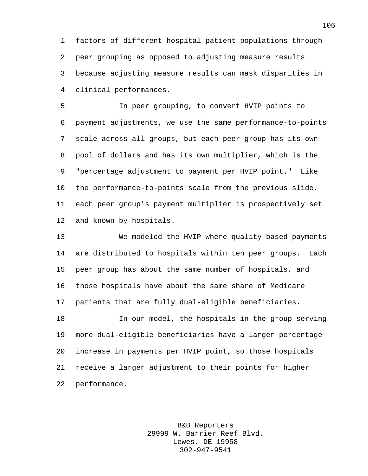factors of different hospital patient populations through peer grouping as opposed to adjusting measure results because adjusting measure results can mask disparities in clinical performances.

 In peer grouping, to convert HVIP points to payment adjustments, we use the same performance-to-points scale across all groups, but each peer group has its own pool of dollars and has its own multiplier, which is the "percentage adjustment to payment per HVIP point." Like the performance-to-points scale from the previous slide, each peer group's payment multiplier is prospectively set and known by hospitals.

 We modeled the HVIP where quality-based payments are distributed to hospitals within ten peer groups. Each peer group has about the same number of hospitals, and those hospitals have about the same share of Medicare patients that are fully dual-eligible beneficiaries.

 In our model, the hospitals in the group serving more dual-eligible beneficiaries have a larger percentage increase in payments per HVIP point, so those hospitals receive a larger adjustment to their points for higher performance.

> B&B Reporters 29999 W. Barrier Reef Blvd. Lewes, DE 19958 302-947-9541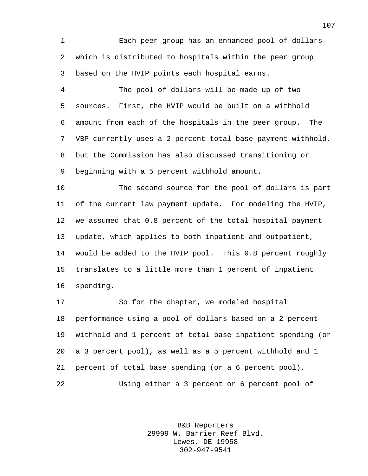Each peer group has an enhanced pool of dollars which is distributed to hospitals within the peer group based on the HVIP points each hospital earns.

 The pool of dollars will be made up of two sources. First, the HVIP would be built on a withhold amount from each of the hospitals in the peer group. The VBP currently uses a 2 percent total base payment withhold, but the Commission has also discussed transitioning or beginning with a 5 percent withhold amount.

 The second source for the pool of dollars is part of the current law payment update. For modeling the HVIP, we assumed that 0.8 percent of the total hospital payment update, which applies to both inpatient and outpatient, would be added to the HVIP pool. This 0.8 percent roughly translates to a little more than 1 percent of inpatient spending.

 So for the chapter, we modeled hospital performance using a pool of dollars based on a 2 percent withhold and 1 percent of total base inpatient spending (or a 3 percent pool), as well as a 5 percent withhold and 1 percent of total base spending (or a 6 percent pool). Using either a 3 percent or 6 percent pool of

> B&B Reporters 29999 W. Barrier Reef Blvd. Lewes, DE 19958 302-947-9541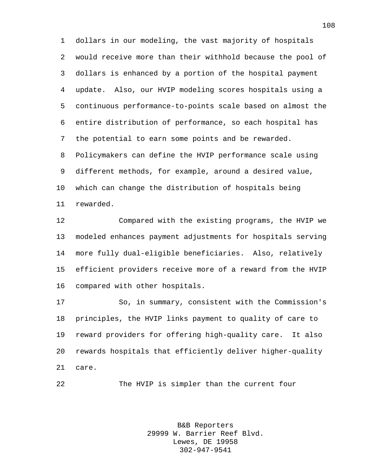dollars in our modeling, the vast majority of hospitals would receive more than their withhold because the pool of dollars is enhanced by a portion of the hospital payment update. Also, our HVIP modeling scores hospitals using a continuous performance-to-points scale based on almost the entire distribution of performance, so each hospital has the potential to earn some points and be rewarded. Policymakers can define the HVIP performance scale using different methods, for example, around a desired value, which can change the distribution of hospitals being rewarded.

 Compared with the existing programs, the HVIP we modeled enhances payment adjustments for hospitals serving more fully dual-eligible beneficiaries. Also, relatively efficient providers receive more of a reward from the HVIP compared with other hospitals.

 So, in summary, consistent with the Commission's principles, the HVIP links payment to quality of care to reward providers for offering high-quality care. It also rewards hospitals that efficiently deliver higher-quality care.

The HVIP is simpler than the current four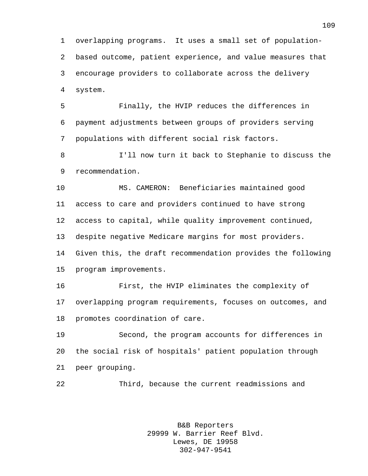overlapping programs. It uses a small set of population- based outcome, patient experience, and value measures that encourage providers to collaborate across the delivery system.

 Finally, the HVIP reduces the differences in payment adjustments between groups of providers serving populations with different social risk factors.

 I'll now turn it back to Stephanie to discuss the recommendation.

 MS. CAMERON: Beneficiaries maintained good access to care and providers continued to have strong access to capital, while quality improvement continued, despite negative Medicare margins for most providers. Given this, the draft recommendation provides the following program improvements.

 First, the HVIP eliminates the complexity of overlapping program requirements, focuses on outcomes, and promotes coordination of care.

 Second, the program accounts for differences in the social risk of hospitals' patient population through peer grouping.

Third, because the current readmissions and

B&B Reporters 29999 W. Barrier Reef Blvd. Lewes, DE 19958 302-947-9541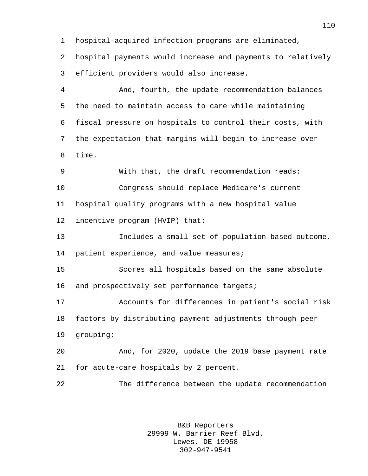hospital-acquired infection programs are eliminated,

 hospital payments would increase and payments to relatively efficient providers would also increase.

 And, fourth, the update recommendation balances the need to maintain access to care while maintaining fiscal pressure on hospitals to control their costs, with the expectation that margins will begin to increase over time.

 With that, the draft recommendation reads: Congress should replace Medicare's current hospital quality programs with a new hospital value incentive program (HVIP) that:

 Includes a small set of population-based outcome, patient experience, and value measures;

 Scores all hospitals based on the same absolute 16 and prospectively set performance targets;

 Accounts for differences in patient's social risk factors by distributing payment adjustments through peer grouping;

 And, for 2020, update the 2019 base payment rate for acute-care hospitals by 2 percent.

The difference between the update recommendation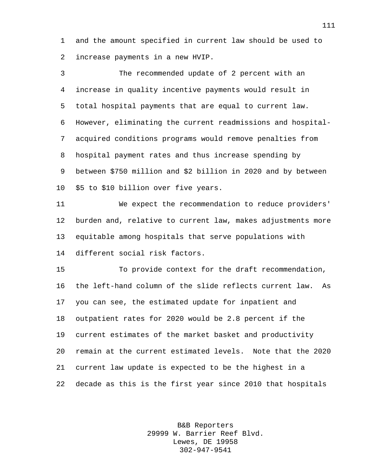and the amount specified in current law should be used to increase payments in a new HVIP.

 The recommended update of 2 percent with an increase in quality incentive payments would result in total hospital payments that are equal to current law. However, eliminating the current readmissions and hospital- acquired conditions programs would remove penalties from hospital payment rates and thus increase spending by between \$750 million and \$2 billion in 2020 and by between \$5 to \$10 billion over five years.

 We expect the recommendation to reduce providers' burden and, relative to current law, makes adjustments more equitable among hospitals that serve populations with different social risk factors.

 To provide context for the draft recommendation, the left-hand column of the slide reflects current law. As you can see, the estimated update for inpatient and outpatient rates for 2020 would be 2.8 percent if the current estimates of the market basket and productivity remain at the current estimated levels. Note that the 2020 current law update is expected to be the highest in a decade as this is the first year since 2010 that hospitals

> B&B Reporters 29999 W. Barrier Reef Blvd. Lewes, DE 19958 302-947-9541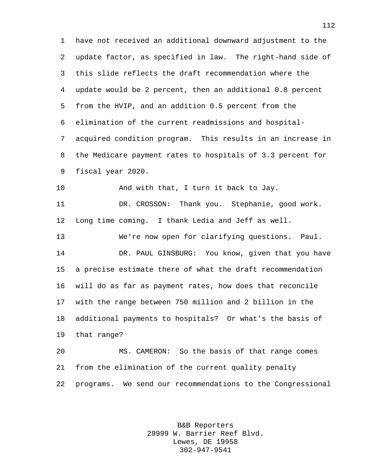have not received an additional downward adjustment to the update factor, as specified in law. The right-hand side of this slide reflects the draft recommendation where the update would be 2 percent, then an additional 0.8 percent from the HVIP, and an addition 0.5 percent from the elimination of the current readmissions and hospital- acquired condition program. This results in an increase in the Medicare payment rates to hospitals of 3.3 percent for fiscal year 2020.

10 And with that, I turn it back to Jay.

 DR. CROSSON: Thank you. Stephanie, good work. Long time coming. I thank Ledia and Jeff as well.

 We're now open for clarifying questions. Paul. DR. PAUL GINSBURG: You know, given that you have a precise estimate there of what the draft recommendation will do as far as payment rates, how does that reconcile with the range between 750 million and 2 billion in the additional payments to hospitals? Or what's the basis of that range?

 MS. CAMERON: So the basis of that range comes from the elimination of the current quality penalty programs. We send our recommendations to the Congressional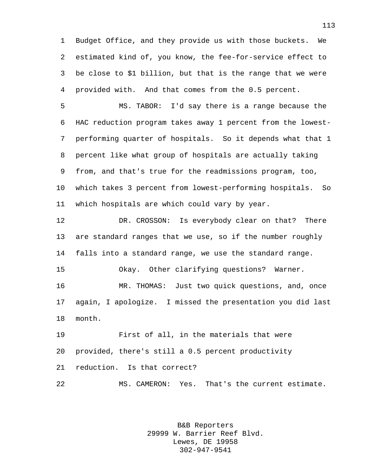Budget Office, and they provide us with those buckets. We estimated kind of, you know, the fee-for-service effect to be close to \$1 billion, but that is the range that we were provided with. And that comes from the 0.5 percent.

 MS. TABOR: I'd say there is a range because the HAC reduction program takes away 1 percent from the lowest- performing quarter of hospitals. So it depends what that 1 percent like what group of hospitals are actually taking from, and that's true for the readmissions program, too, which takes 3 percent from lowest-performing hospitals. So which hospitals are which could vary by year.

 DR. CROSSON: Is everybody clear on that? There are standard ranges that we use, so if the number roughly falls into a standard range, we use the standard range. Okay. Other clarifying questions? Warner. MR. THOMAS: Just two quick questions, and, once again, I apologize. I missed the presentation you did last month.

 First of all, in the materials that were provided, there's still a 0.5 percent productivity reduction. Is that correct? MS. CAMERON: Yes. That's the current estimate.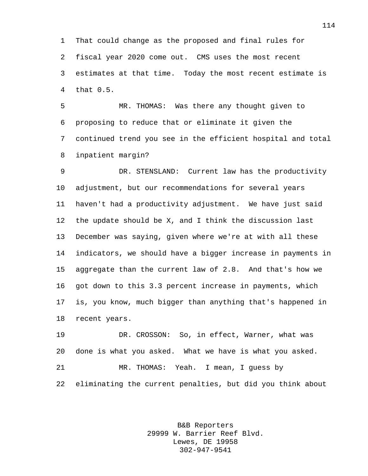That could change as the proposed and final rules for fiscal year 2020 come out. CMS uses the most recent estimates at that time. Today the most recent estimate is that 0.5.

 MR. THOMAS: Was there any thought given to proposing to reduce that or eliminate it given the continued trend you see in the efficient hospital and total inpatient margin?

 DR. STENSLAND: Current law has the productivity adjustment, but our recommendations for several years haven't had a productivity adjustment. We have just said the update should be X, and I think the discussion last December was saying, given where we're at with all these indicators, we should have a bigger increase in payments in aggregate than the current law of 2.8. And that's how we got down to this 3.3 percent increase in payments, which is, you know, much bigger than anything that's happened in recent years.

 DR. CROSSON: So, in effect, Warner, what was done is what you asked. What we have is what you asked. MR. THOMAS: Yeah. I mean, I guess by eliminating the current penalties, but did you think about

> B&B Reporters 29999 W. Barrier Reef Blvd. Lewes, DE 19958 302-947-9541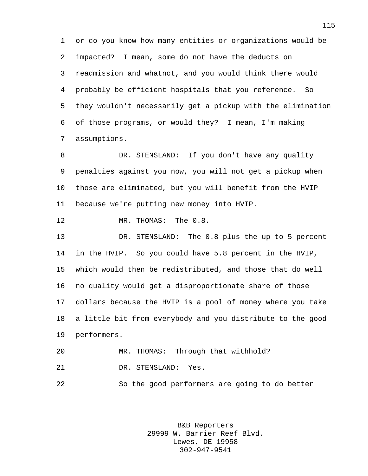or do you know how many entities or organizations would be impacted? I mean, some do not have the deducts on readmission and whatnot, and you would think there would probably be efficient hospitals that you reference. So they wouldn't necessarily get a pickup with the elimination of those programs, or would they? I mean, I'm making assumptions.

 DR. STENSLAND: If you don't have any quality penalties against you now, you will not get a pickup when those are eliminated, but you will benefit from the HVIP because we're putting new money into HVIP.

12 MR. THOMAS: The 0.8.

 DR. STENSLAND: The 0.8 plus the up to 5 percent in the HVIP. So you could have 5.8 percent in the HVIP, which would then be redistributed, and those that do well no quality would get a disproportionate share of those dollars because the HVIP is a pool of money where you take a little bit from everybody and you distribute to the good performers.

 MR. THOMAS: Through that withhold? DR. STENSLAND: Yes.

So the good performers are going to do better

B&B Reporters 29999 W. Barrier Reef Blvd. Lewes, DE 19958 302-947-9541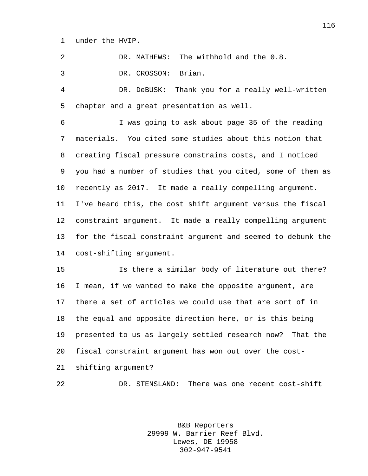under the HVIP.

DR. MATHEWS: The withhold and the 0.8.

DR. CROSSON: Brian.

 DR. DeBUSK: Thank you for a really well-written chapter and a great presentation as well.

 I was going to ask about page 35 of the reading materials. You cited some studies about this notion that creating fiscal pressure constrains costs, and I noticed you had a number of studies that you cited, some of them as recently as 2017. It made a really compelling argument. I've heard this, the cost shift argument versus the fiscal constraint argument. It made a really compelling argument for the fiscal constraint argument and seemed to debunk the cost-shifting argument.

 Is there a similar body of literature out there? I mean, if we wanted to make the opposite argument, are there a set of articles we could use that are sort of in the equal and opposite direction here, or is this being presented to us as largely settled research now? That the fiscal constraint argument has won out over the cost-shifting argument?

DR. STENSLAND: There was one recent cost-shift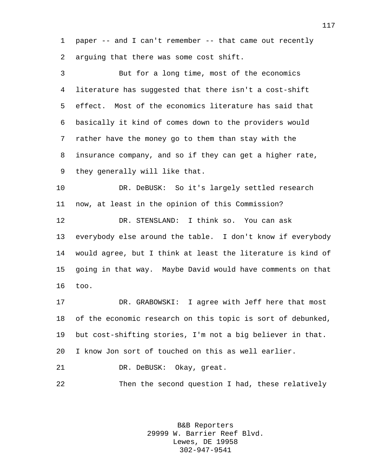paper -- and I can't remember -- that came out recently arguing that there was some cost shift.

 But for a long time, most of the economics literature has suggested that there isn't a cost-shift effect. Most of the economics literature has said that basically it kind of comes down to the providers would rather have the money go to them than stay with the insurance company, and so if they can get a higher rate, they generally will like that.

 DR. DeBUSK: So it's largely settled research now, at least in the opinion of this Commission?

 DR. STENSLAND: I think so. You can ask everybody else around the table. I don't know if everybody would agree, but I think at least the literature is kind of going in that way. Maybe David would have comments on that too.

 DR. GRABOWSKI: I agree with Jeff here that most of the economic research on this topic is sort of debunked, but cost-shifting stories, I'm not a big believer in that. I know Jon sort of touched on this as well earlier.

DR. DeBUSK: Okay, great.

Then the second question I had, these relatively

B&B Reporters 29999 W. Barrier Reef Blvd. Lewes, DE 19958 302-947-9541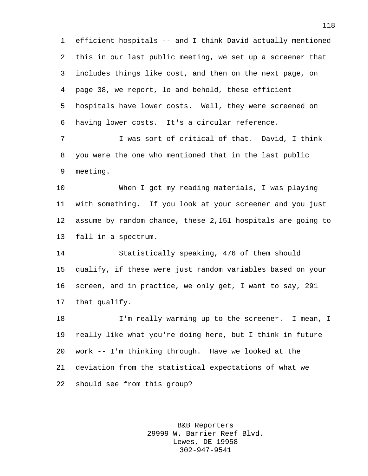efficient hospitals -- and I think David actually mentioned this in our last public meeting, we set up a screener that includes things like cost, and then on the next page, on page 38, we report, lo and behold, these efficient hospitals have lower costs. Well, they were screened on having lower costs. It's a circular reference.

 I was sort of critical of that. David, I think you were the one who mentioned that in the last public meeting.

 When I got my reading materials, I was playing with something. If you look at your screener and you just assume by random chance, these 2,151 hospitals are going to fall in a spectrum.

 Statistically speaking, 476 of them should qualify, if these were just random variables based on your screen, and in practice, we only get, I want to say, 291 that qualify.

 I'm really warming up to the screener. I mean, I really like what you're doing here, but I think in future work -- I'm thinking through. Have we looked at the deviation from the statistical expectations of what we should see from this group?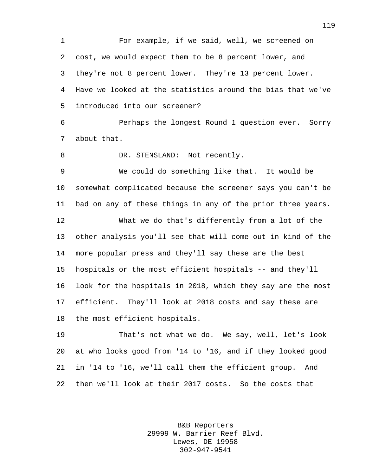For example, if we said, well, we screened on cost, we would expect them to be 8 percent lower, and they're not 8 percent lower. They're 13 percent lower. Have we looked at the statistics around the bias that we've introduced into our screener? Perhaps the longest Round 1 question ever. Sorry about that. 8 DR. STENSLAND: Not recently. We could do something like that. It would be somewhat complicated because the screener says you can't be bad on any of these things in any of the prior three years. What we do that's differently from a lot of the other analysis you'll see that will come out in kind of the more popular press and they'll say these are the best hospitals or the most efficient hospitals -- and they'll look for the hospitals in 2018, which they say are the most efficient. They'll look at 2018 costs and say these are the most efficient hospitals. That's not what we do. We say, well, let's look at who looks good from '14 to '16, and if they looked good in '14 to '16, we'll call them the efficient group. And

then we'll look at their 2017 costs. So the costs that

B&B Reporters 29999 W. Barrier Reef Blvd. Lewes, DE 19958 302-947-9541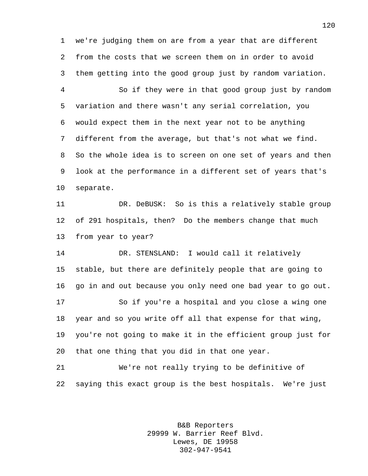we're judging them on are from a year that are different from the costs that we screen them on in order to avoid them getting into the good group just by random variation.

 So if they were in that good group just by random variation and there wasn't any serial correlation, you would expect them in the next year not to be anything different from the average, but that's not what we find. So the whole idea is to screen on one set of years and then look at the performance in a different set of years that's separate.

 DR. DeBUSK: So is this a relatively stable group of 291 hospitals, then? Do the members change that much from year to year?

 DR. STENSLAND: I would call it relatively stable, but there are definitely people that are going to go in and out because you only need one bad year to go out. So if you're a hospital and you close a wing one year and so you write off all that expense for that wing, you're not going to make it in the efficient group just for that one thing that you did in that one year.

 We're not really trying to be definitive of saying this exact group is the best hospitals. We're just

> B&B Reporters 29999 W. Barrier Reef Blvd. Lewes, DE 19958 302-947-9541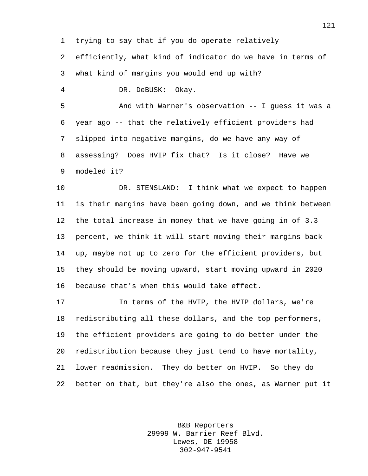trying to say that if you do operate relatively

 efficiently, what kind of indicator do we have in terms of what kind of margins you would end up with?

DR. DeBUSK: Okay.

 And with Warner's observation -- I guess it was a year ago -- that the relatively efficient providers had slipped into negative margins, do we have any way of assessing? Does HVIP fix that? Is it close? Have we modeled it?

10 DR. STENSLAND: I think what we expect to happen is their margins have been going down, and we think between the total increase in money that we have going in of 3.3 percent, we think it will start moving their margins back up, maybe not up to zero for the efficient providers, but they should be moving upward, start moving upward in 2020 because that's when this would take effect.

 In terms of the HVIP, the HVIP dollars, we're redistributing all these dollars, and the top performers, the efficient providers are going to do better under the redistribution because they just tend to have mortality, lower readmission. They do better on HVIP. So they do better on that, but they're also the ones, as Warner put it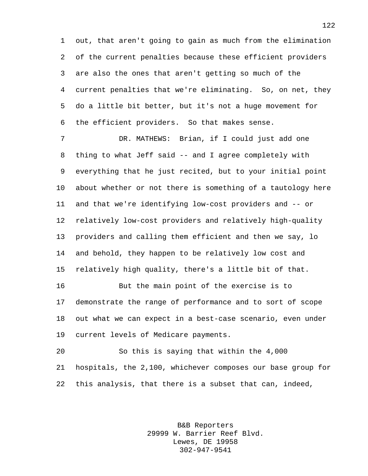out, that aren't going to gain as much from the elimination of the current penalties because these efficient providers are also the ones that aren't getting so much of the current penalties that we're eliminating. So, on net, they do a little bit better, but it's not a huge movement for the efficient providers. So that makes sense.

 DR. MATHEWS: Brian, if I could just add one thing to what Jeff said -- and I agree completely with everything that he just recited, but to your initial point about whether or not there is something of a tautology here and that we're identifying low-cost providers and -- or relatively low-cost providers and relatively high-quality providers and calling them efficient and then we say, lo and behold, they happen to be relatively low cost and relatively high quality, there's a little bit of that.

 But the main point of the exercise is to demonstrate the range of performance and to sort of scope out what we can expect in a best-case scenario, even under current levels of Medicare payments.

 So this is saying that within the 4,000 hospitals, the 2,100, whichever composes our base group for this analysis, that there is a subset that can, indeed,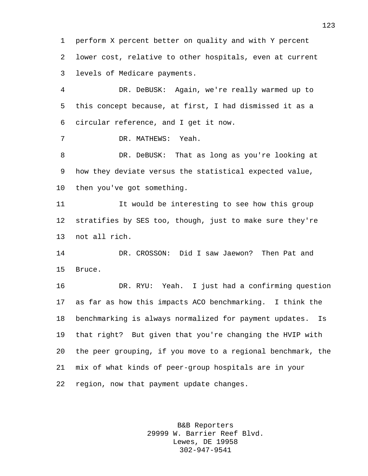perform X percent better on quality and with Y percent lower cost, relative to other hospitals, even at current levels of Medicare payments.

 DR. DeBUSK: Again, we're really warmed up to this concept because, at first, I had dismissed it as a circular reference, and I get it now.

DR. MATHEWS: Yeah.

 DR. DeBUSK: That as long as you're looking at how they deviate versus the statistical expected value, then you've got something.

 It would be interesting to see how this group stratifies by SES too, though, just to make sure they're not all rich.

 DR. CROSSON: Did I saw Jaewon? Then Pat and Bruce.

 DR. RYU: Yeah. I just had a confirming question as far as how this impacts ACO benchmarking. I think the benchmarking is always normalized for payment updates. Is that right? But given that you're changing the HVIP with the peer grouping, if you move to a regional benchmark, the mix of what kinds of peer-group hospitals are in your region, now that payment update changes.

> B&B Reporters 29999 W. Barrier Reef Blvd. Lewes, DE 19958 302-947-9541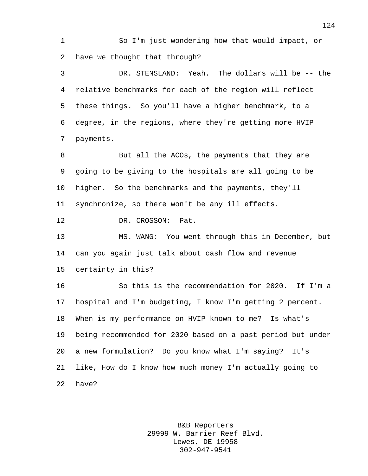So I'm just wondering how that would impact, or have we thought that through?

 DR. STENSLAND: Yeah. The dollars will be -- the relative benchmarks for each of the region will reflect these things. So you'll have a higher benchmark, to a degree, in the regions, where they're getting more HVIP payments.

8 But all the ACOs, the payments that they are going to be giving to the hospitals are all going to be higher. So the benchmarks and the payments, they'll synchronize, so there won't be any ill effects.

12 DR. CROSSON: Pat.

 MS. WANG: You went through this in December, but can you again just talk about cash flow and revenue certainty in this?

 So this is the recommendation for 2020. If I'm a hospital and I'm budgeting, I know I'm getting 2 percent. When is my performance on HVIP known to me? Is what's being recommended for 2020 based on a past period but under a new formulation? Do you know what I'm saying? It's like, How do I know how much money I'm actually going to have?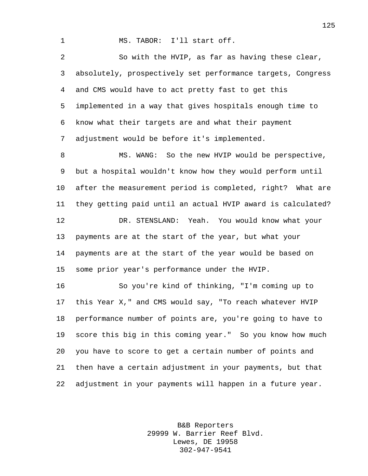MS. TABOR: I'll start off.

 So with the HVIP, as far as having these clear, absolutely, prospectively set performance targets, Congress and CMS would have to act pretty fast to get this implemented in a way that gives hospitals enough time to know what their targets are and what their payment adjustment would be before it's implemented.

8 MS. WANG: So the new HVIP would be perspective, but a hospital wouldn't know how they would perform until after the measurement period is completed, right? What are they getting paid until an actual HVIP award is calculated? DR. STENSLAND: Yeah. You would know what your payments are at the start of the year, but what your payments are at the start of the year would be based on some prior year's performance under the HVIP.

 So you're kind of thinking, "I'm coming up to this Year X," and CMS would say, "To reach whatever HVIP performance number of points are, you're going to have to score this big in this coming year." So you know how much you have to score to get a certain number of points and then have a certain adjustment in your payments, but that adjustment in your payments will happen in a future year.

> B&B Reporters 29999 W. Barrier Reef Blvd. Lewes, DE 19958 302-947-9541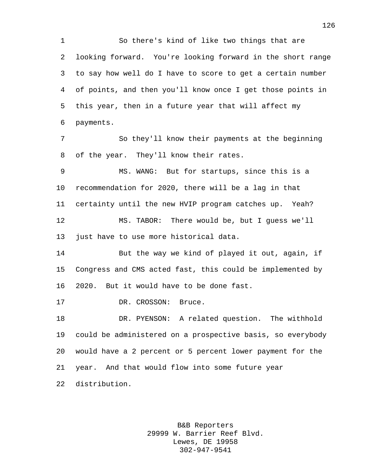So there's kind of like two things that are looking forward. You're looking forward in the short range to say how well do I have to score to get a certain number of points, and then you'll know once I get those points in this year, then in a future year that will affect my payments. So they'll know their payments at the beginning of the year. They'll know their rates. MS. WANG: But for startups, since this is a recommendation for 2020, there will be a lag in that certainty until the new HVIP program catches up. Yeah? MS. TABOR: There would be, but I guess we'll just have to use more historical data. But the way we kind of played it out, again, if Congress and CMS acted fast, this could be implemented by 2020. But it would have to be done fast. 17 DR. CROSSON: Bruce. DR. PYENSON: A related question. The withhold could be administered on a prospective basis, so everybody would have a 2 percent or 5 percent lower payment for the

year. And that would flow into some future year

distribution.

B&B Reporters 29999 W. Barrier Reef Blvd. Lewes, DE 19958 302-947-9541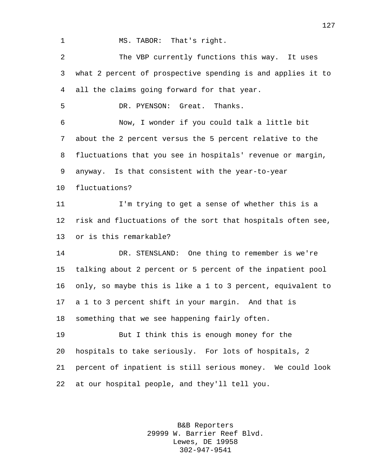1 MS. TABOR: That's right.

 The VBP currently functions this way. It uses what 2 percent of prospective spending is and applies it to all the claims going forward for that year.

DR. PYENSON: Great. Thanks.

 Now, I wonder if you could talk a little bit about the 2 percent versus the 5 percent relative to the fluctuations that you see in hospitals' revenue or margin, anyway. Is that consistent with the year-to-year

fluctuations?

 I'm trying to get a sense of whether this is a risk and fluctuations of the sort that hospitals often see, or is this remarkable?

 DR. STENSLAND: One thing to remember is we're talking about 2 percent or 5 percent of the inpatient pool only, so maybe this is like a 1 to 3 percent, equivalent to a 1 to 3 percent shift in your margin. And that is something that we see happening fairly often.

 But I think this is enough money for the hospitals to take seriously. For lots of hospitals, 2 percent of inpatient is still serious money. We could look at our hospital people, and they'll tell you.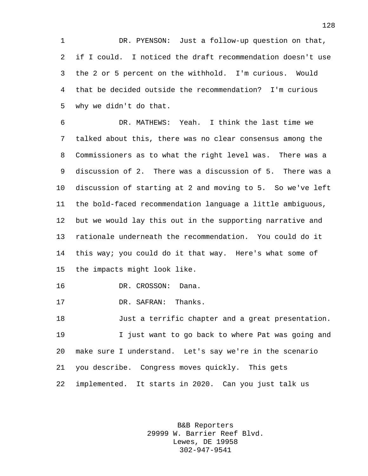DR. PYENSON: Just a follow-up question on that, if I could. I noticed the draft recommendation doesn't use the 2 or 5 percent on the withhold. I'm curious. Would that be decided outside the recommendation? I'm curious why we didn't do that.

 DR. MATHEWS: Yeah. I think the last time we talked about this, there was no clear consensus among the Commissioners as to what the right level was. There was a discussion of 2. There was a discussion of 5. There was a discussion of starting at 2 and moving to 5. So we've left the bold-faced recommendation language a little ambiguous, but we would lay this out in the supporting narrative and rationale underneath the recommendation. You could do it this way; you could do it that way. Here's what some of the impacts might look like.

DR. CROSSON: Dana.

DR. SAFRAN: Thanks.

 Just a terrific chapter and a great presentation. I just want to go back to where Pat was going and make sure I understand. Let's say we're in the scenario you describe. Congress moves quickly. This gets implemented. It starts in 2020. Can you just talk us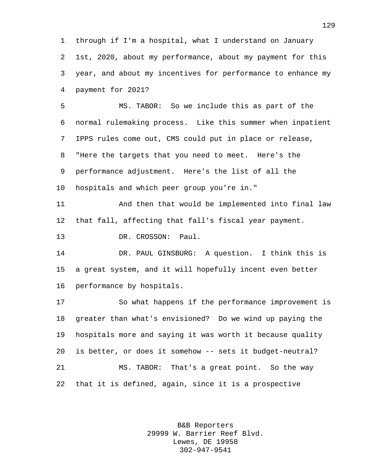through if I'm a hospital, what I understand on January 1st, 2020, about my performance, about my payment for this year, and about my incentives for performance to enhance my payment for 2021?

 MS. TABOR: So we include this as part of the normal rulemaking process. Like this summer when inpatient IPPS rules come out, CMS could put in place or release, "Here the targets that you need to meet. Here's the performance adjustment. Here's the list of all the hospitals and which peer group you're in."

 And then that would be implemented into final law that fall, affecting that fall's fiscal year payment.

13 DR. CROSSON: Paul.

 DR. PAUL GINSBURG: A question. I think this is a great system, and it will hopefully incent even better performance by hospitals.

 So what happens if the performance improvement is greater than what's envisioned? Do we wind up paying the hospitals more and saying it was worth it because quality is better, or does it somehow -- sets it budget-neutral? MS. TABOR: That's a great point. So the way that it is defined, again, since it is a prospective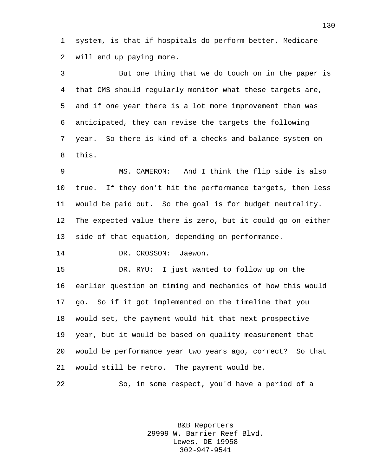system, is that if hospitals do perform better, Medicare will end up paying more.

 But one thing that we do touch on in the paper is that CMS should regularly monitor what these targets are, and if one year there is a lot more improvement than was anticipated, they can revise the targets the following year. So there is kind of a checks-and-balance system on this.

 MS. CAMERON: And I think the flip side is also true. If they don't hit the performance targets, then less would be paid out. So the goal is for budget neutrality. The expected value there is zero, but it could go on either side of that equation, depending on performance.

DR. CROSSON: Jaewon.

 DR. RYU: I just wanted to follow up on the earlier question on timing and mechanics of how this would go. So if it got implemented on the timeline that you would set, the payment would hit that next prospective year, but it would be based on quality measurement that would be performance year two years ago, correct? So that would still be retro. The payment would be.

So, in some respect, you'd have a period of a

B&B Reporters 29999 W. Barrier Reef Blvd. Lewes, DE 19958 302-947-9541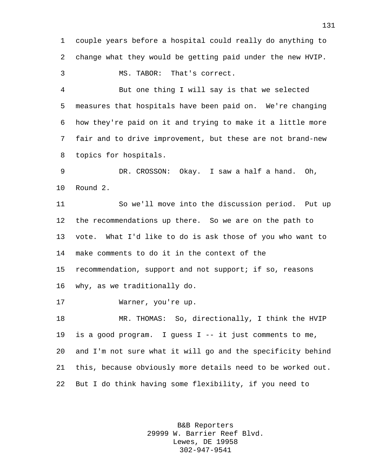couple years before a hospital could really do anything to change what they would be getting paid under the new HVIP.

MS. TABOR: That's correct.

 But one thing I will say is that we selected measures that hospitals have been paid on. We're changing how they're paid on it and trying to make it a little more fair and to drive improvement, but these are not brand-new topics for hospitals.

 DR. CROSSON: Okay. I saw a half a hand. Oh, Round 2.

 So we'll move into the discussion period. Put up the recommendations up there. So we are on the path to vote. What I'd like to do is ask those of you who want to make comments to do it in the context of the recommendation, support and not support; if so, reasons why, as we traditionally do.

Warner, you're up.

 MR. THOMAS: So, directionally, I think the HVIP is a good program. I guess I -- it just comments to me, and I'm not sure what it will go and the specificity behind this, because obviously more details need to be worked out. But I do think having some flexibility, if you need to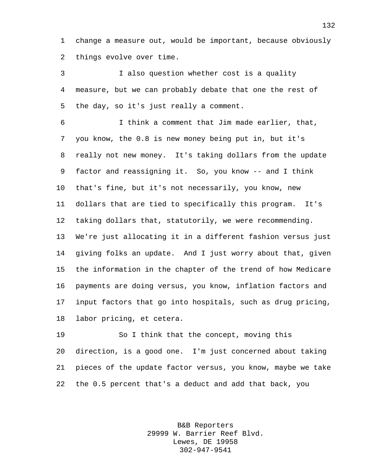change a measure out, would be important, because obviously things evolve over time.

 I also question whether cost is a quality measure, but we can probably debate that one the rest of the day, so it's just really a comment.

 I think a comment that Jim made earlier, that, you know, the 0.8 is new money being put in, but it's really not new money. It's taking dollars from the update factor and reassigning it. So, you know -- and I think that's fine, but it's not necessarily, you know, new dollars that are tied to specifically this program. It's taking dollars that, statutorily, we were recommending. We're just allocating it in a different fashion versus just giving folks an update. And I just worry about that, given the information in the chapter of the trend of how Medicare payments are doing versus, you know, inflation factors and input factors that go into hospitals, such as drug pricing, labor pricing, et cetera.

 So I think that the concept, moving this direction, is a good one. I'm just concerned about taking pieces of the update factor versus, you know, maybe we take the 0.5 percent that's a deduct and add that back, you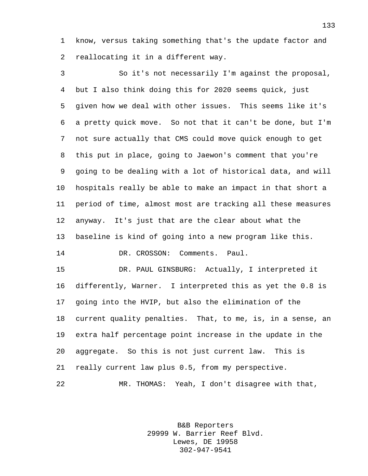know, versus taking something that's the update factor and reallocating it in a different way.

 So it's not necessarily I'm against the proposal, but I also think doing this for 2020 seems quick, just given how we deal with other issues. This seems like it's a pretty quick move. So not that it can't be done, but I'm not sure actually that CMS could move quick enough to get this put in place, going to Jaewon's comment that you're going to be dealing with a lot of historical data, and will hospitals really be able to make an impact in that short a period of time, almost most are tracking all these measures anyway. It's just that are the clear about what the baseline is kind of going into a new program like this. DR. CROSSON: Comments. Paul.

 DR. PAUL GINSBURG: Actually, I interpreted it differently, Warner. I interpreted this as yet the 0.8 is going into the HVIP, but also the elimination of the current quality penalties. That, to me, is, in a sense, an extra half percentage point increase in the update in the aggregate. So this is not just current law. This is really current law plus 0.5, from my perspective. MR. THOMAS: Yeah, I don't disagree with that,

> B&B Reporters 29999 W. Barrier Reef Blvd. Lewes, DE 19958 302-947-9541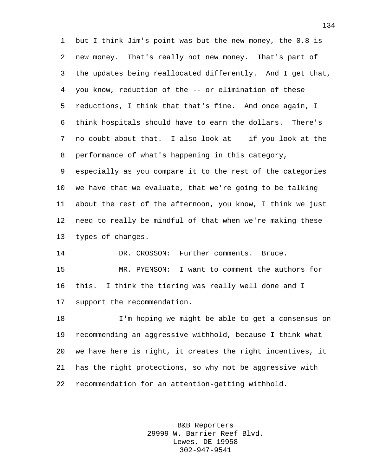but I think Jim's point was but the new money, the 0.8 is new money. That's really not new money. That's part of the updates being reallocated differently. And I get that, you know, reduction of the -- or elimination of these reductions, I think that that's fine. And once again, I think hospitals should have to earn the dollars. There's no doubt about that. I also look at -- if you look at the performance of what's happening in this category, especially as you compare it to the rest of the categories

 we have that we evaluate, that we're going to be talking about the rest of the afternoon, you know, I think we just need to really be mindful of that when we're making these types of changes.

14 DR. CROSSON: Further comments. Bruce. MR. PYENSON: I want to comment the authors for this. I think the tiering was really well done and I support the recommendation.

 I'm hoping we might be able to get a consensus on recommending an aggressive withhold, because I think what we have here is right, it creates the right incentives, it has the right protections, so why not be aggressive with recommendation for an attention-getting withhold.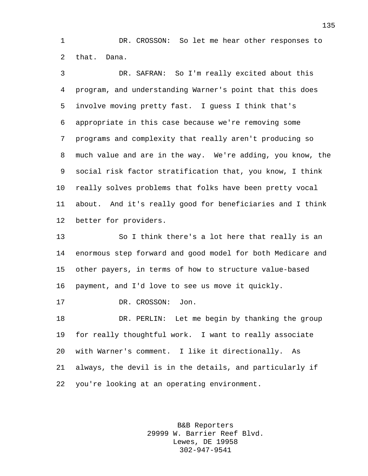DR. CROSSON: So let me hear other responses to that. Dana.

 DR. SAFRAN: So I'm really excited about this program, and understanding Warner's point that this does involve moving pretty fast. I guess I think that's appropriate in this case because we're removing some programs and complexity that really aren't producing so much value and are in the way. We're adding, you know, the social risk factor stratification that, you know, I think really solves problems that folks have been pretty vocal about. And it's really good for beneficiaries and I think better for providers.

 So I think there's a lot here that really is an enormous step forward and good model for both Medicare and other payers, in terms of how to structure value-based payment, and I'd love to see us move it quickly.

17 DR. CROSSON: Jon.

 DR. PERLIN: Let me begin by thanking the group for really thoughtful work. I want to really associate with Warner's comment. I like it directionally. As always, the devil is in the details, and particularly if you're looking at an operating environment.

> B&B Reporters 29999 W. Barrier Reef Blvd. Lewes, DE 19958 302-947-9541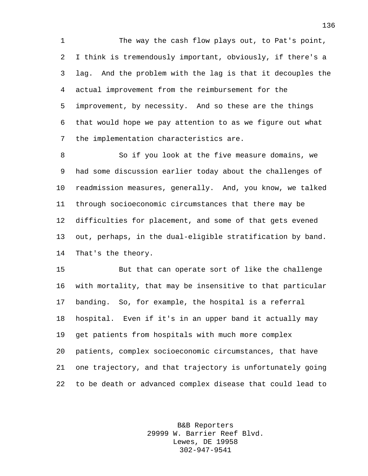The way the cash flow plays out, to Pat's point, I think is tremendously important, obviously, if there's a lag. And the problem with the lag is that it decouples the actual improvement from the reimbursement for the improvement, by necessity. And so these are the things that would hope we pay attention to as we figure out what the implementation characteristics are.

 So if you look at the five measure domains, we had some discussion earlier today about the challenges of readmission measures, generally. And, you know, we talked through socioeconomic circumstances that there may be difficulties for placement, and some of that gets evened out, perhaps, in the dual-eligible stratification by band. That's the theory.

 But that can operate sort of like the challenge with mortality, that may be insensitive to that particular banding. So, for example, the hospital is a referral hospital. Even if it's in an upper band it actually may get patients from hospitals with much more complex patients, complex socioeconomic circumstances, that have one trajectory, and that trajectory is unfortunately going to be death or advanced complex disease that could lead to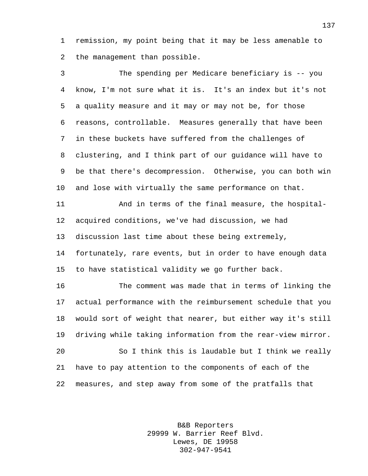remission, my point being that it may be less amenable to the management than possible.

 The spending per Medicare beneficiary is -- you know, I'm not sure what it is. It's an index but it's not a quality measure and it may or may not be, for those reasons, controllable. Measures generally that have been in these buckets have suffered from the challenges of clustering, and I think part of our guidance will have to be that there's decompression. Otherwise, you can both win and lose with virtually the same performance on that.

 And in terms of the final measure, the hospital- acquired conditions, we've had discussion, we had discussion last time about these being extremely, fortunately, rare events, but in order to have enough data to have statistical validity we go further back.

 The comment was made that in terms of linking the actual performance with the reimbursement schedule that you would sort of weight that nearer, but either way it's still driving while taking information from the rear-view mirror. So I think this is laudable but I think we really have to pay attention to the components of each of the measures, and step away from some of the pratfalls that

> B&B Reporters 29999 W. Barrier Reef Blvd. Lewes, DE 19958 302-947-9541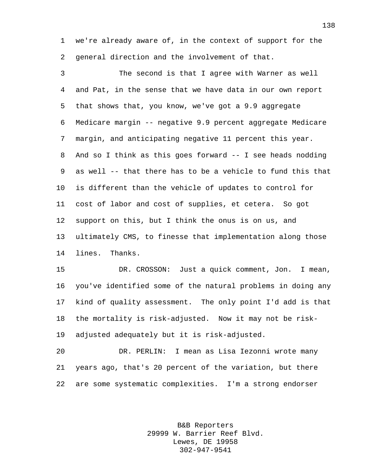we're already aware of, in the context of support for the general direction and the involvement of that.

 The second is that I agree with Warner as well and Pat, in the sense that we have data in our own report that shows that, you know, we've got a 9.9 aggregate Medicare margin -- negative 9.9 percent aggregate Medicare margin, and anticipating negative 11 percent this year. And so I think as this goes forward -- I see heads nodding as well -- that there has to be a vehicle to fund this that is different than the vehicle of updates to control for cost of labor and cost of supplies, et cetera. So got support on this, but I think the onus is on us, and ultimately CMS, to finesse that implementation along those lines. Thanks.

 DR. CROSSON: Just a quick comment, Jon. I mean, you've identified some of the natural problems in doing any kind of quality assessment. The only point I'd add is that the mortality is risk-adjusted. Now it may not be risk-adjusted adequately but it is risk-adjusted.

 DR. PERLIN: I mean as Lisa Iezonni wrote many years ago, that's 20 percent of the variation, but there are some systematic complexities. I'm a strong endorser

> B&B Reporters 29999 W. Barrier Reef Blvd. Lewes, DE 19958 302-947-9541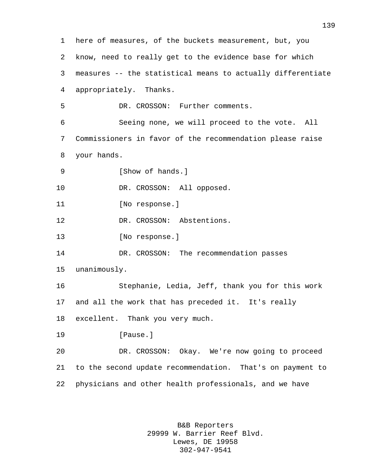here of measures, of the buckets measurement, but, you know, need to really get to the evidence base for which measures -- the statistical means to actually differentiate appropriately. Thanks. DR. CROSSON: Further comments. Seeing none, we will proceed to the vote. All Commissioners in favor of the recommendation please raise your hands. 9 [Show of hands.] 10 DR. CROSSON: All opposed. 11 [No response.] 12 DR. CROSSON: Abstentions. 13 [No response.] DR. CROSSON: The recommendation passes unanimously. Stephanie, Ledia, Jeff, thank you for this work and all the work that has preceded it. It's really excellent. Thank you very much. **I**Pause. DR. CROSSON: Okay. We're now going to proceed to the second update recommendation. That's on payment to physicians and other health professionals, and we have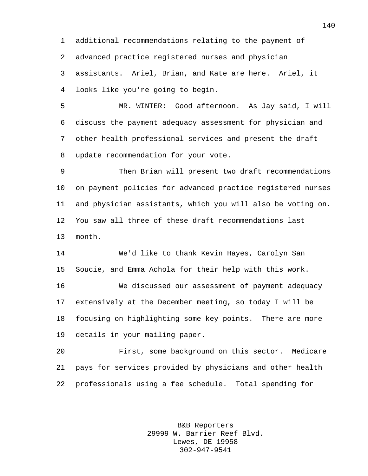additional recommendations relating to the payment of

advanced practice registered nurses and physician

 assistants. Ariel, Brian, and Kate are here. Ariel, it looks like you're going to begin.

 MR. WINTER: Good afternoon. As Jay said, I will discuss the payment adequacy assessment for physician and other health professional services and present the draft update recommendation for your vote.

 Then Brian will present two draft recommendations on payment policies for advanced practice registered nurses and physician assistants, which you will also be voting on. You saw all three of these draft recommendations last month.

 We'd like to thank Kevin Hayes, Carolyn San Soucie, and Emma Achola for their help with this work.

 We discussed our assessment of payment adequacy extensively at the December meeting, so today I will be focusing on highlighting some key points. There are more details in your mailing paper.

 First, some background on this sector. Medicare pays for services provided by physicians and other health professionals using a fee schedule. Total spending for

> B&B Reporters 29999 W. Barrier Reef Blvd. Lewes, DE 19958 302-947-9541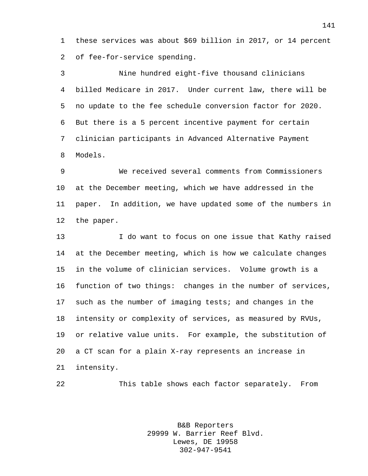these services was about \$69 billion in 2017, or 14 percent of fee-for-service spending.

 Nine hundred eight-five thousand clinicians billed Medicare in 2017. Under current law, there will be no update to the fee schedule conversion factor for 2020. But there is a 5 percent incentive payment for certain clinician participants in Advanced Alternative Payment Models.

 We received several comments from Commissioners at the December meeting, which we have addressed in the paper. In addition, we have updated some of the numbers in the paper.

 I do want to focus on one issue that Kathy raised at the December meeting, which is how we calculate changes in the volume of clinician services. Volume growth is a function of two things: changes in the number of services, such as the number of imaging tests; and changes in the intensity or complexity of services, as measured by RVUs, or relative value units. For example, the substitution of a CT scan for a plain X-ray represents an increase in intensity.

This table shows each factor separately. From

B&B Reporters 29999 W. Barrier Reef Blvd. Lewes, DE 19958 302-947-9541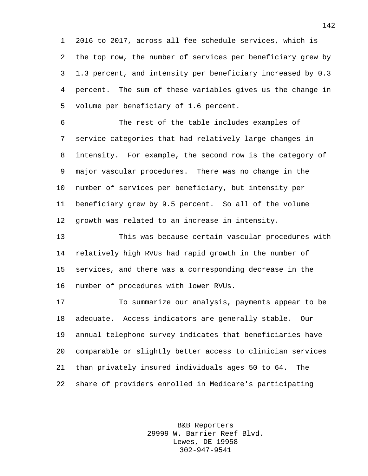2016 to 2017, across all fee schedule services, which is the top row, the number of services per beneficiary grew by 1.3 percent, and intensity per beneficiary increased by 0.3 percent. The sum of these variables gives us the change in volume per beneficiary of 1.6 percent.

 The rest of the table includes examples of service categories that had relatively large changes in intensity. For example, the second row is the category of major vascular procedures. There was no change in the number of services per beneficiary, but intensity per beneficiary grew by 9.5 percent. So all of the volume growth was related to an increase in intensity.

 This was because certain vascular procedures with relatively high RVUs had rapid growth in the number of services, and there was a corresponding decrease in the number of procedures with lower RVUs.

 To summarize our analysis, payments appear to be adequate. Access indicators are generally stable. Our annual telephone survey indicates that beneficiaries have comparable or slightly better access to clinician services than privately insured individuals ages 50 to 64. The share of providers enrolled in Medicare's participating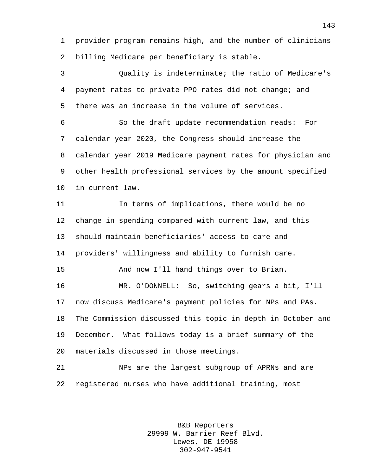provider program remains high, and the number of clinicians billing Medicare per beneficiary is stable.

 Quality is indeterminate; the ratio of Medicare's payment rates to private PPO rates did not change; and there was an increase in the volume of services.

 So the draft update recommendation reads: For calendar year 2020, the Congress should increase the calendar year 2019 Medicare payment rates for physician and other health professional services by the amount specified in current law.

 In terms of implications, there would be no change in spending compared with current law, and this should maintain beneficiaries' access to care and providers' willingness and ability to furnish care. And now I'll hand things over to Brian. MR. O'DONNELL: So, switching gears a bit, I'll now discuss Medicare's payment policies for NPs and PAs. The Commission discussed this topic in depth in October and December. What follows today is a brief summary of the materials discussed in those meetings.

 NPs are the largest subgroup of APRNs and are registered nurses who have additional training, most

> B&B Reporters 29999 W. Barrier Reef Blvd. Lewes, DE 19958 302-947-9541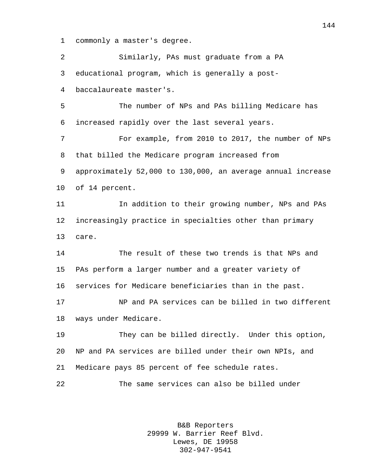commonly a master's degree.

 Similarly, PAs must graduate from a PA educational program, which is generally a post- baccalaureate master's. The number of NPs and PAs billing Medicare has increased rapidly over the last several years. For example, from 2010 to 2017, the number of NPs that billed the Medicare program increased from approximately 52,000 to 130,000, an average annual increase of 14 percent. In addition to their growing number, NPs and PAs increasingly practice in specialties other than primary care. The result of these two trends is that NPs and PAs perform a larger number and a greater variety of services for Medicare beneficiaries than in the past. NP and PA services can be billed in two different ways under Medicare. They can be billed directly. Under this option, NP and PA services are billed under their own NPIs, and Medicare pays 85 percent of fee schedule rates. The same services can also be billed under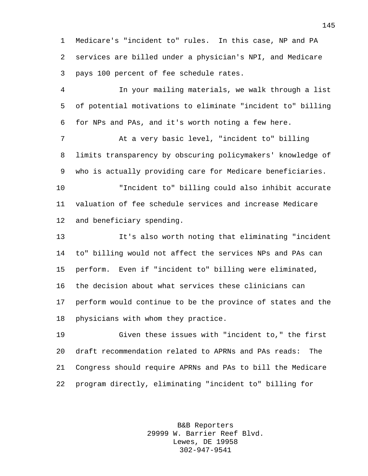Medicare's "incident to" rules. In this case, NP and PA services are billed under a physician's NPI, and Medicare pays 100 percent of fee schedule rates.

 In your mailing materials, we walk through a list of potential motivations to eliminate "incident to" billing for NPs and PAs, and it's worth noting a few here.

 At a very basic level, "incident to" billing limits transparency by obscuring policymakers' knowledge of who is actually providing care for Medicare beneficiaries.

 "Incident to" billing could also inhibit accurate valuation of fee schedule services and increase Medicare and beneficiary spending.

 It's also worth noting that eliminating "incident to" billing would not affect the services NPs and PAs can perform. Even if "incident to" billing were eliminated, the decision about what services these clinicians can perform would continue to be the province of states and the physicians with whom they practice.

 Given these issues with "incident to," the first draft recommendation related to APRNs and PAs reads: The Congress should require APRNs and PAs to bill the Medicare program directly, eliminating "incident to" billing for

> B&B Reporters 29999 W. Barrier Reef Blvd. Lewes, DE 19958 302-947-9541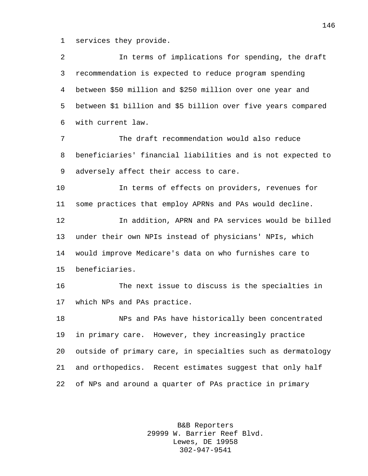services they provide.

 In terms of implications for spending, the draft recommendation is expected to reduce program spending between \$50 million and \$250 million over one year and between \$1 billion and \$5 billion over five years compared with current law. The draft recommendation would also reduce beneficiaries' financial liabilities and is not expected to adversely affect their access to care. In terms of effects on providers, revenues for some practices that employ APRNs and PAs would decline. In addition, APRN and PA services would be billed under their own NPIs instead of physicians' NPIs, which would improve Medicare's data on who furnishes care to beneficiaries. The next issue to discuss is the specialties in which NPs and PAs practice. NPs and PAs have historically been concentrated in primary care. However, they increasingly practice outside of primary care, in specialties such as dermatology and orthopedics. Recent estimates suggest that only half of NPs and around a quarter of PAs practice in primary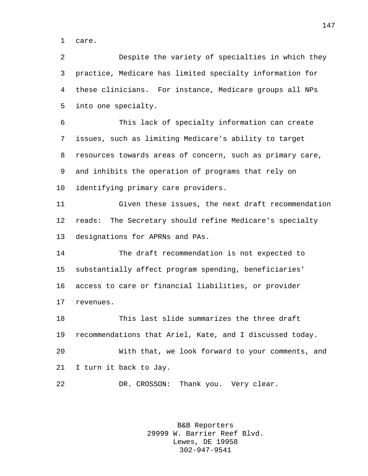care.

 Despite the variety of specialties in which they practice, Medicare has limited specialty information for these clinicians. For instance, Medicare groups all NPs into one specialty.

 This lack of specialty information can create issues, such as limiting Medicare's ability to target resources towards areas of concern, such as primary care, and inhibits the operation of programs that rely on identifying primary care providers.

 Given these issues, the next draft recommendation reads: The Secretary should refine Medicare's specialty designations for APRNs and PAs.

 The draft recommendation is not expected to substantially affect program spending, beneficiaries' access to care or financial liabilities, or provider revenues.

 This last slide summarizes the three draft recommendations that Ariel, Kate, and I discussed today. With that, we look forward to your comments, and I turn it back to Jay.

22 DR. CROSSON: Thank you. Very clear.

B&B Reporters 29999 W. Barrier Reef Blvd. Lewes, DE 19958 302-947-9541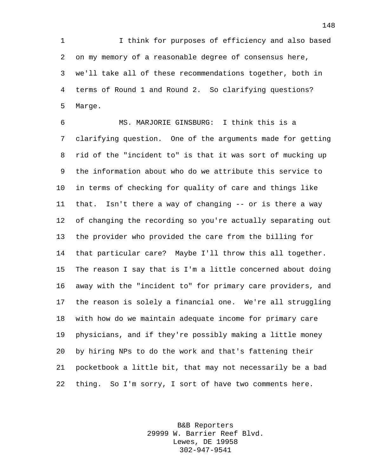I think for purposes of efficiency and also based on my memory of a reasonable degree of consensus here, we'll take all of these recommendations together, both in terms of Round 1 and Round 2. So clarifying questions? Marge.

 MS. MARJORIE GINSBURG: I think this is a clarifying question. One of the arguments made for getting rid of the "incident to" is that it was sort of mucking up the information about who do we attribute this service to in terms of checking for quality of care and things like that. Isn't there a way of changing -- or is there a way of changing the recording so you're actually separating out the provider who provided the care from the billing for that particular care? Maybe I'll throw this all together. The reason I say that is I'm a little concerned about doing away with the "incident to" for primary care providers, and the reason is solely a financial one. We're all struggling with how do we maintain adequate income for primary care physicians, and if they're possibly making a little money by hiring NPs to do the work and that's fattening their pocketbook a little bit, that may not necessarily be a bad thing. So I'm sorry, I sort of have two comments here.

> B&B Reporters 29999 W. Barrier Reef Blvd. Lewes, DE 19958 302-947-9541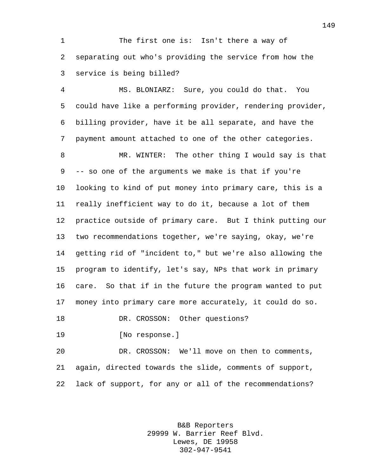1 The first one is: Isn't there a way of separating out who's providing the service from how the service is being billed?

 MS. BLONIARZ: Sure, you could do that. You could have like a performing provider, rendering provider, billing provider, have it be all separate, and have the payment amount attached to one of the other categories.

8 MR. WINTER: The other thing I would say is that -- so one of the arguments we make is that if you're looking to kind of put money into primary care, this is a really inefficient way to do it, because a lot of them practice outside of primary care. But I think putting our two recommendations together, we're saying, okay, we're getting rid of "incident to," but we're also allowing the program to identify, let's say, NPs that work in primary care. So that if in the future the program wanted to put money into primary care more accurately, it could do so. 18 DR. CROSSON: Other questions?

[No response.]

 DR. CROSSON: We'll move on then to comments, again, directed towards the slide, comments of support, lack of support, for any or all of the recommendations?

> B&B Reporters 29999 W. Barrier Reef Blvd. Lewes, DE 19958 302-947-9541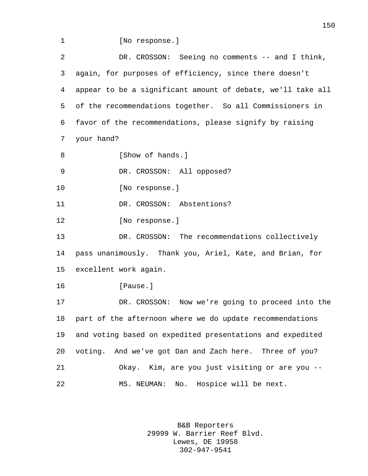1 [No response.] DR. CROSSON: Seeing no comments -- and I think, again, for purposes of efficiency, since there doesn't appear to be a significant amount of debate, we'll take all of the recommendations together. So all Commissioners in favor of the recommendations, please signify by raising your hand? 8 [Show of hands.] 9 DR. CROSSON: All opposed? 10 [No response.] DR. CROSSON: Abstentions? [No response.] DR. CROSSON: The recommendations collectively pass unanimously. Thank you, Ariel, Kate, and Brian, for excellent work again. [Pause.] DR. CROSSON: Now we're going to proceed into the part of the afternoon where we do update recommendations and voting based on expedited presentations and expedited voting. And we've got Dan and Zach here. Three of you? Okay. Kim, are you just visiting or are you -- MS. NEUMAN: No. Hospice will be next.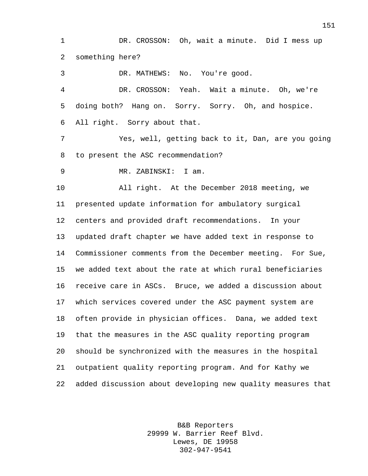DR. CROSSON: Oh, wait a minute. Did I mess up something here?

 DR. MATHEWS: No. You're good. DR. CROSSON: Yeah. Wait a minute. Oh, we're doing both? Hang on. Sorry. Sorry. Oh, and hospice. All right. Sorry about that. Yes, well, getting back to it, Dan, are you going to present the ASC recommendation? MR. ZABINSKI: I am. All right. At the December 2018 meeting, we presented update information for ambulatory surgical centers and provided draft recommendations. In your

 updated draft chapter we have added text in response to Commissioner comments from the December meeting. For Sue, we added text about the rate at which rural beneficiaries receive care in ASCs. Bruce, we added a discussion about which services covered under the ASC payment system are often provide in physician offices. Dana, we added text that the measures in the ASC quality reporting program should be synchronized with the measures in the hospital outpatient quality reporting program. And for Kathy we added discussion about developing new quality measures that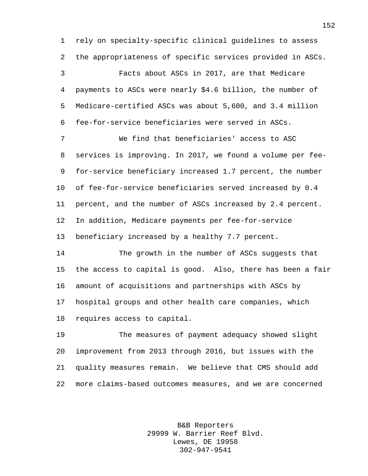rely on specialty-specific clinical guidelines to assess the appropriateness of specific services provided in ASCs.

 Facts about ASCs in 2017, are that Medicare payments to ASCs were nearly \$4.6 billion, the number of Medicare-certified ASCs was about 5,600, and 3.4 million fee-for-service beneficiaries were served in ASCs.

 We find that beneficiaries' access to ASC services is improving. In 2017, we found a volume per fee- for-service beneficiary increased 1.7 percent, the number of fee-for-service beneficiaries served increased by 0.4 percent, and the number of ASCs increased by 2.4 percent. In addition, Medicare payments per fee-for-service beneficiary increased by a healthy 7.7 percent.

 The growth in the number of ASCs suggests that the access to capital is good. Also, there has been a fair amount of acquisitions and partnerships with ASCs by hospital groups and other health care companies, which requires access to capital.

 The measures of payment adequacy showed slight improvement from 2013 through 2016, but issues with the quality measures remain. We believe that CMS should add more claims-based outcomes measures, and we are concerned

> B&B Reporters 29999 W. Barrier Reef Blvd. Lewes, DE 19958 302-947-9541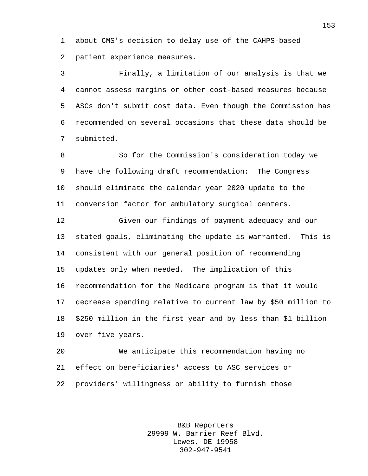about CMS's decision to delay use of the CAHPS-based patient experience measures.

 Finally, a limitation of our analysis is that we cannot assess margins or other cost-based measures because ASCs don't submit cost data. Even though the Commission has recommended on several occasions that these data should be submitted.

 So for the Commission's consideration today we have the following draft recommendation: The Congress should eliminate the calendar year 2020 update to the conversion factor for ambulatory surgical centers.

 Given our findings of payment adequacy and our stated goals, eliminating the update is warranted. This is consistent with our general position of recommending updates only when needed. The implication of this recommendation for the Medicare program is that it would decrease spending relative to current law by \$50 million to \$250 million in the first year and by less than \$1 billion over five years.

 We anticipate this recommendation having no effect on beneficiaries' access to ASC services or providers' willingness or ability to furnish those

> B&B Reporters 29999 W. Barrier Reef Blvd. Lewes, DE 19958 302-947-9541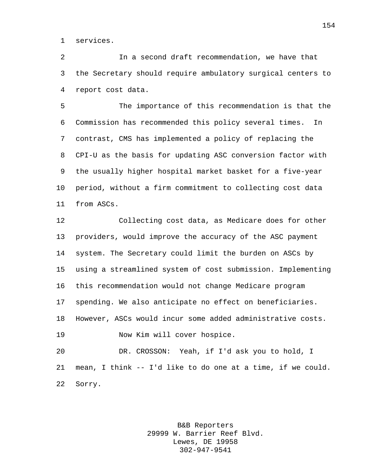services.

 In a second draft recommendation, we have that the Secretary should require ambulatory surgical centers to report cost data.

 The importance of this recommendation is that the Commission has recommended this policy several times. In contrast, CMS has implemented a policy of replacing the CPI-U as the basis for updating ASC conversion factor with the usually higher hospital market basket for a five-year period, without a firm commitment to collecting cost data from ASCs.

 Collecting cost data, as Medicare does for other providers, would improve the accuracy of the ASC payment system. The Secretary could limit the burden on ASCs by using a streamlined system of cost submission. Implementing this recommendation would not change Medicare program spending. We also anticipate no effect on beneficiaries. However, ASCs would incur some added administrative costs. Now Kim will cover hospice. DR. CROSSON: Yeah, if I'd ask you to hold, I

 mean, I think -- I'd like to do one at a time, if we could. Sorry.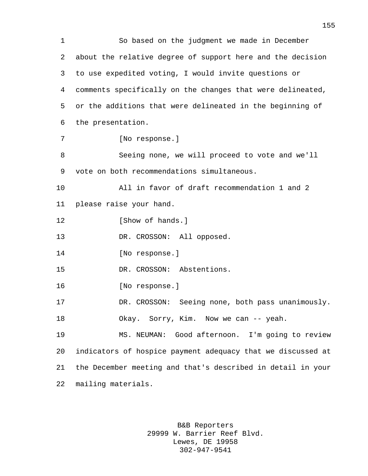So based on the judgment we made in December about the relative degree of support here and the decision to use expedited voting, I would invite questions or comments specifically on the changes that were delineated, or the additions that were delineated in the beginning of the presentation. [No response.] Seeing none, we will proceed to vote and we'll vote on both recommendations simultaneous. All in favor of draft recommendation 1 and 2 please raise your hand. 12 [Show of hands.] 13 DR. CROSSON: All opposed. 14 [No response.] DR. CROSSON: Abstentions. [No response.] DR. CROSSON: Seeing none, both pass unanimously. 18 Okay. Sorry, Kim. Now we can -- yeah. MS. NEUMAN: Good afternoon. I'm going to review indicators of hospice payment adequacy that we discussed at the December meeting and that's described in detail in your mailing materials.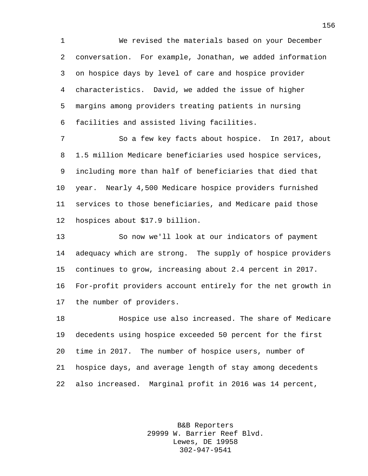We revised the materials based on your December conversation. For example, Jonathan, we added information on hospice days by level of care and hospice provider characteristics. David, we added the issue of higher margins among providers treating patients in nursing facilities and assisted living facilities.

 So a few key facts about hospice. In 2017, about 1.5 million Medicare beneficiaries used hospice services, including more than half of beneficiaries that died that year. Nearly 4,500 Medicare hospice providers furnished services to those beneficiaries, and Medicare paid those hospices about \$17.9 billion.

 So now we'll look at our indicators of payment adequacy which are strong. The supply of hospice providers continues to grow, increasing about 2.4 percent in 2017. For-profit providers account entirely for the net growth in the number of providers.

 Hospice use also increased. The share of Medicare decedents using hospice exceeded 50 percent for the first time in 2017. The number of hospice users, number of hospice days, and average length of stay among decedents also increased. Marginal profit in 2016 was 14 percent,

> B&B Reporters 29999 W. Barrier Reef Blvd. Lewes, DE 19958 302-947-9541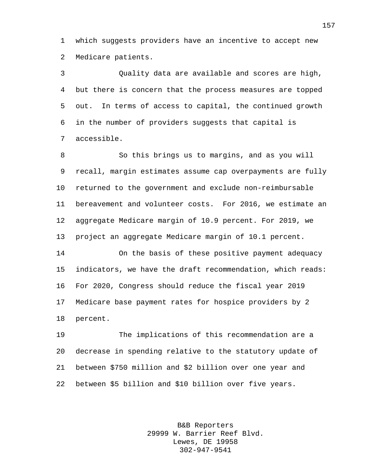which suggests providers have an incentive to accept new Medicare patients.

 Quality data are available and scores are high, but there is concern that the process measures are topped out. In terms of access to capital, the continued growth in the number of providers suggests that capital is accessible.

 So this brings us to margins, and as you will recall, margin estimates assume cap overpayments are fully returned to the government and exclude non-reimbursable bereavement and volunteer costs. For 2016, we estimate an aggregate Medicare margin of 10.9 percent. For 2019, we project an aggregate Medicare margin of 10.1 percent.

 On the basis of these positive payment adequacy indicators, we have the draft recommendation, which reads: For 2020, Congress should reduce the fiscal year 2019 Medicare base payment rates for hospice providers by 2 percent.

 The implications of this recommendation are a decrease in spending relative to the statutory update of between \$750 million and \$2 billion over one year and between \$5 billion and \$10 billion over five years.

> B&B Reporters 29999 W. Barrier Reef Blvd. Lewes, DE 19958 302-947-9541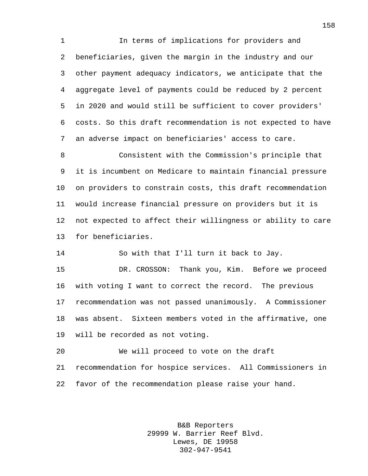In terms of implications for providers and beneficiaries, given the margin in the industry and our other payment adequacy indicators, we anticipate that the aggregate level of payments could be reduced by 2 percent in 2020 and would still be sufficient to cover providers' costs. So this draft recommendation is not expected to have an adverse impact on beneficiaries' access to care.

 Consistent with the Commission's principle that it is incumbent on Medicare to maintain financial pressure on providers to constrain costs, this draft recommendation would increase financial pressure on providers but it is not expected to affect their willingness or ability to care for beneficiaries.

So with that I'll turn it back to Jay.

 DR. CROSSON: Thank you, Kim. Before we proceed with voting I want to correct the record. The previous recommendation was not passed unanimously. A Commissioner was absent. Sixteen members voted in the affirmative, one will be recorded as not voting.

 We will proceed to vote on the draft recommendation for hospice services. All Commissioners in favor of the recommendation please raise your hand.

> B&B Reporters 29999 W. Barrier Reef Blvd. Lewes, DE 19958 302-947-9541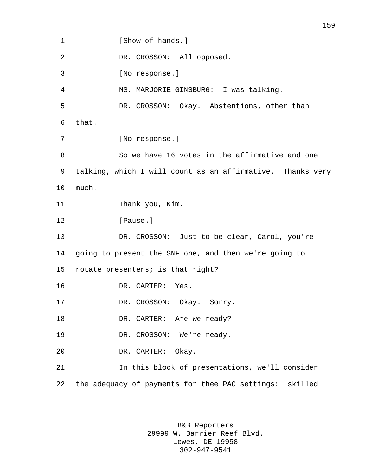1 [Show of hands.] DR. CROSSON: All opposed. [No response.] MS. MARJORIE GINSBURG: I was talking. DR. CROSSON: Okay. Abstentions, other than that. [No response.] So we have 16 votes in the affirmative and one talking, which I will count as an affirmative. Thanks very much. Thank you, Kim. **I**Pause. DR. CROSSON: Just to be clear, Carol, you're going to present the SNF one, and then we're going to rotate presenters; is that right? DR. CARTER: Yes. DR. CROSSON: Okay. Sorry. 18 DR. CARTER: Are we ready? 19 DR. CROSSON: We're ready. DR. CARTER: Okay. In this block of presentations, we'll consider the adequacy of payments for thee PAC settings: skilled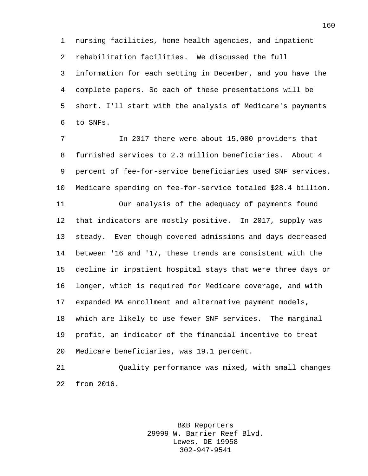nursing facilities, home health agencies, and inpatient rehabilitation facilities. We discussed the full information for each setting in December, and you have the complete papers. So each of these presentations will be short. I'll start with the analysis of Medicare's payments to SNFs.

 In 2017 there were about 15,000 providers that furnished services to 2.3 million beneficiaries. About 4 percent of fee-for-service beneficiaries used SNF services. Medicare spending on fee-for-service totaled \$28.4 billion.

 Our analysis of the adequacy of payments found that indicators are mostly positive. In 2017, supply was steady. Even though covered admissions and days decreased between '16 and '17, these trends are consistent with the decline in inpatient hospital stays that were three days or longer, which is required for Medicare coverage, and with expanded MA enrollment and alternative payment models, which are likely to use fewer SNF services. The marginal profit, an indicator of the financial incentive to treat Medicare beneficiaries, was 19.1 percent.

 Quality performance was mixed, with small changes from 2016.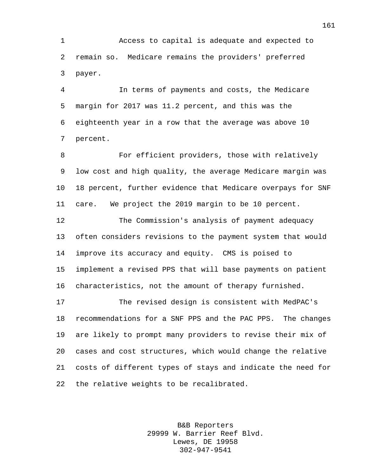Access to capital is adequate and expected to remain so. Medicare remains the providers' preferred payer.

 In terms of payments and costs, the Medicare margin for 2017 was 11.2 percent, and this was the eighteenth year in a row that the average was above 10 percent.

 For efficient providers, those with relatively low cost and high quality, the average Medicare margin was 18 percent, further evidence that Medicare overpays for SNF care. We project the 2019 margin to be 10 percent.

 The Commission's analysis of payment adequacy often considers revisions to the payment system that would improve its accuracy and equity. CMS is poised to implement a revised PPS that will base payments on patient characteristics, not the amount of therapy furnished.

 The revised design is consistent with MedPAC's recommendations for a SNF PPS and the PAC PPS. The changes are likely to prompt many providers to revise their mix of cases and cost structures, which would change the relative costs of different types of stays and indicate the need for the relative weights to be recalibrated.

> B&B Reporters 29999 W. Barrier Reef Blvd. Lewes, DE 19958 302-947-9541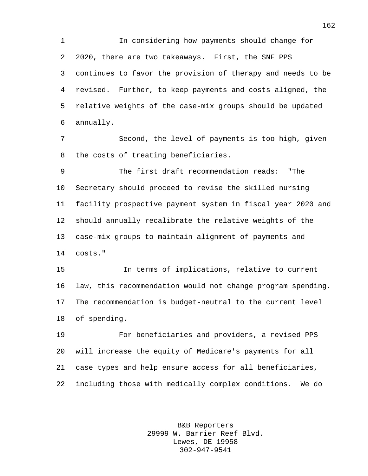In considering how payments should change for 2020, there are two takeaways. First, the SNF PPS continues to favor the provision of therapy and needs to be revised. Further, to keep payments and costs aligned, the relative weights of the case-mix groups should be updated annually.

 Second, the level of payments is too high, given the costs of treating beneficiaries.

 The first draft recommendation reads: "The Secretary should proceed to revise the skilled nursing facility prospective payment system in fiscal year 2020 and should annually recalibrate the relative weights of the case-mix groups to maintain alignment of payments and costs."

 In terms of implications, relative to current law, this recommendation would not change program spending. The recommendation is budget-neutral to the current level of spending.

 For beneficiaries and providers, a revised PPS will increase the equity of Medicare's payments for all case types and help ensure access for all beneficiaries, including those with medically complex conditions. We do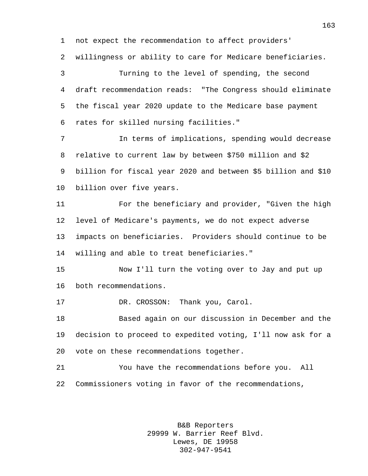not expect the recommendation to affect providers'

willingness or ability to care for Medicare beneficiaries.

 Turning to the level of spending, the second draft recommendation reads: "The Congress should eliminate the fiscal year 2020 update to the Medicare base payment rates for skilled nursing facilities."

 In terms of implications, spending would decrease relative to current law by between \$750 million and \$2 billion for fiscal year 2020 and between \$5 billion and \$10 billion over five years.

 For the beneficiary and provider, "Given the high level of Medicare's payments, we do not expect adverse impacts on beneficiaries. Providers should continue to be willing and able to treat beneficiaries."

 Now I'll turn the voting over to Jay and put up both recommendations.

17 DR. CROSSON: Thank you, Carol.

 Based again on our discussion in December and the decision to proceed to expedited voting, I'll now ask for a vote on these recommendations together.

 You have the recommendations before you. All Commissioners voting in favor of the recommendations,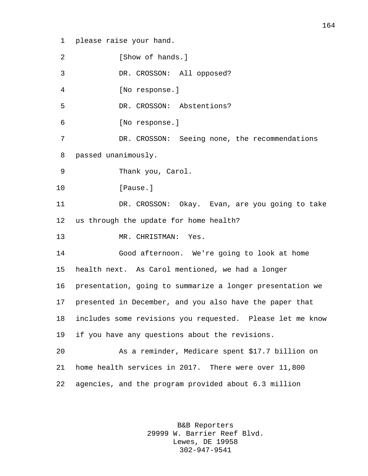please raise your hand.

**I** Show of hands. DR. CROSSON: All opposed? [No response.] DR. CROSSON: Abstentions? [No response.] DR. CROSSON: Seeing none, the recommendations passed unanimously. Thank you, Carol. 10 [Pause.] DR. CROSSON: Okay. Evan, are you going to take us through the update for home health? MR. CHRISTMAN: Yes. Good afternoon. We're going to look at home health next. As Carol mentioned, we had a longer presentation, going to summarize a longer presentation we presented in December, and you also have the paper that includes some revisions you requested. Please let me know if you have any questions about the revisions. As a reminder, Medicare spent \$17.7 billion on home health services in 2017. There were over 11,800 agencies, and the program provided about 6.3 million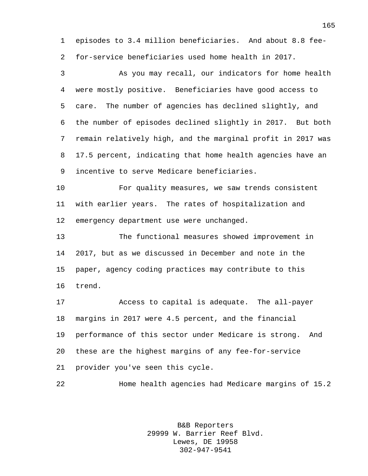episodes to 3.4 million beneficiaries. And about 8.8 fee-for-service beneficiaries used home health in 2017.

 As you may recall, our indicators for home health were mostly positive. Beneficiaries have good access to care. The number of agencies has declined slightly, and the number of episodes declined slightly in 2017. But both remain relatively high, and the marginal profit in 2017 was 17.5 percent, indicating that home health agencies have an incentive to serve Medicare beneficiaries.

 For quality measures, we saw trends consistent with earlier years. The rates of hospitalization and emergency department use were unchanged.

 The functional measures showed improvement in 2017, but as we discussed in December and note in the paper, agency coding practices may contribute to this trend.

 Access to capital is adequate. The all-payer margins in 2017 were 4.5 percent, and the financial performance of this sector under Medicare is strong. And these are the highest margins of any fee-for-service provider you've seen this cycle.

Home health agencies had Medicare margins of 15.2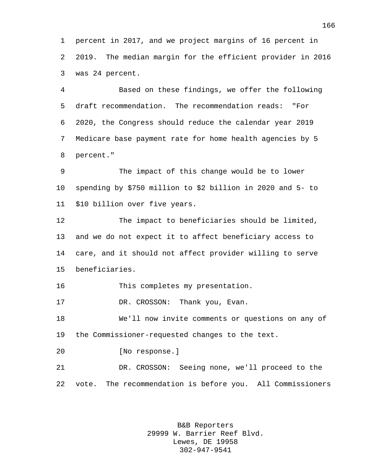percent in 2017, and we project margins of 16 percent in 2019. The median margin for the efficient provider in 2016 was 24 percent.

 Based on these findings, we offer the following draft recommendation. The recommendation reads: "For 2020, the Congress should reduce the calendar year 2019 Medicare base payment rate for home health agencies by 5 percent."

 The impact of this change would be to lower spending by \$750 million to \$2 billion in 2020 and 5- to \$10 billion over five years.

 The impact to beneficiaries should be limited, and we do not expect it to affect beneficiary access to care, and it should not affect provider willing to serve beneficiaries.

This completes my presentation.

DR. CROSSON: Thank you, Evan.

 We'll now invite comments or questions on any of the Commissioner-requested changes to the text.

[No response.]

 DR. CROSSON: Seeing none, we'll proceed to the vote. The recommendation is before you. All Commissioners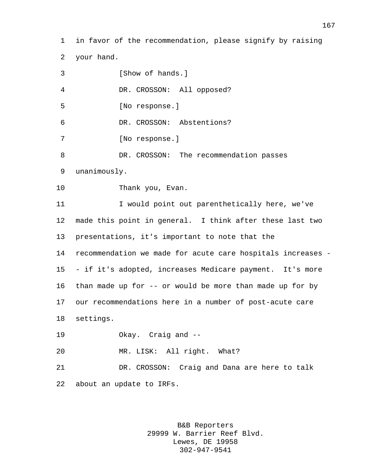in favor of the recommendation, please signify by raising your hand.

3 [Show of hands.] DR. CROSSON: All opposed? [No response.] DR. CROSSON: Abstentions? [No response.] DR. CROSSON: The recommendation passes unanimously. 10 Thank you, Evan. I would point out parenthetically here, we've made this point in general. I think after these last two presentations, it's important to note that the recommendation we made for acute care hospitals increases - - if it's adopted, increases Medicare payment. It's more than made up for -- or would be more than made up for by our recommendations here in a number of post-acute care settings. Okay. Craig and -- MR. LISK: All right. What? DR. CROSSON: Craig and Dana are here to talk about an update to IRFs.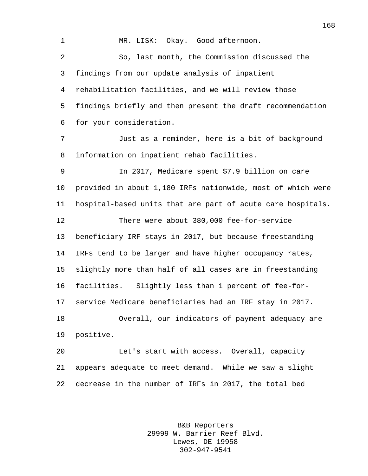MR. LISK: Okay. Good afternoon. So, last month, the Commission discussed the findings from our update analysis of inpatient rehabilitation facilities, and we will review those findings briefly and then present the draft recommendation for your consideration. Just as a reminder, here is a bit of background information on inpatient rehab facilities. In 2017, Medicare spent \$7.9 billion on care provided in about 1,180 IRFs nationwide, most of which were hospital-based units that are part of acute care hospitals. There were about 380,000 fee-for-service beneficiary IRF stays in 2017, but because freestanding IRFs tend to be larger and have higher occupancy rates, slightly more than half of all cases are in freestanding facilities. Slightly less than 1 percent of fee-for- service Medicare beneficiaries had an IRF stay in 2017. Overall, our indicators of payment adequacy are positive. Let's start with access. Overall, capacity appears adequate to meet demand. While we saw a slight decrease in the number of IRFs in 2017, the total bed

> B&B Reporters 29999 W. Barrier Reef Blvd. Lewes, DE 19958 302-947-9541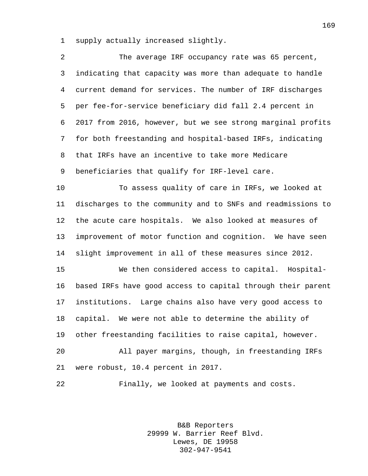supply actually increased slightly.

| 2              | The average IRF occupancy rate was 65 percent,              |
|----------------|-------------------------------------------------------------|
| 3              | indicating that capacity was more than adequate to handle   |
| $\overline{4}$ | current demand for services. The number of IRF discharges   |
| 5              | per fee-for-service beneficiary did fall 2.4 percent in     |
| 6              | 2017 from 2016, however, but we see strong marginal profits |
| 7              | for both freestanding and hospital-based IRFs, indicating   |
| 8              | that IRFs have an incentive to take more Medicare           |
| 9              | beneficiaries that qualify for IRF-level care.              |
| 10             | To assess quality of care in IRFs, we looked at             |
| 11             | discharges to the community and to SNFs and readmissions to |
| 12             | the acute care hospitals. We also looked at measures of     |
| 13             | improvement of motor function and cognition. We have seen   |
| 14             | slight improvement in all of these measures since 2012.     |
| 15             | We then considered access to capital. Hospital-             |
| 16             | based IRFs have good access to capital through their parent |
| 17             | institutions. Large chains also have very good access to    |
| 18             | capital. We were not able to determine the ability of       |
| 19             | other freestanding facilities to raise capital, however.    |
| 20             | All payer margins, though, in freestanding IRFs             |
| 21             | were robust, 10.4 percent in 2017.                          |
| 22             | Finally, we looked at payments and costs.                   |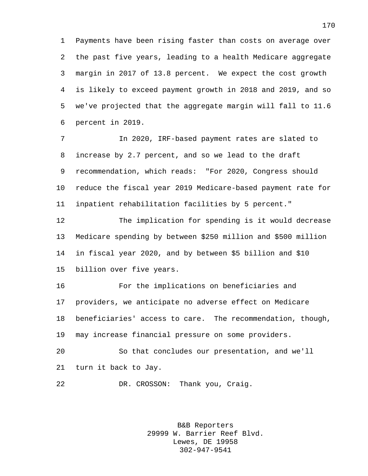Payments have been rising faster than costs on average over the past five years, leading to a health Medicare aggregate margin in 2017 of 13.8 percent. We expect the cost growth is likely to exceed payment growth in 2018 and 2019, and so we've projected that the aggregate margin will fall to 11.6 percent in 2019.

 In 2020, IRF-based payment rates are slated to increase by 2.7 percent, and so we lead to the draft recommendation, which reads: "For 2020, Congress should reduce the fiscal year 2019 Medicare-based payment rate for inpatient rehabilitation facilities by 5 percent."

 The implication for spending is it would decrease Medicare spending by between \$250 million and \$500 million in fiscal year 2020, and by between \$5 billion and \$10 billion over five years.

 For the implications on beneficiaries and providers, we anticipate no adverse effect on Medicare beneficiaries' access to care. The recommendation, though, may increase financial pressure on some providers. So that concludes our presentation, and we'll

turn it back to Jay.

DR. CROSSON: Thank you, Craig.

B&B Reporters 29999 W. Barrier Reef Blvd. Lewes, DE 19958 302-947-9541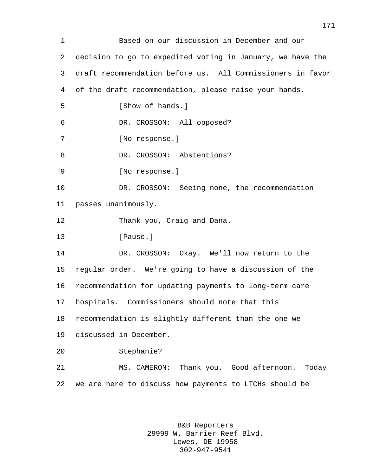Based on our discussion in December and our decision to go to expedited voting in January, we have the draft recommendation before us. All Commissioners in favor of the draft recommendation, please raise your hands. 5 [Show of hands.] DR. CROSSON: All opposed? [No response.] 8 DR. CROSSON: Abstentions? [No response.] 10 DR. CROSSON: Seeing none, the recommendation passes unanimously. Thank you, Craig and Dana. 13 [Pause.] DR. CROSSON: Okay. We'll now return to the regular order. We're going to have a discussion of the recommendation for updating payments to long-term care hospitals. Commissioners should note that this recommendation is slightly different than the one we discussed in December. Stephanie? MS. CAMERON: Thank you. Good afternoon. Today we are here to discuss how payments to LTCHs should be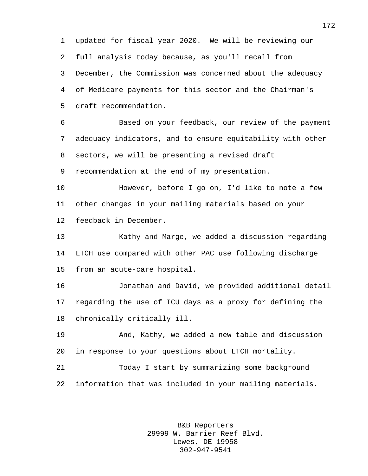updated for fiscal year 2020. We will be reviewing our full analysis today because, as you'll recall from December, the Commission was concerned about the adequacy of Medicare payments for this sector and the Chairman's draft recommendation.

 Based on your feedback, our review of the payment adequacy indicators, and to ensure equitability with other sectors, we will be presenting a revised draft

recommendation at the end of my presentation.

 However, before I go on, I'd like to note a few other changes in your mailing materials based on your feedback in December.

 Kathy and Marge, we added a discussion regarding LTCH use compared with other PAC use following discharge from an acute-care hospital.

 Jonathan and David, we provided additional detail regarding the use of ICU days as a proxy for defining the chronically critically ill.

 And, Kathy, we added a new table and discussion in response to your questions about LTCH mortality.

 Today I start by summarizing some background information that was included in your mailing materials.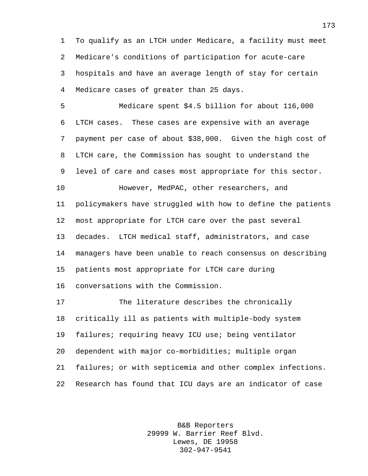To qualify as an LTCH under Medicare, a facility must meet Medicare's conditions of participation for acute-care hospitals and have an average length of stay for certain Medicare cases of greater than 25 days.

 Medicare spent \$4.5 billion for about 116,000 LTCH cases. These cases are expensive with an average payment per case of about \$38,000. Given the high cost of LTCH care, the Commission has sought to understand the level of care and cases most appropriate for this sector.

 However, MedPAC, other researchers, and policymakers have struggled with how to define the patients most appropriate for LTCH care over the past several decades. LTCH medical staff, administrators, and case managers have been unable to reach consensus on describing patients most appropriate for LTCH care during conversations with the Commission.

 The literature describes the chronically critically ill as patients with multiple-body system failures; requiring heavy ICU use; being ventilator dependent with major co-morbidities; multiple organ failures; or with septicemia and other complex infections. Research has found that ICU days are an indicator of case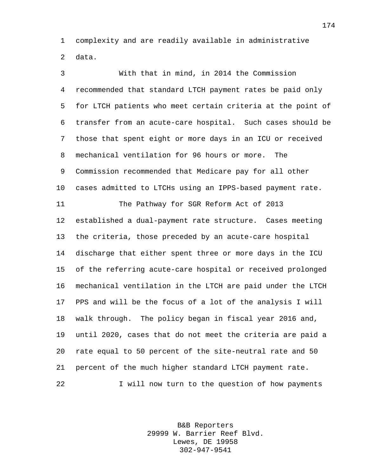complexity and are readily available in administrative data.

 With that in mind, in 2014 the Commission recommended that standard LTCH payment rates be paid only for LTCH patients who meet certain criteria at the point of transfer from an acute-care hospital. Such cases should be those that spent eight or more days in an ICU or received mechanical ventilation for 96 hours or more. The Commission recommended that Medicare pay for all other cases admitted to LTCHs using an IPPS-based payment rate. The Pathway for SGR Reform Act of 2013 established a dual-payment rate structure. Cases meeting the criteria, those preceded by an acute-care hospital discharge that either spent three or more days in the ICU of the referring acute-care hospital or received prolonged mechanical ventilation in the LTCH are paid under the LTCH PPS and will be the focus of a lot of the analysis I will walk through. The policy began in fiscal year 2016 and, until 2020, cases that do not meet the criteria are paid a rate equal to 50 percent of the site-neutral rate and 50 percent of the much higher standard LTCH payment rate. I will now turn to the question of how payments

> B&B Reporters 29999 W. Barrier Reef Blvd. Lewes, DE 19958 302-947-9541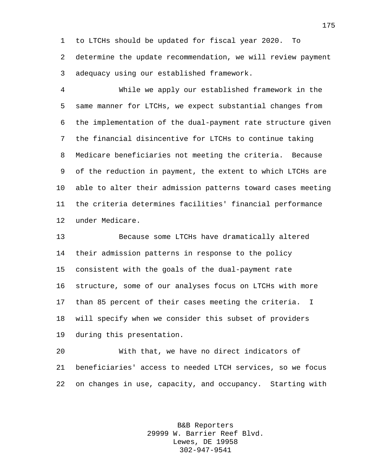to LTCHs should be updated for fiscal year 2020. To determine the update recommendation, we will review payment adequacy using our established framework.

 While we apply our established framework in the same manner for LTCHs, we expect substantial changes from the implementation of the dual-payment rate structure given the financial disincentive for LTCHs to continue taking Medicare beneficiaries not meeting the criteria. Because of the reduction in payment, the extent to which LTCHs are able to alter their admission patterns toward cases meeting the criteria determines facilities' financial performance under Medicare.

 Because some LTCHs have dramatically altered their admission patterns in response to the policy consistent with the goals of the dual-payment rate structure, some of our analyses focus on LTCHs with more than 85 percent of their cases meeting the criteria. I will specify when we consider this subset of providers during this presentation.

 With that, we have no direct indicators of beneficiaries' access to needed LTCH services, so we focus on changes in use, capacity, and occupancy. Starting with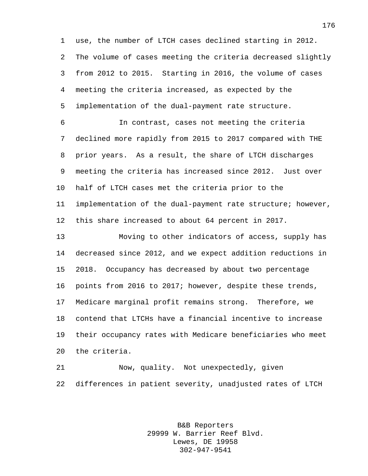use, the number of LTCH cases declined starting in 2012. The volume of cases meeting the criteria decreased slightly from 2012 to 2015. Starting in 2016, the volume of cases meeting the criteria increased, as expected by the implementation of the dual-payment rate structure.

 In contrast, cases not meeting the criteria declined more rapidly from 2015 to 2017 compared with THE prior years. As a result, the share of LTCH discharges meeting the criteria has increased since 2012. Just over half of LTCH cases met the criteria prior to the implementation of the dual-payment rate structure; however, this share increased to about 64 percent in 2017.

 Moving to other indicators of access, supply has decreased since 2012, and we expect addition reductions in 2018. Occupancy has decreased by about two percentage points from 2016 to 2017; however, despite these trends, Medicare marginal profit remains strong. Therefore, we contend that LTCHs have a financial incentive to increase their occupancy rates with Medicare beneficiaries who meet the criteria.

 Now, quality. Not unexpectedly, given differences in patient severity, unadjusted rates of LTCH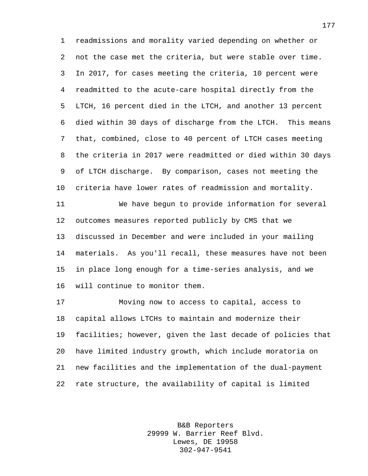readmissions and morality varied depending on whether or not the case met the criteria, but were stable over time. In 2017, for cases meeting the criteria, 10 percent were readmitted to the acute-care hospital directly from the LTCH, 16 percent died in the LTCH, and another 13 percent died within 30 days of discharge from the LTCH. This means that, combined, close to 40 percent of LTCH cases meeting the criteria in 2017 were readmitted or died within 30 days of LTCH discharge. By comparison, cases not meeting the criteria have lower rates of readmission and mortality.

 We have begun to provide information for several outcomes measures reported publicly by CMS that we discussed in December and were included in your mailing materials. As you'll recall, these measures have not been in place long enough for a time-series analysis, and we will continue to monitor them.

 Moving now to access to capital, access to capital allows LTCHs to maintain and modernize their facilities; however, given the last decade of policies that have limited industry growth, which include moratoria on new facilities and the implementation of the dual-payment rate structure, the availability of capital is limited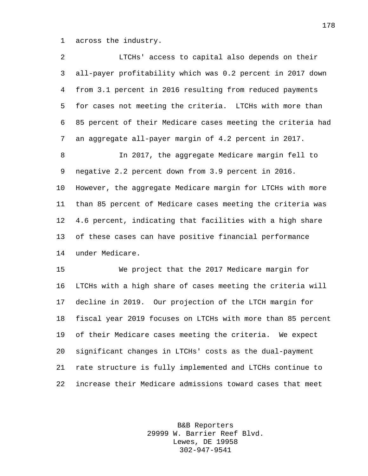across the industry.

| 2              | LTCHs' access to capital also depends on their              |
|----------------|-------------------------------------------------------------|
| 3              | all-payer profitability which was 0.2 percent in 2017 down  |
| $\overline{4}$ | from 3.1 percent in 2016 resulting from reduced payments    |
| 5              | for cases not meeting the criteria. LTCHs with more than    |
| 6              | 85 percent of their Medicare cases meeting the criteria had |
| 7              | an aggregate all-payer margin of 4.2 percent in 2017.       |
| $\,8\,$        | In 2017, the aggregate Medicare margin fell to              |
| 9              | negative 2.2 percent down from 3.9 percent in 2016.         |
| 10             | However, the aggregate Medicare margin for LTCHs with more  |
| 11             | than 85 percent of Medicare cases meeting the criteria was  |
| 12             | 4.6 percent, indicating that facilities with a high share   |
| 13             | of these cases can have positive financial performance      |
| 14             | under Medicare.                                             |
| 15             | We project that the 2017 Medicare margin for                |
| 16             | LTCHs with a high share of cases meeting the criteria will  |
| 17             | decline in 2019. Our projection of the LTCH margin for      |
| 18             | fiscal year 2019 focuses on LTCHs with more than 85 percent |
| 19             | of their Medicare cases meeting the criteria. We expect     |
| 20             | significant changes in LTCHs' costs as the dual-payment     |
| 21             | rate structure is fully implemented and LTCHs continue to   |
| 22             | increase their Medicare admissions toward cases that meet   |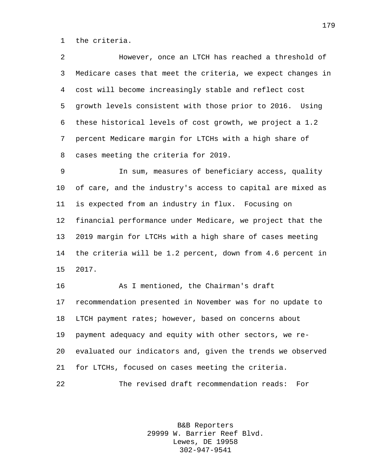the criteria.

 However, once an LTCH has reached a threshold of Medicare cases that meet the criteria, we expect changes in cost will become increasingly stable and reflect cost growth levels consistent with those prior to 2016. Using these historical levels of cost growth, we project a 1.2 percent Medicare margin for LTCHs with a high share of cases meeting the criteria for 2019.

 In sum, measures of beneficiary access, quality of care, and the industry's access to capital are mixed as is expected from an industry in flux. Focusing on financial performance under Medicare, we project that the 2019 margin for LTCHs with a high share of cases meeting the criteria will be 1.2 percent, down from 4.6 percent in 2017.

 As I mentioned, the Chairman's draft recommendation presented in November was for no update to LTCH payment rates; however, based on concerns about payment adequacy and equity with other sectors, we re- evaluated our indicators and, given the trends we observed for LTCHs, focused on cases meeting the criteria. The revised draft recommendation reads: For

> B&B Reporters 29999 W. Barrier Reef Blvd. Lewes, DE 19958 302-947-9541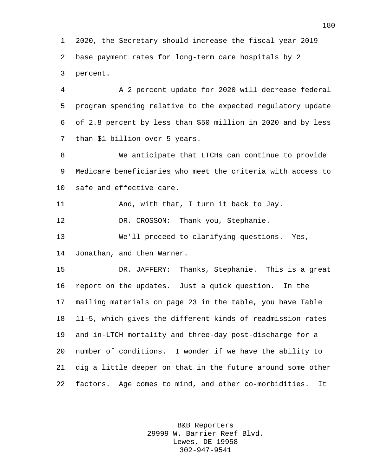2020, the Secretary should increase the fiscal year 2019 base payment rates for long-term care hospitals by 2 percent.

 A 2 percent update for 2020 will decrease federal program spending relative to the expected regulatory update of 2.8 percent by less than \$50 million in 2020 and by less than \$1 billion over 5 years.

 We anticipate that LTCHs can continue to provide Medicare beneficiaries who meet the criteria with access to safe and effective care.

And, with that, I turn it back to Jay.

12 DR. CROSSON: Thank you, Stephanie.

 We'll proceed to clarifying questions. Yes, Jonathan, and then Warner.

 DR. JAFFERY: Thanks, Stephanie. This is a great report on the updates. Just a quick question. In the mailing materials on page 23 in the table, you have Table 11-5, which gives the different kinds of readmission rates and in-LTCH mortality and three-day post-discharge for a number of conditions. I wonder if we have the ability to dig a little deeper on that in the future around some other factors. Age comes to mind, and other co-morbidities. It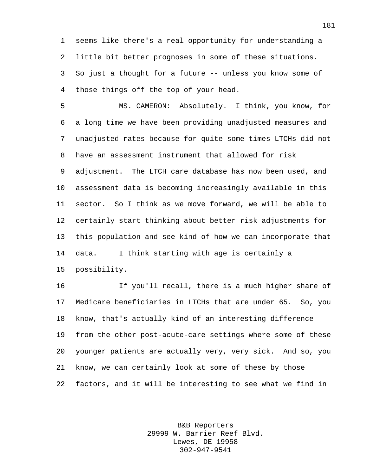seems like there's a real opportunity for understanding a little bit better prognoses in some of these situations. So just a thought for a future -- unless you know some of those things off the top of your head.

 MS. CAMERON: Absolutely. I think, you know, for a long time we have been providing unadjusted measures and unadjusted rates because for quite some times LTCHs did not have an assessment instrument that allowed for risk adjustment. The LTCH care database has now been used, and assessment data is becoming increasingly available in this sector. So I think as we move forward, we will be able to certainly start thinking about better risk adjustments for this population and see kind of how we can incorporate that data. I think starting with age is certainly a possibility.

 If you'll recall, there is a much higher share of Medicare beneficiaries in LTCHs that are under 65. So, you know, that's actually kind of an interesting difference from the other post-acute-care settings where some of these younger patients are actually very, very sick. And so, you know, we can certainly look at some of these by those factors, and it will be interesting to see what we find in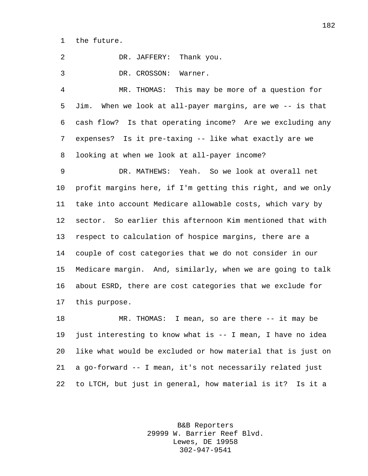the future.

 DR. JAFFERY: Thank you. DR. CROSSON: Warner. MR. THOMAS: This may be more of a question for Jim. When we look at all-payer margins, are we -- is that cash flow? Is that operating income? Are we excluding any expenses? Is it pre-taxing -- like what exactly are we looking at when we look at all-payer income? DR. MATHEWS: Yeah. So we look at overall net profit margins here, if I'm getting this right, and we only take into account Medicare allowable costs, which vary by sector. So earlier this afternoon Kim mentioned that with respect to calculation of hospice margins, there are a couple of cost categories that we do not consider in our Medicare margin. And, similarly, when we are going to talk about ESRD, there are cost categories that we exclude for this purpose.

 MR. THOMAS: I mean, so are there -- it may be just interesting to know what is -- I mean, I have no idea like what would be excluded or how material that is just on a go-forward -- I mean, it's not necessarily related just to LTCH, but just in general, how material is it? Is it a

> B&B Reporters 29999 W. Barrier Reef Blvd. Lewes, DE 19958 302-947-9541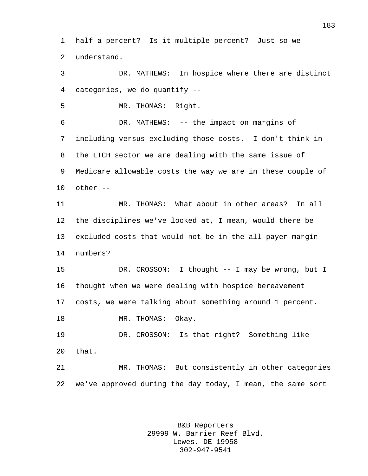half a percent? Is it multiple percent? Just so we understand.

 DR. MATHEWS: In hospice where there are distinct categories, we do quantify --

MR. THOMAS: Right.

 DR. MATHEWS: -- the impact on margins of including versus excluding those costs. I don't think in the LTCH sector we are dealing with the same issue of Medicare allowable costs the way we are in these couple of other --

 MR. THOMAS: What about in other areas? In all the disciplines we've looked at, I mean, would there be excluded costs that would not be in the all-payer margin numbers?

 DR. CROSSON: I thought -- I may be wrong, but I thought when we were dealing with hospice bereavement costs, we were talking about something around 1 percent. 18 MR. THOMAS: Okay.

 DR. CROSSON: Is that right? Something like that.

 MR. THOMAS: But consistently in other categories we've approved during the day today, I mean, the same sort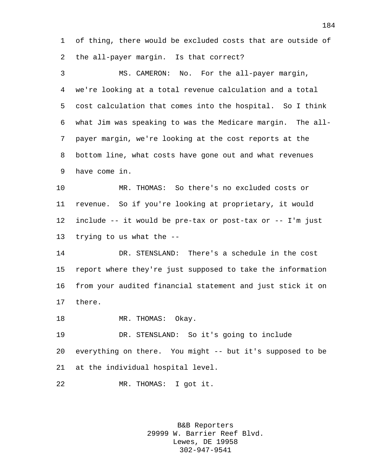of thing, there would be excluded costs that are outside of the all-payer margin. Is that correct?

 MS. CAMERON: No. For the all-payer margin, we're looking at a total revenue calculation and a total cost calculation that comes into the hospital. So I think what Jim was speaking to was the Medicare margin. The all- payer margin, we're looking at the cost reports at the bottom line, what costs have gone out and what revenues have come in.

 MR. THOMAS: So there's no excluded costs or revenue. So if you're looking at proprietary, it would include -- it would be pre-tax or post-tax or -- I'm just trying to us what the --

 DR. STENSLAND: There's a schedule in the cost report where they're just supposed to take the information from your audited financial statement and just stick it on there.

18 MR. THOMAS: Okay.

 DR. STENSLAND: So it's going to include everything on there. You might -- but it's supposed to be at the individual hospital level.

MR. THOMAS: I got it.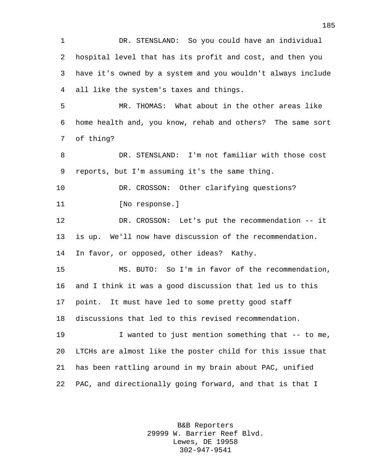DR. STENSLAND: So you could have an individual hospital level that has its profit and cost, and then you have it's owned by a system and you wouldn't always include all like the system's taxes and things.

 MR. THOMAS: What about in the other areas like home health and, you know, rehab and others? The same sort of thing?

 DR. STENSLAND: I'm not familiar with those cost reports, but I'm assuming it's the same thing.

10 DR. CROSSON: Other clarifying questions? 11 [No response.]

 DR. CROSSON: Let's put the recommendation -- it is up. We'll now have discussion of the recommendation. In favor, or opposed, other ideas? Kathy.

 MS. BUTO: So I'm in favor of the recommendation, and I think it was a good discussion that led us to this point. It must have led to some pretty good staff discussions that led to this revised recommendation.

 I wanted to just mention something that -- to me, LTCHs are almost like the poster child for this issue that has been rattling around in my brain about PAC, unified PAC, and directionally going forward, and that is that I

> B&B Reporters 29999 W. Barrier Reef Blvd. Lewes, DE 19958 302-947-9541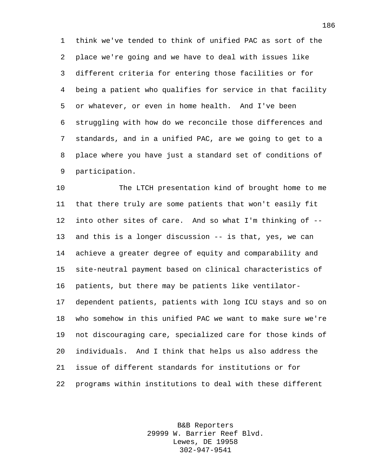think we've tended to think of unified PAC as sort of the place we're going and we have to deal with issues like different criteria for entering those facilities or for being a patient who qualifies for service in that facility or whatever, or even in home health. And I've been struggling with how do we reconcile those differences and standards, and in a unified PAC, are we going to get to a place where you have just a standard set of conditions of participation.

 The LTCH presentation kind of brought home to me that there truly are some patients that won't easily fit into other sites of care. And so what I'm thinking of -- and this is a longer discussion -- is that, yes, we can achieve a greater degree of equity and comparability and site-neutral payment based on clinical characteristics of patients, but there may be patients like ventilator- dependent patients, patients with long ICU stays and so on who somehow in this unified PAC we want to make sure we're not discouraging care, specialized care for those kinds of individuals. And I think that helps us also address the issue of different standards for institutions or for programs within institutions to deal with these different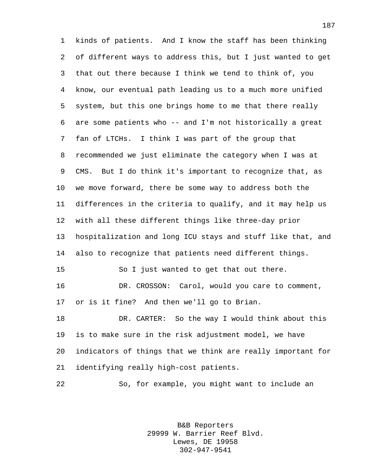kinds of patients. And I know the staff has been thinking of different ways to address this, but I just wanted to get that out there because I think we tend to think of, you know, our eventual path leading us to a much more unified system, but this one brings home to me that there really are some patients who -- and I'm not historically a great fan of LTCHs. I think I was part of the group that recommended we just eliminate the category when I was at CMS. But I do think it's important to recognize that, as we move forward, there be some way to address both the differences in the criteria to qualify, and it may help us with all these different things like three-day prior hospitalization and long ICU stays and stuff like that, and also to recognize that patients need different things. So I just wanted to get that out there. DR. CROSSON: Carol, would you care to comment, or is it fine? And then we'll go to Brian. DR. CARTER: So the way I would think about this is to make sure in the risk adjustment model, we have indicators of things that we think are really important for identifying really high-cost patients. So, for example, you might want to include an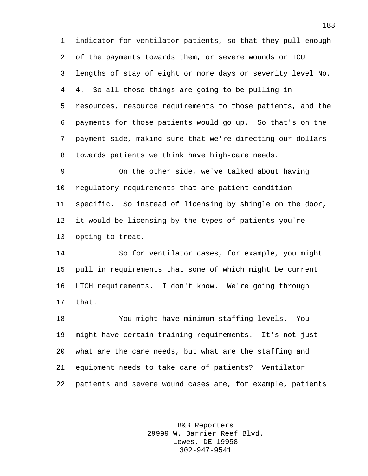indicator for ventilator patients, so that they pull enough of the payments towards them, or severe wounds or ICU lengths of stay of eight or more days or severity level No. 4. So all those things are going to be pulling in resources, resource requirements to those patients, and the payments for those patients would go up. So that's on the payment side, making sure that we're directing our dollars towards patients we think have high-care needs.

 On the other side, we've talked about having regulatory requirements that are patient condition- specific. So instead of licensing by shingle on the door, it would be licensing by the types of patients you're opting to treat.

 So for ventilator cases, for example, you might pull in requirements that some of which might be current LTCH requirements. I don't know. We're going through that.

 You might have minimum staffing levels. You might have certain training requirements. It's not just what are the care needs, but what are the staffing and equipment needs to take care of patients? Ventilator patients and severe wound cases are, for example, patients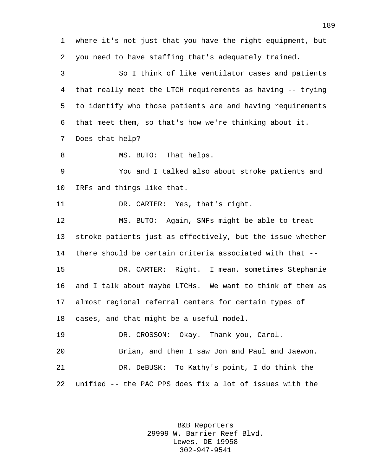where it's not just that you have the right equipment, but you need to have staffing that's adequately trained.

 So I think of like ventilator cases and patients that really meet the LTCH requirements as having -- trying to identify who those patients are and having requirements that meet them, so that's how we're thinking about it. Does that help?

8 MS. BUTO: That helps.

 You and I talked also about stroke patients and IRFs and things like that.

DR. CARTER: Yes, that's right.

 MS. BUTO: Again, SNFs might be able to treat stroke patients just as effectively, but the issue whether there should be certain criteria associated with that --

 DR. CARTER: Right. I mean, sometimes Stephanie and I talk about maybe LTCHs. We want to think of them as almost regional referral centers for certain types of cases, and that might be a useful model.

DR. CROSSON: Okay. Thank you, Carol.

 Brian, and then I saw Jon and Paul and Jaewon. DR. DeBUSK: To Kathy's point, I do think the unified -- the PAC PPS does fix a lot of issues with the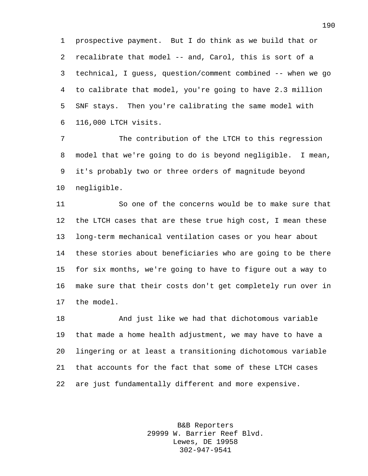prospective payment. But I do think as we build that or recalibrate that model -- and, Carol, this is sort of a technical, I guess, question/comment combined -- when we go to calibrate that model, you're going to have 2.3 million SNF stays. Then you're calibrating the same model with 116,000 LTCH visits.

 The contribution of the LTCH to this regression model that we're going to do is beyond negligible. I mean, it's probably two or three orders of magnitude beyond negligible.

 So one of the concerns would be to make sure that the LTCH cases that are these true high cost, I mean these long-term mechanical ventilation cases or you hear about these stories about beneficiaries who are going to be there for six months, we're going to have to figure out a way to make sure that their costs don't get completely run over in the model.

 And just like we had that dichotomous variable that made a home health adjustment, we may have to have a lingering or at least a transitioning dichotomous variable that accounts for the fact that some of these LTCH cases are just fundamentally different and more expensive.

> B&B Reporters 29999 W. Barrier Reef Blvd. Lewes, DE 19958 302-947-9541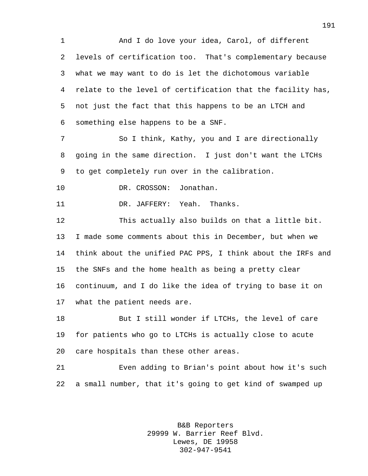And I do love your idea, Carol, of different levels of certification too. That's complementary because what we may want to do is let the dichotomous variable relate to the level of certification that the facility has, not just the fact that this happens to be an LTCH and something else happens to be a SNF.

 So I think, Kathy, you and I are directionally going in the same direction. I just don't want the LTCHs to get completely run over in the calibration.

10 DR. CROSSON: Jonathan.

11 DR. JAFFERY: Yeah. Thanks.

 This actually also builds on that a little bit. I made some comments about this in December, but when we think about the unified PAC PPS, I think about the IRFs and the SNFs and the home health as being a pretty clear continuum, and I do like the idea of trying to base it on what the patient needs are.

18 But I still wonder if LTCHs, the level of care for patients who go to LTCHs is actually close to acute care hospitals than these other areas.

 Even adding to Brian's point about how it's such a small number, that it's going to get kind of swamped up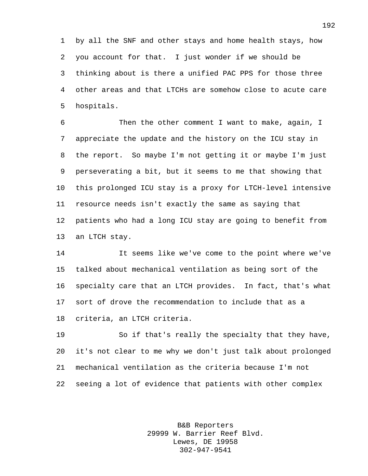by all the SNF and other stays and home health stays, how you account for that. I just wonder if we should be thinking about is there a unified PAC PPS for those three other areas and that LTCHs are somehow close to acute care hospitals.

 Then the other comment I want to make, again, I appreciate the update and the history on the ICU stay in the report. So maybe I'm not getting it or maybe I'm just perseverating a bit, but it seems to me that showing that this prolonged ICU stay is a proxy for LTCH-level intensive resource needs isn't exactly the same as saying that patients who had a long ICU stay are going to benefit from an LTCH stay.

 It seems like we've come to the point where we've talked about mechanical ventilation as being sort of the specialty care that an LTCH provides. In fact, that's what sort of drove the recommendation to include that as a criteria, an LTCH criteria.

 So if that's really the specialty that they have, it's not clear to me why we don't just talk about prolonged mechanical ventilation as the criteria because I'm not seeing a lot of evidence that patients with other complex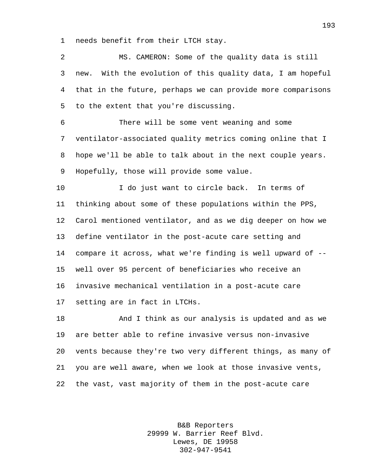needs benefit from their LTCH stay.

 MS. CAMERON: Some of the quality data is still new. With the evolution of this quality data, I am hopeful that in the future, perhaps we can provide more comparisons to the extent that you're discussing.

 There will be some vent weaning and some ventilator-associated quality metrics coming online that I hope we'll be able to talk about in the next couple years. Hopefully, those will provide some value.

 I do just want to circle back. In terms of thinking about some of these populations within the PPS, Carol mentioned ventilator, and as we dig deeper on how we define ventilator in the post-acute care setting and compare it across, what we're finding is well upward of -- well over 95 percent of beneficiaries who receive an invasive mechanical ventilation in a post-acute care setting are in fact in LTCHs.

 And I think as our analysis is updated and as we are better able to refine invasive versus non-invasive vents because they're two very different things, as many of you are well aware, when we look at those invasive vents, the vast, vast majority of them in the post-acute care

> B&B Reporters 29999 W. Barrier Reef Blvd. Lewes, DE 19958 302-947-9541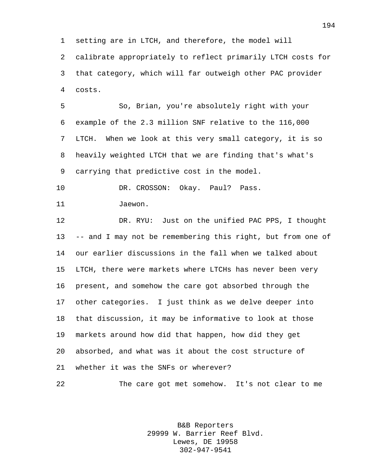setting are in LTCH, and therefore, the model will calibrate appropriately to reflect primarily LTCH costs for that category, which will far outweigh other PAC provider costs.

 So, Brian, you're absolutely right with your example of the 2.3 million SNF relative to the 116,000 LTCH. When we look at this very small category, it is so heavily weighted LTCH that we are finding that's what's carrying that predictive cost in the model.

 DR. CROSSON: Okay. Paul? Pass. 11 Jaewon.

 DR. RYU: Just on the unified PAC PPS, I thought -- and I may not be remembering this right, but from one of our earlier discussions in the fall when we talked about LTCH, there were markets where LTCHs has never been very present, and somehow the care got absorbed through the other categories. I just think as we delve deeper into that discussion, it may be informative to look at those markets around how did that happen, how did they get absorbed, and what was it about the cost structure of whether it was the SNFs or wherever?

The care got met somehow. It's not clear to me

B&B Reporters 29999 W. Barrier Reef Blvd. Lewes, DE 19958 302-947-9541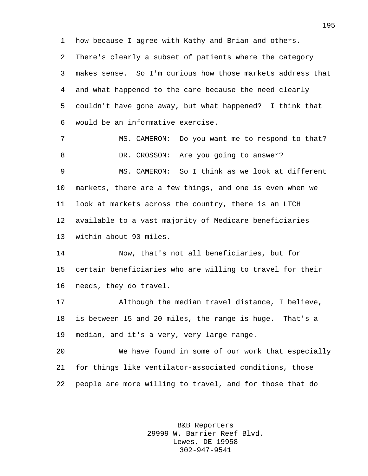how because I agree with Kathy and Brian and others.

 There's clearly a subset of patients where the category makes sense. So I'm curious how those markets address that and what happened to the care because the need clearly couldn't have gone away, but what happened? I think that would be an informative exercise.

7 MS. CAMERON: Do you want me to respond to that? 8 DR. CROSSON: Are you going to answer? MS. CAMERON: So I think as we look at different markets, there are a few things, and one is even when we look at markets across the country, there is an LTCH available to a vast majority of Medicare beneficiaries

within about 90 miles.

 Now, that's not all beneficiaries, but for certain beneficiaries who are willing to travel for their needs, they do travel.

 Although the median travel distance, I believe, is between 15 and 20 miles, the range is huge. That's a median, and it's a very, very large range.

 We have found in some of our work that especially for things like ventilator-associated conditions, those people are more willing to travel, and for those that do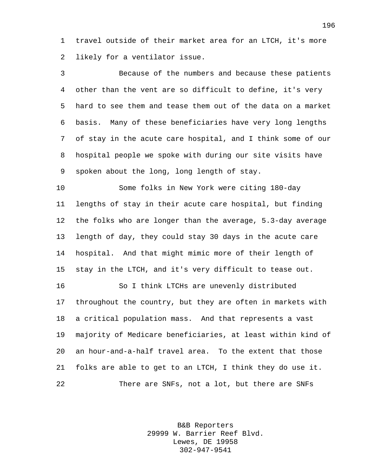travel outside of their market area for an LTCH, it's more likely for a ventilator issue.

 Because of the numbers and because these patients other than the vent are so difficult to define, it's very hard to see them and tease them out of the data on a market basis. Many of these beneficiaries have very long lengths of stay in the acute care hospital, and I think some of our hospital people we spoke with during our site visits have spoken about the long, long length of stay.

 Some folks in New York were citing 180-day lengths of stay in their acute care hospital, but finding the folks who are longer than the average, 5.3-day average length of day, they could stay 30 days in the acute care hospital. And that might mimic more of their length of stay in the LTCH, and it's very difficult to tease out.

 So I think LTCHs are unevenly distributed throughout the country, but they are often in markets with a critical population mass. And that represents a vast majority of Medicare beneficiaries, at least within kind of an hour-and-a-half travel area. To the extent that those folks are able to get to an LTCH, I think they do use it. There are SNFs, not a lot, but there are SNFs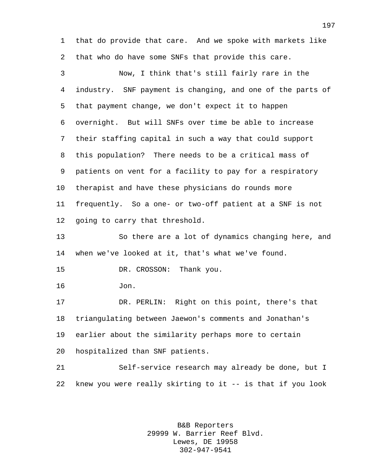that do provide that care. And we spoke with markets like that who do have some SNFs that provide this care.

 Now, I think that's still fairly rare in the industry. SNF payment is changing, and one of the parts of that payment change, we don't expect it to happen overnight. But will SNFs over time be able to increase their staffing capital in such a way that could support this population? There needs to be a critical mass of patients on vent for a facility to pay for a respiratory therapist and have these physicians do rounds more frequently. So a one- or two-off patient at a SNF is not going to carry that threshold.

 So there are a lot of dynamics changing here, and when we've looked at it, that's what we've found.

DR. CROSSON: Thank you.

Jon.

 DR. PERLIN: Right on this point, there's that triangulating between Jaewon's comments and Jonathan's earlier about the similarity perhaps more to certain hospitalized than SNF patients.

 Self-service research may already be done, but I knew you were really skirting to it -- is that if you look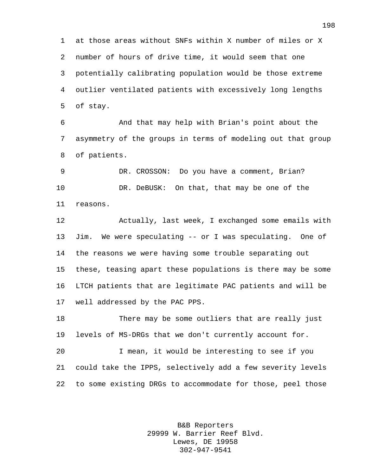at those areas without SNFs within X number of miles or X number of hours of drive time, it would seem that one potentially calibrating population would be those extreme outlier ventilated patients with excessively long lengths of stay.

 And that may help with Brian's point about the asymmetry of the groups in terms of modeling out that group of patients.

 DR. CROSSON: Do you have a comment, Brian? 10 DR. DeBUSK: On that, that may be one of the reasons.

 Actually, last week, I exchanged some emails with Jim. We were speculating -- or I was speculating. One of the reasons we were having some trouble separating out these, teasing apart these populations is there may be some LTCH patients that are legitimate PAC patients and will be well addressed by the PAC PPS.

 There may be some outliers that are really just levels of MS-DRGs that we don't currently account for.

 I mean, it would be interesting to see if you could take the IPPS, selectively add a few severity levels to some existing DRGs to accommodate for those, peel those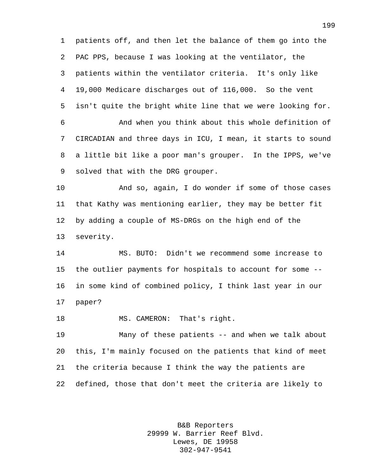patients off, and then let the balance of them go into the PAC PPS, because I was looking at the ventilator, the patients within the ventilator criteria. It's only like 19,000 Medicare discharges out of 116,000. So the vent isn't quite the bright white line that we were looking for. And when you think about this whole definition of CIRCADIAN and three days in ICU, I mean, it starts to sound a little bit like a poor man's grouper. In the IPPS, we've solved that with the DRG grouper.

 And so, again, I do wonder if some of those cases that Kathy was mentioning earlier, they may be better fit by adding a couple of MS-DRGs on the high end of the severity.

 MS. BUTO: Didn't we recommend some increase to the outlier payments for hospitals to account for some -- in some kind of combined policy, I think last year in our paper?

18 MS. CAMERON: That's right.

 Many of these patients -- and when we talk about this, I'm mainly focused on the patients that kind of meet the criteria because I think the way the patients are defined, those that don't meet the criteria are likely to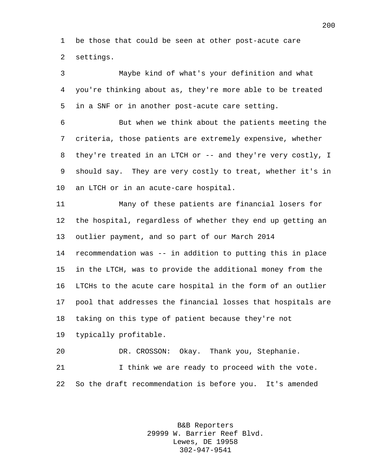be those that could be seen at other post-acute care settings.

 Maybe kind of what's your definition and what you're thinking about as, they're more able to be treated in a SNF or in another post-acute care setting.

 But when we think about the patients meeting the criteria, those patients are extremely expensive, whether they're treated in an LTCH or -- and they're very costly, I should say. They are very costly to treat, whether it's in an LTCH or in an acute-care hospital.

 Many of these patients are financial losers for the hospital, regardless of whether they end up getting an outlier payment, and so part of our March 2014 recommendation was -- in addition to putting this in place in the LTCH, was to provide the additional money from the LTCHs to the acute care hospital in the form of an outlier pool that addresses the financial losses that hospitals are taking on this type of patient because they're not typically profitable.

 DR. CROSSON: Okay. Thank you, Stephanie. 21 Think we are ready to proceed with the vote. So the draft recommendation is before you. It's amended

> B&B Reporters 29999 W. Barrier Reef Blvd. Lewes, DE 19958 302-947-9541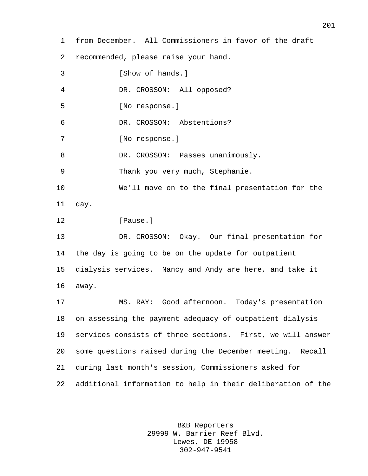from December. All Commissioners in favor of the draft recommended, please raise your hand. 3 [Show of hands.] DR. CROSSON: All opposed? [No response.] DR. CROSSON: Abstentions? [No response.] 8 DR. CROSSON: Passes unanimously. Thank you very much, Stephanie. We'll move on to the final presentation for the day. **I**Pause. DR. CROSSON: Okay. Our final presentation for the day is going to be on the update for outpatient dialysis services. Nancy and Andy are here, and take it away. MS. RAY: Good afternoon. Today's presentation on assessing the payment adequacy of outpatient dialysis services consists of three sections. First, we will answer some questions raised during the December meeting. Recall during last month's session, Commissioners asked for additional information to help in their deliberation of the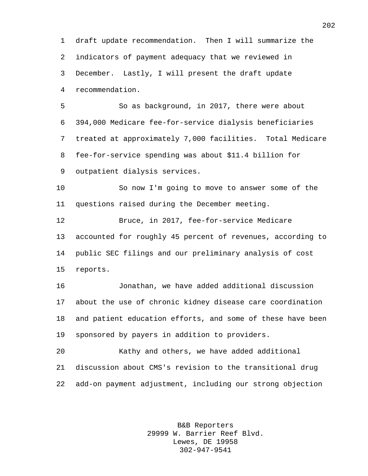draft update recommendation. Then I will summarize the indicators of payment adequacy that we reviewed in December. Lastly, I will present the draft update recommendation.

 So as background, in 2017, there were about 394,000 Medicare fee-for-service dialysis beneficiaries treated at approximately 7,000 facilities. Total Medicare fee-for-service spending was about \$11.4 billion for outpatient dialysis services.

 So now I'm going to move to answer some of the questions raised during the December meeting.

 Bruce, in 2017, fee-for-service Medicare accounted for roughly 45 percent of revenues, according to public SEC filings and our preliminary analysis of cost reports.

 Jonathan, we have added additional discussion about the use of chronic kidney disease care coordination and patient education efforts, and some of these have been sponsored by payers in addition to providers.

 Kathy and others, we have added additional discussion about CMS's revision to the transitional drug add-on payment adjustment, including our strong objection

> B&B Reporters 29999 W. Barrier Reef Blvd. Lewes, DE 19958 302-947-9541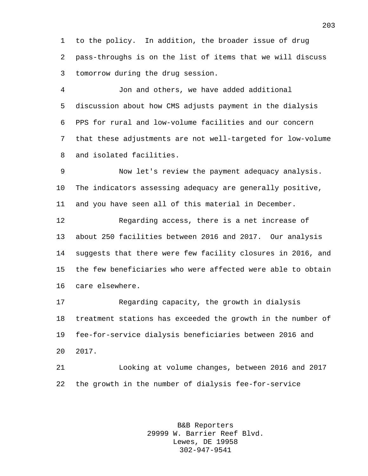to the policy. In addition, the broader issue of drug pass-throughs is on the list of items that we will discuss tomorrow during the drug session.

 Jon and others, we have added additional discussion about how CMS adjusts payment in the dialysis PPS for rural and low-volume facilities and our concern that these adjustments are not well-targeted for low-volume and isolated facilities.

 Now let's review the payment adequacy analysis. The indicators assessing adequacy are generally positive, and you have seen all of this material in December.

 Regarding access, there is a net increase of about 250 facilities between 2016 and 2017. Our analysis suggests that there were few facility closures in 2016, and the few beneficiaries who were affected were able to obtain care elsewhere.

 Regarding capacity, the growth in dialysis treatment stations has exceeded the growth in the number of fee-for-service dialysis beneficiaries between 2016 and 2017.

 Looking at volume changes, between 2016 and 2017 the growth in the number of dialysis fee-for-service

> B&B Reporters 29999 W. Barrier Reef Blvd. Lewes, DE 19958 302-947-9541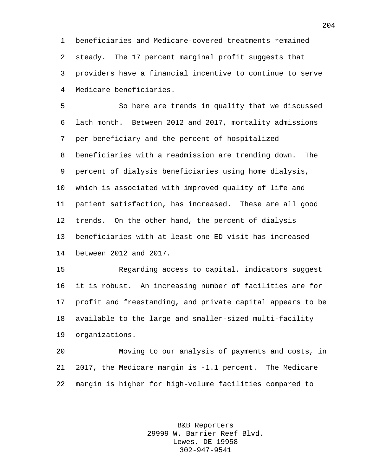beneficiaries and Medicare-covered treatments remained steady. The 17 percent marginal profit suggests that providers have a financial incentive to continue to serve Medicare beneficiaries.

 So here are trends in quality that we discussed lath month. Between 2012 and 2017, mortality admissions per beneficiary and the percent of hospitalized beneficiaries with a readmission are trending down. The percent of dialysis beneficiaries using home dialysis, which is associated with improved quality of life and patient satisfaction, has increased. These are all good trends. On the other hand, the percent of dialysis beneficiaries with at least one ED visit has increased between 2012 and 2017.

 Regarding access to capital, indicators suggest it is robust. An increasing number of facilities are for profit and freestanding, and private capital appears to be available to the large and smaller-sized multi-facility organizations.

 Moving to our analysis of payments and costs, in 2017, the Medicare margin is -1.1 percent. The Medicare margin is higher for high-volume facilities compared to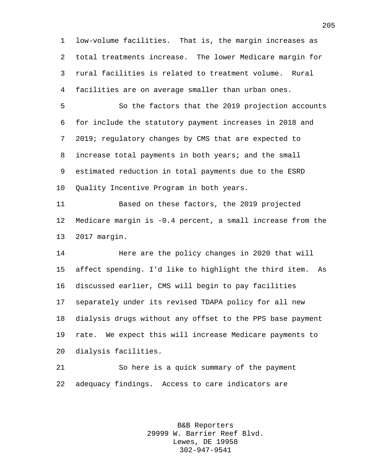low-volume facilities. That is, the margin increases as total treatments increase. The lower Medicare margin for rural facilities is related to treatment volume. Rural facilities are on average smaller than urban ones.

 So the factors that the 2019 projection accounts for include the statutory payment increases in 2018 and 2019; regulatory changes by CMS that are expected to increase total payments in both years; and the small estimated reduction in total payments due to the ESRD Quality Incentive Program in both years.

 Based on these factors, the 2019 projected Medicare margin is -0.4 percent, a small increase from the 2017 margin.

 Here are the policy changes in 2020 that will affect spending. I'd like to highlight the third item. As discussed earlier, CMS will begin to pay facilities separately under its revised TDAPA policy for all new dialysis drugs without any offset to the PPS base payment rate. We expect this will increase Medicare payments to dialysis facilities.

 So here is a quick summary of the payment adequacy findings. Access to care indicators are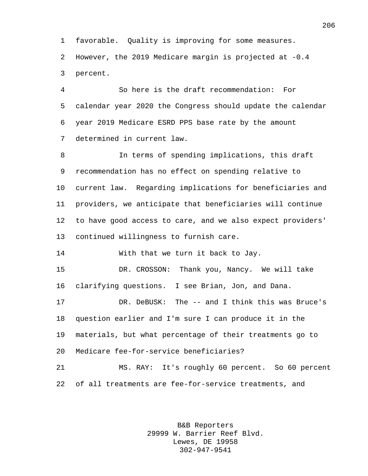favorable. Quality is improving for some measures. However, the 2019 Medicare margin is projected at -0.4 percent.

 So here is the draft recommendation: For calendar year 2020 the Congress should update the calendar year 2019 Medicare ESRD PPS base rate by the amount determined in current law.

 In terms of spending implications, this draft recommendation has no effect on spending relative to current law. Regarding implications for beneficiaries and providers, we anticipate that beneficiaries will continue to have good access to care, and we also expect providers' continued willingness to furnish care.

With that we turn it back to Jay.

 DR. CROSSON: Thank you, Nancy. We will take clarifying questions. I see Brian, Jon, and Dana.

 DR. DeBUSK: The -- and I think this was Bruce's question earlier and I'm sure I can produce it in the materials, but what percentage of their treatments go to Medicare fee-for-service beneficiaries?

 MS. RAY: It's roughly 60 percent. So 60 percent of all treatments are fee-for-service treatments, and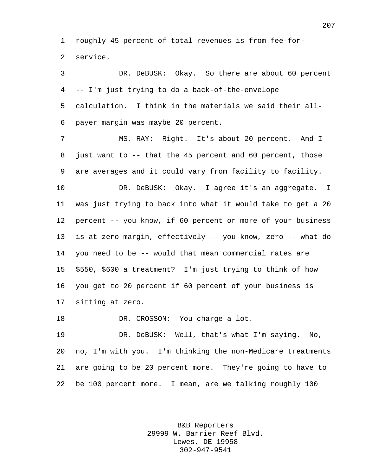roughly 45 percent of total revenues is from fee-for-service.

 DR. DeBUSK: Okay. So there are about 60 percent -- I'm just trying to do a back-of-the-envelope calculation. I think in the materials we said their all-payer margin was maybe 20 percent.

 MS. RAY: Right. It's about 20 percent. And I just want to -- that the 45 percent and 60 percent, those are averages and it could vary from facility to facility.

 DR. DeBUSK: Okay. I agree it's an aggregate. I was just trying to back into what it would take to get a 20 percent -- you know, if 60 percent or more of your business is at zero margin, effectively -- you know, zero -- what do you need to be -- would that mean commercial rates are \$550, \$600 a treatment? I'm just trying to think of how you get to 20 percent if 60 percent of your business is sitting at zero.

18 DR. CROSSON: You charge a lot.

 DR. DeBUSK: Well, that's what I'm saying. No, no, I'm with you. I'm thinking the non-Medicare treatments are going to be 20 percent more. They're going to have to be 100 percent more. I mean, are we talking roughly 100

> B&B Reporters 29999 W. Barrier Reef Blvd. Lewes, DE 19958 302-947-9541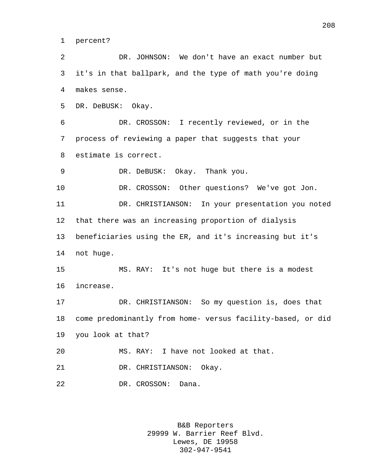percent?

 DR. JOHNSON: We don't have an exact number but it's in that ballpark, and the type of math you're doing makes sense.

DR. DeBUSK: Okay.

 DR. CROSSON: I recently reviewed, or in the process of reviewing a paper that suggests that your estimate is correct.

DR. DeBUSK: Okay. Thank you.

DR. CROSSON: Other questions? We've got Jon.

 DR. CHRISTIANSON: In your presentation you noted that there was an increasing proportion of dialysis beneficiaries using the ER, and it's increasing but it's not huge.

 MS. RAY: It's not huge but there is a modest increase.

 DR. CHRISTIANSON: So my question is, does that come predominantly from home- versus facility-based, or did you look at that?

MS. RAY: I have not looked at that.

DR. CHRISTIANSON: Okay.

DR. CROSSON: Dana.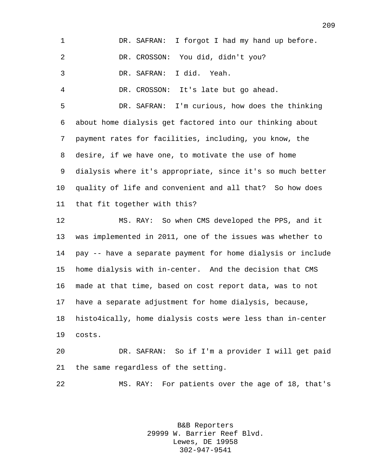| $\mathbf 1$ | I forgot I had my hand up before.<br>DR. SAFRAN:            |
|-------------|-------------------------------------------------------------|
| 2           | DR. CROSSON: You did, didn't you?                           |
| 3           | I did. Yeah.<br>DR. SAFRAN:                                 |
| 4           | DR. CROSSON: It's late but go ahead.                        |
| 5           | DR. SAFRAN: I'm curious, how does the thinking              |
| 6           | about home dialysis get factored into our thinking about    |
| 7           | payment rates for facilities, including, you know, the      |
| 8           | desire, if we have one, to motivate the use of home         |
| 9           | dialysis where it's appropriate, since it's so much better  |
| $10 \,$     | quality of life and convenient and all that? So how does    |
| 11          | that fit together with this?                                |
| 12          | MS. RAY: So when CMS developed the PPS, and it              |
| 13          | was implemented in 2011, one of the issues was whether to   |
| 14          | pay -- have a separate payment for home dialysis or include |
| 15          | home dialysis with in-center. And the decision that CMS     |
| 16          | made at that time, based on cost report data, was to not    |
|             | 17 have a separate adjustment for home dialysis, because,   |
| 18          | histo4ically, home dialysis costs were less than in-center  |
| 19          | costs.                                                      |
| 20          | DR. SAFRAN: So if I'm a provider I will get paid            |
|             |                                                             |

the same regardless of the setting.

MS. RAY: For patients over the age of 18, that's

B&B Reporters 29999 W. Barrier Reef Blvd. Lewes, DE 19958 302-947-9541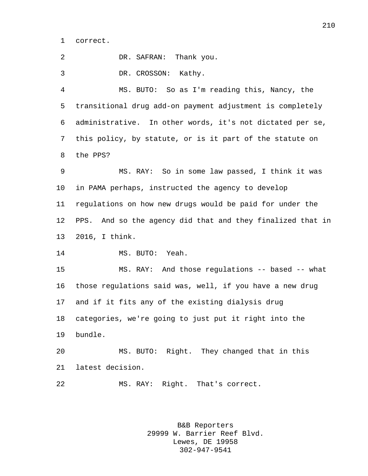correct.

DR. SAFRAN: Thank you.

DR. CROSSON: Kathy.

 MS. BUTO: So as I'm reading this, Nancy, the transitional drug add-on payment adjustment is completely administrative. In other words, it's not dictated per se, this policy, by statute, or is it part of the statute on the PPS?

 MS. RAY: So in some law passed, I think it was in PAMA perhaps, instructed the agency to develop regulations on how new drugs would be paid for under the PPS. And so the agency did that and they finalized that in 2016, I think.

14 MS. BUTO: Yeah.

 MS. RAY: And those regulations -- based -- what those regulations said was, well, if you have a new drug and if it fits any of the existing dialysis drug categories, we're going to just put it right into the bundle.

 MS. BUTO: Right. They changed that in this latest decision.

MS. RAY: Right. That's correct.

B&B Reporters 29999 W. Barrier Reef Blvd. Lewes, DE 19958 302-947-9541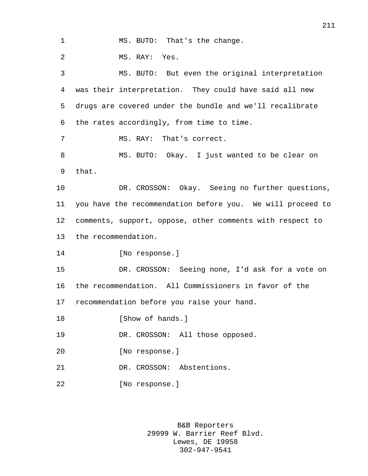1 MS. BUTO: That's the change. MS. RAY: Yes. MS. BUTO: But even the original interpretation was their interpretation. They could have said all new drugs are covered under the bundle and we'll recalibrate the rates accordingly, from time to time. 7 MS. RAY: That's correct. MS. BUTO: Okay. I just wanted to be clear on that. DR. CROSSON: Okay. Seeing no further questions, you have the recommendation before you. We will proceed to comments, support, oppose, other comments with respect to the recommendation. [No response.] DR. CROSSON: Seeing none, I'd ask for a vote on the recommendation. All Commissioners in favor of the recommendation before you raise your hand. **I**Show of hands. DR. CROSSON: All those opposed. [No response.] DR. CROSSON: Abstentions. [No response.]

> B&B Reporters 29999 W. Barrier Reef Blvd. Lewes, DE 19958 302-947-9541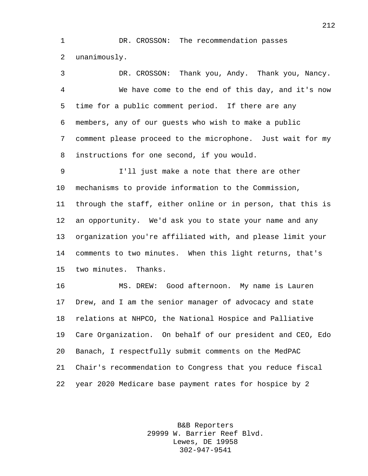DR. CROSSON: The recommendation passes unanimously.

 DR. CROSSON: Thank you, Andy. Thank you, Nancy. We have come to the end of this day, and it's now time for a public comment period. If there are any members, any of our guests who wish to make a public comment please proceed to the microphone. Just wait for my instructions for one second, if you would.

 I'll just make a note that there are other mechanisms to provide information to the Commission, through the staff, either online or in person, that this is an opportunity. We'd ask you to state your name and any organization you're affiliated with, and please limit your comments to two minutes. When this light returns, that's two minutes. Thanks.

 MS. DREW: Good afternoon. My name is Lauren Drew, and I am the senior manager of advocacy and state relations at NHPCO, the National Hospice and Palliative Care Organization. On behalf of our president and CEO, Edo Banach, I respectfully submit comments on the MedPAC Chair's recommendation to Congress that you reduce fiscal year 2020 Medicare base payment rates for hospice by 2

> B&B Reporters 29999 W. Barrier Reef Blvd. Lewes, DE 19958 302-947-9541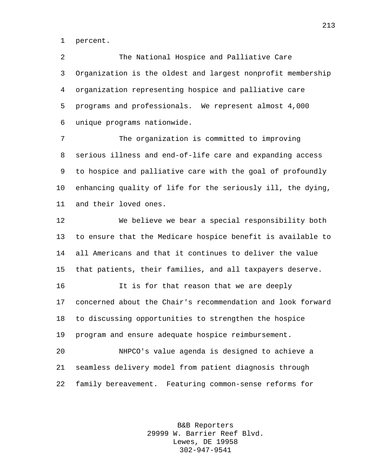percent.

 The National Hospice and Palliative Care Organization is the oldest and largest nonprofit membership organization representing hospice and palliative care programs and professionals. We represent almost 4,000 unique programs nationwide.

 The organization is committed to improving serious illness and end-of-life care and expanding access to hospice and palliative care with the goal of profoundly enhancing quality of life for the seriously ill, the dying, and their loved ones.

 We believe we bear a special responsibility both to ensure that the Medicare hospice benefit is available to all Americans and that it continues to deliver the value that patients, their families, and all taxpayers deserve.

 It is for that reason that we are deeply concerned about the Chair's recommendation and look forward to discussing opportunities to strengthen the hospice program and ensure adequate hospice reimbursement.

 NHPCO's value agenda is designed to achieve a seamless delivery model from patient diagnosis through family bereavement. Featuring common-sense reforms for

> B&B Reporters 29999 W. Barrier Reef Blvd. Lewes, DE 19958 302-947-9541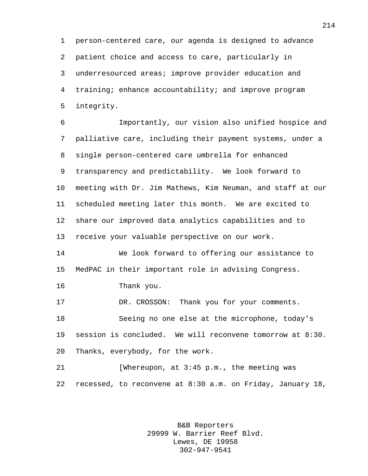person-centered care, our agenda is designed to advance patient choice and access to care, particularly in underresourced areas; improve provider education and training; enhance accountability; and improve program integrity.

 Importantly, our vision also unified hospice and palliative care, including their payment systems, under a single person-centered care umbrella for enhanced transparency and predictability. We look forward to meeting with Dr. Jim Mathews, Kim Neuman, and staff at our scheduled meeting later this month. We are excited to share our improved data analytics capabilities and to receive your valuable perspective on our work.

 We look forward to offering our assistance to MedPAC in their important role in advising Congress.

Thank you.

 DR. CROSSON: Thank you for your comments. Seeing no one else at the microphone, today's session is concluded. We will reconvene tomorrow at 8:30. Thanks, everybody, for the work.

21 [Whereupon, at 3:45 p.m., the meeting was recessed, to reconvene at 8:30 a.m. on Friday, January 18,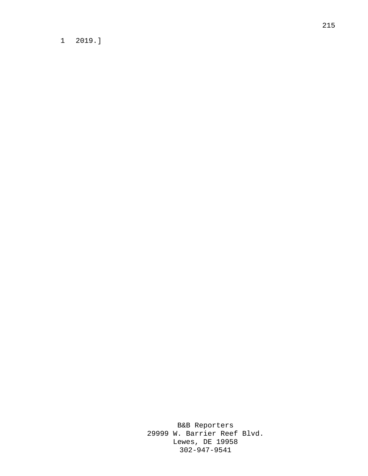## 1 2019.]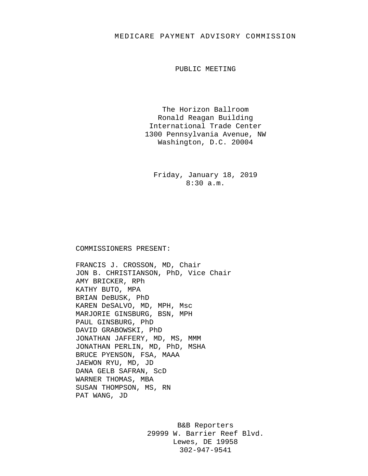## MEDICARE PAYMENT ADVISORY COMMISSION

PUBLIC MEETING

The Horizon Ballroom Ronald Reagan Building International Trade Center 1300 Pennsylvania Avenue, NW Washington, D.C. 20004

Friday, January 18, 2019 8:30 a.m.

## COMMISSIONERS PRESENT:

FRANCIS J. CROSSON, MD, Chair JON B. CHRISTIANSON, PhD, Vice Chair AMY BRICKER, RPh KATHY BUTO, MPA BRIAN DeBUSK, PhD KAREN DeSALVO, MD, MPH, Msc MARJORIE GINSBURG, BSN, MPH PAUL GINSBURG, PhD DAVID GRABOWSKI, PhD JONATHAN JAFFERY, MD, MS, MMM JONATHAN PERLIN, MD, PhD, MSHA BRUCE PYENSON, FSA, MAAA JAEWON RYU, MD, JD DANA GELB SAFRAN, ScD WARNER THOMAS, MBA SUSAN THOMPSON, MS, RN PAT WANG, JD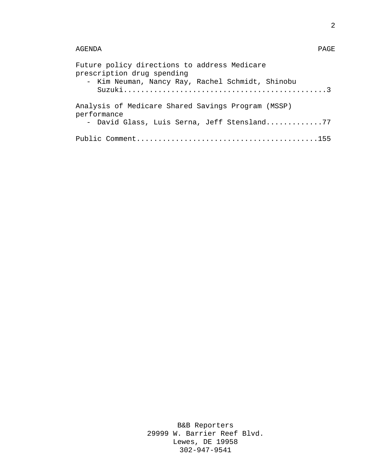## AGENDA PAGE

| Future policy directions to address Medicare<br>prescription drug spending<br>- Kim Neuman, Nancy Ray, Rachel Schmidt, Shinobu |
|--------------------------------------------------------------------------------------------------------------------------------|
| Analysis of Medicare Shared Savings Program (MSSP)<br>performance<br>- David Glass, Luis Serna, Jeff Stensland77               |
|                                                                                                                                |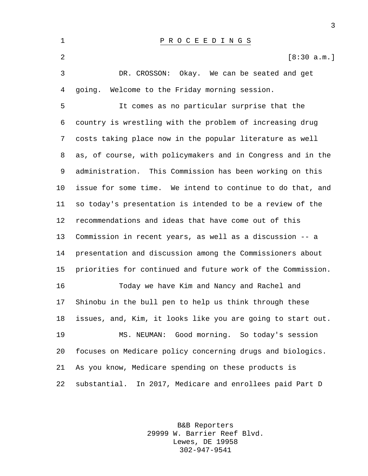P R O C E E D I N G S  $[8:30 \text{ a.m.}]$  DR. CROSSON: Okay. We can be seated and get going. Welcome to the Friday morning session. It comes as no particular surprise that the country is wrestling with the problem of increasing drug costs taking place now in the popular literature as well as, of course, with policymakers and in Congress and in the administration. This Commission has been working on this issue for some time. We intend to continue to do that, and so today's presentation is intended to be a review of the recommendations and ideas that have come out of this Commission in recent years, as well as a discussion -- a presentation and discussion among the Commissioners about priorities for continued and future work of the Commission. Today we have Kim and Nancy and Rachel and Shinobu in the bull pen to help us think through these issues, and, Kim, it looks like you are going to start out. MS. NEUMAN: Good morning. So today's session focuses on Medicare policy concerning drugs and biologics. As you know, Medicare spending on these products is substantial. In 2017, Medicare and enrollees paid Part D

> B&B Reporters 29999 W. Barrier Reef Blvd. Lewes, DE 19958 302-947-9541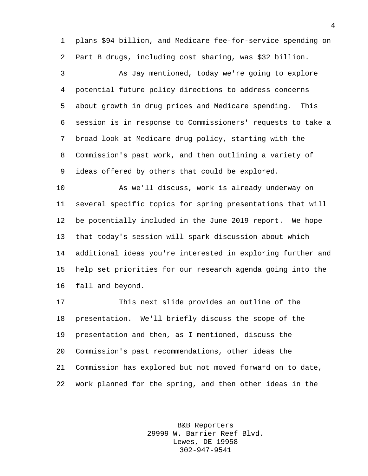plans \$94 billion, and Medicare fee-for-service spending on Part B drugs, including cost sharing, was \$32 billion.

 As Jay mentioned, today we're going to explore potential future policy directions to address concerns about growth in drug prices and Medicare spending. This session is in response to Commissioners' requests to take a broad look at Medicare drug policy, starting with the Commission's past work, and then outlining a variety of ideas offered by others that could be explored.

 As we'll discuss, work is already underway on several specific topics for spring presentations that will be potentially included in the June 2019 report. We hope that today's session will spark discussion about which additional ideas you're interested in exploring further and help set priorities for our research agenda going into the fall and beyond.

 This next slide provides an outline of the presentation. We'll briefly discuss the scope of the presentation and then, as I mentioned, discuss the Commission's past recommendations, other ideas the Commission has explored but not moved forward on to date, work planned for the spring, and then other ideas in the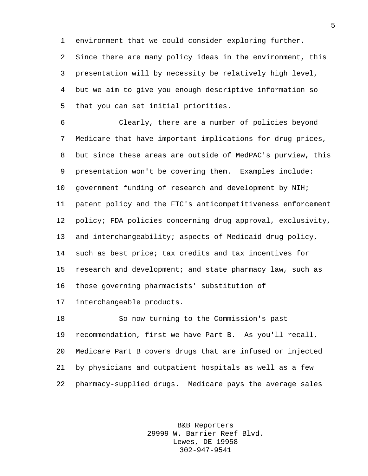environment that we could consider exploring further. Since there are many policy ideas in the environment, this presentation will by necessity be relatively high level, but we aim to give you enough descriptive information so that you can set initial priorities.

 Clearly, there are a number of policies beyond Medicare that have important implications for drug prices, but since these areas are outside of MedPAC's purview, this presentation won't be covering them. Examples include: government funding of research and development by NIH; patent policy and the FTC's anticompetitiveness enforcement policy; FDA policies concerning drug approval, exclusivity, and interchangeability; aspects of Medicaid drug policy, such as best price; tax credits and tax incentives for research and development; and state pharmacy law, such as those governing pharmacists' substitution of

interchangeable products.

 So now turning to the Commission's past recommendation, first we have Part B. As you'll recall, Medicare Part B covers drugs that are infused or injected by physicians and outpatient hospitals as well as a few pharmacy-supplied drugs. Medicare pays the average sales

> B&B Reporters 29999 W. Barrier Reef Blvd. Lewes, DE 19958 302-947-9541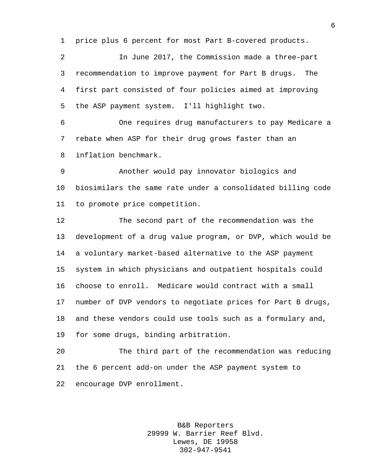price plus 6 percent for most Part B-covered products.

 In June 2017, the Commission made a three-part recommendation to improve payment for Part B drugs. The first part consisted of four policies aimed at improving the ASP payment system. I'll highlight two.

 One requires drug manufacturers to pay Medicare a rebate when ASP for their drug grows faster than an inflation benchmark.

 Another would pay innovator biologics and biosimilars the same rate under a consolidated billing code to promote price competition.

 The second part of the recommendation was the development of a drug value program, or DVP, which would be a voluntary market-based alternative to the ASP payment system in which physicians and outpatient hospitals could choose to enroll. Medicare would contract with a small number of DVP vendors to negotiate prices for Part B drugs, and these vendors could use tools such as a formulary and, for some drugs, binding arbitration.

 The third part of the recommendation was reducing the 6 percent add-on under the ASP payment system to encourage DVP enrollment.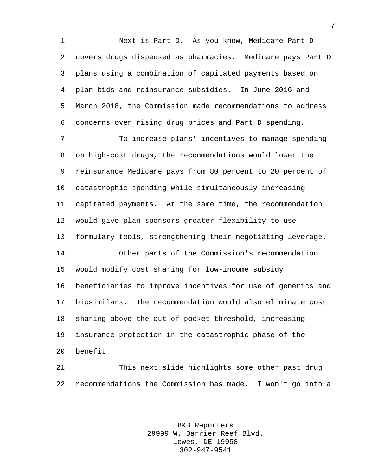Next is Part D. As you know, Medicare Part D covers drugs dispensed as pharmacies. Medicare pays Part D plans using a combination of capitated payments based on plan bids and reinsurance subsidies. In June 2016 and March 2018, the Commission made recommendations to address concerns over rising drug prices and Part D spending.

 To increase plans' incentives to manage spending on high-cost drugs, the recommendations would lower the reinsurance Medicare pays from 80 percent to 20 percent of catastrophic spending while simultaneously increasing capitated payments. At the same time, the recommendation would give plan sponsors greater flexibility to use formulary tools, strengthening their negotiating leverage. Other parts of the Commission's recommendation would modify cost sharing for low-income subsidy beneficiaries to improve incentives for use of generics and biosimilars. The recommendation would also eliminate cost sharing above the out-of-pocket threshold, increasing insurance protection in the catastrophic phase of the benefit.

 This next slide highlights some other past drug recommendations the Commission has made. I won't go into a

> B&B Reporters 29999 W. Barrier Reef Blvd. Lewes, DE 19958 302-947-9541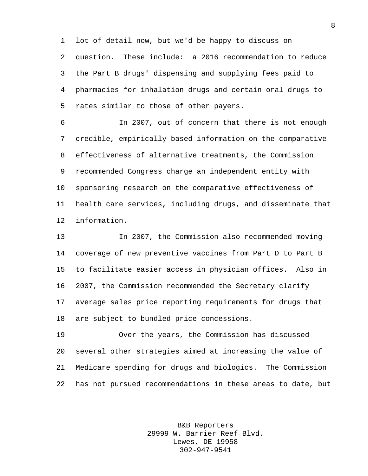lot of detail now, but we'd be happy to discuss on question. These include: a 2016 recommendation to reduce the Part B drugs' dispensing and supplying fees paid to pharmacies for inhalation drugs and certain oral drugs to rates similar to those of other payers.

 In 2007, out of concern that there is not enough credible, empirically based information on the comparative effectiveness of alternative treatments, the Commission recommended Congress charge an independent entity with sponsoring research on the comparative effectiveness of health care services, including drugs, and disseminate that information.

 In 2007, the Commission also recommended moving coverage of new preventive vaccines from Part D to Part B to facilitate easier access in physician offices. Also in 2007, the Commission recommended the Secretary clarify average sales price reporting requirements for drugs that are subject to bundled price concessions.

 Over the years, the Commission has discussed several other strategies aimed at increasing the value of Medicare spending for drugs and biologics. The Commission has not pursued recommendations in these areas to date, but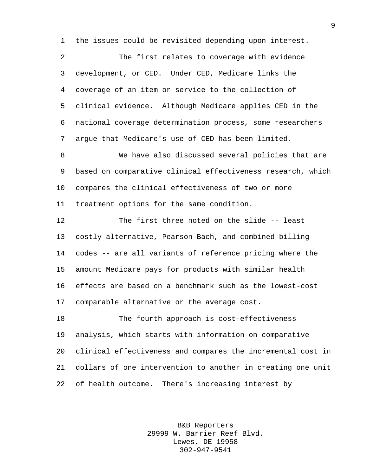the issues could be revisited depending upon interest.

 The first relates to coverage with evidence development, or CED. Under CED, Medicare links the coverage of an item or service to the collection of clinical evidence. Although Medicare applies CED in the national coverage determination process, some researchers argue that Medicare's use of CED has been limited.

 We have also discussed several policies that are based on comparative clinical effectiveness research, which compares the clinical effectiveness of two or more treatment options for the same condition.

 The first three noted on the slide -- least costly alternative, Pearson-Bach, and combined billing codes -- are all variants of reference pricing where the amount Medicare pays for products with similar health effects are based on a benchmark such as the lowest-cost comparable alternative or the average cost.

 The fourth approach is cost-effectiveness analysis, which starts with information on comparative clinical effectiveness and compares the incremental cost in dollars of one intervention to another in creating one unit of health outcome. There's increasing interest by

> B&B Reporters 29999 W. Barrier Reef Blvd. Lewes, DE 19958 302-947-9541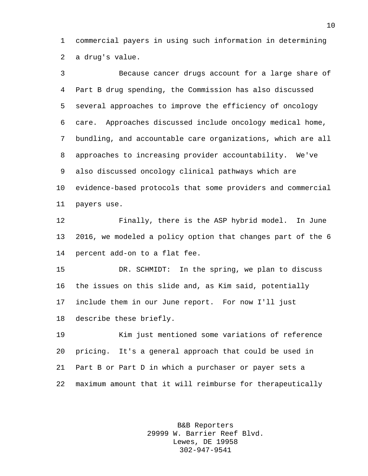commercial payers in using such information in determining a drug's value.

 Because cancer drugs account for a large share of Part B drug spending, the Commission has also discussed several approaches to improve the efficiency of oncology care. Approaches discussed include oncology medical home, bundling, and accountable care organizations, which are all approaches to increasing provider accountability. We've also discussed oncology clinical pathways which are evidence-based protocols that some providers and commercial payers use. Finally, there is the ASP hybrid model. In June 2016, we modeled a policy option that changes part of the 6 percent add-on to a flat fee. DR. SCHMIDT: In the spring, we plan to discuss

 the issues on this slide and, as Kim said, potentially include them in our June report. For now I'll just describe these briefly.

 Kim just mentioned some variations of reference pricing. It's a general approach that could be used in Part B or Part D in which a purchaser or payer sets a maximum amount that it will reimburse for therapeutically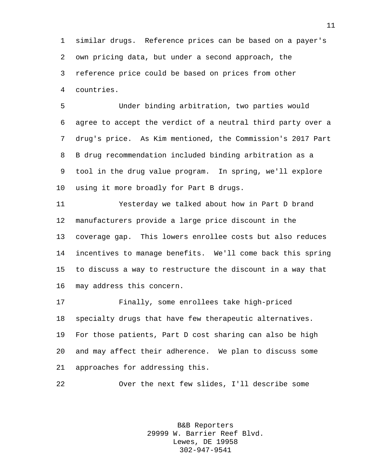similar drugs. Reference prices can be based on a payer's own pricing data, but under a second approach, the reference price could be based on prices from other countries.

 Under binding arbitration, two parties would agree to accept the verdict of a neutral third party over a drug's price. As Kim mentioned, the Commission's 2017 Part B drug recommendation included binding arbitration as a tool in the drug value program. In spring, we'll explore using it more broadly for Part B drugs.

 Yesterday we talked about how in Part D brand manufacturers provide a large price discount in the coverage gap. This lowers enrollee costs but also reduces incentives to manage benefits. We'll come back this spring to discuss a way to restructure the discount in a way that may address this concern.

 Finally, some enrollees take high-priced specialty drugs that have few therapeutic alternatives. For those patients, Part D cost sharing can also be high and may affect their adherence. We plan to discuss some approaches for addressing this.

Over the next few slides, I'll describe some

B&B Reporters 29999 W. Barrier Reef Blvd. Lewes, DE 19958 302-947-9541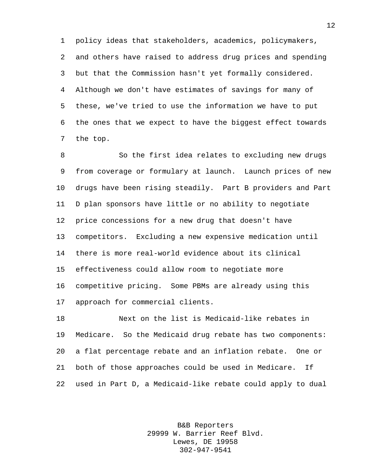policy ideas that stakeholders, academics, policymakers, and others have raised to address drug prices and spending but that the Commission hasn't yet formally considered. Although we don't have estimates of savings for many of these, we've tried to use the information we have to put the ones that we expect to have the biggest effect towards the top.

 So the first idea relates to excluding new drugs from coverage or formulary at launch. Launch prices of new drugs have been rising steadily. Part B providers and Part D plan sponsors have little or no ability to negotiate price concessions for a new drug that doesn't have competitors. Excluding a new expensive medication until there is more real-world evidence about its clinical effectiveness could allow room to negotiate more competitive pricing. Some PBMs are already using this approach for commercial clients.

 Next on the list is Medicaid-like rebates in Medicare. So the Medicaid drug rebate has two components: a flat percentage rebate and an inflation rebate. One or both of those approaches could be used in Medicare. If used in Part D, a Medicaid-like rebate could apply to dual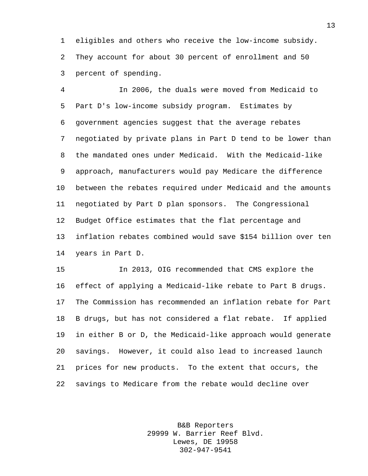eligibles and others who receive the low-income subsidy. They account for about 30 percent of enrollment and 50 percent of spending.

 In 2006, the duals were moved from Medicaid to Part D's low-income subsidy program. Estimates by government agencies suggest that the average rebates negotiated by private plans in Part D tend to be lower than the mandated ones under Medicaid. With the Medicaid-like approach, manufacturers would pay Medicare the difference between the rebates required under Medicaid and the amounts negotiated by Part D plan sponsors. The Congressional Budget Office estimates that the flat percentage and inflation rebates combined would save \$154 billion over ten years in Part D.

 In 2013, OIG recommended that CMS explore the effect of applying a Medicaid-like rebate to Part B drugs. The Commission has recommended an inflation rebate for Part B drugs, but has not considered a flat rebate. If applied in either B or D, the Medicaid-like approach would generate savings. However, it could also lead to increased launch prices for new products. To the extent that occurs, the savings to Medicare from the rebate would decline over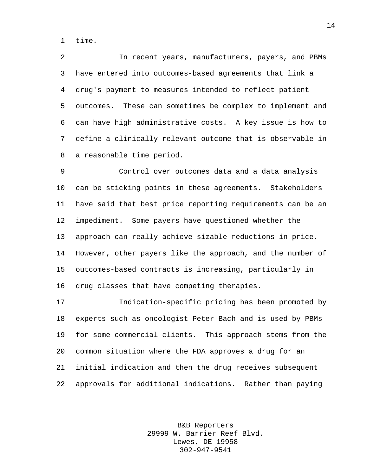time.

 In recent years, manufacturers, payers, and PBMs have entered into outcomes-based agreements that link a drug's payment to measures intended to reflect patient outcomes. These can sometimes be complex to implement and can have high administrative costs. A key issue is how to define a clinically relevant outcome that is observable in a reasonable time period.

 Control over outcomes data and a data analysis can be sticking points in these agreements. Stakeholders have said that best price reporting requirements can be an impediment. Some payers have questioned whether the approach can really achieve sizable reductions in price. However, other payers like the approach, and the number of outcomes-based contracts is increasing, particularly in drug classes that have competing therapies.

 Indication-specific pricing has been promoted by experts such as oncologist Peter Bach and is used by PBMs for some commercial clients. This approach stems from the common situation where the FDA approves a drug for an initial indication and then the drug receives subsequent approvals for additional indications. Rather than paying

> B&B Reporters 29999 W. Barrier Reef Blvd. Lewes, DE 19958 302-947-9541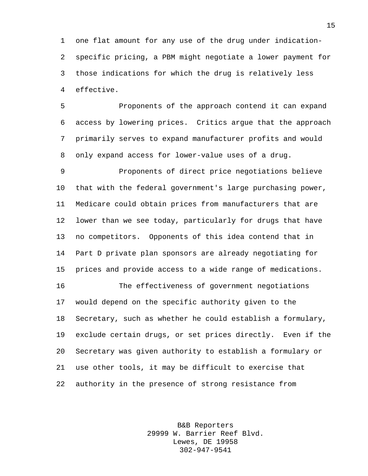one flat amount for any use of the drug under indication- specific pricing, a PBM might negotiate a lower payment for those indications for which the drug is relatively less effective.

 Proponents of the approach contend it can expand access by lowering prices. Critics argue that the approach primarily serves to expand manufacturer profits and would only expand access for lower-value uses of a drug.

 Proponents of direct price negotiations believe that with the federal government's large purchasing power, Medicare could obtain prices from manufacturers that are lower than we see today, particularly for drugs that have no competitors. Opponents of this idea contend that in Part D private plan sponsors are already negotiating for prices and provide access to a wide range of medications.

 The effectiveness of government negotiations would depend on the specific authority given to the Secretary, such as whether he could establish a formulary, exclude certain drugs, or set prices directly. Even if the Secretary was given authority to establish a formulary or use other tools, it may be difficult to exercise that authority in the presence of strong resistance from

> B&B Reporters 29999 W. Barrier Reef Blvd. Lewes, DE 19958 302-947-9541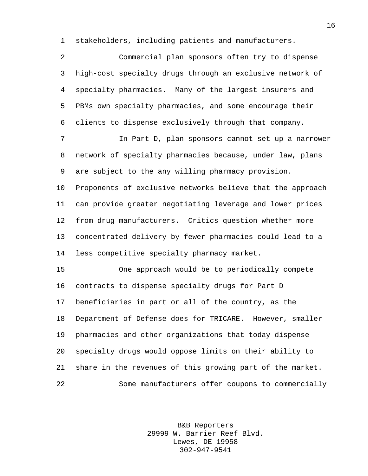stakeholders, including patients and manufacturers.

| $\overline{2}$ | Commercial plan sponsors often try to dispense             |
|----------------|------------------------------------------------------------|
| 3              | high-cost specialty drugs through an exclusive network of  |
| 4              | specialty pharmacies. Many of the largest insurers and     |
| 5              | PBMs own specialty pharmacies, and some encourage their    |
| 6              | clients to dispense exclusively through that company.      |
| 7              | In Part D, plan sponsors cannot set up a narrower          |
| 8              | network of specialty pharmacies because, under law, plans  |
| 9              | are subject to the any willing pharmacy provision.         |
| $10 \,$        | Proponents of exclusive networks believe that the approach |
| 11             | can provide greater negotiating leverage and lower prices  |
| 12             | from drug manufacturers. Critics question whether more     |
| 13             | concentrated delivery by fewer pharmacies could lead to a  |
| 14             | less competitive specialty pharmacy market.                |
| 15             | One approach would be to periodically compete              |
| 16             | contracts to dispense specialty drugs for Part D           |
| 17             | beneficiaries in part or all of the country, as the        |
| 18             | Department of Defense does for TRICARE. However, smaller   |
| 19             | pharmacies and other organizations that today dispense     |
| 20             | specialty drugs would oppose limits on their ability to    |
| 21             | share in the revenues of this growing part of the market.  |
| 22             | Some manufacturers offer coupons to commercially           |

B&B Reporters 29999 W. Barrier Reef Blvd. Lewes, DE 19958 302-947-9541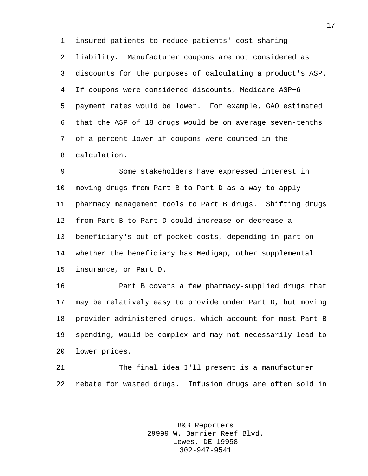insured patients to reduce patients' cost-sharing liability. Manufacturer coupons are not considered as discounts for the purposes of calculating a product's ASP. If coupons were considered discounts, Medicare ASP+6 payment rates would be lower. For example, GAO estimated that the ASP of 18 drugs would be on average seven-tenths of a percent lower if coupons were counted in the calculation.

 Some stakeholders have expressed interest in moving drugs from Part B to Part D as a way to apply pharmacy management tools to Part B drugs. Shifting drugs from Part B to Part D could increase or decrease a beneficiary's out-of-pocket costs, depending in part on whether the beneficiary has Medigap, other supplemental insurance, or Part D.

 Part B covers a few pharmacy-supplied drugs that may be relatively easy to provide under Part D, but moving provider-administered drugs, which account for most Part B spending, would be complex and may not necessarily lead to lower prices.

 The final idea I'll present is a manufacturer rebate for wasted drugs. Infusion drugs are often sold in

> B&B Reporters 29999 W. Barrier Reef Blvd. Lewes, DE 19958 302-947-9541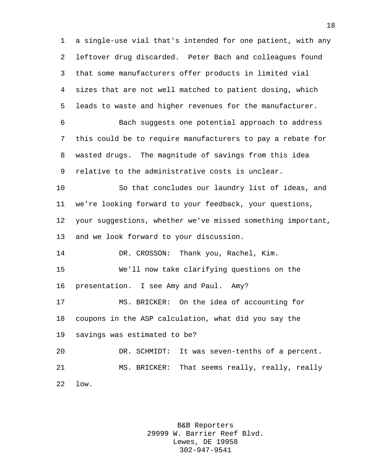a single-use vial that's intended for one patient, with any leftover drug discarded. Peter Bach and colleagues found that some manufacturers offer products in limited vial sizes that are not well matched to patient dosing, which leads to waste and higher revenues for the manufacturer. Bach suggests one potential approach to address this could be to require manufacturers to pay a rebate for wasted drugs. The magnitude of savings from this idea relative to the administrative costs is unclear. So that concludes our laundry list of ideas, and we're looking forward to your feedback, your questions, your suggestions, whether we've missed something important, and we look forward to your discussion. DR. CROSSON: Thank you, Rachel, Kim. We'll now take clarifying questions on the presentation. I see Amy and Paul. Amy? MS. BRICKER: On the idea of accounting for coupons in the ASP calculation, what did you say the savings was estimated to be? DR. SCHMIDT: It was seven-tenths of a percent. MS. BRICKER: That seems really, really, really low.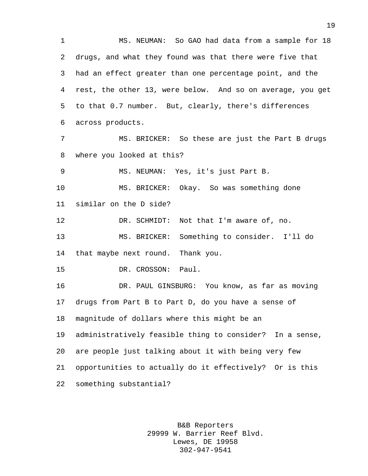MS. NEUMAN: So GAO had data from a sample for 18 drugs, and what they found was that there were five that had an effect greater than one percentage point, and the rest, the other 13, were below. And so on average, you get to that 0.7 number. But, clearly, there's differences across products. MS. BRICKER: So these are just the Part B drugs where you looked at this? MS. NEUMAN: Yes, it's just Part B. MS. BRICKER: Okay. So was something done similar on the D side? DR. SCHMIDT: Not that I'm aware of, no. MS. BRICKER: Something to consider. I'll do that maybe next round. Thank you. DR. CROSSON: Paul. DR. PAUL GINSBURG: You know, as far as moving drugs from Part B to Part D, do you have a sense of magnitude of dollars where this might be an administratively feasible thing to consider? In a sense, are people just talking about it with being very few opportunities to actually do it effectively? Or is this something substantial?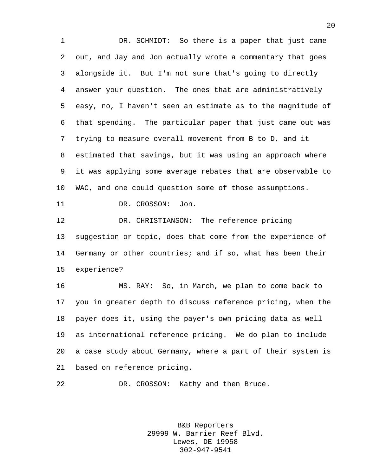DR. SCHMIDT: So there is a paper that just came out, and Jay and Jon actually wrote a commentary that goes alongside it. But I'm not sure that's going to directly answer your question. The ones that are administratively easy, no, I haven't seen an estimate as to the magnitude of that spending. The particular paper that just came out was trying to measure overall movement from B to D, and it estimated that savings, but it was using an approach where it was applying some average rebates that are observable to WAC, and one could question some of those assumptions. 11 DR. CROSSON: Jon.

 DR. CHRISTIANSON: The reference pricing suggestion or topic, does that come from the experience of Germany or other countries; and if so, what has been their experience?

 MS. RAY: So, in March, we plan to come back to you in greater depth to discuss reference pricing, when the payer does it, using the payer's own pricing data as well as international reference pricing. We do plan to include a case study about Germany, where a part of their system is based on reference pricing.

DR. CROSSON: Kathy and then Bruce.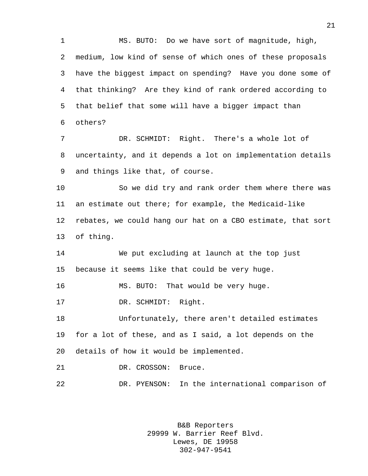MS. BUTO: Do we have sort of magnitude, high, medium, low kind of sense of which ones of these proposals have the biggest impact on spending? Have you done some of that thinking? Are they kind of rank ordered according to that belief that some will have a bigger impact than others? DR. SCHMIDT: Right. There's a whole lot of uncertainty, and it depends a lot on implementation details

and things like that, of course.

 So we did try and rank order them where there was an estimate out there; for example, the Medicaid-like rebates, we could hang our hat on a CBO estimate, that sort of thing.

 We put excluding at launch at the top just because it seems like that could be very huge.

MS. BUTO: That would be very huge.

DR. SCHMIDT: Right.

 Unfortunately, there aren't detailed estimates for a lot of these, and as I said, a lot depends on the details of how it would be implemented.

21 DR. CROSSON: Bruce.

DR. PYENSON: In the international comparison of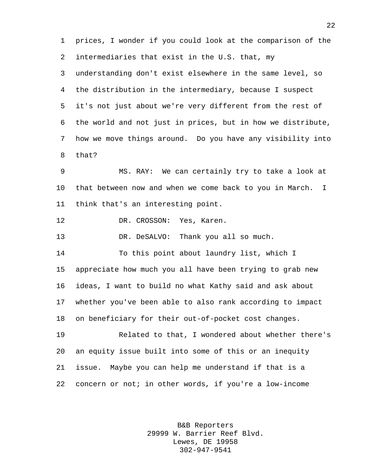prices, I wonder if you could look at the comparison of the intermediaries that exist in the U.S. that, my understanding don't exist elsewhere in the same level, so the distribution in the intermediary, because I suspect it's not just about we're very different from the rest of the world and not just in prices, but in how we distribute, how we move things around. Do you have any visibility into that? MS. RAY: We can certainly try to take a look at that between now and when we come back to you in March. I think that's an interesting point. DR. CROSSON: Yes, Karen. 13 DR. DeSALVO: Thank you all so much. To this point about laundry list, which I appreciate how much you all have been trying to grab new ideas, I want to build no what Kathy said and ask about whether you've been able to also rank according to impact on beneficiary for their out-of-pocket cost changes. Related to that, I wondered about whether there's an equity issue built into some of this or an inequity issue. Maybe you can help me understand if that is a concern or not; in other words, if you're a low-income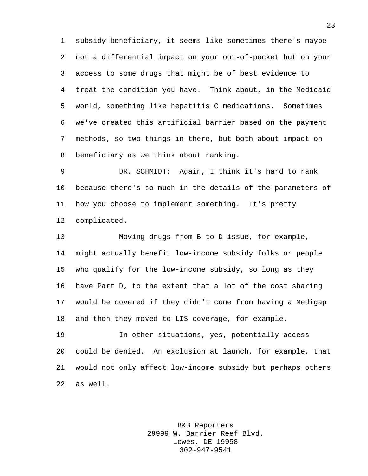subsidy beneficiary, it seems like sometimes there's maybe not a differential impact on your out-of-pocket but on your access to some drugs that might be of best evidence to treat the condition you have. Think about, in the Medicaid world, something like hepatitis C medications. Sometimes we've created this artificial barrier based on the payment methods, so two things in there, but both about impact on beneficiary as we think about ranking.

 DR. SCHMIDT: Again, I think it's hard to rank because there's so much in the details of the parameters of how you choose to implement something. It's pretty complicated.

 Moving drugs from B to D issue, for example, might actually benefit low-income subsidy folks or people who qualify for the low-income subsidy, so long as they have Part D, to the extent that a lot of the cost sharing would be covered if they didn't come from having a Medigap and then they moved to LIS coverage, for example.

 In other situations, yes, potentially access could be denied. An exclusion at launch, for example, that would not only affect low-income subsidy but perhaps others as well.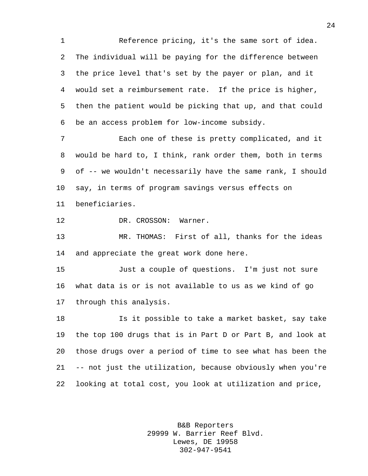Reference pricing, it's the same sort of idea. The individual will be paying for the difference between the price level that's set by the payer or plan, and it would set a reimbursement rate. If the price is higher, then the patient would be picking that up, and that could be an access problem for low-income subsidy.

 Each one of these is pretty complicated, and it would be hard to, I think, rank order them, both in terms of -- we wouldn't necessarily have the same rank, I should say, in terms of program savings versus effects on beneficiaries.

DR. CROSSON: Warner.

 MR. THOMAS: First of all, thanks for the ideas and appreciate the great work done here.

 Just a couple of questions. I'm just not sure what data is or is not available to us as we kind of go through this analysis.

 Is it possible to take a market basket, say take the top 100 drugs that is in Part D or Part B, and look at those drugs over a period of time to see what has been the -- not just the utilization, because obviously when you're looking at total cost, you look at utilization and price,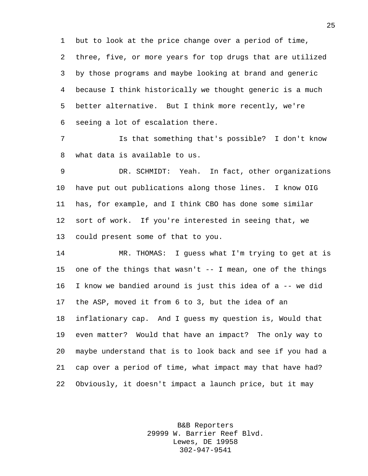but to look at the price change over a period of time, three, five, or more years for top drugs that are utilized by those programs and maybe looking at brand and generic because I think historically we thought generic is a much better alternative. But I think more recently, we're seeing a lot of escalation there.

 Is that something that's possible? I don't know what data is available to us.

 DR. SCHMIDT: Yeah. In fact, other organizations have put out publications along those lines. I know OIG has, for example, and I think CBO has done some similar sort of work. If you're interested in seeing that, we could present some of that to you.

 MR. THOMAS: I guess what I'm trying to get at is one of the things that wasn't -- I mean, one of the things I know we bandied around is just this idea of a -- we did the ASP, moved it from 6 to 3, but the idea of an inflationary cap. And I guess my question is, Would that even matter? Would that have an impact? The only way to maybe understand that is to look back and see if you had a cap over a period of time, what impact may that have had? Obviously, it doesn't impact a launch price, but it may

> B&B Reporters 29999 W. Barrier Reef Blvd. Lewes, DE 19958 302-947-9541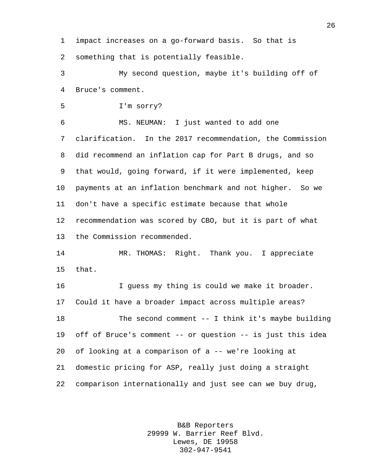impact increases on a go-forward basis. So that is something that is potentially feasible.

 My second question, maybe it's building off of Bruce's comment.

I'm sorry?

 MS. NEUMAN: I just wanted to add one clarification. In the 2017 recommendation, the Commission did recommend an inflation cap for Part B drugs, and so that would, going forward, if it were implemented, keep payments at an inflation benchmark and not higher. So we don't have a specific estimate because that whole recommendation was scored by CBO, but it is part of what the Commission recommended.

 MR. THOMAS: Right. Thank you. I appreciate that.

 I guess my thing is could we make it broader. Could it have a broader impact across multiple areas? The second comment -- I think it's maybe building off of Bruce's comment -- or question -- is just this idea of looking at a comparison of a -- we're looking at domestic pricing for ASP, really just doing a straight comparison internationally and just see can we buy drug,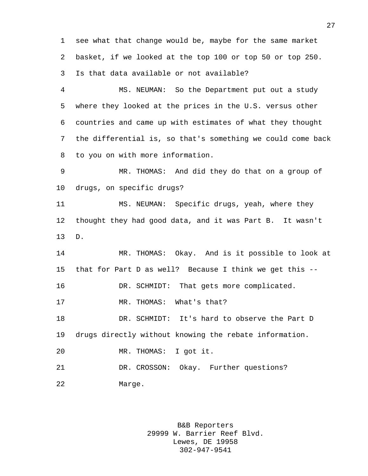see what that change would be, maybe for the same market basket, if we looked at the top 100 or top 50 or top 250. Is that data available or not available?

 MS. NEUMAN: So the Department put out a study where they looked at the prices in the U.S. versus other countries and came up with estimates of what they thought the differential is, so that's something we could come back to you on with more information.

 MR. THOMAS: And did they do that on a group of drugs, on specific drugs?

 MS. NEUMAN: Specific drugs, yeah, where they thought they had good data, and it was Part B. It wasn't D.

 MR. THOMAS: Okay. And is it possible to look at that for Part D as well? Because I think we get this -- 16 DR. SCHMIDT: That gets more complicated. MR. THOMAS: What's that? DR. SCHMIDT: It's hard to observe the Part D drugs directly without knowing the rebate information. MR. THOMAS: I got it. DR. CROSSON: Okay. Further questions? Marge.

> B&B Reporters 29999 W. Barrier Reef Blvd. Lewes, DE 19958 302-947-9541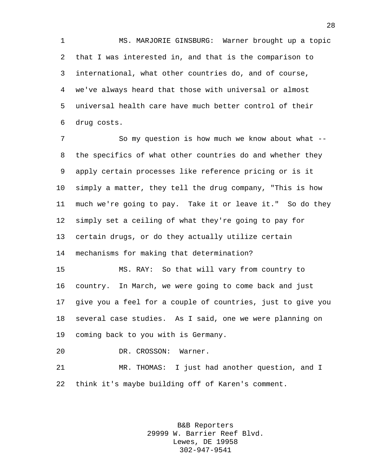MS. MARJORIE GINSBURG: Warner brought up a topic that I was interested in, and that is the comparison to international, what other countries do, and of course, we've always heard that those with universal or almost universal health care have much better control of their drug costs.

7 So my question is how much we know about what -- the specifics of what other countries do and whether they apply certain processes like reference pricing or is it simply a matter, they tell the drug company, "This is how much we're going to pay. Take it or leave it." So do they simply set a ceiling of what they're going to pay for certain drugs, or do they actually utilize certain mechanisms for making that determination?

 MS. RAY: So that will vary from country to country. In March, we were going to come back and just give you a feel for a couple of countries, just to give you several case studies. As I said, one we were planning on coming back to you with is Germany.

DR. CROSSON: Warner.

 MR. THOMAS: I just had another question, and I think it's maybe building off of Karen's comment.

> B&B Reporters 29999 W. Barrier Reef Blvd. Lewes, DE 19958 302-947-9541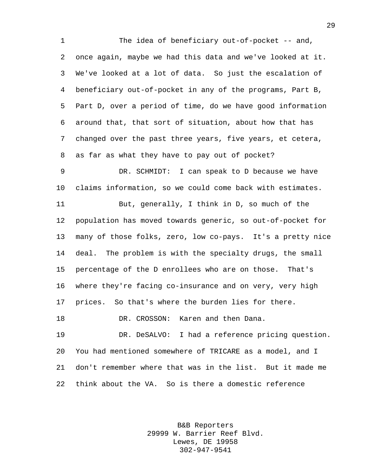The idea of beneficiary out-of-pocket -- and, once again, maybe we had this data and we've looked at it. We've looked at a lot of data. So just the escalation of beneficiary out-of-pocket in any of the programs, Part B, Part D, over a period of time, do we have good information around that, that sort of situation, about how that has changed over the past three years, five years, et cetera, as far as what they have to pay out of pocket? DR. SCHMIDT: I can speak to D because we have claims information, so we could come back with estimates. But, generally, I think in D, so much of the population has moved towards generic, so out-of-pocket for many of those folks, zero, low co-pays. It's a pretty nice deal. The problem is with the specialty drugs, the small percentage of the D enrollees who are on those. That's where they're facing co-insurance and on very, very high prices. So that's where the burden lies for there. DR. CROSSON: Karen and then Dana. DR. DeSALVO: I had a reference pricing question.

 You had mentioned somewhere of TRICARE as a model, and I don't remember where that was in the list. But it made me think about the VA. So is there a domestic reference

> B&B Reporters 29999 W. Barrier Reef Blvd. Lewes, DE 19958 302-947-9541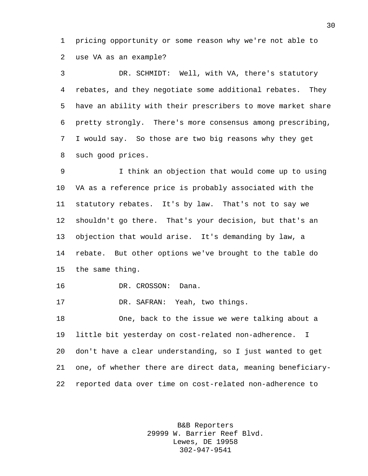pricing opportunity or some reason why we're not able to use VA as an example?

 DR. SCHMIDT: Well, with VA, there's statutory rebates, and they negotiate some additional rebates. They have an ability with their prescribers to move market share pretty strongly. There's more consensus among prescribing, I would say. So those are two big reasons why they get such good prices.

 I think an objection that would come up to using VA as a reference price is probably associated with the statutory rebates. It's by law. That's not to say we shouldn't go there. That's your decision, but that's an objection that would arise. It's demanding by law, a rebate. But other options we've brought to the table do the same thing.

DR. CROSSON: Dana.

DR. SAFRAN: Yeah, two things.

 One, back to the issue we were talking about a little bit yesterday on cost-related non-adherence. I don't have a clear understanding, so I just wanted to get one, of whether there are direct data, meaning beneficiary-reported data over time on cost-related non-adherence to

> B&B Reporters 29999 W. Barrier Reef Blvd. Lewes, DE 19958 302-947-9541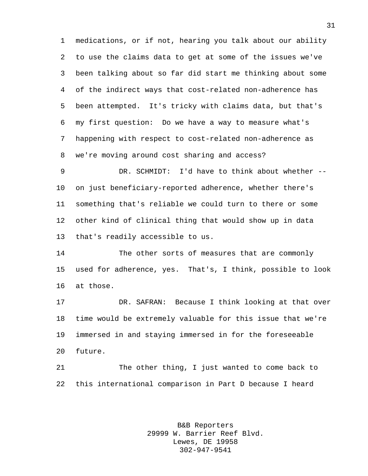medications, or if not, hearing you talk about our ability to use the claims data to get at some of the issues we've been talking about so far did start me thinking about some of the indirect ways that cost-related non-adherence has been attempted. It's tricky with claims data, but that's my first question: Do we have a way to measure what's happening with respect to cost-related non-adherence as we're moving around cost sharing and access?

 DR. SCHMIDT: I'd have to think about whether -- on just beneficiary-reported adherence, whether there's something that's reliable we could turn to there or some other kind of clinical thing that would show up in data that's readily accessible to us.

 The other sorts of measures that are commonly used for adherence, yes. That's, I think, possible to look at those.

 DR. SAFRAN: Because I think looking at that over time would be extremely valuable for this issue that we're immersed in and staying immersed in for the foreseeable future.

 The other thing, I just wanted to come back to this international comparison in Part D because I heard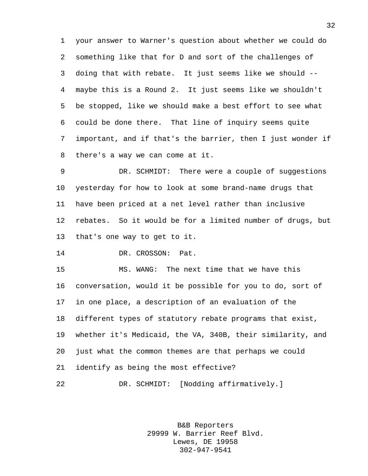your answer to Warner's question about whether we could do something like that for D and sort of the challenges of doing that with rebate. It just seems like we should -- maybe this is a Round 2. It just seems like we shouldn't be stopped, like we should make a best effort to see what could be done there. That line of inquiry seems quite important, and if that's the barrier, then I just wonder if there's a way we can come at it.

 DR. SCHMIDT: There were a couple of suggestions yesterday for how to look at some brand-name drugs that have been priced at a net level rather than inclusive rebates. So it would be for a limited number of drugs, but that's one way to get to it.

DR. CROSSON: Pat.

 MS. WANG: The next time that we have this conversation, would it be possible for you to do, sort of in one place, a description of an evaluation of the different types of statutory rebate programs that exist, whether it's Medicaid, the VA, 340B, their similarity, and just what the common themes are that perhaps we could identify as being the most effective?

DR. SCHMIDT: [Nodding affirmatively.]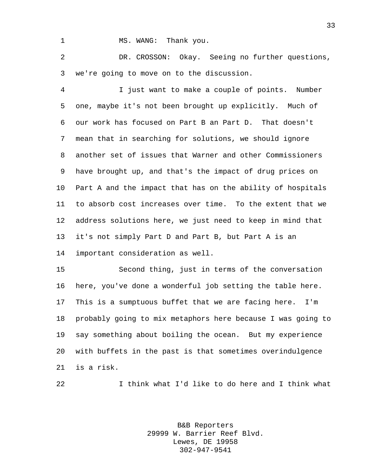1 MS. WANG: Thank you.

 DR. CROSSON: Okay. Seeing no further questions, we're going to move on to the discussion.

 I just want to make a couple of points. Number one, maybe it's not been brought up explicitly. Much of our work has focused on Part B an Part D. That doesn't mean that in searching for solutions, we should ignore another set of issues that Warner and other Commissioners have brought up, and that's the impact of drug prices on Part A and the impact that has on the ability of hospitals to absorb cost increases over time. To the extent that we address solutions here, we just need to keep in mind that it's not simply Part D and Part B, but Part A is an important consideration as well.

 Second thing, just in terms of the conversation here, you've done a wonderful job setting the table here. This is a sumptuous buffet that we are facing here. I'm probably going to mix metaphors here because I was going to say something about boiling the ocean. But my experience with buffets in the past is that sometimes overindulgence is a risk.

I think what I'd like to do here and I think what

B&B Reporters 29999 W. Barrier Reef Blvd. Lewes, DE 19958 302-947-9541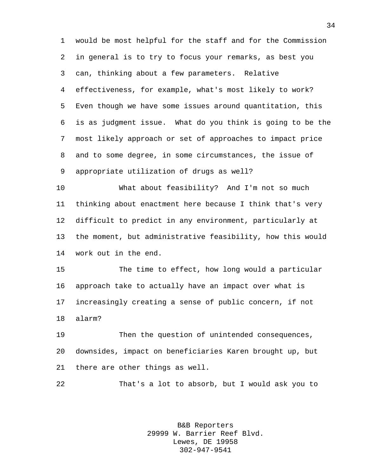would be most helpful for the staff and for the Commission in general is to try to focus your remarks, as best you can, thinking about a few parameters. Relative effectiveness, for example, what's most likely to work? Even though we have some issues around quantitation, this is as judgment issue. What do you think is going to be the most likely approach or set of approaches to impact price and to some degree, in some circumstances, the issue of appropriate utilization of drugs as well?

 What about feasibility? And I'm not so much thinking about enactment here because I think that's very difficult to predict in any environment, particularly at the moment, but administrative feasibility, how this would work out in the end.

 The time to effect, how long would a particular approach take to actually have an impact over what is increasingly creating a sense of public concern, if not alarm?

 Then the question of unintended consequences, downsides, impact on beneficiaries Karen brought up, but there are other things as well.

That's a lot to absorb, but I would ask you to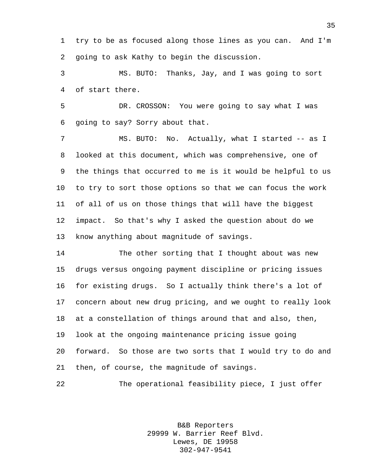try to be as focused along those lines as you can. And I'm going to ask Kathy to begin the discussion.

 MS. BUTO: Thanks, Jay, and I was going to sort of start there.

 DR. CROSSON: You were going to say what I was going to say? Sorry about that.

7 MS. BUTO: No. Actually, what I started -- as I looked at this document, which was comprehensive, one of the things that occurred to me is it would be helpful to us to try to sort those options so that we can focus the work of all of us on those things that will have the biggest impact. So that's why I asked the question about do we know anything about magnitude of savings.

 The other sorting that I thought about was new drugs versus ongoing payment discipline or pricing issues for existing drugs. So I actually think there's a lot of concern about new drug pricing, and we ought to really look at a constellation of things around that and also, then, look at the ongoing maintenance pricing issue going forward. So those are two sorts that I would try to do and then, of course, the magnitude of savings.

The operational feasibility piece, I just offer

B&B Reporters 29999 W. Barrier Reef Blvd. Lewes, DE 19958 302-947-9541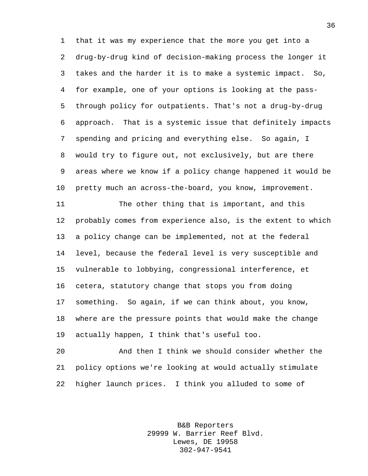that it was my experience that the more you get into a drug-by-drug kind of decision-making process the longer it takes and the harder it is to make a systemic impact. So, for example, one of your options is looking at the pass- through policy for outpatients. That's not a drug-by-drug approach. That is a systemic issue that definitely impacts spending and pricing and everything else. So again, I would try to figure out, not exclusively, but are there areas where we know if a policy change happened it would be pretty much an across-the-board, you know, improvement.

 The other thing that is important, and this probably comes from experience also, is the extent to which a policy change can be implemented, not at the federal level, because the federal level is very susceptible and vulnerable to lobbying, congressional interference, et cetera, statutory change that stops you from doing something. So again, if we can think about, you know, where are the pressure points that would make the change actually happen, I think that's useful too.

 And then I think we should consider whether the policy options we're looking at would actually stimulate higher launch prices. I think you alluded to some of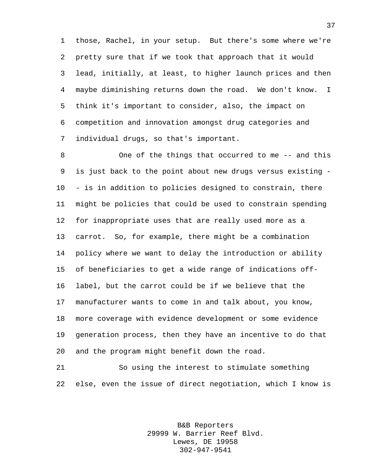those, Rachel, in your setup. But there's some where we're pretty sure that if we took that approach that it would lead, initially, at least, to higher launch prices and then maybe diminishing returns down the road. We don't know. I think it's important to consider, also, the impact on competition and innovation amongst drug categories and individual drugs, so that's important.

 One of the things that occurred to me -- and this is just back to the point about new drugs versus existing - - is in addition to policies designed to constrain, there might be policies that could be used to constrain spending for inappropriate uses that are really used more as a carrot. So, for example, there might be a combination policy where we want to delay the introduction or ability of beneficiaries to get a wide range of indications off- label, but the carrot could be if we believe that the manufacturer wants to come in and talk about, you know, more coverage with evidence development or some evidence generation process, then they have an incentive to do that and the program might benefit down the road.

 So using the interest to stimulate something else, even the issue of direct negotiation, which I know is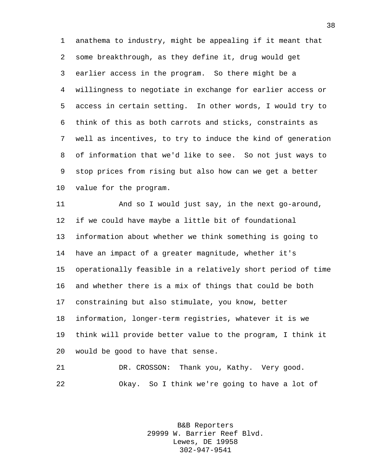anathema to industry, might be appealing if it meant that some breakthrough, as they define it, drug would get earlier access in the program. So there might be a willingness to negotiate in exchange for earlier access or access in certain setting. In other words, I would try to think of this as both carrots and sticks, constraints as well as incentives, to try to induce the kind of generation of information that we'd like to see. So not just ways to stop prices from rising but also how can we get a better value for the program.

 And so I would just say, in the next go-around, if we could have maybe a little bit of foundational information about whether we think something is going to have an impact of a greater magnitude, whether it's operationally feasible in a relatively short period of time and whether there is a mix of things that could be both constraining but also stimulate, you know, better information, longer-term registries, whatever it is we think will provide better value to the program, I think it would be good to have that sense.

 DR. CROSSON: Thank you, Kathy. Very good. Okay. So I think we're going to have a lot of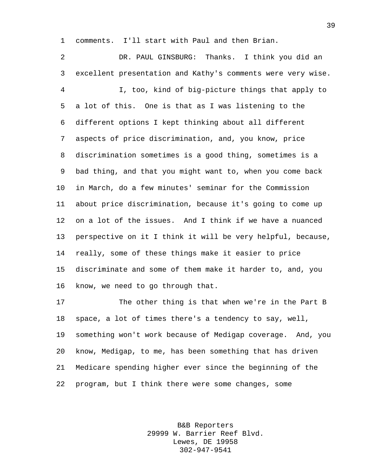comments. I'll start with Paul and then Brian.

 DR. PAUL GINSBURG: Thanks. I think you did an excellent presentation and Kathy's comments were very wise. I, too, kind of big-picture things that apply to a lot of this. One is that as I was listening to the different options I kept thinking about all different aspects of price discrimination, and, you know, price discrimination sometimes is a good thing, sometimes is a bad thing, and that you might want to, when you come back in March, do a few minutes' seminar for the Commission about price discrimination, because it's going to come up on a lot of the issues. And I think if we have a nuanced perspective on it I think it will be very helpful, because, really, some of these things make it easier to price discriminate and some of them make it harder to, and, you know, we need to go through that.

 The other thing is that when we're in the Part B space, a lot of times there's a tendency to say, well, something won't work because of Medigap coverage. And, you know, Medigap, to me, has been something that has driven Medicare spending higher ever since the beginning of the program, but I think there were some changes, some

> B&B Reporters 29999 W. Barrier Reef Blvd. Lewes, DE 19958 302-947-9541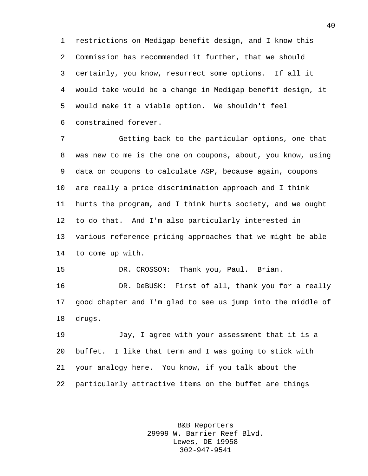restrictions on Medigap benefit design, and I know this Commission has recommended it further, that we should certainly, you know, resurrect some options. If all it would take would be a change in Medigap benefit design, it would make it a viable option. We shouldn't feel constrained forever.

 Getting back to the particular options, one that was new to me is the one on coupons, about, you know, using data on coupons to calculate ASP, because again, coupons are really a price discrimination approach and I think hurts the program, and I think hurts society, and we ought to do that. And I'm also particularly interested in various reference pricing approaches that we might be able to come up with.

DR. CROSSON: Thank you, Paul. Brian.

 DR. DeBUSK: First of all, thank you for a really good chapter and I'm glad to see us jump into the middle of drugs.

 Jay, I agree with your assessment that it is a buffet. I like that term and I was going to stick with your analogy here. You know, if you talk about the particularly attractive items on the buffet are things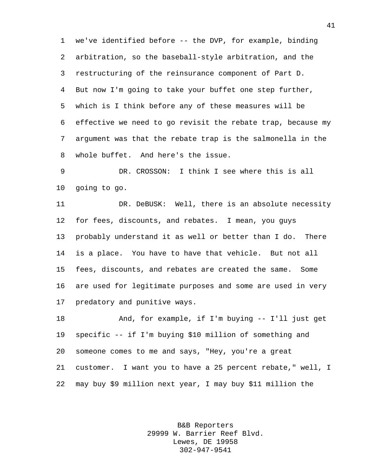we've identified before -- the DVP, for example, binding arbitration, so the baseball-style arbitration, and the restructuring of the reinsurance component of Part D. But now I'm going to take your buffet one step further, which is I think before any of these measures will be effective we need to go revisit the rebate trap, because my argument was that the rebate trap is the salmonella in the whole buffet. And here's the issue.

 DR. CROSSON: I think I see where this is all going to go.

 DR. DeBUSK: Well, there is an absolute necessity for fees, discounts, and rebates. I mean, you guys probably understand it as well or better than I do. There is a place. You have to have that vehicle. But not all fees, discounts, and rebates are created the same. Some are used for legitimate purposes and some are used in very predatory and punitive ways.

 And, for example, if I'm buying -- I'll just get specific -- if I'm buying \$10 million of something and someone comes to me and says, "Hey, you're a great customer. I want you to have a 25 percent rebate," well, I may buy \$9 million next year, I may buy \$11 million the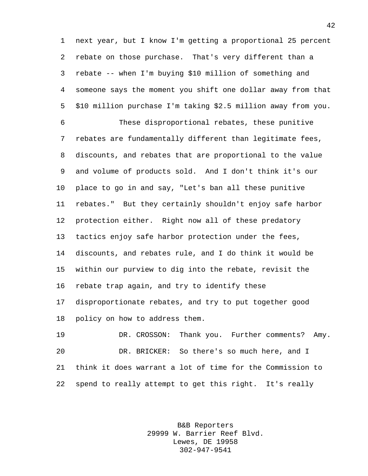next year, but I know I'm getting a proportional 25 percent rebate on those purchase. That's very different than a rebate -- when I'm buying \$10 million of something and someone says the moment you shift one dollar away from that \$10 million purchase I'm taking \$2.5 million away from you.

 These disproportional rebates, these punitive rebates are fundamentally different than legitimate fees, discounts, and rebates that are proportional to the value and volume of products sold. And I don't think it's our place to go in and say, "Let's ban all these punitive rebates." But they certainly shouldn't enjoy safe harbor protection either. Right now all of these predatory tactics enjoy safe harbor protection under the fees, discounts, and rebates rule, and I do think it would be within our purview to dig into the rebate, revisit the rebate trap again, and try to identify these disproportionate rebates, and try to put together good policy on how to address them.

 DR. CROSSON: Thank you. Further comments? Amy. DR. BRICKER: So there's so much here, and I think it does warrant a lot of time for the Commission to spend to really attempt to get this right. It's really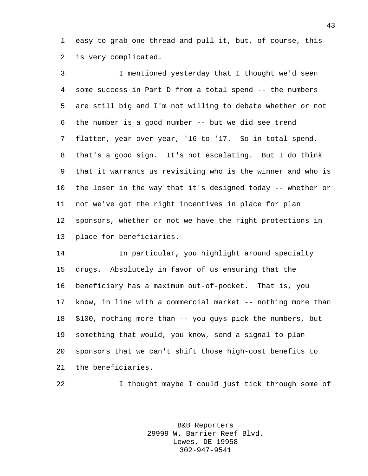easy to grab one thread and pull it, but, of course, this is very complicated.

 I mentioned yesterday that I thought we'd seen some success in Part D from a total spend -- the numbers are still big and I'm not willing to debate whether or not the number is a good number -- but we did see trend flatten, year over year, '16 to '17. So in total spend, that's a good sign. It's not escalating. But I do think that it warrants us revisiting who is the winner and who is the loser in the way that it's designed today -- whether or not we've got the right incentives in place for plan sponsors, whether or not we have the right protections in place for beneficiaries.

 In particular, you highlight around specialty drugs. Absolutely in favor of us ensuring that the beneficiary has a maximum out-of-pocket. That is, you know, in line with a commercial market -- nothing more than \$100, nothing more than -- you guys pick the numbers, but something that would, you know, send a signal to plan sponsors that we can't shift those high-cost benefits to the beneficiaries.

I thought maybe I could just tick through some of

B&B Reporters 29999 W. Barrier Reef Blvd. Lewes, DE 19958 302-947-9541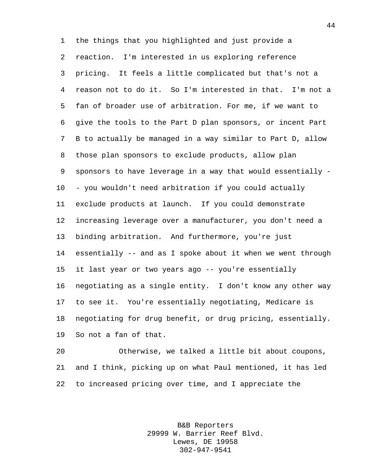the things that you highlighted and just provide a reaction. I'm interested in us exploring reference pricing. It feels a little complicated but that's not a reason not to do it. So I'm interested in that. I'm not a fan of broader use of arbitration. For me, if we want to give the tools to the Part D plan sponsors, or incent Part B to actually be managed in a way similar to Part D, allow those plan sponsors to exclude products, allow plan sponsors to have leverage in a way that would essentially - - you wouldn't need arbitration if you could actually exclude products at launch. If you could demonstrate increasing leverage over a manufacturer, you don't need a binding arbitration. And furthermore, you're just essentially -- and as I spoke about it when we went through it last year or two years ago -- you're essentially negotiating as a single entity. I don't know any other way to see it. You're essentially negotiating, Medicare is negotiating for drug benefit, or drug pricing, essentially. So not a fan of that.

 Otherwise, we talked a little bit about coupons, and I think, picking up on what Paul mentioned, it has led to increased pricing over time, and I appreciate the

> B&B Reporters 29999 W. Barrier Reef Blvd. Lewes, DE 19958 302-947-9541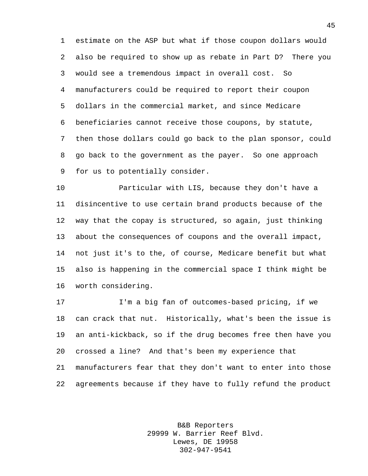estimate on the ASP but what if those coupon dollars would also be required to show up as rebate in Part D? There you would see a tremendous impact in overall cost. So manufacturers could be required to report their coupon dollars in the commercial market, and since Medicare beneficiaries cannot receive those coupons, by statute, then those dollars could go back to the plan sponsor, could go back to the government as the payer. So one approach for us to potentially consider.

 Particular with LIS, because they don't have a disincentive to use certain brand products because of the way that the copay is structured, so again, just thinking about the consequences of coupons and the overall impact, not just it's to the, of course, Medicare benefit but what also is happening in the commercial space I think might be worth considering.

 I'm a big fan of outcomes-based pricing, if we can crack that nut. Historically, what's been the issue is an anti-kickback, so if the drug becomes free then have you crossed a line? And that's been my experience that manufacturers fear that they don't want to enter into those

agreements because if they have to fully refund the product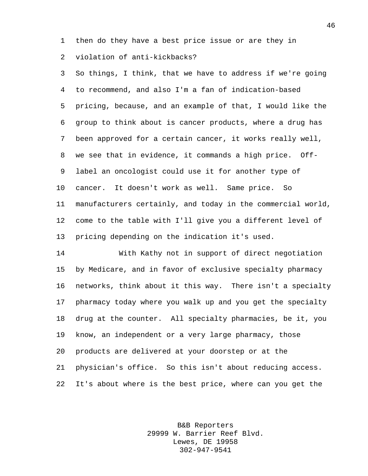then do they have a best price issue or are they in violation of anti-kickbacks?

 So things, I think, that we have to address if we're going to recommend, and also I'm a fan of indication-based pricing, because, and an example of that, I would like the group to think about is cancer products, where a drug has been approved for a certain cancer, it works really well, we see that in evidence, it commands a high price. Off- label an oncologist could use it for another type of cancer. It doesn't work as well. Same price. So manufacturers certainly, and today in the commercial world, come to the table with I'll give you a different level of pricing depending on the indication it's used.

 With Kathy not in support of direct negotiation by Medicare, and in favor of exclusive specialty pharmacy networks, think about it this way. There isn't a specialty pharmacy today where you walk up and you get the specialty drug at the counter. All specialty pharmacies, be it, you know, an independent or a very large pharmacy, those products are delivered at your doorstep or at the physician's office. So this isn't about reducing access. It's about where is the best price, where can you get the

> B&B Reporters 29999 W. Barrier Reef Blvd. Lewes, DE 19958 302-947-9541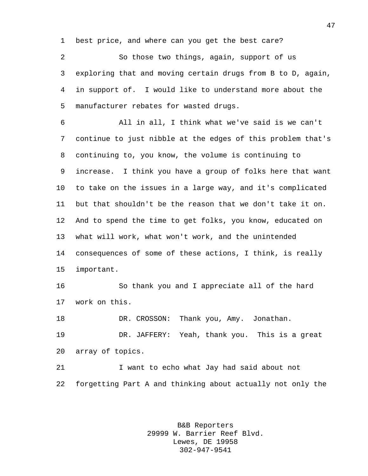best price, and where can you get the best care?

 So those two things, again, support of us exploring that and moving certain drugs from B to D, again, in support of. I would like to understand more about the manufacturer rebates for wasted drugs.

 All in all, I think what we've said is we can't continue to just nibble at the edges of this problem that's continuing to, you know, the volume is continuing to increase. I think you have a group of folks here that want to take on the issues in a large way, and it's complicated but that shouldn't be the reason that we don't take it on. And to spend the time to get folks, you know, educated on what will work, what won't work, and the unintended consequences of some of these actions, I think, is really important.

 So thank you and I appreciate all of the hard work on this.

DR. CROSSON: Thank you, Amy. Jonathan.

 DR. JAFFERY: Yeah, thank you. This is a great array of topics.

 I want to echo what Jay had said about not forgetting Part A and thinking about actually not only the

> B&B Reporters 29999 W. Barrier Reef Blvd. Lewes, DE 19958 302-947-9541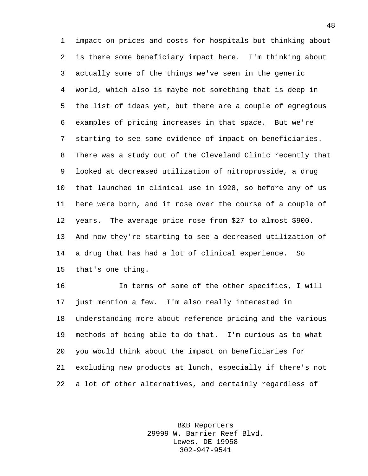impact on prices and costs for hospitals but thinking about is there some beneficiary impact here. I'm thinking about actually some of the things we've seen in the generic world, which also is maybe not something that is deep in the list of ideas yet, but there are a couple of egregious examples of pricing increases in that space. But we're starting to see some evidence of impact on beneficiaries. There was a study out of the Cleveland Clinic recently that looked at decreased utilization of nitroprusside, a drug that launched in clinical use in 1928, so before any of us here were born, and it rose over the course of a couple of years. The average price rose from \$27 to almost \$900. And now they're starting to see a decreased utilization of a drug that has had a lot of clinical experience. So that's one thing.

 In terms of some of the other specifics, I will just mention a few. I'm also really interested in understanding more about reference pricing and the various methods of being able to do that. I'm curious as to what you would think about the impact on beneficiaries for excluding new products at lunch, especially if there's not a lot of other alternatives, and certainly regardless of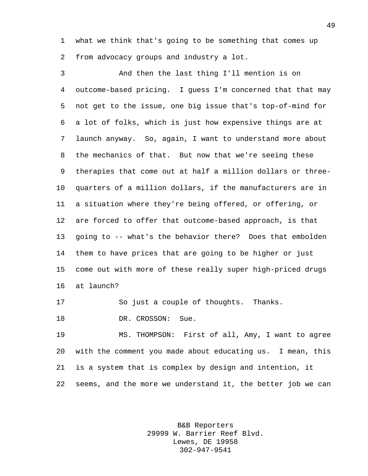what we think that's going to be something that comes up from advocacy groups and industry a lot.

 And then the last thing I'll mention is on outcome-based pricing. I guess I'm concerned that that may not get to the issue, one big issue that's top-of-mind for a lot of folks, which is just how expensive things are at launch anyway. So, again, I want to understand more about the mechanics of that. But now that we're seeing these therapies that come out at half a million dollars or three- quarters of a million dollars, if the manufacturers are in a situation where they're being offered, or offering, or are forced to offer that outcome-based approach, is that going to -- what's the behavior there? Does that embolden them to have prices that are going to be higher or just come out with more of these really super high-priced drugs at launch?

So just a couple of thoughts. Thanks.

18 DR. CROSSON: Sue.

 MS. THOMPSON: First of all, Amy, I want to agree with the comment you made about educating us. I mean, this is a system that is complex by design and intention, it seems, and the more we understand it, the better job we can

> B&B Reporters 29999 W. Barrier Reef Blvd. Lewes, DE 19958 302-947-9541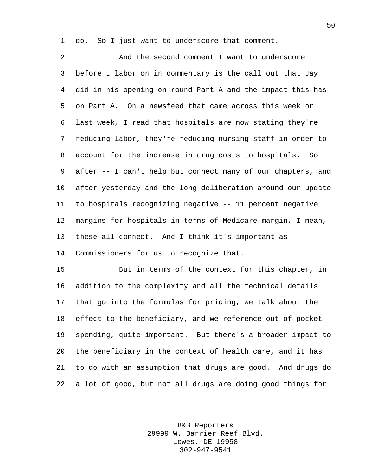do. So I just want to underscore that comment.

 And the second comment I want to underscore before I labor on in commentary is the call out that Jay did in his opening on round Part A and the impact this has on Part A. On a newsfeed that came across this week or last week, I read that hospitals are now stating they're reducing labor, they're reducing nursing staff in order to account for the increase in drug costs to hospitals. So after -- I can't help but connect many of our chapters, and after yesterday and the long deliberation around our update to hospitals recognizing negative -- 11 percent negative margins for hospitals in terms of Medicare margin, I mean, these all connect. And I think it's important as Commissioners for us to recognize that.

 But in terms of the context for this chapter, in addition to the complexity and all the technical details that go into the formulas for pricing, we talk about the effect to the beneficiary, and we reference out-of-pocket spending, quite important. But there's a broader impact to the beneficiary in the context of health care, and it has to do with an assumption that drugs are good. And drugs do a lot of good, but not all drugs are doing good things for

> B&B Reporters 29999 W. Barrier Reef Blvd. Lewes, DE 19958 302-947-9541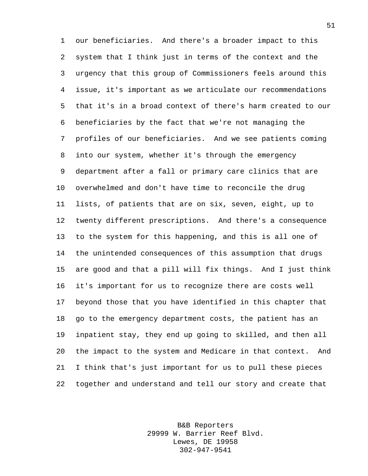our beneficiaries. And there's a broader impact to this system that I think just in terms of the context and the urgency that this group of Commissioners feels around this issue, it's important as we articulate our recommendations that it's in a broad context of there's harm created to our beneficiaries by the fact that we're not managing the profiles of our beneficiaries. And we see patients coming into our system, whether it's through the emergency department after a fall or primary care clinics that are overwhelmed and don't have time to reconcile the drug lists, of patients that are on six, seven, eight, up to twenty different prescriptions. And there's a consequence to the system for this happening, and this is all one of the unintended consequences of this assumption that drugs are good and that a pill will fix things. And I just think it's important for us to recognize there are costs well beyond those that you have identified in this chapter that go to the emergency department costs, the patient has an inpatient stay, they end up going to skilled, and then all the impact to the system and Medicare in that context. And I think that's just important for us to pull these pieces together and understand and tell our story and create that

> B&B Reporters 29999 W. Barrier Reef Blvd. Lewes, DE 19958 302-947-9541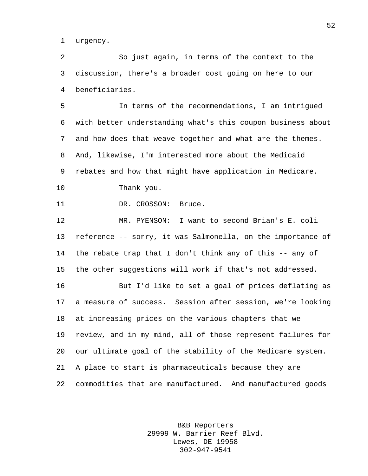urgency.

 So just again, in terms of the context to the discussion, there's a broader cost going on here to our beneficiaries.

 In terms of the recommendations, I am intrigued with better understanding what's this coupon business about and how does that weave together and what are the themes. And, likewise, I'm interested more about the Medicaid rebates and how that might have application in Medicare. Thank you.

11 DR. CROSSON: Bruce.

 MR. PYENSON: I want to second Brian's E. coli reference -- sorry, it was Salmonella, on the importance of the rebate trap that I don't think any of this -- any of the other suggestions will work if that's not addressed.

 But I'd like to set a goal of prices deflating as a measure of success. Session after session, we're looking at increasing prices on the various chapters that we review, and in my mind, all of those represent failures for our ultimate goal of the stability of the Medicare system. A place to start is pharmaceuticals because they are commodities that are manufactured. And manufactured goods

> B&B Reporters 29999 W. Barrier Reef Blvd. Lewes, DE 19958 302-947-9541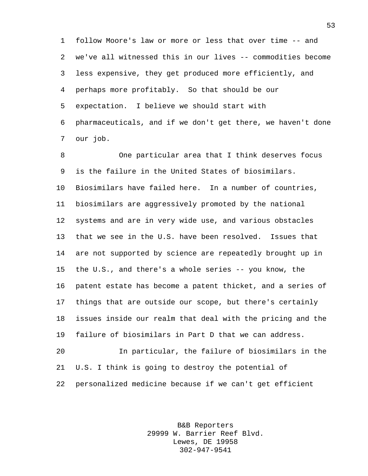follow Moore's law or more or less that over time -- and we've all witnessed this in our lives -- commodities become less expensive, they get produced more efficiently, and perhaps more profitably. So that should be our expectation. I believe we should start with pharmaceuticals, and if we don't get there, we haven't done our job.

 One particular area that I think deserves focus is the failure in the United States of biosimilars. Biosimilars have failed here. In a number of countries, biosimilars are aggressively promoted by the national systems and are in very wide use, and various obstacles that we see in the U.S. have been resolved. Issues that are not supported by science are repeatedly brought up in the U.S., and there's a whole series -- you know, the patent estate has become a patent thicket, and a series of things that are outside our scope, but there's certainly issues inside our realm that deal with the pricing and the failure of biosimilars in Part D that we can address. In particular, the failure of biosimilars in the

 U.S. I think is going to destroy the potential of personalized medicine because if we can't get efficient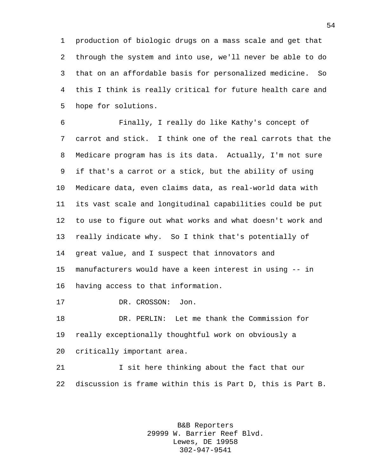production of biologic drugs on a mass scale and get that through the system and into use, we'll never be able to do that on an affordable basis for personalized medicine. So this I think is really critical for future health care and hope for solutions.

 Finally, I really do like Kathy's concept of carrot and stick. I think one of the real carrots that the Medicare program has is its data. Actually, I'm not sure if that's a carrot or a stick, but the ability of using Medicare data, even claims data, as real-world data with its vast scale and longitudinal capabilities could be put to use to figure out what works and what doesn't work and really indicate why. So I think that's potentially of great value, and I suspect that innovators and manufacturers would have a keen interest in using -- in having access to that information.

17 DR. CROSSON: Jon.

 DR. PERLIN: Let me thank the Commission for really exceptionally thoughtful work on obviously a critically important area.

 I sit here thinking about the fact that our discussion is frame within this is Part D, this is Part B.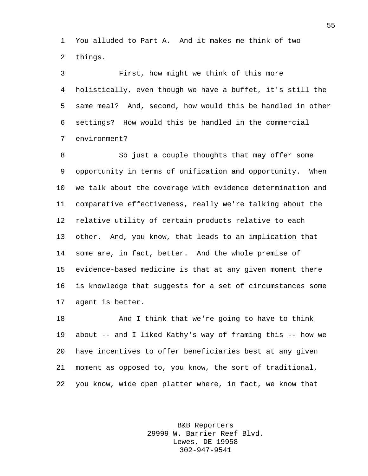You alluded to Part A. And it makes me think of two things.

 First, how might we think of this more holistically, even though we have a buffet, it's still the same meal? And, second, how would this be handled in other settings? How would this be handled in the commercial environment?

 So just a couple thoughts that may offer some opportunity in terms of unification and opportunity. When we talk about the coverage with evidence determination and comparative effectiveness, really we're talking about the relative utility of certain products relative to each other. And, you know, that leads to an implication that some are, in fact, better. And the whole premise of evidence-based medicine is that at any given moment there is knowledge that suggests for a set of circumstances some agent is better.

 And I think that we're going to have to think about -- and I liked Kathy's way of framing this -- how we have incentives to offer beneficiaries best at any given moment as opposed to, you know, the sort of traditional, you know, wide open platter where, in fact, we know that

> B&B Reporters 29999 W. Barrier Reef Blvd. Lewes, DE 19958 302-947-9541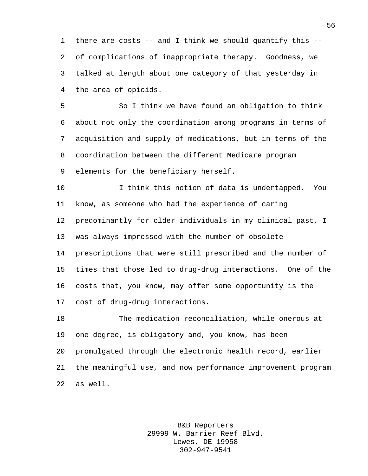there are costs -- and I think we should quantify this -- of complications of inappropriate therapy. Goodness, we talked at length about one category of that yesterday in the area of opioids.

 So I think we have found an obligation to think about not only the coordination among programs in terms of acquisition and supply of medications, but in terms of the coordination between the different Medicare program elements for the beneficiary herself.

 I think this notion of data is undertapped. You know, as someone who had the experience of caring predominantly for older individuals in my clinical past, I was always impressed with the number of obsolete prescriptions that were still prescribed and the number of times that those led to drug-drug interactions. One of the costs that, you know, may offer some opportunity is the cost of drug-drug interactions.

 The medication reconciliation, while onerous at one degree, is obligatory and, you know, has been promulgated through the electronic health record, earlier the meaningful use, and now performance improvement program as well.

> B&B Reporters 29999 W. Barrier Reef Blvd. Lewes, DE 19958 302-947-9541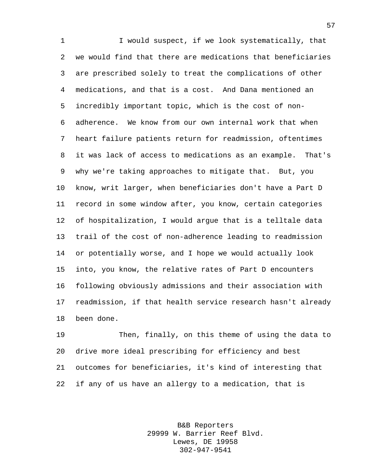1 I would suspect, if we look systematically, that we would find that there are medications that beneficiaries are prescribed solely to treat the complications of other medications, and that is a cost. And Dana mentioned an incredibly important topic, which is the cost of non- adherence. We know from our own internal work that when heart failure patients return for readmission, oftentimes it was lack of access to medications as an example. That's why we're taking approaches to mitigate that. But, you know, writ larger, when beneficiaries don't have a Part D record in some window after, you know, certain categories of hospitalization, I would argue that is a telltale data trail of the cost of non-adherence leading to readmission or potentially worse, and I hope we would actually look into, you know, the relative rates of Part D encounters following obviously admissions and their association with readmission, if that health service research hasn't already been done.

 Then, finally, on this theme of using the data to drive more ideal prescribing for efficiency and best outcomes for beneficiaries, it's kind of interesting that if any of us have an allergy to a medication, that is

> B&B Reporters 29999 W. Barrier Reef Blvd. Lewes, DE 19958 302-947-9541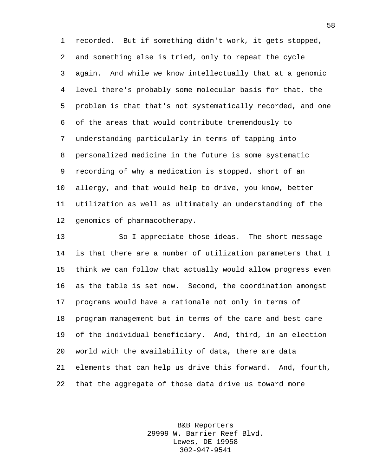recorded. But if something didn't work, it gets stopped, and something else is tried, only to repeat the cycle again. And while we know intellectually that at a genomic level there's probably some molecular basis for that, the problem is that that's not systematically recorded, and one of the areas that would contribute tremendously to understanding particularly in terms of tapping into personalized medicine in the future is some systematic recording of why a medication is stopped, short of an allergy, and that would help to drive, you know, better utilization as well as ultimately an understanding of the genomics of pharmacotherapy.

 So I appreciate those ideas. The short message is that there are a number of utilization parameters that I think we can follow that actually would allow progress even as the table is set now. Second, the coordination amongst programs would have a rationale not only in terms of program management but in terms of the care and best care of the individual beneficiary. And, third, in an election world with the availability of data, there are data elements that can help us drive this forward. And, fourth, that the aggregate of those data drive us toward more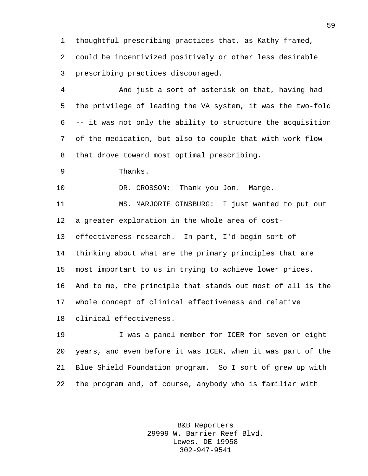thoughtful prescribing practices that, as Kathy framed, could be incentivized positively or other less desirable prescribing practices discouraged.

 And just a sort of asterisk on that, having had the privilege of leading the VA system, it was the two-fold -- it was not only the ability to structure the acquisition of the medication, but also to couple that with work flow that drove toward most optimal prescribing.

Thanks.

10 DR. CROSSON: Thank you Jon. Marge.

 MS. MARJORIE GINSBURG: I just wanted to put out a greater exploration in the whole area of cost- effectiveness research. In part, I'd begin sort of thinking about what are the primary principles that are most important to us in trying to achieve lower prices. And to me, the principle that stands out most of all is the whole concept of clinical effectiveness and relative clinical effectiveness.

 I was a panel member for ICER for seven or eight years, and even before it was ICER, when it was part of the Blue Shield Foundation program. So I sort of grew up with the program and, of course, anybody who is familiar with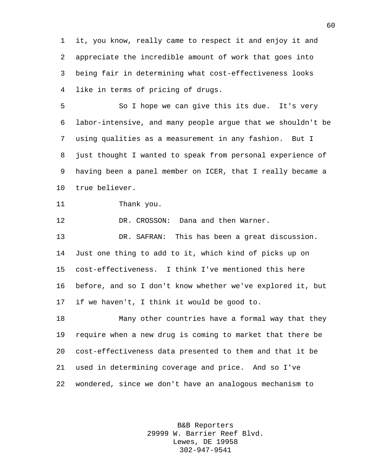it, you know, really came to respect it and enjoy it and appreciate the incredible amount of work that goes into being fair in determining what cost-effectiveness looks like in terms of pricing of drugs.

 So I hope we can give this its due. It's very labor-intensive, and many people argue that we shouldn't be using qualities as a measurement in any fashion. But I just thought I wanted to speak from personal experience of having been a panel member on ICER, that I really became a true believer.

```
11 Thank you.
```
DR. CROSSON: Dana and then Warner.

 DR. SAFRAN: This has been a great discussion. Just one thing to add to it, which kind of picks up on cost-effectiveness. I think I've mentioned this here before, and so I don't know whether we've explored it, but if we haven't, I think it would be good to.

 Many other countries have a formal way that they require when a new drug is coming to market that there be cost-effectiveness data presented to them and that it be used in determining coverage and price. And so I've wondered, since we don't have an analogous mechanism to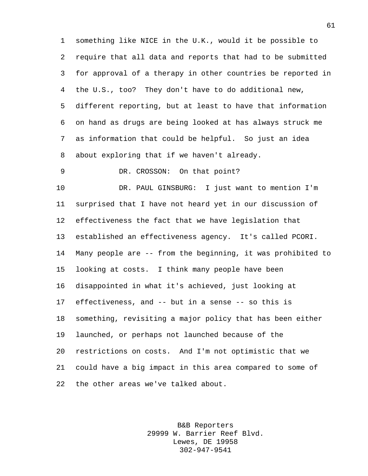something like NICE in the U.K., would it be possible to require that all data and reports that had to be submitted for approval of a therapy in other countries be reported in the U.S., too? They don't have to do additional new, different reporting, but at least to have that information on hand as drugs are being looked at has always struck me as information that could be helpful. So just an idea about exploring that if we haven't already.

DR. CROSSON: On that point?

 DR. PAUL GINSBURG: I just want to mention I'm surprised that I have not heard yet in our discussion of effectiveness the fact that we have legislation that established an effectiveness agency. It's called PCORI. Many people are -- from the beginning, it was prohibited to looking at costs. I think many people have been disappointed in what it's achieved, just looking at effectiveness, and -- but in a sense -- so this is something, revisiting a major policy that has been either launched, or perhaps not launched because of the restrictions on costs. And I'm not optimistic that we could have a big impact in this area compared to some of the other areas we've talked about.

> B&B Reporters 29999 W. Barrier Reef Blvd. Lewes, DE 19958 302-947-9541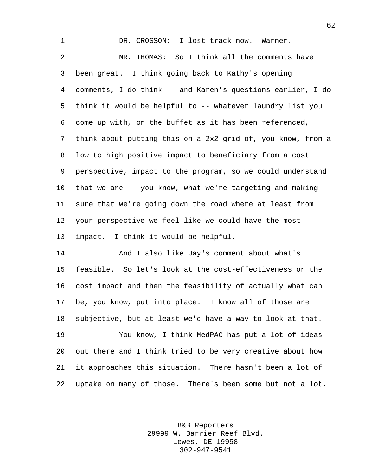DR. CROSSON: I lost track now. Warner. MR. THOMAS: So I think all the comments have been great. I think going back to Kathy's opening comments, I do think -- and Karen's questions earlier, I do think it would be helpful to -- whatever laundry list you come up with, or the buffet as it has been referenced, think about putting this on a 2x2 grid of, you know, from a low to high positive impact to beneficiary from a cost perspective, impact to the program, so we could understand that we are -- you know, what we're targeting and making sure that we're going down the road where at least from your perspective we feel like we could have the most impact. I think it would be helpful.

 And I also like Jay's comment about what's feasible. So let's look at the cost-effectiveness or the cost impact and then the feasibility of actually what can be, you know, put into place. I know all of those are subjective, but at least we'd have a way to look at that.

 You know, I think MedPAC has put a lot of ideas out there and I think tried to be very creative about how it approaches this situation. There hasn't been a lot of uptake on many of those. There's been some but not a lot.

> B&B Reporters 29999 W. Barrier Reef Blvd. Lewes, DE 19958 302-947-9541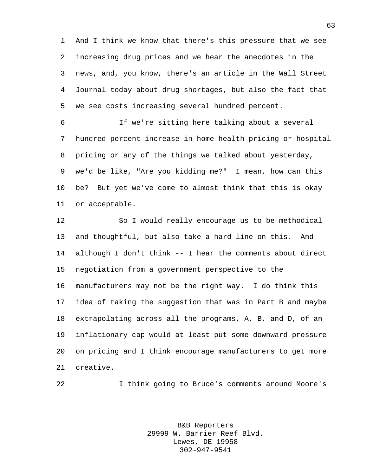And I think we know that there's this pressure that we see increasing drug prices and we hear the anecdotes in the news, and, you know, there's an article in the Wall Street Journal today about drug shortages, but also the fact that we see costs increasing several hundred percent.

 If we're sitting here talking about a several hundred percent increase in home health pricing or hospital pricing or any of the things we talked about yesterday, we'd be like, "Are you kidding me?" I mean, how can this be? But yet we've come to almost think that this is okay or acceptable.

 So I would really encourage us to be methodical and thoughtful, but also take a hard line on this. And although I don't think -- I hear the comments about direct negotiation from a government perspective to the manufacturers may not be the right way. I do think this idea of taking the suggestion that was in Part B and maybe extrapolating across all the programs, A, B, and D, of an inflationary cap would at least put some downward pressure on pricing and I think encourage manufacturers to get more creative.

I think going to Bruce's comments around Moore's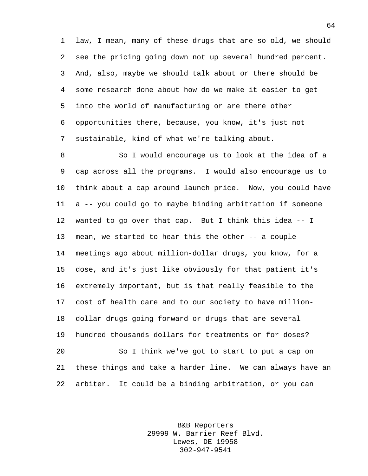law, I mean, many of these drugs that are so old, we should see the pricing going down not up several hundred percent. And, also, maybe we should talk about or there should be some research done about how do we make it easier to get into the world of manufacturing or are there other opportunities there, because, you know, it's just not sustainable, kind of what we're talking about.

 So I would encourage us to look at the idea of a cap across all the programs. I would also encourage us to think about a cap around launch price. Now, you could have a -- you could go to maybe binding arbitration if someone wanted to go over that cap. But I think this idea -- I mean, we started to hear this the other -- a couple meetings ago about million-dollar drugs, you know, for a dose, and it's just like obviously for that patient it's extremely important, but is that really feasible to the cost of health care and to our society to have million- dollar drugs going forward or drugs that are several hundred thousands dollars for treatments or for doses? So I think we've got to start to put a cap on these things and take a harder line. We can always have an arbiter. It could be a binding arbitration, or you can

> B&B Reporters 29999 W. Barrier Reef Blvd. Lewes, DE 19958 302-947-9541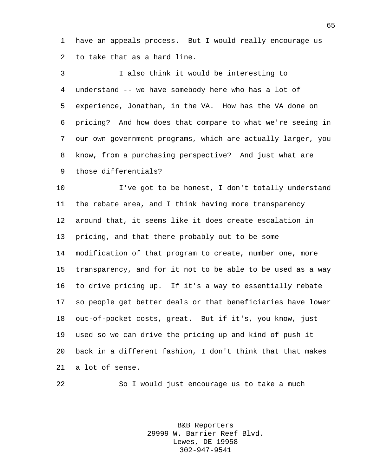have an appeals process. But I would really encourage us to take that as a hard line.

 I also think it would be interesting to understand -- we have somebody here who has a lot of experience, Jonathan, in the VA. How has the VA done on pricing? And how does that compare to what we're seeing in our own government programs, which are actually larger, you know, from a purchasing perspective? And just what are those differentials?

 I've got to be honest, I don't totally understand the rebate area, and I think having more transparency around that, it seems like it does create escalation in pricing, and that there probably out to be some modification of that program to create, number one, more transparency, and for it not to be able to be used as a way to drive pricing up. If it's a way to essentially rebate so people get better deals or that beneficiaries have lower out-of-pocket costs, great. But if it's, you know, just used so we can drive the pricing up and kind of push it back in a different fashion, I don't think that that makes a lot of sense.

So I would just encourage us to take a much

B&B Reporters 29999 W. Barrier Reef Blvd. Lewes, DE 19958 302-947-9541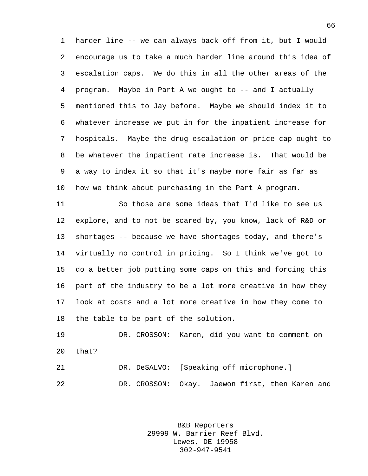harder line -- we can always back off from it, but I would encourage us to take a much harder line around this idea of escalation caps. We do this in all the other areas of the program. Maybe in Part A we ought to -- and I actually mentioned this to Jay before. Maybe we should index it to whatever increase we put in for the inpatient increase for hospitals. Maybe the drug escalation or price cap ought to be whatever the inpatient rate increase is. That would be a way to index it so that it's maybe more fair as far as how we think about purchasing in the Part A program.

 So those are some ideas that I'd like to see us explore, and to not be scared by, you know, lack of R&D or shortages -- because we have shortages today, and there's virtually no control in pricing. So I think we've got to do a better job putting some caps on this and forcing this part of the industry to be a lot more creative in how they look at costs and a lot more creative in how they come to the table to be part of the solution.

 DR. CROSSON: Karen, did you want to comment on that? DR. DeSALVO: [Speaking off microphone.]

DR. CROSSON: Okay. Jaewon first, then Karen and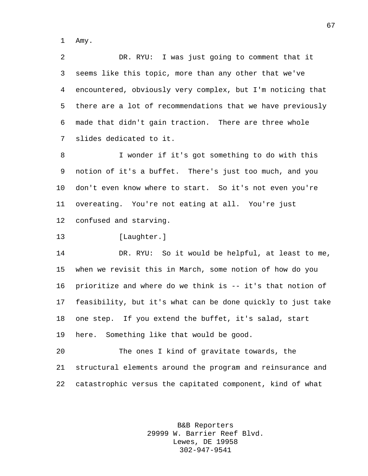Amy.

 DR. RYU: I was just going to comment that it seems like this topic, more than any other that we've encountered, obviously very complex, but I'm noticing that there are a lot of recommendations that we have previously made that didn't gain traction. There are three whole slides dedicated to it.

 I wonder if it's got something to do with this notion of it's a buffet. There's just too much, and you don't even know where to start. So it's not even you're overeating. You're not eating at all. You're just confused and starving.

[Laughter.]

 DR. RYU: So it would be helpful, at least to me, when we revisit this in March, some notion of how do you prioritize and where do we think is -- it's that notion of feasibility, but it's what can be done quickly to just take one step. If you extend the buffet, it's salad, start here. Something like that would be good.

 The ones I kind of gravitate towards, the structural elements around the program and reinsurance and catastrophic versus the capitated component, kind of what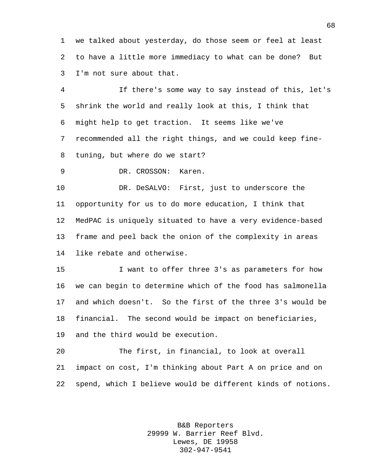we talked about yesterday, do those seem or feel at least to have a little more immediacy to what can be done? But I'm not sure about that.

 If there's some way to say instead of this, let's shrink the world and really look at this, I think that might help to get traction. It seems like we've recommended all the right things, and we could keep fine-tuning, but where do we start?

DR. CROSSON: Karen.

 DR. DeSALVO: First, just to underscore the opportunity for us to do more education, I think that MedPAC is uniquely situated to have a very evidence-based frame and peel back the onion of the complexity in areas like rebate and otherwise.

 I want to offer three 3's as parameters for how we can begin to determine which of the food has salmonella and which doesn't. So the first of the three 3's would be financial. The second would be impact on beneficiaries, and the third would be execution.

 The first, in financial, to look at overall impact on cost, I'm thinking about Part A on price and on spend, which I believe would be different kinds of notions.

> B&B Reporters 29999 W. Barrier Reef Blvd. Lewes, DE 19958 302-947-9541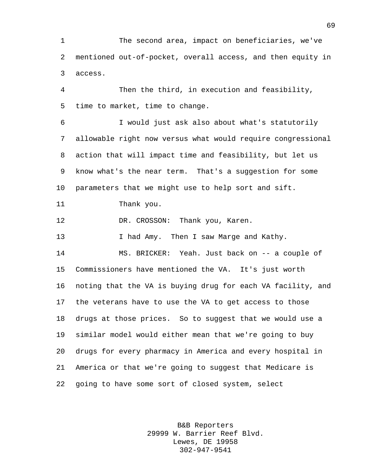The second area, impact on beneficiaries, we've mentioned out-of-pocket, overall access, and then equity in access.

 Then the third, in execution and feasibility, time to market, time to change.

 I would just ask also about what's statutorily allowable right now versus what would require congressional action that will impact time and feasibility, but let us know what's the near term. That's a suggestion for some parameters that we might use to help sort and sift.

Thank you.

DR. CROSSON: Thank you, Karen.

**I had Amy.** Then I saw Marge and Kathy. MS. BRICKER: Yeah. Just back on -- a couple of Commissioners have mentioned the VA. It's just worth noting that the VA is buying drug for each VA facility, and the veterans have to use the VA to get access to those drugs at those prices. So to suggest that we would use a similar model would either mean that we're going to buy drugs for every pharmacy in America and every hospital in America or that we're going to suggest that Medicare is going to have some sort of closed system, select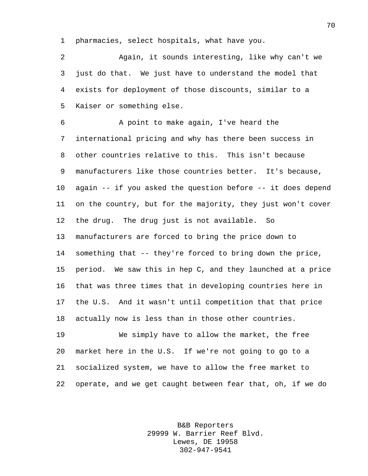pharmacies, select hospitals, what have you.

 Again, it sounds interesting, like why can't we just do that. We just have to understand the model that exists for deployment of those discounts, similar to a Kaiser or something else.

 A point to make again, I've heard the international pricing and why has there been success in other countries relative to this. This isn't because manufacturers like those countries better. It's because, again -- if you asked the question before -- it does depend on the country, but for the majority, they just won't cover the drug. The drug just is not available. So manufacturers are forced to bring the price down to something that -- they're forced to bring down the price, period. We saw this in hep C, and they launched at a price that was three times that in developing countries here in the U.S. And it wasn't until competition that that price actually now is less than in those other countries.

 We simply have to allow the market, the free market here in the U.S. If we're not going to go to a socialized system, we have to allow the free market to operate, and we get caught between fear that, oh, if we do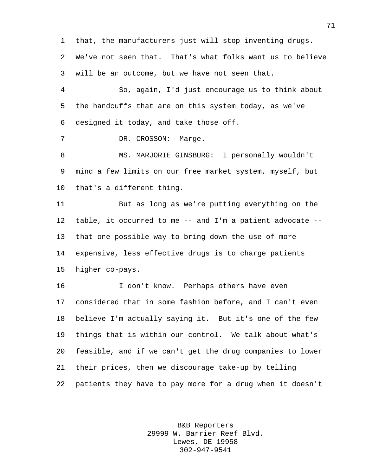that, the manufacturers just will stop inventing drugs. We've not seen that. That's what folks want us to believe will be an outcome, but we have not seen that. So, again, I'd just encourage us to think about

 the handcuffs that are on this system today, as we've designed it today, and take those off.

DR. CROSSON: Marge.

 MS. MARJORIE GINSBURG: I personally wouldn't mind a few limits on our free market system, myself, but that's a different thing.

 But as long as we're putting everything on the table, it occurred to me -- and I'm a patient advocate -- that one possible way to bring down the use of more expensive, less effective drugs is to charge patients higher co-pays.

 I don't know. Perhaps others have even considered that in some fashion before, and I can't even believe I'm actually saying it. But it's one of the few things that is within our control. We talk about what's feasible, and if we can't get the drug companies to lower their prices, then we discourage take-up by telling patients they have to pay more for a drug when it doesn't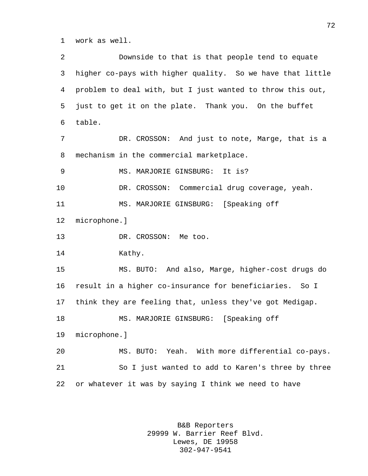work as well.

 Downside to that is that people tend to equate higher co-pays with higher quality. So we have that little problem to deal with, but I just wanted to throw this out, just to get it on the plate. Thank you. On the buffet table. 7 DR. CROSSON: And just to note, Marge, that is a mechanism in the commercial marketplace. MS. MARJORIE GINSBURG: It is? DR. CROSSON: Commercial drug coverage, yeah. MS. MARJORIE GINSBURG: [Speaking off microphone.] 13 DR. CROSSON: Me too. 14 Kathy. MS. BUTO: And also, Marge, higher-cost drugs do result in a higher co-insurance for beneficiaries. So I think they are feeling that, unless they've got Medigap. MS. MARJORIE GINSBURG: [Speaking off microphone.] MS. BUTO: Yeah. With more differential co-pays. So I just wanted to add to Karen's three by three or whatever it was by saying I think we need to have

> B&B Reporters 29999 W. Barrier Reef Blvd. Lewes, DE 19958 302-947-9541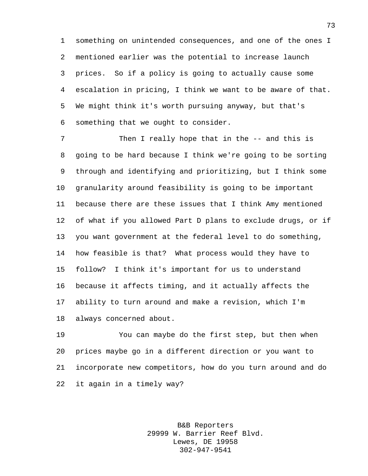something on unintended consequences, and one of the ones I mentioned earlier was the potential to increase launch prices. So if a policy is going to actually cause some escalation in pricing, I think we want to be aware of that. We might think it's worth pursuing anyway, but that's something that we ought to consider.

7 Then I really hope that in the -- and this is going to be hard because I think we're going to be sorting through and identifying and prioritizing, but I think some granularity around feasibility is going to be important because there are these issues that I think Amy mentioned of what if you allowed Part D plans to exclude drugs, or if you want government at the federal level to do something, how feasible is that? What process would they have to follow? I think it's important for us to understand because it affects timing, and it actually affects the ability to turn around and make a revision, which I'm always concerned about.

 You can maybe do the first step, but then when prices maybe go in a different direction or you want to incorporate new competitors, how do you turn around and do it again in a timely way?

> B&B Reporters 29999 W. Barrier Reef Blvd. Lewes, DE 19958 302-947-9541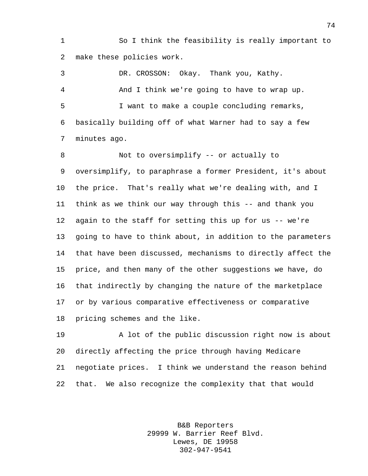So I think the feasibility is really important to make these policies work.

 DR. CROSSON: Okay. Thank you, Kathy. And I think we're going to have to wrap up. I want to make a couple concluding remarks, basically building off of what Warner had to say a few minutes ago.

 Not to oversimplify -- or actually to oversimplify, to paraphrase a former President, it's about the price. That's really what we're dealing with, and I think as we think our way through this -- and thank you again to the staff for setting this up for us -- we're going to have to think about, in addition to the parameters that have been discussed, mechanisms to directly affect the price, and then many of the other suggestions we have, do that indirectly by changing the nature of the marketplace or by various comparative effectiveness or comparative pricing schemes and the like.

 A lot of the public discussion right now is about directly affecting the price through having Medicare negotiate prices. I think we understand the reason behind that. We also recognize the complexity that that would

> B&B Reporters 29999 W. Barrier Reef Blvd. Lewes, DE 19958 302-947-9541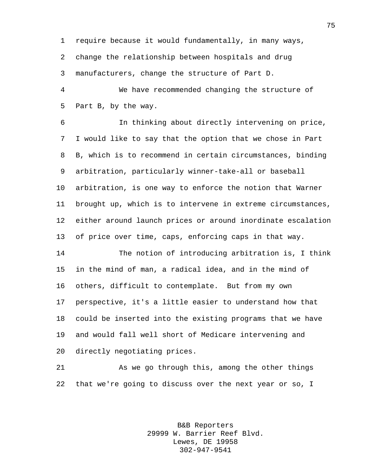require because it would fundamentally, in many ways, change the relationship between hospitals and drug

manufacturers, change the structure of Part D.

 We have recommended changing the structure of Part B, by the way.

 In thinking about directly intervening on price, I would like to say that the option that we chose in Part B, which is to recommend in certain circumstances, binding arbitration, particularly winner-take-all or baseball arbitration, is one way to enforce the notion that Warner brought up, which is to intervene in extreme circumstances, either around launch prices or around inordinate escalation of price over time, caps, enforcing caps in that way.

 The notion of introducing arbitration is, I think in the mind of man, a radical idea, and in the mind of others, difficult to contemplate. But from my own perspective, it's a little easier to understand how that could be inserted into the existing programs that we have and would fall well short of Medicare intervening and directly negotiating prices.

 As we go through this, among the other things that we're going to discuss over the next year or so, I

> B&B Reporters 29999 W. Barrier Reef Blvd. Lewes, DE 19958 302-947-9541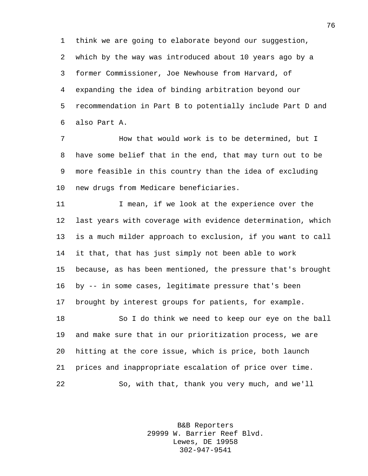think we are going to elaborate beyond our suggestion, which by the way was introduced about 10 years ago by a former Commissioner, Joe Newhouse from Harvard, of expanding the idea of binding arbitration beyond our recommendation in Part B to potentially include Part D and also Part A.

 How that would work is to be determined, but I have some belief that in the end, that may turn out to be more feasible in this country than the idea of excluding new drugs from Medicare beneficiaries.

 I mean, if we look at the experience over the last years with coverage with evidence determination, which is a much milder approach to exclusion, if you want to call it that, that has just simply not been able to work because, as has been mentioned, the pressure that's brought by -- in some cases, legitimate pressure that's been brought by interest groups for patients, for example.

 So I do think we need to keep our eye on the ball and make sure that in our prioritization process, we are hitting at the core issue, which is price, both launch prices and inappropriate escalation of price over time. So, with that, thank you very much, and we'll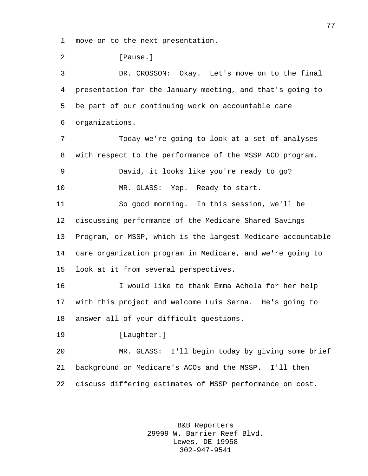move on to the next presentation.

**[Pause.]** 

 DR. CROSSON: Okay. Let's move on to the final presentation for the January meeting, and that's going to be part of our continuing work on accountable care organizations.

 Today we're going to look at a set of analyses with respect to the performance of the MSSP ACO program. David, it looks like you're ready to go? MR. GLASS: Yep. Ready to start. So good morning. In this session, we'll be discussing performance of the Medicare Shared Savings

 Program, or MSSP, which is the largest Medicare accountable care organization program in Medicare, and we're going to look at it from several perspectives.

 I would like to thank Emma Achola for her help with this project and welcome Luis Serna. He's going to answer all of your difficult questions.

[Laughter.]

 MR. GLASS: I'll begin today by giving some brief background on Medicare's ACOs and the MSSP. I'll then discuss differing estimates of MSSP performance on cost.

> B&B Reporters 29999 W. Barrier Reef Blvd. Lewes, DE 19958 302-947-9541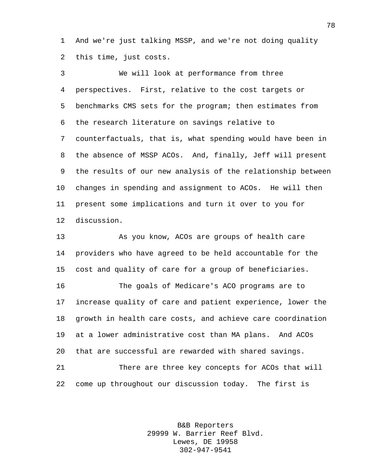And we're just talking MSSP, and we're not doing quality this time, just costs.

 We will look at performance from three perspectives. First, relative to the cost targets or benchmarks CMS sets for the program; then estimates from the research literature on savings relative to counterfactuals, that is, what spending would have been in the absence of MSSP ACOs. And, finally, Jeff will present the results of our new analysis of the relationship between changes in spending and assignment to ACOs. He will then present some implications and turn it over to you for discussion.

 As you know, ACOs are groups of health care providers who have agreed to be held accountable for the cost and quality of care for a group of beneficiaries.

 The goals of Medicare's ACO programs are to increase quality of care and patient experience, lower the growth in health care costs, and achieve care coordination at a lower administrative cost than MA plans. And ACOs that are successful are rewarded with shared savings.

 There are three key concepts for ACOs that will come up throughout our discussion today. The first is

> B&B Reporters 29999 W. Barrier Reef Blvd. Lewes, DE 19958 302-947-9541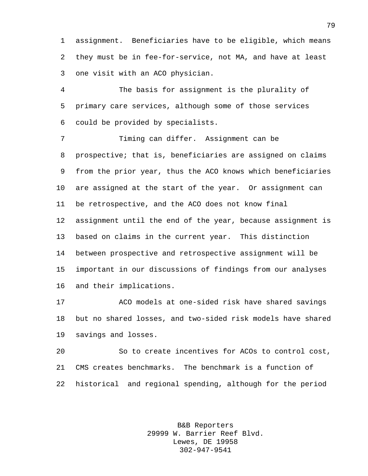assignment. Beneficiaries have to be eligible, which means they must be in fee-for-service, not MA, and have at least one visit with an ACO physician.

 The basis for assignment is the plurality of primary care services, although some of those services could be provided by specialists.

 Timing can differ. Assignment can be prospective; that is, beneficiaries are assigned on claims from the prior year, thus the ACO knows which beneficiaries are assigned at the start of the year. Or assignment can be retrospective, and the ACO does not know final assignment until the end of the year, because assignment is based on claims in the current year. This distinction between prospective and retrospective assignment will be important in our discussions of findings from our analyses and their implications.

 ACO models at one-sided risk have shared savings but no shared losses, and two-sided risk models have shared savings and losses.

 So to create incentives for ACOs to control cost, CMS creates benchmarks. The benchmark is a function of historical and regional spending, although for the period

> B&B Reporters 29999 W. Barrier Reef Blvd. Lewes, DE 19958 302-947-9541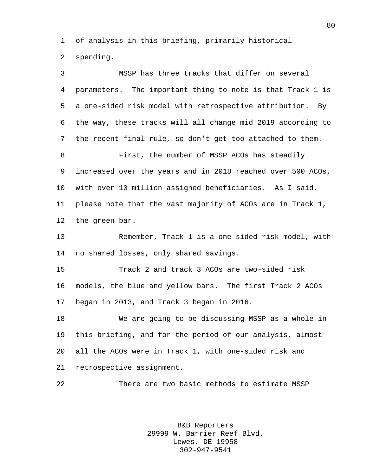of analysis in this briefing, primarily historical spending.

 MSSP has three tracks that differ on several parameters. The important thing to note is that Track 1 is a one-sided risk model with retrospective attribution. By the way, these tracks will all change mid 2019 according to the recent final rule, so don't get too attached to them. First, the number of MSSP ACOs has steadily increased over the years and in 2018 reached over 500 ACOs, with over 10 million assigned beneficiaries. As I said, please note that the vast majority of ACOs are in Track 1, the green bar. Remember, Track 1 is a one-sided risk model, with no shared losses, only shared savings. Track 2 and track 3 ACOs are two-sided risk models, the blue and yellow bars. The first Track 2 ACOs began in 2013, and Track 3 began in 2016. We are going to be discussing MSSP as a whole in this briefing, and for the period of our analysis, almost all the ACOs were in Track 1, with one-sided risk and retrospective assignment. There are two basic methods to estimate MSSP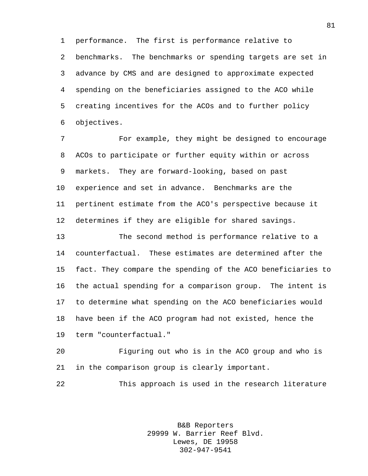performance. The first is performance relative to benchmarks. The benchmarks or spending targets are set in advance by CMS and are designed to approximate expected spending on the beneficiaries assigned to the ACO while creating incentives for the ACOs and to further policy objectives.

 For example, they might be designed to encourage ACOs to participate or further equity within or across markets. They are forward-looking, based on past experience and set in advance. Benchmarks are the pertinent estimate from the ACO's perspective because it determines if they are eligible for shared savings.

 The second method is performance relative to a counterfactual. These estimates are determined after the fact. They compare the spending of the ACO beneficiaries to the actual spending for a comparison group. The intent is to determine what spending on the ACO beneficiaries would have been if the ACO program had not existed, hence the term "counterfactual."

 Figuring out who is in the ACO group and who is in the comparison group is clearly important.

This approach is used in the research literature

B&B Reporters 29999 W. Barrier Reef Blvd. Lewes, DE 19958 302-947-9541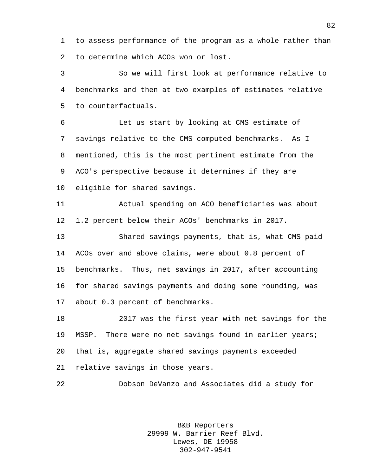to assess performance of the program as a whole rather than to determine which ACOs won or lost.

 So we will first look at performance relative to benchmarks and then at two examples of estimates relative to counterfactuals.

 Let us start by looking at CMS estimate of savings relative to the CMS-computed benchmarks. As I mentioned, this is the most pertinent estimate from the ACO's perspective because it determines if they are eligible for shared savings.

 Actual spending on ACO beneficiaries was about 1.2 percent below their ACOs' benchmarks in 2017.

 Shared savings payments, that is, what CMS paid ACOs over and above claims, were about 0.8 percent of benchmarks. Thus, net savings in 2017, after accounting for shared savings payments and doing some rounding, was about 0.3 percent of benchmarks.

 2017 was the first year with net savings for the MSSP. There were no net savings found in earlier years; that is, aggregate shared savings payments exceeded relative savings in those years.

Dobson DeVanzo and Associates did a study for

B&B Reporters 29999 W. Barrier Reef Blvd. Lewes, DE 19958 302-947-9541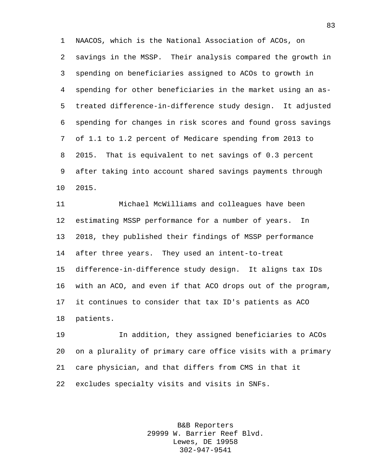NAACOS, which is the National Association of ACOs, on savings in the MSSP. Their analysis compared the growth in spending on beneficiaries assigned to ACOs to growth in spending for other beneficiaries in the market using an as- treated difference-in-difference study design. It adjusted spending for changes in risk scores and found gross savings of 1.1 to 1.2 percent of Medicare spending from 2013 to 2015. That is equivalent to net savings of 0.3 percent after taking into account shared savings payments through 2015.

 Michael McWilliams and colleagues have been estimating MSSP performance for a number of years. In 2018, they published their findings of MSSP performance after three years. They used an intent-to-treat difference-in-difference study design. It aligns tax IDs with an ACO, and even if that ACO drops out of the program, it continues to consider that tax ID's patients as ACO patients.

 In addition, they assigned beneficiaries to ACOs on a plurality of primary care office visits with a primary care physician, and that differs from CMS in that it excludes specialty visits and visits in SNFs.

> B&B Reporters 29999 W. Barrier Reef Blvd. Lewes, DE 19958 302-947-9541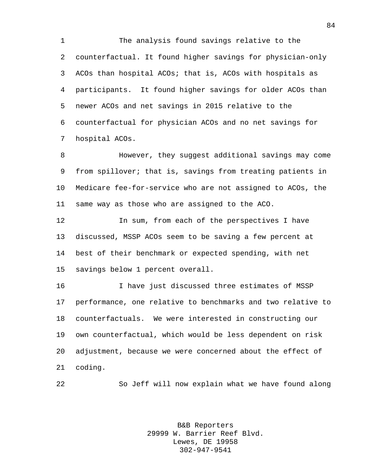The analysis found savings relative to the counterfactual. It found higher savings for physician-only ACOs than hospital ACOs; that is, ACOs with hospitals as participants. It found higher savings for older ACOs than newer ACOs and net savings in 2015 relative to the counterfactual for physician ACOs and no net savings for hospital ACOs.

 However, they suggest additional savings may come from spillover; that is, savings from treating patients in Medicare fee-for-service who are not assigned to ACOs, the same way as those who are assigned to the ACO.

 In sum, from each of the perspectives I have discussed, MSSP ACOs seem to be saving a few percent at best of their benchmark or expected spending, with net savings below 1 percent overall.

 I have just discussed three estimates of MSSP performance, one relative to benchmarks and two relative to counterfactuals. We were interested in constructing our own counterfactual, which would be less dependent on risk adjustment, because we were concerned about the effect of coding.

So Jeff will now explain what we have found along

B&B Reporters 29999 W. Barrier Reef Blvd. Lewes, DE 19958 302-947-9541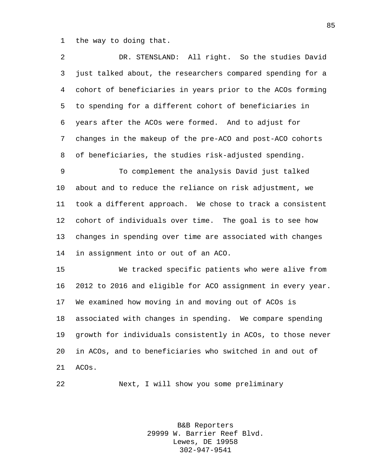the way to doing that.

| $\overline{2}$ | DR. STENSLAND: All right. So the studies David              |
|----------------|-------------------------------------------------------------|
| 3              | just talked about, the researchers compared spending for a  |
| 4              | cohort of beneficiaries in years prior to the ACOs forming  |
| 5              | to spending for a different cohort of beneficiaries in      |
| 6              | years after the ACOs were formed. And to adjust for         |
| 7              | changes in the makeup of the pre-ACO and post-ACO cohorts   |
| 8              | of beneficiaries, the studies risk-adjusted spending.       |
| 9              | To complement the analysis David just talked                |
| $10 \,$        | about and to reduce the reliance on risk adjustment, we     |
| 11             | took a different approach. We chose to track a consistent   |
| 12             | cohort of individuals over time. The goal is to see how     |
| 13             | changes in spending over time are associated with changes   |
| 14             | in assignment into or out of an ACO.                        |
| 15             | We tracked specific patients who were alive from            |
| 16             | 2012 to 2016 and eligible for ACO assignment in every year. |
| 17             | We examined how moving in and moving out of ACOs is         |
| 18             | associated with changes in spending. We compare spending    |
| 19             | growth for individuals consistently in ACOs, to those never |
| 20             | in ACOs, and to beneficiaries who switched in and out of    |
| 21             | ACOs.                                                       |

Next, I will show you some preliminary

B&B Reporters 29999 W. Barrier Reef Blvd. Lewes, DE 19958 302-947-9541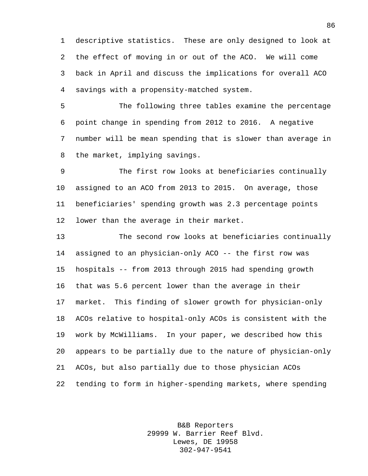descriptive statistics. These are only designed to look at the effect of moving in or out of the ACO. We will come back in April and discuss the implications for overall ACO savings with a propensity-matched system.

 The following three tables examine the percentage point change in spending from 2012 to 2016. A negative number will be mean spending that is slower than average in the market, implying savings.

 The first row looks at beneficiaries continually assigned to an ACO from 2013 to 2015. On average, those beneficiaries' spending growth was 2.3 percentage points lower than the average in their market.

 The second row looks at beneficiaries continually assigned to an physician-only ACO -- the first row was hospitals -- from 2013 through 2015 had spending growth that was 5.6 percent lower than the average in their market. This finding of slower growth for physician-only ACOs relative to hospital-only ACOs is consistent with the work by McWilliams. In your paper, we described how this appears to be partially due to the nature of physician-only ACOs, but also partially due to those physician ACOs tending to form in higher-spending markets, where spending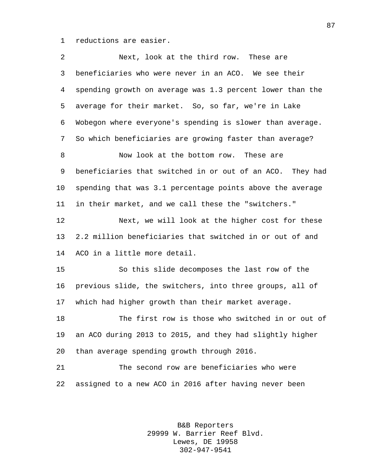reductions are easier.

| Next, look at the third row. These are                    |
|-----------------------------------------------------------|
| beneficiaries who were never in an ACO. We see their      |
| spending growth on average was 1.3 percent lower than the |
| average for their market. So, so far, we're in Lake       |
| Wobegon where everyone's spending is slower than average. |
| So which beneficiaries are growing faster than average?   |
| Now look at the bottom row. These are                     |
| beneficiaries that switched in or out of an ACO. They had |
| spending that was 3.1 percentage points above the average |
| in their market, and we call these the "switchers."       |
| Next, we will look at the higher cost for these           |
| 2.2 million beneficiaries that switched in or out of and  |
| ACO in a little more detail.                              |
| So this slide decomposes the last row of the              |
| previous slide, the switchers, into three groups, all of  |
| which had higher growth than their market average.        |
| The first row is those who switched in or out of          |
| an ACO during 2013 to 2015, and they had slightly higher  |
| than average spending growth through 2016.                |
| The second row are beneficiaries who were                 |
| assigned to a new ACO in 2016 after having never been     |
|                                                           |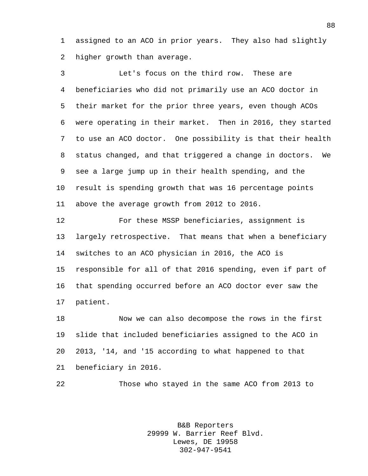assigned to an ACO in prior years. They also had slightly higher growth than average.

 Let's focus on the third row. These are beneficiaries who did not primarily use an ACO doctor in their market for the prior three years, even though ACOs were operating in their market. Then in 2016, they started to use an ACO doctor. One possibility is that their health status changed, and that triggered a change in doctors. We see a large jump up in their health spending, and the result is spending growth that was 16 percentage points above the average growth from 2012 to 2016.

 For these MSSP beneficiaries, assignment is largely retrospective. That means that when a beneficiary switches to an ACO physician in 2016, the ACO is responsible for all of that 2016 spending, even if part of that spending occurred before an ACO doctor ever saw the patient.

 Now we can also decompose the rows in the first slide that included beneficiaries assigned to the ACO in 2013, '14, and '15 according to what happened to that beneficiary in 2016.

Those who stayed in the same ACO from 2013 to

B&B Reporters 29999 W. Barrier Reef Blvd. Lewes, DE 19958 302-947-9541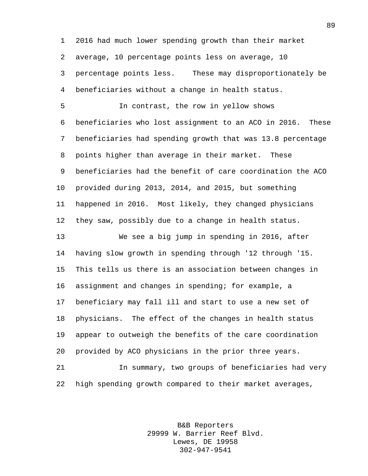2016 had much lower spending growth than their market average, 10 percentage points less on average, 10 percentage points less. These may disproportionately be

beneficiaries without a change in health status.

 In contrast, the row in yellow shows beneficiaries who lost assignment to an ACO in 2016. These beneficiaries had spending growth that was 13.8 percentage points higher than average in their market. These beneficiaries had the benefit of care coordination the ACO provided during 2013, 2014, and 2015, but something happened in 2016. Most likely, they changed physicians they saw, possibly due to a change in health status.

 We see a big jump in spending in 2016, after having slow growth in spending through '12 through '15. This tells us there is an association between changes in assignment and changes in spending; for example, a beneficiary may fall ill and start to use a new set of physicians. The effect of the changes in health status appear to outweigh the benefits of the care coordination provided by ACO physicians in the prior three years.

 In summary, two groups of beneficiaries had very high spending growth compared to their market averages,

> B&B Reporters 29999 W. Barrier Reef Blvd. Lewes, DE 19958 302-947-9541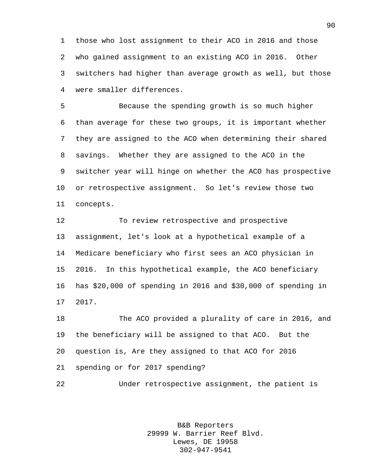those who lost assignment to their ACO in 2016 and those who gained assignment to an existing ACO in 2016. Other switchers had higher than average growth as well, but those were smaller differences.

 Because the spending growth is so much higher than average for these two groups, it is important whether they are assigned to the ACO when determining their shared savings. Whether they are assigned to the ACO in the switcher year will hinge on whether the ACO has prospective or retrospective assignment. So let's review those two concepts.

 To review retrospective and prospective assignment, let's look at a hypothetical example of a Medicare beneficiary who first sees an ACO physician in 2016. In this hypothetical example, the ACO beneficiary has \$20,000 of spending in 2016 and \$30,000 of spending in 2017.

 The ACO provided a plurality of care in 2016, and the beneficiary will be assigned to that ACO. But the question is, Are they assigned to that ACO for 2016 spending or for 2017 spending?

Under retrospective assignment, the patient is

B&B Reporters 29999 W. Barrier Reef Blvd. Lewes, DE 19958 302-947-9541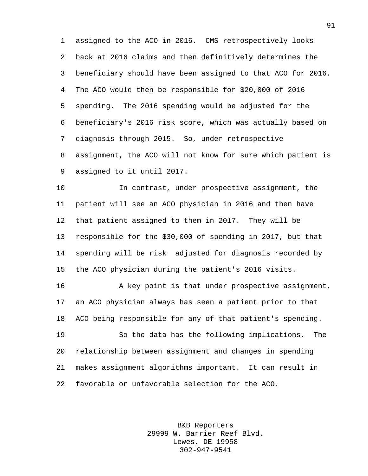assigned to the ACO in 2016. CMS retrospectively looks back at 2016 claims and then definitively determines the beneficiary should have been assigned to that ACO for 2016. The ACO would then be responsible for \$20,000 of 2016 spending. The 2016 spending would be adjusted for the beneficiary's 2016 risk score, which was actually based on diagnosis through 2015. So, under retrospective assignment, the ACO will not know for sure which patient is assigned to it until 2017.

 In contrast, under prospective assignment, the patient will see an ACO physician in 2016 and then have that patient assigned to them in 2017. They will be responsible for the \$30,000 of spending in 2017, but that spending will be risk adjusted for diagnosis recorded by the ACO physician during the patient's 2016 visits.

 A key point is that under prospective assignment, an ACO physician always has seen a patient prior to that ACO being responsible for any of that patient's spending.

 So the data has the following implications. The relationship between assignment and changes in spending makes assignment algorithms important. It can result in favorable or unfavorable selection for the ACO.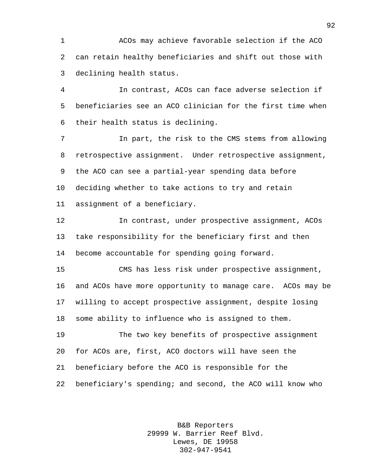ACOs may achieve favorable selection if the ACO can retain healthy beneficiaries and shift out those with declining health status.

 In contrast, ACOs can face adverse selection if beneficiaries see an ACO clinician for the first time when their health status is declining.

 In part, the risk to the CMS stems from allowing retrospective assignment. Under retrospective assignment, the ACO can see a partial-year spending data before deciding whether to take actions to try and retain assignment of a beneficiary.

 In contrast, under prospective assignment, ACOs take responsibility for the beneficiary first and then become accountable for spending going forward.

 CMS has less risk under prospective assignment, and ACOs have more opportunity to manage care. ACOs may be willing to accept prospective assignment, despite losing some ability to influence who is assigned to them.

 The two key benefits of prospective assignment for ACOs are, first, ACO doctors will have seen the beneficiary before the ACO is responsible for the beneficiary's spending; and second, the ACO will know who

> B&B Reporters 29999 W. Barrier Reef Blvd. Lewes, DE 19958 302-947-9541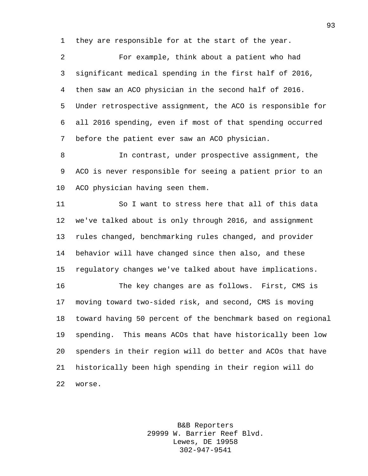they are responsible for at the start of the year.

 For example, think about a patient who had significant medical spending in the first half of 2016, then saw an ACO physician in the second half of 2016. Under retrospective assignment, the ACO is responsible for all 2016 spending, even if most of that spending occurred before the patient ever saw an ACO physician.

 In contrast, under prospective assignment, the ACO is never responsible for seeing a patient prior to an ACO physician having seen them.

 So I want to stress here that all of this data we've talked about is only through 2016, and assignment rules changed, benchmarking rules changed, and provider behavior will have changed since then also, and these regulatory changes we've talked about have implications.

 The key changes are as follows. First, CMS is moving toward two-sided risk, and second, CMS is moving toward having 50 percent of the benchmark based on regional spending. This means ACOs that have historically been low spenders in their region will do better and ACOs that have historically been high spending in their region will do worse.

> B&B Reporters 29999 W. Barrier Reef Blvd. Lewes, DE 19958 302-947-9541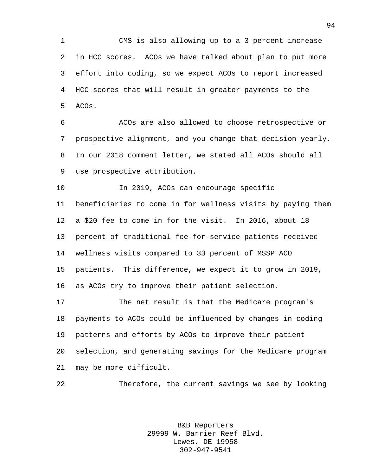CMS is also allowing up to a 3 percent increase in HCC scores. ACOs we have talked about plan to put more effort into coding, so we expect ACOs to report increased HCC scores that will result in greater payments to the ACOs.

 ACOs are also allowed to choose retrospective or prospective alignment, and you change that decision yearly. In our 2018 comment letter, we stated all ACOs should all use prospective attribution.

 In 2019, ACOs can encourage specific beneficiaries to come in for wellness visits by paying them a \$20 fee to come in for the visit. In 2016, about 18 percent of traditional fee-for-service patients received wellness visits compared to 33 percent of MSSP ACO patients. This difference, we expect it to grow in 2019, as ACOs try to improve their patient selection.

 The net result is that the Medicare program's payments to ACOs could be influenced by changes in coding patterns and efforts by ACOs to improve their patient selection, and generating savings for the Medicare program may be more difficult.

Therefore, the current savings we see by looking

B&B Reporters 29999 W. Barrier Reef Blvd. Lewes, DE 19958 302-947-9541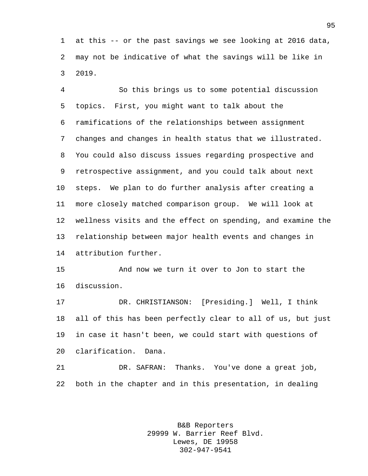at this -- or the past savings we see looking at 2016 data, may not be indicative of what the savings will be like in 2019.

 So this brings us to some potential discussion topics. First, you might want to talk about the ramifications of the relationships between assignment changes and changes in health status that we illustrated. You could also discuss issues regarding prospective and retrospective assignment, and you could talk about next steps. We plan to do further analysis after creating a more closely matched comparison group. We will look at wellness visits and the effect on spending, and examine the relationship between major health events and changes in attribution further.

 And now we turn it over to Jon to start the discussion.

 DR. CHRISTIANSON: [Presiding.] Well, I think all of this has been perfectly clear to all of us, but just in case it hasn't been, we could start with questions of clarification. Dana.

 DR. SAFRAN: Thanks. You've done a great job, both in the chapter and in this presentation, in dealing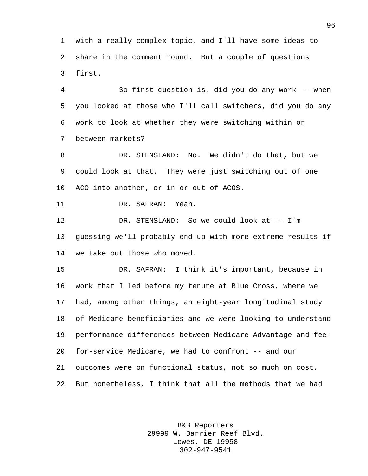with a really complex topic, and I'll have some ideas to share in the comment round. But a couple of questions first.

 So first question is, did you do any work -- when you looked at those who I'll call switchers, did you do any work to look at whether they were switching within or between markets?

 DR. STENSLAND: No. We didn't do that, but we could look at that. They were just switching out of one ACO into another, or in or out of ACOS.

DR. SAFRAN: Yeah.

 DR. STENSLAND: So we could look at -- I'm guessing we'll probably end up with more extreme results if we take out those who moved.

 DR. SAFRAN: I think it's important, because in work that I led before my tenure at Blue Cross, where we had, among other things, an eight-year longitudinal study of Medicare beneficiaries and we were looking to understand performance differences between Medicare Advantage and fee- for-service Medicare, we had to confront -- and our outcomes were on functional status, not so much on cost. But nonetheless, I think that all the methods that we had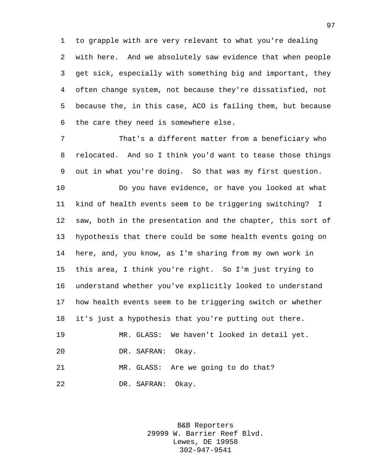to grapple with are very relevant to what you're dealing with here. And we absolutely saw evidence that when people get sick, especially with something big and important, they often change system, not because they're dissatisfied, not because the, in this case, ACO is failing them, but because the care they need is somewhere else.

 That's a different matter from a beneficiary who relocated. And so I think you'd want to tease those things out in what you're doing. So that was my first question.

 Do you have evidence, or have you looked at what kind of health events seem to be triggering switching? I saw, both in the presentation and the chapter, this sort of hypothesis that there could be some health events going on here, and, you know, as I'm sharing from my own work in this area, I think you're right. So I'm just trying to understand whether you've explicitly looked to understand how health events seem to be triggering switch or whether it's just a hypothesis that you're putting out there.

 MR. GLASS: We haven't looked in detail yet. DR. SAFRAN: Okay.

 MR. GLASS: Are we going to do that? DR. SAFRAN: Okay.

> B&B Reporters 29999 W. Barrier Reef Blvd. Lewes, DE 19958 302-947-9541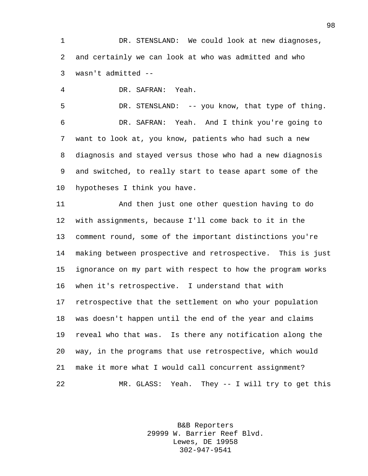DR. STENSLAND: We could look at new diagnoses, and certainly we can look at who was admitted and who wasn't admitted --

DR. SAFRAN: Yeah.

 DR. STENSLAND: -- you know, that type of thing. DR. SAFRAN: Yeah. And I think you're going to want to look at, you know, patients who had such a new diagnosis and stayed versus those who had a new diagnosis and switched, to really start to tease apart some of the hypotheses I think you have.

 And then just one other question having to do with assignments, because I'll come back to it in the comment round, some of the important distinctions you're making between prospective and retrospective. This is just ignorance on my part with respect to how the program works when it's retrospective. I understand that with retrospective that the settlement on who your population was doesn't happen until the end of the year and claims reveal who that was. Is there any notification along the way, in the programs that use retrospective, which would make it more what I would call concurrent assignment? MR. GLASS: Yeah. They -- I will try to get this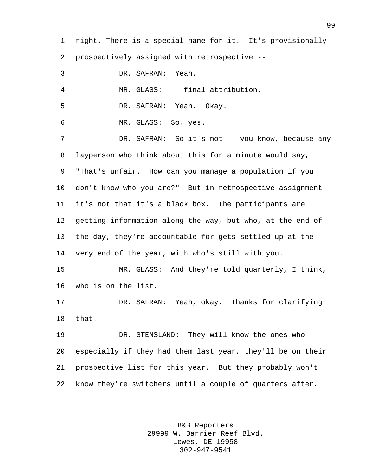right. There is a special name for it. It's provisionally prospectively assigned with retrospective --

 DR. SAFRAN: Yeah. MR. GLASS: -- final attribution. DR. SAFRAN: Yeah. Okay. MR. GLASS: So, yes. 7 DR. SAFRAN: So it's not -- you know, because any layperson who think about this for a minute would say, "That's unfair. How can you manage a population if you don't know who you are?" But in retrospective assignment it's not that it's a black box. The participants are getting information along the way, but who, at the end of the day, they're accountable for gets settled up at the very end of the year, with who's still with you. MR. GLASS: And they're told quarterly, I think, who is on the list. DR. SAFRAN: Yeah, okay. Thanks for clarifying that. DR. STENSLAND: They will know the ones who -- especially if they had them last year, they'll be on their prospective list for this year. But they probably won't know they're switchers until a couple of quarters after.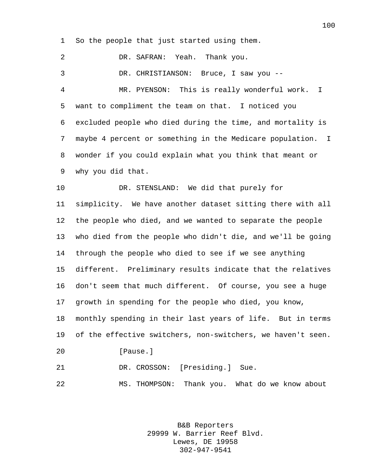So the people that just started using them.

 DR. SAFRAN: Yeah. Thank you. DR. CHRISTIANSON: Bruce, I saw you -- MR. PYENSON: This is really wonderful work. I want to compliment the team on that. I noticed you excluded people who died during the time, and mortality is maybe 4 percent or something in the Medicare population. I wonder if you could explain what you think that meant or why you did that. DR. STENSLAND: We did that purely for simplicity. We have another dataset sitting there with all the people who died, and we wanted to separate the people who died from the people who didn't die, and we'll be going through the people who died to see if we see anything different. Preliminary results indicate that the relatives don't seem that much different. Of course, you see a huge growth in spending for the people who died, you know, monthly spending in their last years of life. But in terms of the effective switchers, non-switchers, we haven't seen. 20 [Pause.] DR. CROSSON: [Presiding.] Sue. MS. THOMPSON: Thank you. What do we know about

> B&B Reporters 29999 W. Barrier Reef Blvd. Lewes, DE 19958 302-947-9541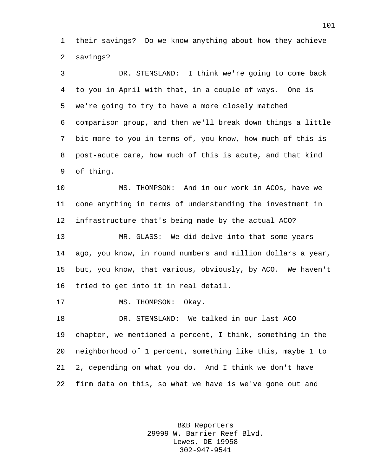their savings? Do we know anything about how they achieve savings?

 DR. STENSLAND: I think we're going to come back to you in April with that, in a couple of ways. One is we're going to try to have a more closely matched comparison group, and then we'll break down things a little bit more to you in terms of, you know, how much of this is post-acute care, how much of this is acute, and that kind of thing.

 MS. THOMPSON: And in our work in ACOs, have we done anything in terms of understanding the investment in infrastructure that's being made by the actual ACO?

 MR. GLASS: We did delve into that some years ago, you know, in round numbers and million dollars a year, but, you know, that various, obviously, by ACO. We haven't tried to get into it in real detail.

17 MS. THOMPSON: Okay.

 DR. STENSLAND: We talked in our last ACO chapter, we mentioned a percent, I think, something in the neighborhood of 1 percent, something like this, maybe 1 to 2, depending on what you do. And I think we don't have firm data on this, so what we have is we've gone out and

> B&B Reporters 29999 W. Barrier Reef Blvd. Lewes, DE 19958 302-947-9541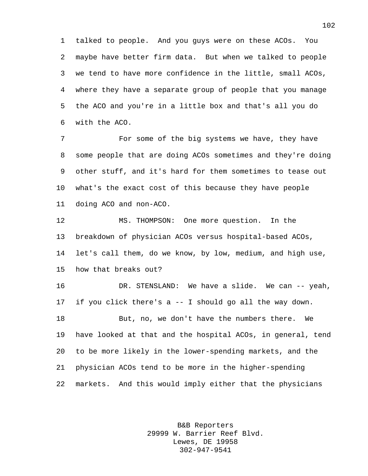talked to people. And you guys were on these ACOs. You maybe have better firm data. But when we talked to people we tend to have more confidence in the little, small ACOs, where they have a separate group of people that you manage the ACO and you're in a little box and that's all you do with the ACO.

 For some of the big systems we have, they have some people that are doing ACOs sometimes and they're doing other stuff, and it's hard for them sometimes to tease out what's the exact cost of this because they have people doing ACO and non-ACO.

 MS. THOMPSON: One more question. In the breakdown of physician ACOs versus hospital-based ACOs, let's call them, do we know, by low, medium, and high use, how that breaks out?

 DR. STENSLAND: We have a slide. We can -- yeah, if you click there's a -- I should go all the way down. But, no, we don't have the numbers there. We have looked at that and the hospital ACOs, in general, tend to be more likely in the lower-spending markets, and the physician ACOs tend to be more in the higher-spending markets. And this would imply either that the physicians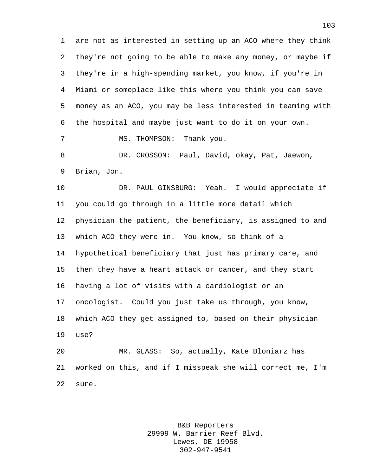are not as interested in setting up an ACO where they think they're not going to be able to make any money, or maybe if they're in a high-spending market, you know, if you're in Miami or someplace like this where you think you can save money as an ACO, you may be less interested in teaming with the hospital and maybe just want to do it on your own. 7 MS. THOMPSON: Thank you.

 DR. CROSSON: Paul, David, okay, Pat, Jaewon, Brian, Jon.

 DR. PAUL GINSBURG: Yeah. I would appreciate if you could go through in a little more detail which physician the patient, the beneficiary, is assigned to and which ACO they were in. You know, so think of a hypothetical beneficiary that just has primary care, and then they have a heart attack or cancer, and they start having a lot of visits with a cardiologist or an oncologist. Could you just take us through, you know, which ACO they get assigned to, based on their physician use?

 MR. GLASS: So, actually, Kate Bloniarz has worked on this, and if I misspeak she will correct me, I'm sure.

> B&B Reporters 29999 W. Barrier Reef Blvd. Lewes, DE 19958 302-947-9541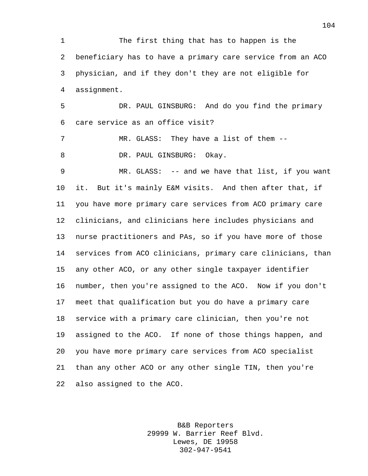The first thing that has to happen is the beneficiary has to have a primary care service from an ACO physician, and if they don't they are not eligible for assignment.

 DR. PAUL GINSBURG: And do you find the primary care service as an office visit?

7 MR. GLASS: They have a list of them --8 DR. PAUL GINSBURG: Okay.

 MR. GLASS: -- and we have that list, if you want it. But it's mainly E&M visits. And then after that, if you have more primary care services from ACO primary care clinicians, and clinicians here includes physicians and nurse practitioners and PAs, so if you have more of those services from ACO clinicians, primary care clinicians, than any other ACO, or any other single taxpayer identifier number, then you're assigned to the ACO. Now if you don't meet that qualification but you do have a primary care service with a primary care clinician, then you're not assigned to the ACO. If none of those things happen, and you have more primary care services from ACO specialist than any other ACO or any other single TIN, then you're also assigned to the ACO.

> B&B Reporters 29999 W. Barrier Reef Blvd. Lewes, DE 19958 302-947-9541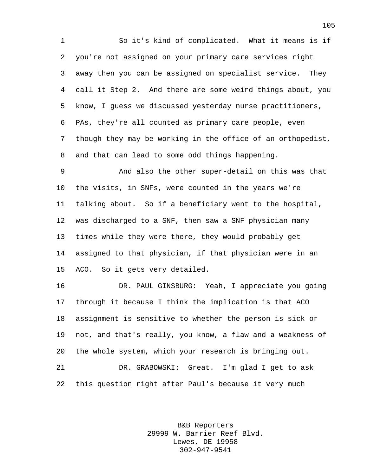So it's kind of complicated. What it means is if you're not assigned on your primary care services right away then you can be assigned on specialist service. They call it Step 2. And there are some weird things about, you know, I guess we discussed yesterday nurse practitioners, PAs, they're all counted as primary care people, even though they may be working in the office of an orthopedist, and that can lead to some odd things happening.

 And also the other super-detail on this was that the visits, in SNFs, were counted in the years we're talking about. So if a beneficiary went to the hospital, was discharged to a SNF, then saw a SNF physician many times while they were there, they would probably get assigned to that physician, if that physician were in an ACO. So it gets very detailed.

 DR. PAUL GINSBURG: Yeah, I appreciate you going through it because I think the implication is that ACO assignment is sensitive to whether the person is sick or not, and that's really, you know, a flaw and a weakness of the whole system, which your research is bringing out. DR. GRABOWSKI: Great. I'm glad I get to ask this question right after Paul's because it very much

> B&B Reporters 29999 W. Barrier Reef Blvd. Lewes, DE 19958 302-947-9541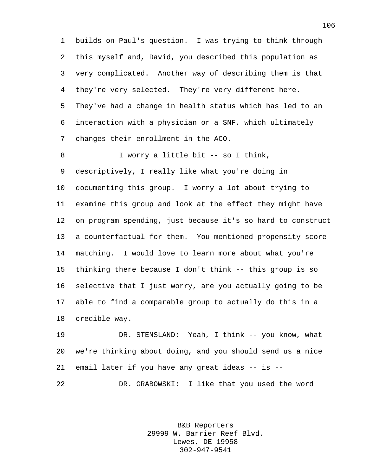builds on Paul's question. I was trying to think through this myself and, David, you described this population as very complicated. Another way of describing them is that they're very selected. They're very different here. They've had a change in health status which has led to an interaction with a physician or a SNF, which ultimately changes their enrollment in the ACO.

 I worry a little bit -- so I think, descriptively, I really like what you're doing in documenting this group. I worry a lot about trying to examine this group and look at the effect they might have on program spending, just because it's so hard to construct a counterfactual for them. You mentioned propensity score matching. I would love to learn more about what you're thinking there because I don't think -- this group is so selective that I just worry, are you actually going to be able to find a comparable group to actually do this in a credible way.

 DR. STENSLAND: Yeah, I think -- you know, what we're thinking about doing, and you should send us a nice email later if you have any great ideas -- is -- DR. GRABOWSKI: I like that you used the word

> B&B Reporters 29999 W. Barrier Reef Blvd. Lewes, DE 19958 302-947-9541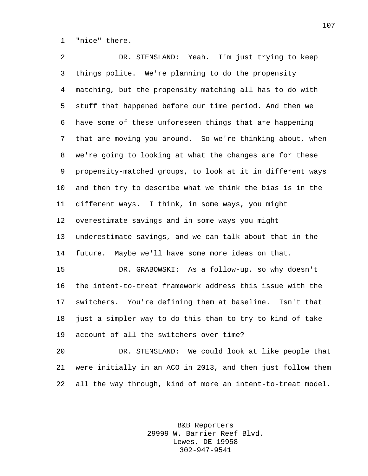"nice" there.

 DR. STENSLAND: Yeah. I'm just trying to keep things polite. We're planning to do the propensity matching, but the propensity matching all has to do with stuff that happened before our time period. And then we have some of these unforeseen things that are happening that are moving you around. So we're thinking about, when we're going to looking at what the changes are for these propensity-matched groups, to look at it in different ways and then try to describe what we think the bias is in the different ways. I think, in some ways, you might overestimate savings and in some ways you might underestimate savings, and we can talk about that in the future. Maybe we'll have some more ideas on that. DR. GRABOWSKI: As a follow-up, so why doesn't the intent-to-treat framework address this issue with the switchers. You're defining them at baseline. Isn't that just a simpler way to do this than to try to kind of take account of all the switchers over time?

 DR. STENSLAND: We could look at like people that were initially in an ACO in 2013, and then just follow them all the way through, kind of more an intent-to-treat model.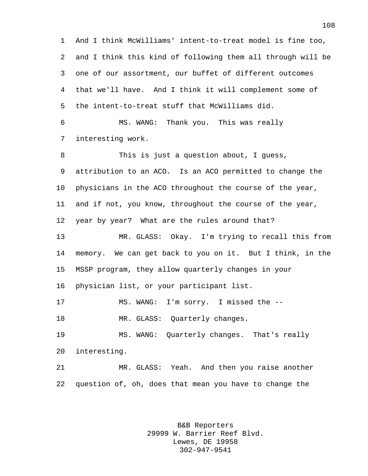And I think McWilliams' intent-to-treat model is fine too, and I think this kind of following them all through will be one of our assortment, our buffet of different outcomes that we'll have. And I think it will complement some of the intent-to-treat stuff that McWilliams did. MS. WANG: Thank you. This was really interesting work. This is just a question about, I guess, attribution to an ACO. Is an ACO permitted to change the physicians in the ACO throughout the course of the year, and if not, you know, throughout the course of the year, year by year? What are the rules around that? MR. GLASS: Okay. I'm trying to recall this from memory. We can get back to you on it. But I think, in the MSSP program, they allow quarterly changes in your physician list, or your participant list. MS. WANG: I'm sorry. I missed the -- 18 MR. GLASS: Quarterly changes. MS. WANG: Quarterly changes. That's really interesting.

 MR. GLASS: Yeah. And then you raise another question of, oh, does that mean you have to change the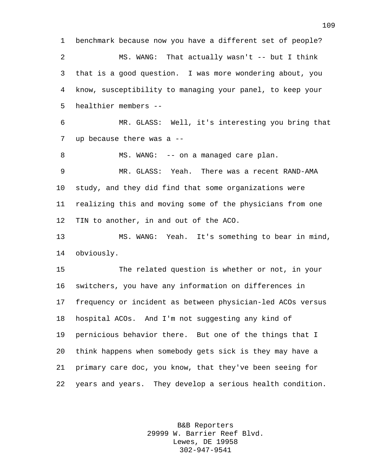benchmark because now you have a different set of people? MS. WANG: That actually wasn't -- but I think that is a good question. I was more wondering about, you know, susceptibility to managing your panel, to keep your healthier members -- MR. GLASS: Well, it's interesting you bring that up because there was a -- 8 MS. WANG: -- on a managed care plan. MR. GLASS: Yeah. There was a recent RAND-AMA study, and they did find that some organizations were realizing this and moving some of the physicians from one TIN to another, in and out of the ACO. MS. WANG: Yeah. It's something to bear in mind, obviously. The related question is whether or not, in your switchers, you have any information on differences in frequency or incident as between physician-led ACOs versus hospital ACOs. And I'm not suggesting any kind of pernicious behavior there. But one of the things that I think happens when somebody gets sick is they may have a primary care doc, you know, that they've been seeing for years and years. They develop a serious health condition.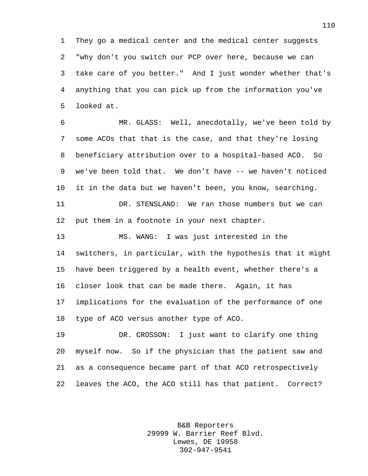They go a medical center and the medical center suggests "why don't you switch our PCP over here, because we can take care of you better." And I just wonder whether that's anything that you can pick up from the information you've looked at.

 MR. GLASS: Well, anecdotally, we've been told by some ACOs that that is the case, and that they're losing beneficiary attribution over to a hospital-based ACO. So we've been told that. We don't have -- we haven't noticed it in the data but we haven't been, you know, searching. DR. STENSLAND: We ran those numbers but we can

put them in a footnote in your next chapter.

 MS. WANG: I was just interested in the switchers, in particular, with the hypothesis that it might have been triggered by a health event, whether there's a closer look that can be made there. Again, it has implications for the evaluation of the performance of one type of ACO versus another type of ACO.

 DR. CROSSON: I just want to clarify one thing myself now. So if the physician that the patient saw and as a consequence became part of that ACO retrospectively leaves the ACO, the ACO still has that patient. Correct?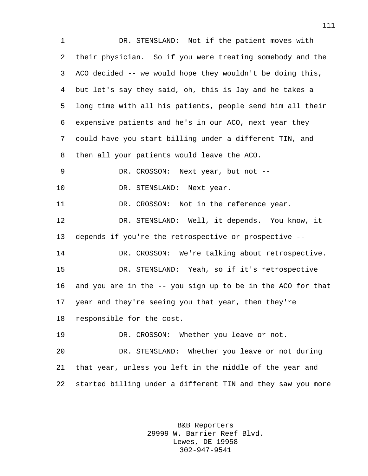DR. STENSLAND: Not if the patient moves with their physician. So if you were treating somebody and the ACO decided -- we would hope they wouldn't be doing this, but let's say they said, oh, this is Jay and he takes a long time with all his patients, people send him all their expensive patients and he's in our ACO, next year they could have you start billing under a different TIN, and then all your patients would leave the ACO. DR. CROSSON: Next year, but not -- 10 DR. STENSLAND: Next year. DR. CROSSON: Not in the reference year. DR. STENSLAND: Well, it depends. You know, it depends if you're the retrospective or prospective -- DR. CROSSON: We're talking about retrospective. DR. STENSLAND: Yeah, so if it's retrospective and you are in the -- you sign up to be in the ACO for that year and they're seeing you that year, then they're responsible for the cost. DR. CROSSON: Whether you leave or not. DR. STENSLAND: Whether you leave or not during that year, unless you left in the middle of the year and started billing under a different TIN and they saw you more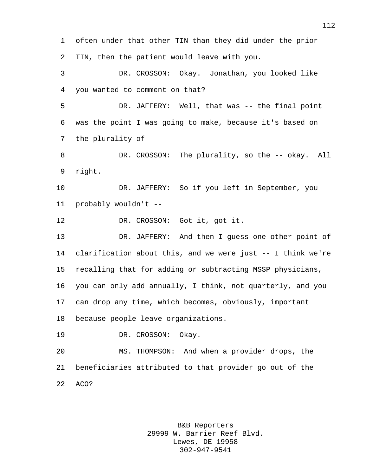often under that other TIN than they did under the prior TIN, then the patient would leave with you.

 DR. CROSSON: Okay. Jonathan, you looked like you wanted to comment on that?

 DR. JAFFERY: Well, that was -- the final point was the point I was going to make, because it's based on the plurality of --

8 DR. CROSSON: The plurality, so the -- okay. All right.

 DR. JAFFERY: So if you left in September, you probably wouldn't --

DR. CROSSON: Got it, got it.

 DR. JAFFERY: And then I guess one other point of clarification about this, and we were just -- I think we're recalling that for adding or subtracting MSSP physicians, you can only add annually, I think, not quarterly, and you can drop any time, which becomes, obviously, important because people leave organizations.

DR. CROSSON: Okay.

 MS. THOMPSON: And when a provider drops, the beneficiaries attributed to that provider go out of the ACO?

> B&B Reporters 29999 W. Barrier Reef Blvd. Lewes, DE 19958 302-947-9541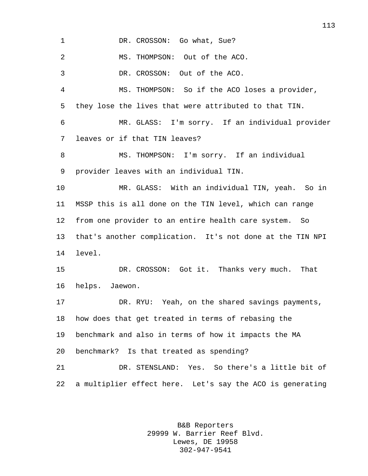1 DR. CROSSON: Go what, Sue? MS. THOMPSON: Out of the ACO. DR. CROSSON: Out of the ACO. MS. THOMPSON: So if the ACO loses a provider, they lose the lives that were attributed to that TIN. MR. GLASS: I'm sorry. If an individual provider leaves or if that TIN leaves? MS. THOMPSON: I'm sorry. If an individual provider leaves with an individual TIN. MR. GLASS: With an individual TIN, yeah. So in MSSP this is all done on the TIN level, which can range from one provider to an entire health care system. So that's another complication. It's not done at the TIN NPI level. DR. CROSSON: Got it. Thanks very much. That helps. Jaewon. DR. RYU: Yeah, on the shared savings payments, how does that get treated in terms of rebasing the benchmark and also in terms of how it impacts the MA benchmark? Is that treated as spending? DR. STENSLAND: Yes. So there's a little bit of a multiplier effect here. Let's say the ACO is generating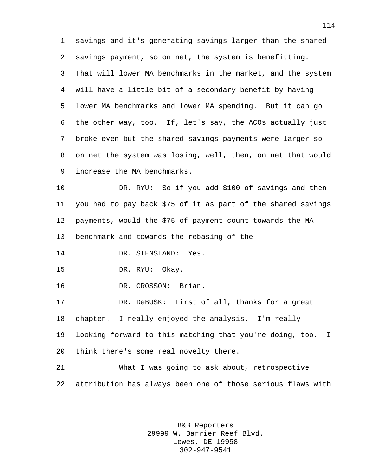savings and it's generating savings larger than the shared savings payment, so on net, the system is benefitting. That will lower MA benchmarks in the market, and the system will have a little bit of a secondary benefit by having lower MA benchmarks and lower MA spending. But it can go the other way, too. If, let's say, the ACOs actually just broke even but the shared savings payments were larger so on net the system was losing, well, then, on net that would increase the MA benchmarks.

 DR. RYU: So if you add \$100 of savings and then you had to pay back \$75 of it as part of the shared savings payments, would the \$75 of payment count towards the MA benchmark and towards the rebasing of the --

DR. STENSLAND: Yes.

DR. RYU: Okay.

DR. CROSSON: Brian.

 DR. DeBUSK: First of all, thanks for a great chapter. I really enjoyed the analysis. I'm really looking forward to this matching that you're doing, too. I think there's some real novelty there.

 What I was going to ask about, retrospective attribution has always been one of those serious flaws with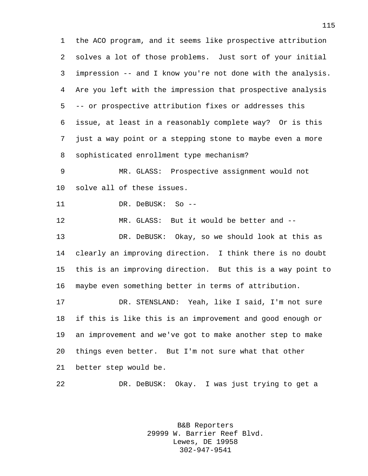the ACO program, and it seems like prospective attribution solves a lot of those problems. Just sort of your initial impression -- and I know you're not done with the analysis. Are you left with the impression that prospective analysis -- or prospective attribution fixes or addresses this issue, at least in a reasonably complete way? Or is this just a way point or a stepping stone to maybe even a more sophisticated enrollment type mechanism?

 MR. GLASS: Prospective assignment would not solve all of these issues.

DR. DeBUSK: So --

MR. GLASS: But it would be better and --

 DR. DeBUSK: Okay, so we should look at this as clearly an improving direction. I think there is no doubt this is an improving direction. But this is a way point to maybe even something better in terms of attribution.

 DR. STENSLAND: Yeah, like I said, I'm not sure if this is like this is an improvement and good enough or an improvement and we've got to make another step to make things even better. But I'm not sure what that other better step would be.

DR. DeBUSK: Okay. I was just trying to get a

B&B Reporters 29999 W. Barrier Reef Blvd. Lewes, DE 19958 302-947-9541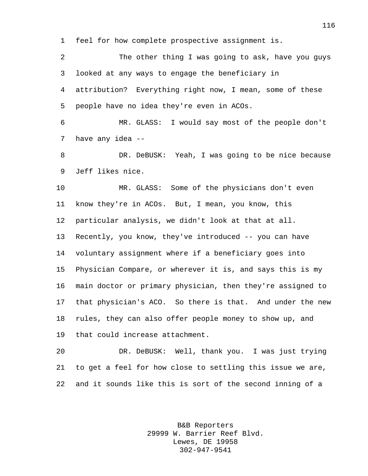feel for how complete prospective assignment is.

 The other thing I was going to ask, have you guys looked at any ways to engage the beneficiary in attribution? Everything right now, I mean, some of these people have no idea they're even in ACOs. MR. GLASS: I would say most of the people don't have any idea -- DR. DeBUSK: Yeah, I was going to be nice because Jeff likes nice. MR. GLASS: Some of the physicians don't even know they're in ACOs. But, I mean, you know, this particular analysis, we didn't look at that at all. Recently, you know, they've introduced -- you can have voluntary assignment where if a beneficiary goes into Physician Compare, or wherever it is, and says this is my main doctor or primary physician, then they're assigned to

 that physician's ACO. So there is that. And under the new rules, they can also offer people money to show up, and that could increase attachment.

 DR. DeBUSK: Well, thank you. I was just trying to get a feel for how close to settling this issue we are, and it sounds like this is sort of the second inning of a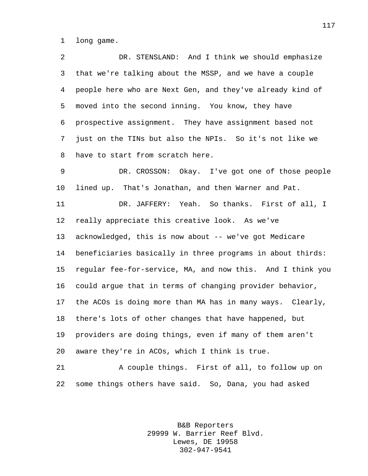long game.

 DR. STENSLAND: And I think we should emphasize that we're talking about the MSSP, and we have a couple people here who are Next Gen, and they've already kind of moved into the second inning. You know, they have prospective assignment. They have assignment based not just on the TINs but also the NPIs. So it's not like we have to start from scratch here.

 DR. CROSSON: Okay. I've got one of those people lined up. That's Jonathan, and then Warner and Pat.

 DR. JAFFERY: Yeah. So thanks. First of all, I really appreciate this creative look. As we've acknowledged, this is now about -- we've got Medicare beneficiaries basically in three programs in about thirds: regular fee-for-service, MA, and now this. And I think you could argue that in terms of changing provider behavior, the ACOs is doing more than MA has in many ways. Clearly, there's lots of other changes that have happened, but providers are doing things, even if many of them aren't aware they're in ACOs, which I think is true.

 A couple things. First of all, to follow up on some things others have said. So, Dana, you had asked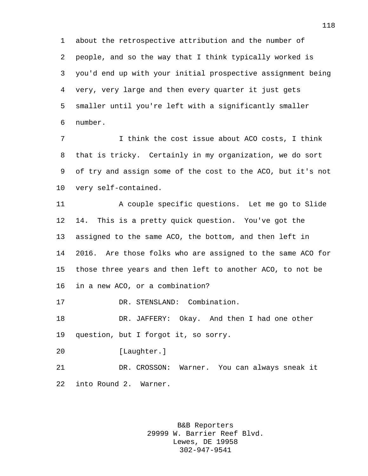about the retrospective attribution and the number of people, and so the way that I think typically worked is you'd end up with your initial prospective assignment being very, very large and then every quarter it just gets smaller until you're left with a significantly smaller number.

7 I think the cost issue about ACO costs, I think that is tricky. Certainly in my organization, we do sort of try and assign some of the cost to the ACO, but it's not very self-contained.

 A couple specific questions. Let me go to Slide 14. This is a pretty quick question. You've got the assigned to the same ACO, the bottom, and then left in 2016. Are those folks who are assigned to the same ACO for those three years and then left to another ACO, to not be in a new ACO, or a combination?

DR. STENSLAND: Combination.

 DR. JAFFERY: Okay. And then I had one other question, but I forgot it, so sorry.

[Laughter.]

 DR. CROSSON: Warner. You can always sneak it into Round 2. Warner.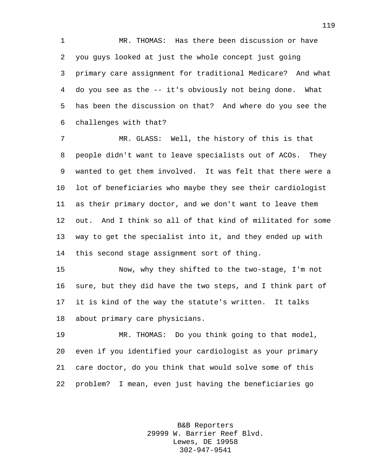MR. THOMAS: Has there been discussion or have you guys looked at just the whole concept just going primary care assignment for traditional Medicare? And what do you see as the -- it's obviously not being done. What has been the discussion on that? And where do you see the challenges with that?

 MR. GLASS: Well, the history of this is that people didn't want to leave specialists out of ACOs. They wanted to get them involved. It was felt that there were a lot of beneficiaries who maybe they see their cardiologist as their primary doctor, and we don't want to leave them out. And I think so all of that kind of militated for some way to get the specialist into it, and they ended up with this second stage assignment sort of thing.

 Now, why they shifted to the two-stage, I'm not sure, but they did have the two steps, and I think part of it is kind of the way the statute's written. It talks about primary care physicians.

 MR. THOMAS: Do you think going to that model, even if you identified your cardiologist as your primary care doctor, do you think that would solve some of this problem? I mean, even just having the beneficiaries go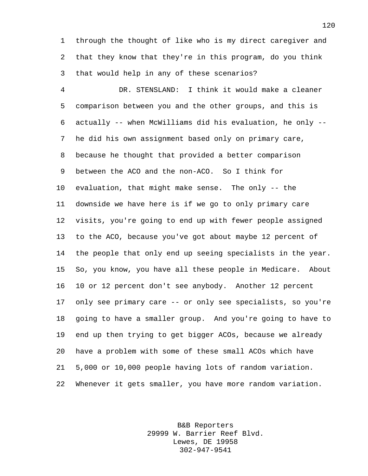through the thought of like who is my direct caregiver and that they know that they're in this program, do you think that would help in any of these scenarios?

 DR. STENSLAND: I think it would make a cleaner comparison between you and the other groups, and this is actually -- when McWilliams did his evaluation, he only -- he did his own assignment based only on primary care, because he thought that provided a better comparison between the ACO and the non-ACO. So I think for evaluation, that might make sense. The only -- the downside we have here is if we go to only primary care visits, you're going to end up with fewer people assigned to the ACO, because you've got about maybe 12 percent of the people that only end up seeing specialists in the year. So, you know, you have all these people in Medicare. About 10 or 12 percent don't see anybody. Another 12 percent only see primary care -- or only see specialists, so you're going to have a smaller group. And you're going to have to end up then trying to get bigger ACOs, because we already have a problem with some of these small ACOs which have 5,000 or 10,000 people having lots of random variation. Whenever it gets smaller, you have more random variation.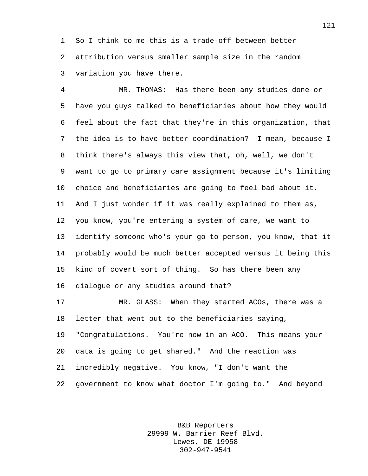So I think to me this is a trade-off between better attribution versus smaller sample size in the random variation you have there.

 MR. THOMAS: Has there been any studies done or have you guys talked to beneficiaries about how they would feel about the fact that they're in this organization, that the idea is to have better coordination? I mean, because I think there's always this view that, oh, well, we don't want to go to primary care assignment because it's limiting choice and beneficiaries are going to feel bad about it. And I just wonder if it was really explained to them as, you know, you're entering a system of care, we want to identify someone who's your go-to person, you know, that it probably would be much better accepted versus it being this kind of covert sort of thing. So has there been any dialogue or any studies around that?

 MR. GLASS: When they started ACOs, there was a letter that went out to the beneficiaries saying, "Congratulations. You're now in an ACO. This means your data is going to get shared." And the reaction was incredibly negative. You know, "I don't want the government to know what doctor I'm going to." And beyond

> B&B Reporters 29999 W. Barrier Reef Blvd. Lewes, DE 19958 302-947-9541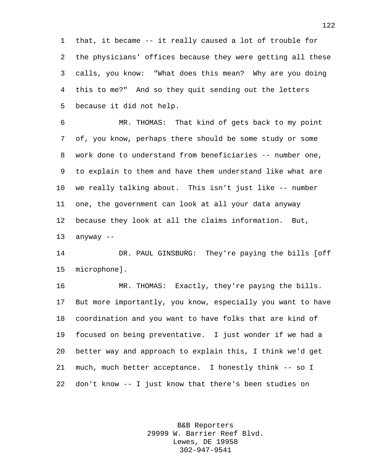that, it became -- it really caused a lot of trouble for the physicians' offices because they were getting all these calls, you know: "What does this mean? Why are you doing this to me?" And so they quit sending out the letters because it did not help.

 MR. THOMAS: That kind of gets back to my point of, you know, perhaps there should be some study or some work done to understand from beneficiaries -- number one, to explain to them and have them understand like what are we really talking about. This isn't just like -- number one, the government can look at all your data anyway because they look at all the claims information. But, anyway --

 DR. PAUL GINSBURG: They're paying the bills [off microphone].

 MR. THOMAS: Exactly, they're paying the bills. But more importantly, you know, especially you want to have coordination and you want to have folks that are kind of focused on being preventative. I just wonder if we had a better way and approach to explain this, I think we'd get much, much better acceptance. I honestly think -- so I don't know -- I just know that there's been studies on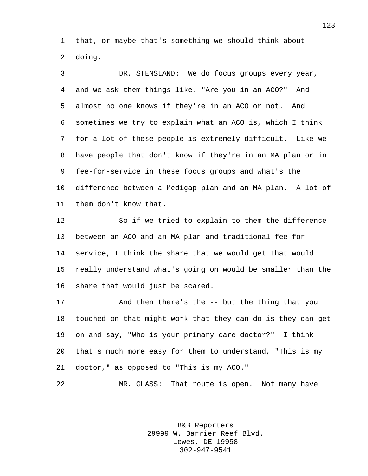that, or maybe that's something we should think about doing.

 DR. STENSLAND: We do focus groups every year, and we ask them things like, "Are you in an ACO?" And almost no one knows if they're in an ACO or not. And sometimes we try to explain what an ACO is, which I think for a lot of these people is extremely difficult. Like we have people that don't know if they're in an MA plan or in fee-for-service in these focus groups and what's the difference between a Medigap plan and an MA plan. A lot of them don't know that.

 So if we tried to explain to them the difference between an ACO and an MA plan and traditional fee-for- service, I think the share that we would get that would really understand what's going on would be smaller than the share that would just be scared.

 And then there's the -- but the thing that you touched on that might work that they can do is they can get on and say, "Who is your primary care doctor?" I think that's much more easy for them to understand, "This is my doctor," as opposed to "This is my ACO."

MR. GLASS: That route is open. Not many have

B&B Reporters 29999 W. Barrier Reef Blvd. Lewes, DE 19958 302-947-9541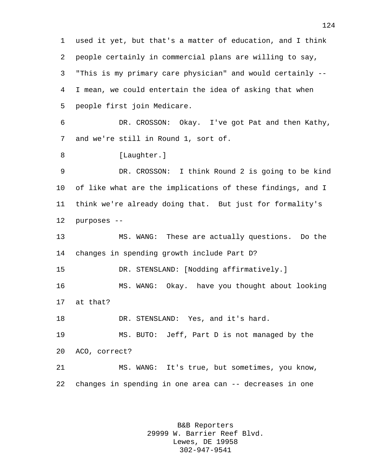used it yet, but that's a matter of education, and I think people certainly in commercial plans are willing to say, "This is my primary care physician" and would certainly -- I mean, we could entertain the idea of asking that when people first join Medicare. DR. CROSSON: Okay. I've got Pat and then Kathy, and we're still in Round 1, sort of. 8 [Laughter.] DR. CROSSON: I think Round 2 is going to be kind of like what are the implications of these findings, and I think we're already doing that. But just for formality's purposes -- MS. WANG: These are actually questions. Do the changes in spending growth include Part D? DR. STENSLAND: [Nodding affirmatively.] MS. WANG: Okay. have you thought about looking at that? DR. STENSLAND: Yes, and it's hard. MS. BUTO: Jeff, Part D is not managed by the ACO, correct? MS. WANG: It's true, but sometimes, you know, changes in spending in one area can -- decreases in one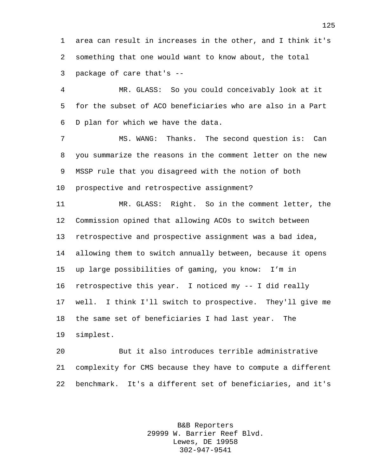area can result in increases in the other, and I think it's something that one would want to know about, the total package of care that's --

 MR. GLASS: So you could conceivably look at it for the subset of ACO beneficiaries who are also in a Part D plan for which we have the data.

7 MS. WANG: Thanks. The second question is: Can you summarize the reasons in the comment letter on the new MSSP rule that you disagreed with the notion of both prospective and retrospective assignment?

 MR. GLASS: Right. So in the comment letter, the Commission opined that allowing ACOs to switch between retrospective and prospective assignment was a bad idea, allowing them to switch annually between, because it opens up large possibilities of gaming, you know: I'm in retrospective this year. I noticed my -- I did really well. I think I'll switch to prospective. They'll give me the same set of beneficiaries I had last year. The simplest.

 But it also introduces terrible administrative complexity for CMS because they have to compute a different benchmark. It's a different set of beneficiaries, and it's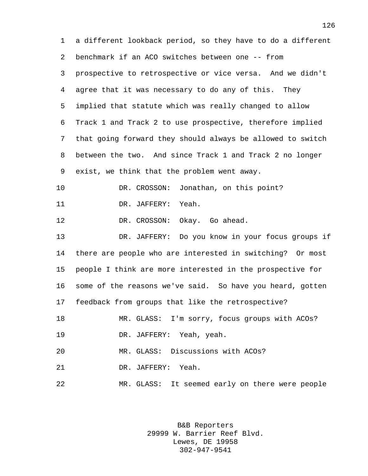a different lookback period, so they have to do a different benchmark if an ACO switches between one -- from prospective to retrospective or vice versa. And we didn't agree that it was necessary to do any of this. They implied that statute which was really changed to allow Track 1 and Track 2 to use prospective, therefore implied that going forward they should always be allowed to switch between the two. And since Track 1 and Track 2 no longer exist, we think that the problem went away. DR. CROSSON: Jonathan, on this point? 11 DR. JAFFERY: Yeah. 12 DR. CROSSON: Okay. Go ahead. DR. JAFFERY: Do you know in your focus groups if there are people who are interested in switching? Or most people I think are more interested in the prospective for some of the reasons we've said. So have you heard, gotten feedback from groups that like the retrospective? MR. GLASS: I'm sorry, focus groups with ACOs? DR. JAFFERY: Yeah, yeah. MR. GLASS: Discussions with ACOs? DR. JAFFERY: Yeah. MR. GLASS: It seemed early on there were people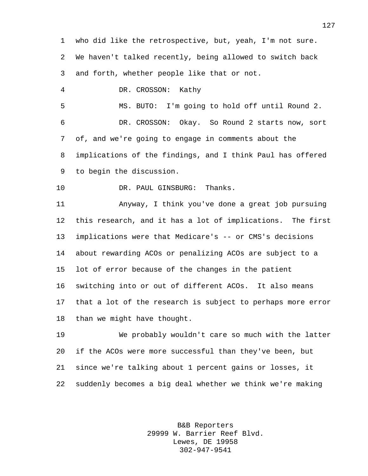who did like the retrospective, but, yeah, I'm not sure. We haven't talked recently, being allowed to switch back and forth, whether people like that or not. DR. CROSSON: Kathy MS. BUTO: I'm going to hold off until Round 2. DR. CROSSON: Okay. So Round 2 starts now, sort of, and we're going to engage in comments about the implications of the findings, and I think Paul has offered to begin the discussion. 10 DR. PAUL GINSBURG: Thanks. Anyway, I think you've done a great job pursuing this research, and it has a lot of implications. The first implications were that Medicare's -- or CMS's decisions about rewarding ACOs or penalizing ACOs are subject to a lot of error because of the changes in the patient switching into or out of different ACOs. It also means that a lot of the research is subject to perhaps more error than we might have thought. We probably wouldn't care so much with the latter if the ACOs were more successful than they've been, but since we're talking about 1 percent gains or losses, it suddenly becomes a big deal whether we think we're making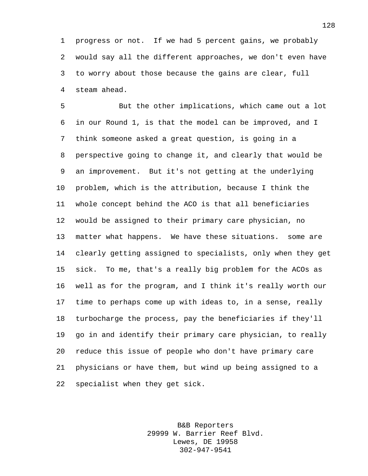progress or not. If we had 5 percent gains, we probably would say all the different approaches, we don't even have to worry about those because the gains are clear, full steam ahead.

 But the other implications, which came out a lot in our Round 1, is that the model can be improved, and I think someone asked a great question, is going in a perspective going to change it, and clearly that would be an improvement. But it's not getting at the underlying problem, which is the attribution, because I think the whole concept behind the ACO is that all beneficiaries would be assigned to their primary care physician, no matter what happens. We have these situations. some are clearly getting assigned to specialists, only when they get sick. To me, that's a really big problem for the ACOs as well as for the program, and I think it's really worth our time to perhaps come up with ideas to, in a sense, really turbocharge the process, pay the beneficiaries if they'll go in and identify their primary care physician, to really reduce this issue of people who don't have primary care physicians or have them, but wind up being assigned to a specialist when they get sick.

> B&B Reporters 29999 W. Barrier Reef Blvd. Lewes, DE 19958 302-947-9541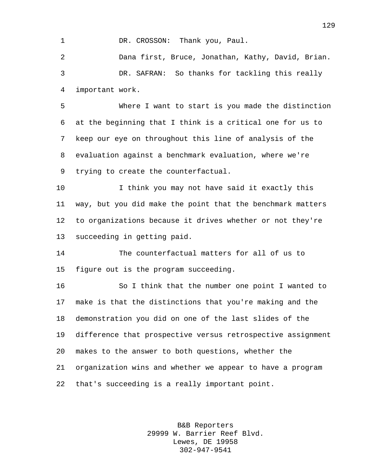## 1 DR. CROSSON: Thank you, Paul.

 Dana first, Bruce, Jonathan, Kathy, David, Brian. DR. SAFRAN: So thanks for tackling this really important work.

 Where I want to start is you made the distinction at the beginning that I think is a critical one for us to keep our eye on throughout this line of analysis of the evaluation against a benchmark evaluation, where we're trying to create the counterfactual.

 I think you may not have said it exactly this way, but you did make the point that the benchmark matters to organizations because it drives whether or not they're succeeding in getting paid.

 The counterfactual matters for all of us to figure out is the program succeeding.

 So I think that the number one point I wanted to make is that the distinctions that you're making and the demonstration you did on one of the last slides of the difference that prospective versus retrospective assignment makes to the answer to both questions, whether the organization wins and whether we appear to have a program that's succeeding is a really important point.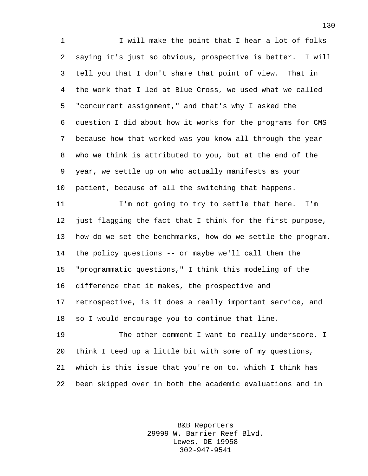1 I will make the point that I hear a lot of folks saying it's just so obvious, prospective is better. I will tell you that I don't share that point of view. That in the work that I led at Blue Cross, we used what we called "concurrent assignment," and that's why I asked the question I did about how it works for the programs for CMS because how that worked was you know all through the year who we think is attributed to you, but at the end of the year, we settle up on who actually manifests as your patient, because of all the switching that happens.

 I'm not going to try to settle that here. I'm just flagging the fact that I think for the first purpose, how do we set the benchmarks, how do we settle the program, the policy questions -- or maybe we'll call them the "programmatic questions," I think this modeling of the difference that it makes, the prospective and retrospective, is it does a really important service, and so I would encourage you to continue that line.

 The other comment I want to really underscore, I think I teed up a little bit with some of my questions, which is this issue that you're on to, which I think has been skipped over in both the academic evaluations and in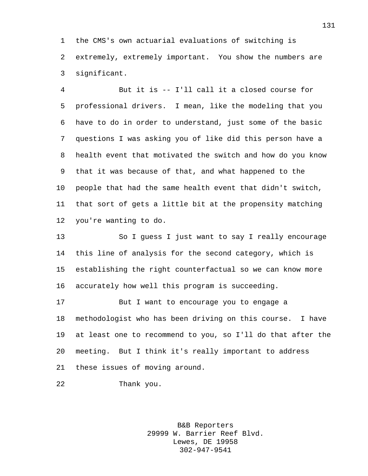the CMS's own actuarial evaluations of switching is extremely, extremely important. You show the numbers are significant.

 But it is -- I'll call it a closed course for professional drivers. I mean, like the modeling that you have to do in order to understand, just some of the basic questions I was asking you of like did this person have a health event that motivated the switch and how do you know that it was because of that, and what happened to the people that had the same health event that didn't switch, that sort of gets a little bit at the propensity matching you're wanting to do.

 So I guess I just want to say I really encourage this line of analysis for the second category, which is establishing the right counterfactual so we can know more accurately how well this program is succeeding.

 But I want to encourage you to engage a methodologist who has been driving on this course. I have at least one to recommend to you, so I'll do that after the meeting. But I think it's really important to address these issues of moving around.

Thank you.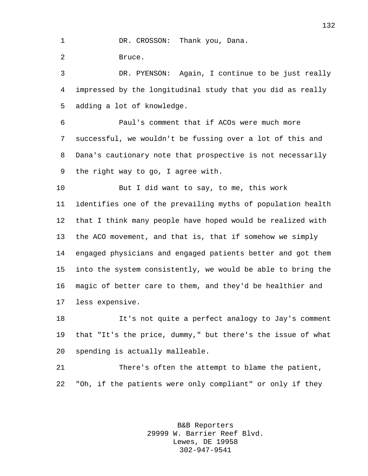1 DR. CROSSON: Thank you, Dana. Bruce.

 DR. PYENSON: Again, I continue to be just really impressed by the longitudinal study that you did as really adding a lot of knowledge.

 Paul's comment that if ACOs were much more successful, we wouldn't be fussing over a lot of this and Dana's cautionary note that prospective is not necessarily the right way to go, I agree with.

 But I did want to say, to me, this work identifies one of the prevailing myths of population health that I think many people have hoped would be realized with the ACO movement, and that is, that if somehow we simply engaged physicians and engaged patients better and got them into the system consistently, we would be able to bring the magic of better care to them, and they'd be healthier and less expensive.

 It's not quite a perfect analogy to Jay's comment that "It's the price, dummy," but there's the issue of what spending is actually malleable.

 There's often the attempt to blame the patient, "Oh, if the patients were only compliant" or only if they

> B&B Reporters 29999 W. Barrier Reef Blvd. Lewes, DE 19958 302-947-9541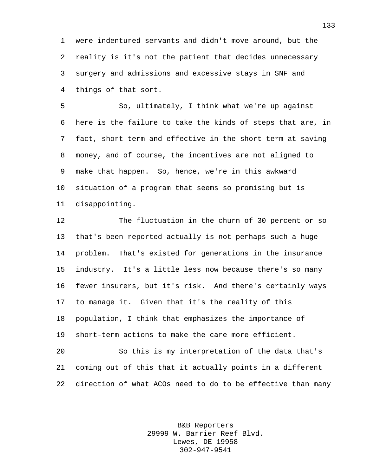were indentured servants and didn't move around, but the reality is it's not the patient that decides unnecessary surgery and admissions and excessive stays in SNF and things of that sort.

 So, ultimately, I think what we're up against here is the failure to take the kinds of steps that are, in fact, short term and effective in the short term at saving money, and of course, the incentives are not aligned to make that happen. So, hence, we're in this awkward situation of a program that seems so promising but is disappointing.

 The fluctuation in the churn of 30 percent or so that's been reported actually is not perhaps such a huge problem. That's existed for generations in the insurance industry. It's a little less now because there's so many fewer insurers, but it's risk. And there's certainly ways to manage it. Given that it's the reality of this population, I think that emphasizes the importance of short-term actions to make the care more efficient.

 So this is my interpretation of the data that's coming out of this that it actually points in a different direction of what ACOs need to do to be effective than many

> B&B Reporters 29999 W. Barrier Reef Blvd. Lewes, DE 19958 302-947-9541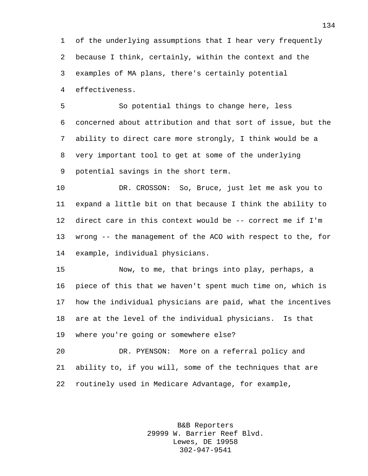of the underlying assumptions that I hear very frequently because I think, certainly, within the context and the examples of MA plans, there's certainly potential effectiveness.

 So potential things to change here, less concerned about attribution and that sort of issue, but the ability to direct care more strongly, I think would be a very important tool to get at some of the underlying potential savings in the short term.

 DR. CROSSON: So, Bruce, just let me ask you to expand a little bit on that because I think the ability to direct care in this context would be -- correct me if I'm wrong -- the management of the ACO with respect to the, for example, individual physicians.

 Now, to me, that brings into play, perhaps, a piece of this that we haven't spent much time on, which is how the individual physicians are paid, what the incentives are at the level of the individual physicians. Is that where you're going or somewhere else?

 DR. PYENSON: More on a referral policy and ability to, if you will, some of the techniques that are routinely used in Medicare Advantage, for example,

> B&B Reporters 29999 W. Barrier Reef Blvd. Lewes, DE 19958 302-947-9541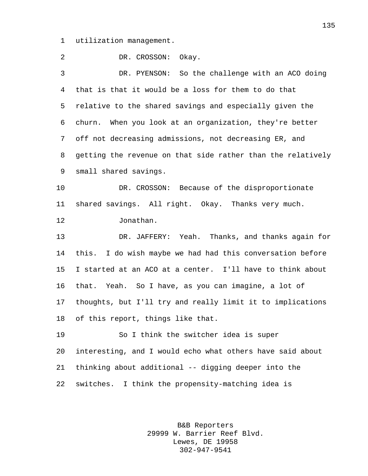utilization management.

 DR. CROSSON: Okay. DR. PYENSON: So the challenge with an ACO doing that is that it would be a loss for them to do that relative to the shared savings and especially given the churn. When you look at an organization, they're better off not decreasing admissions, not decreasing ER, and getting the revenue on that side rather than the relatively small shared savings. DR. CROSSON: Because of the disproportionate shared savings. All right. Okay. Thanks very much. Jonathan. DR. JAFFERY: Yeah. Thanks, and thanks again for this. I do wish maybe we had had this conversation before I started at an ACO at a center. I'll have to think about that. Yeah. So I have, as you can imagine, a lot of thoughts, but I'll try and really limit it to implications of this report, things like that. So I think the switcher idea is super interesting, and I would echo what others have said about thinking about additional -- digging deeper into the switches. I think the propensity-matching idea is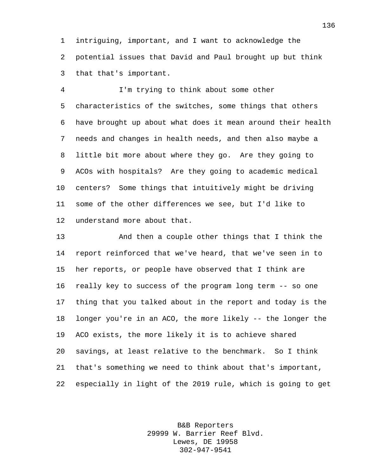intriguing, important, and I want to acknowledge the potential issues that David and Paul brought up but think that that's important.

 I'm trying to think about some other characteristics of the switches, some things that others have brought up about what does it mean around their health needs and changes in health needs, and then also maybe a little bit more about where they go. Are they going to ACOs with hospitals? Are they going to academic medical centers? Some things that intuitively might be driving some of the other differences we see, but I'd like to understand more about that.

 And then a couple other things that I think the report reinforced that we've heard, that we've seen in to her reports, or people have observed that I think are really key to success of the program long term -- so one thing that you talked about in the report and today is the longer you're in an ACO, the more likely -- the longer the ACO exists, the more likely it is to achieve shared savings, at least relative to the benchmark. So I think that's something we need to think about that's important, especially in light of the 2019 rule, which is going to get

> B&B Reporters 29999 W. Barrier Reef Blvd. Lewes, DE 19958 302-947-9541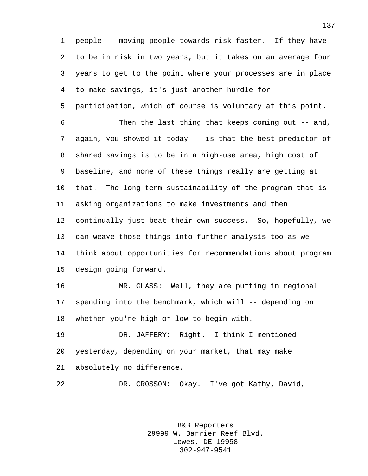people -- moving people towards risk faster. If they have to be in risk in two years, but it takes on an average four years to get to the point where your processes are in place to make savings, it's just another hurdle for participation, which of course is voluntary at this point. Then the last thing that keeps coming out -- and, again, you showed it today -- is that the best predictor of shared savings is to be in a high-use area, high cost of baseline, and none of these things really are getting at that. The long-term sustainability of the program that is asking organizations to make investments and then continually just beat their own success. So, hopefully, we can weave those things into further analysis too as we think about opportunities for recommendations about program design going forward. MR. GLASS: Well, they are putting in regional spending into the benchmark, which will -- depending on whether you're high or low to begin with. DR. JAFFERY: Right. I think I mentioned yesterday, depending on your market, that may make absolutely no difference.

DR. CROSSON: Okay. I've got Kathy, David,

B&B Reporters 29999 W. Barrier Reef Blvd. Lewes, DE 19958 302-947-9541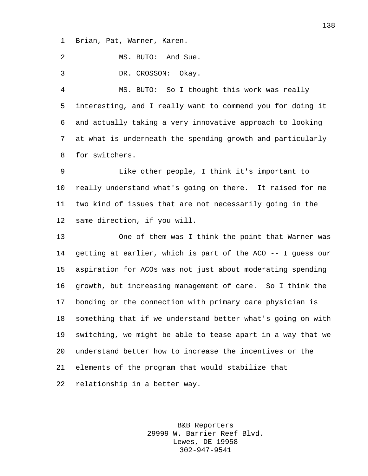Brian, Pat, Warner, Karen.

MS. BUTO: And Sue.

DR. CROSSON: Okay.

 MS. BUTO: So I thought this work was really interesting, and I really want to commend you for doing it and actually taking a very innovative approach to looking at what is underneath the spending growth and particularly for switchers.

 Like other people, I think it's important to really understand what's going on there. It raised for me two kind of issues that are not necessarily going in the same direction, if you will.

 One of them was I think the point that Warner was getting at earlier, which is part of the ACO -- I guess our aspiration for ACOs was not just about moderating spending growth, but increasing management of care. So I think the bonding or the connection with primary care physician is something that if we understand better what's going on with switching, we might be able to tease apart in a way that we understand better how to increase the incentives or the elements of the program that would stabilize that relationship in a better way.

> B&B Reporters 29999 W. Barrier Reef Blvd. Lewes, DE 19958 302-947-9541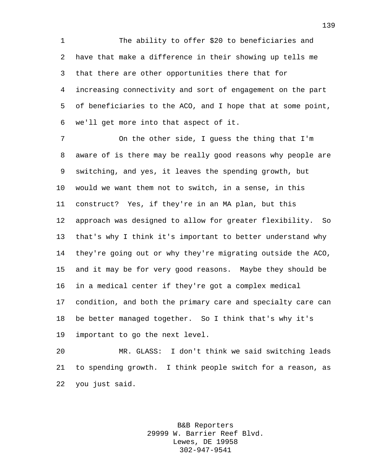The ability to offer \$20 to beneficiaries and have that make a difference in their showing up tells me that there are other opportunities there that for increasing connectivity and sort of engagement on the part of beneficiaries to the ACO, and I hope that at some point, we'll get more into that aspect of it.

 On the other side, I guess the thing that I'm aware of is there may be really good reasons why people are switching, and yes, it leaves the spending growth, but would we want them not to switch, in a sense, in this construct? Yes, if they're in an MA plan, but this approach was designed to allow for greater flexibility. So that's why I think it's important to better understand why they're going out or why they're migrating outside the ACO, and it may be for very good reasons. Maybe they should be in a medical center if they're got a complex medical condition, and both the primary care and specialty care can be better managed together. So I think that's why it's important to go the next level.

 MR. GLASS: I don't think we said switching leads to spending growth. I think people switch for a reason, as you just said.

> B&B Reporters 29999 W. Barrier Reef Blvd. Lewes, DE 19958 302-947-9541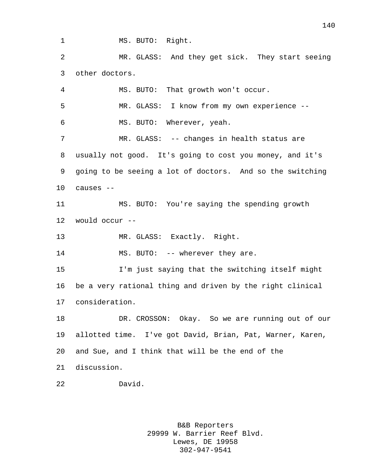1 MS. BUTO: Right.

 MR. GLASS: And they get sick. They start seeing other doctors.

 MS. BUTO: That growth won't occur. MR. GLASS: I know from my own experience -- MS. BUTO: Wherever, yeah. 7 MR. GLASS: -- changes in health status are usually not good. It's going to cost you money, and it's going to be seeing a lot of doctors. And so the switching causes -- MS. BUTO: You're saying the spending growth would occur -- MR. GLASS: Exactly. Right. 14 MS. BUTO: -- wherever they are. I'm just saying that the switching itself might be a very rational thing and driven by the right clinical consideration. DR. CROSSON: Okay. So we are running out of our allotted time. I've got David, Brian, Pat, Warner, Karen, and Sue, and I think that will be the end of the discussion. David.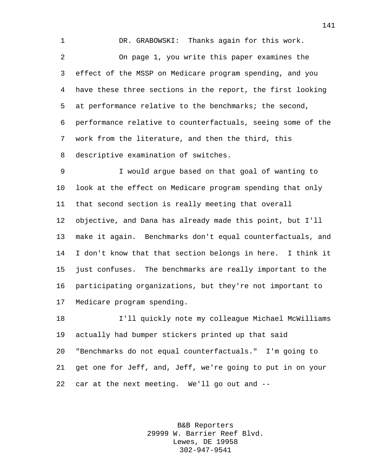DR. GRABOWSKI: Thanks again for this work. On page 1, you write this paper examines the effect of the MSSP on Medicare program spending, and you have these three sections in the report, the first looking at performance relative to the benchmarks; the second, performance relative to counterfactuals, seeing some of the work from the literature, and then the third, this descriptive examination of switches.

 I would argue based on that goal of wanting to look at the effect on Medicare program spending that only that second section is really meeting that overall objective, and Dana has already made this point, but I'll make it again. Benchmarks don't equal counterfactuals, and I don't know that that section belongs in here. I think it just confuses. The benchmarks are really important to the participating organizations, but they're not important to Medicare program spending.

 I'll quickly note my colleague Michael McWilliams actually had bumper stickers printed up that said "Benchmarks do not equal counterfactuals." I'm going to get one for Jeff, and, Jeff, we're going to put in on your car at the next meeting. We'll go out and --

> B&B Reporters 29999 W. Barrier Reef Blvd. Lewes, DE 19958 302-947-9541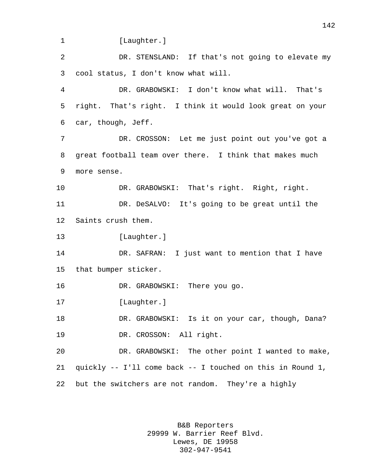1 [Laughter.]

 DR. STENSLAND: If that's not going to elevate my cool status, I don't know what will.

 DR. GRABOWSKI: I don't know what will. That's right. That's right. I think it would look great on your car, though, Jeff.

 DR. CROSSON: Let me just point out you've got a great football team over there. I think that makes much more sense.

 DR. GRABOWSKI: That's right. Right, right. DR. DeSALVO: It's going to be great until the Saints crush them.

13 [Laughter.]

 DR. SAFRAN: I just want to mention that I have that bumper sticker.

16 DR. GRABOWSKI: There you go.

17 [Laughter.]

 DR. GRABOWSKI: Is it on your car, though, Dana? DR. CROSSON: All right.

 DR. GRABOWSKI: The other point I wanted to make, quickly -- I'll come back -- I touched on this in Round 1, but the switchers are not random. They're a highly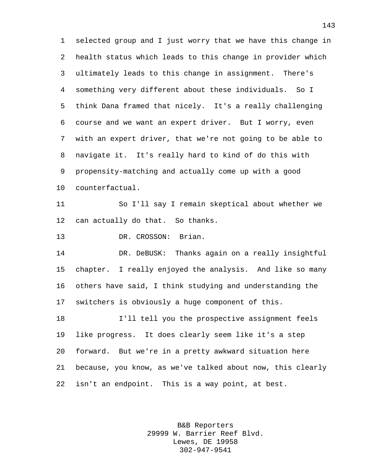selected group and I just worry that we have this change in health status which leads to this change in provider which ultimately leads to this change in assignment. There's something very different about these individuals. So I think Dana framed that nicely. It's a really challenging course and we want an expert driver. But I worry, even with an expert driver, that we're not going to be able to navigate it. It's really hard to kind of do this with propensity-matching and actually come up with a good counterfactual.

 So I'll say I remain skeptical about whether we can actually do that. So thanks.

13 DR. CROSSON: Brian.

 DR. DeBUSK: Thanks again on a really insightful chapter. I really enjoyed the analysis. And like so many others have said, I think studying and understanding the switchers is obviously a huge component of this.

 I'll tell you the prospective assignment feels like progress. It does clearly seem like it's a step forward. But we're in a pretty awkward situation here because, you know, as we've talked about now, this clearly isn't an endpoint. This is a way point, at best.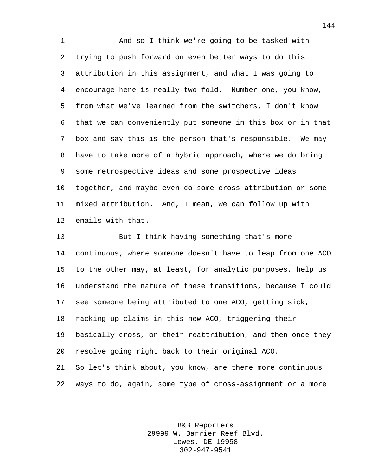And so I think we're going to be tasked with trying to push forward on even better ways to do this attribution in this assignment, and what I was going to encourage here is really two-fold. Number one, you know, from what we've learned from the switchers, I don't know that we can conveniently put someone in this box or in that box and say this is the person that's responsible. We may have to take more of a hybrid approach, where we do bring some retrospective ideas and some prospective ideas together, and maybe even do some cross-attribution or some mixed attribution. And, I mean, we can follow up with emails with that.

 But I think having something that's more continuous, where someone doesn't have to leap from one ACO to the other may, at least, for analytic purposes, help us understand the nature of these transitions, because I could see someone being attributed to one ACO, getting sick, racking up claims in this new ACO, triggering their basically cross, or their reattribution, and then once they resolve going right back to their original ACO. So let's think about, you know, are there more continuous ways to do, again, some type of cross-assignment or a more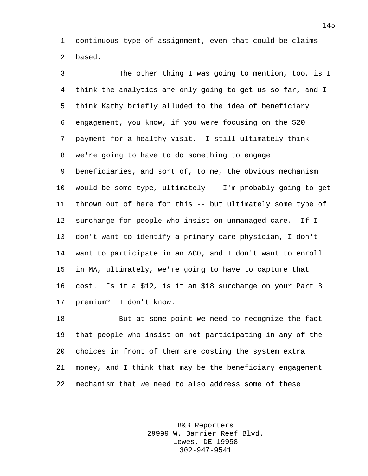continuous type of assignment, even that could be claims-based.

 The other thing I was going to mention, too, is I think the analytics are only going to get us so far, and I think Kathy briefly alluded to the idea of beneficiary engagement, you know, if you were focusing on the \$20 payment for a healthy visit. I still ultimately think we're going to have to do something to engage beneficiaries, and sort of, to me, the obvious mechanism would be some type, ultimately -- I'm probably going to get thrown out of here for this -- but ultimately some type of surcharge for people who insist on unmanaged care. If I don't want to identify a primary care physician, I don't want to participate in an ACO, and I don't want to enroll in MA, ultimately, we're going to have to capture that cost. Is it a \$12, is it an \$18 surcharge on your Part B premium? I don't know.

 But at some point we need to recognize the fact that people who insist on not participating in any of the choices in front of them are costing the system extra money, and I think that may be the beneficiary engagement mechanism that we need to also address some of these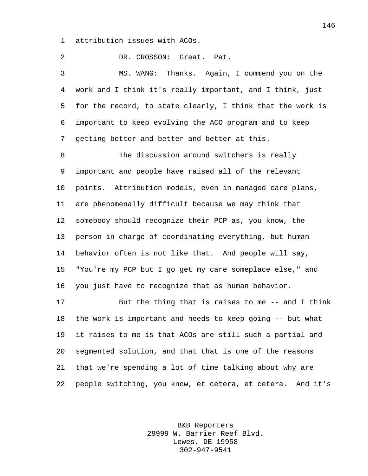attribution issues with ACOs.

 DR. CROSSON: Great. Pat. MS. WANG: Thanks. Again, I commend you on the work and I think it's really important, and I think, just for the record, to state clearly, I think that the work is important to keep evolving the ACO program and to keep getting better and better and better at this. The discussion around switchers is really important and people have raised all of the relevant points. Attribution models, even in managed care plans, are phenomenally difficult because we may think that somebody should recognize their PCP as, you know, the person in charge of coordinating everything, but human behavior often is not like that. And people will say, "You're my PCP but I go get my care someplace else," and you just have to recognize that as human behavior. But the thing that is raises to me -- and I think

 the work is important and needs to keep going -- but what it raises to me is that ACOs are still such a partial and segmented solution, and that that is one of the reasons that we're spending a lot of time talking about why are people switching, you know, et cetera, et cetera. And it's

> B&B Reporters 29999 W. Barrier Reef Blvd. Lewes, DE 19958 302-947-9541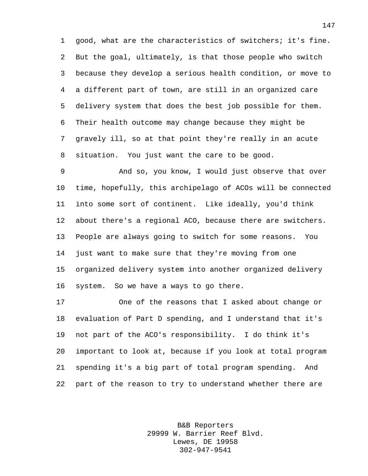good, what are the characteristics of switchers; it's fine. But the goal, ultimately, is that those people who switch because they develop a serious health condition, or move to a different part of town, are still in an organized care delivery system that does the best job possible for them. Their health outcome may change because they might be gravely ill, so at that point they're really in an acute situation. You just want the care to be good.

 And so, you know, I would just observe that over time, hopefully, this archipelago of ACOs will be connected into some sort of continent. Like ideally, you'd think about there's a regional ACO, because there are switchers. People are always going to switch for some reasons. You just want to make sure that they're moving from one organized delivery system into another organized delivery system. So we have a ways to go there.

 One of the reasons that I asked about change or evaluation of Part D spending, and I understand that it's not part of the ACO's responsibility. I do think it's important to look at, because if you look at total program spending it's a big part of total program spending. And part of the reason to try to understand whether there are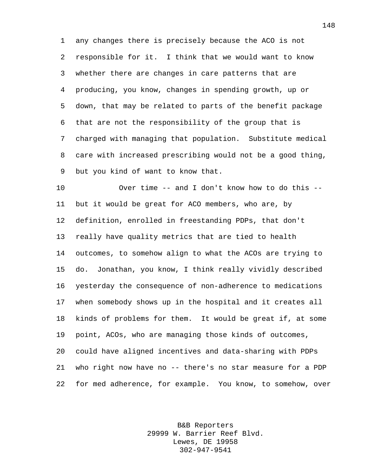any changes there is precisely because the ACO is not responsible for it. I think that we would want to know whether there are changes in care patterns that are producing, you know, changes in spending growth, up or down, that may be related to parts of the benefit package that are not the responsibility of the group that is charged with managing that population. Substitute medical care with increased prescribing would not be a good thing, but you kind of want to know that.

 Over time -- and I don't know how to do this -- but it would be great for ACO members, who are, by definition, enrolled in freestanding PDPs, that don't really have quality metrics that are tied to health outcomes, to somehow align to what the ACOs are trying to do. Jonathan, you know, I think really vividly described yesterday the consequence of non-adherence to medications when somebody shows up in the hospital and it creates all kinds of problems for them. It would be great if, at some point, ACOs, who are managing those kinds of outcomes, could have aligned incentives and data-sharing with PDPs who right now have no -- there's no star measure for a PDP for med adherence, for example. You know, to somehow, over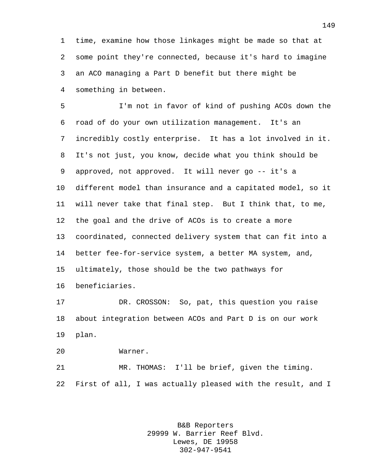time, examine how those linkages might be made so that at some point they're connected, because it's hard to imagine an ACO managing a Part D benefit but there might be something in between.

 I'm not in favor of kind of pushing ACOs down the road of do your own utilization management. It's an incredibly costly enterprise. It has a lot involved in it. It's not just, you know, decide what you think should be approved, not approved. It will never go -- it's a different model than insurance and a capitated model, so it will never take that final step. But I think that, to me, the goal and the drive of ACOs is to create a more coordinated, connected delivery system that can fit into a better fee-for-service system, a better MA system, and, ultimately, those should be the two pathways for beneficiaries.

 DR. CROSSON: So, pat, this question you raise about integration between ACOs and Part D is on our work plan.

Warner.

 MR. THOMAS: I'll be brief, given the timing. First of all, I was actually pleased with the result, and I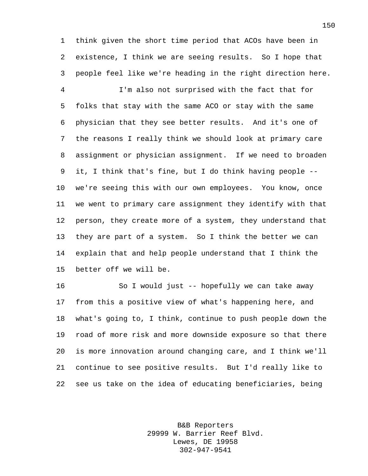think given the short time period that ACOs have been in existence, I think we are seeing results. So I hope that people feel like we're heading in the right direction here.

 I'm also not surprised with the fact that for folks that stay with the same ACO or stay with the same physician that they see better results. And it's one of the reasons I really think we should look at primary care assignment or physician assignment. If we need to broaden it, I think that's fine, but I do think having people -- we're seeing this with our own employees. You know, once we went to primary care assignment they identify with that person, they create more of a system, they understand that they are part of a system. So I think the better we can explain that and help people understand that I think the better off we will be.

 So I would just -- hopefully we can take away from this a positive view of what's happening here, and what's going to, I think, continue to push people down the road of more risk and more downside exposure so that there is more innovation around changing care, and I think we'll continue to see positive results. But I'd really like to see us take on the idea of educating beneficiaries, being

> B&B Reporters 29999 W. Barrier Reef Blvd. Lewes, DE 19958 302-947-9541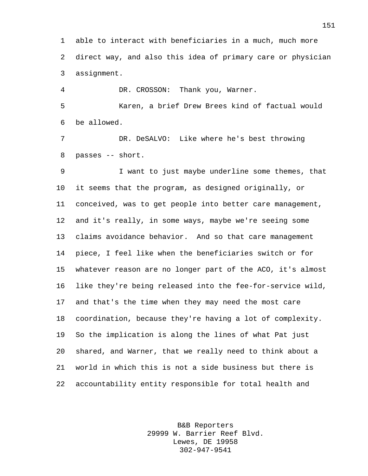able to interact with beneficiaries in a much, much more direct way, and also this idea of primary care or physician assignment.

 DR. CROSSON: Thank you, Warner. Karen, a brief Drew Brees kind of factual would be allowed.

 DR. DeSALVO: Like where he's best throwing passes -- short.

 I want to just maybe underline some themes, that it seems that the program, as designed originally, or conceived, was to get people into better care management, and it's really, in some ways, maybe we're seeing some claims avoidance behavior. And so that care management piece, I feel like when the beneficiaries switch or for whatever reason are no longer part of the ACO, it's almost like they're being released into the fee-for-service wild, and that's the time when they may need the most care coordination, because they're having a lot of complexity. So the implication is along the lines of what Pat just shared, and Warner, that we really need to think about a world in which this is not a side business but there is accountability entity responsible for total health and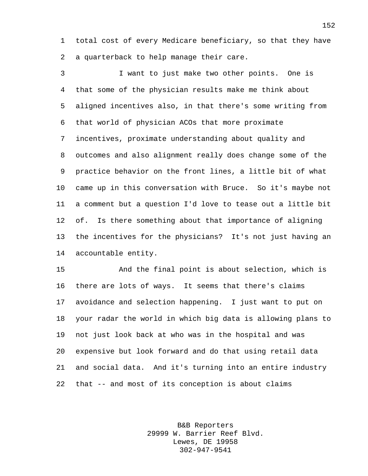total cost of every Medicare beneficiary, so that they have a quarterback to help manage their care.

 I want to just make two other points. One is that some of the physician results make me think about aligned incentives also, in that there's some writing from that world of physician ACOs that more proximate incentives, proximate understanding about quality and outcomes and also alignment really does change some of the practice behavior on the front lines, a little bit of what came up in this conversation with Bruce. So it's maybe not a comment but a question I'd love to tease out a little bit of. Is there something about that importance of aligning the incentives for the physicians? It's not just having an accountable entity.

 And the final point is about selection, which is there are lots of ways. It seems that there's claims avoidance and selection happening. I just want to put on your radar the world in which big data is allowing plans to not just look back at who was in the hospital and was expensive but look forward and do that using retail data and social data. And it's turning into an entire industry that -- and most of its conception is about claims

> B&B Reporters 29999 W. Barrier Reef Blvd. Lewes, DE 19958 302-947-9541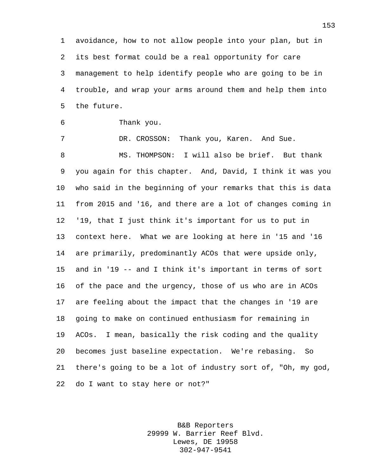avoidance, how to not allow people into your plan, but in its best format could be a real opportunity for care management to help identify people who are going to be in trouble, and wrap your arms around them and help them into the future.

Thank you.

7 DR. CROSSON: Thank you, Karen. And Sue. MS. THOMPSON: I will also be brief. But thank you again for this chapter. And, David, I think it was you who said in the beginning of your remarks that this is data from 2015 and '16, and there are a lot of changes coming in '19, that I just think it's important for us to put in context here. What we are looking at here in '15 and '16 are primarily, predominantly ACOs that were upside only, and in '19 -- and I think it's important in terms of sort of the pace and the urgency, those of us who are in ACOs are feeling about the impact that the changes in '19 are going to make on continued enthusiasm for remaining in ACOs. I mean, basically the risk coding and the quality becomes just baseline expectation. We're rebasing. So there's going to be a lot of industry sort of, "Oh, my god, do I want to stay here or not?"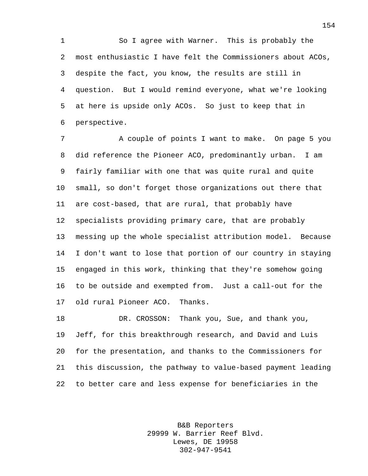So I agree with Warner. This is probably the most enthusiastic I have felt the Commissioners about ACOs, despite the fact, you know, the results are still in question. But I would remind everyone, what we're looking at here is upside only ACOs. So just to keep that in perspective.

7 A couple of points I want to make. On page 5 you did reference the Pioneer ACO, predominantly urban. I am fairly familiar with one that was quite rural and quite small, so don't forget those organizations out there that are cost-based, that are rural, that probably have specialists providing primary care, that are probably messing up the whole specialist attribution model. Because I don't want to lose that portion of our country in staying engaged in this work, thinking that they're somehow going to be outside and exempted from. Just a call-out for the old rural Pioneer ACO. Thanks.

 DR. CROSSON: Thank you, Sue, and thank you, Jeff, for this breakthrough research, and David and Luis for the presentation, and thanks to the Commissioners for this discussion, the pathway to value-based payment leading to better care and less expense for beneficiaries in the